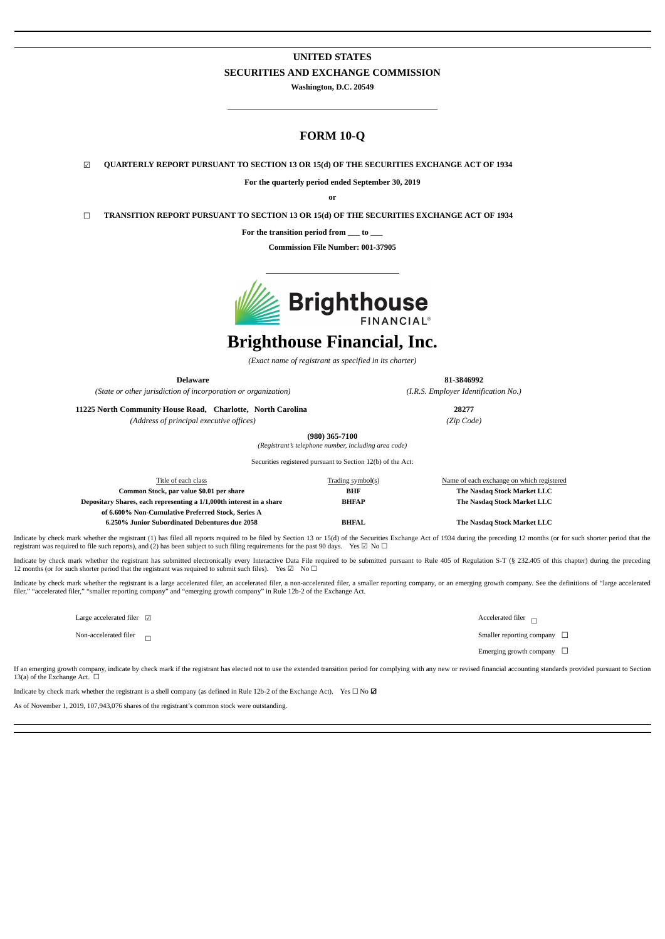#### **UNITED STATES**

#### **SECURITIES AND EXCHANGE COMMISSION**

**Washington, D.C. 20549**

## **FORM 10-Q**

☑ **QUARTERLY REPORT PURSUANT TO SECTION 13 OR 15(d) OF THE SECURITIES EXCHANGE ACT OF 1934**

**For the quarterly period ended September 30, 2019**

**or**

☐ **TRANSITION REPORT PURSUANT TO SECTION 13 OR 15(d) OF THE SECURITIES EXCHANGE ACT OF 1934**

**For the transition period from \_\_\_ to \_\_\_**

**Commission File Number: 001-37905**



# **Brighthouse Financial, Inc.**

*(Exact name of registrant as specified in its charter)*

**Delaware 81-3846992**

**(980) 365-7100** *(Registrant's telephone number, including area code)*

Securities registered pursuant to Section 12(b) of the Act:

Title of each class Trading symbol(s) Name of each exchange on which registered **Common Stock, par value \$0.01 per share BHF The Nasdaq Stock Market LLC Depositary Shares, each representing a 1/1,000th interest in a share BHFAP The Nasdaq Stock Market LLC of 6.600% Non-Cumulative Preferred Stock, Series A 6.250% Junior Subordinated Debentures due 2058 BHFAL The Nasdaq Stock Market LLC**

Indicate by check mark whether the registrant (1) has filed all reports required to be filed by Section 13 or 15(d) of the Securities Exchange Act of 1934 during the preceding 12 months (or for such shorter period that the registrant was required to file such reports), and (2) has been subject to such filing requirements for the past 90 days. Yes  $\Box$  No  $\Box$ 

Indicate by check mark whether the registrant has submitted electronically every Interactive Data File required to be submitted pursuant to Rule 405 of Regulation S-T (§ 232.405 of this chapter) during the preceding 12 months (or for such shorter period that the registrant was required to submit such files). Yes ☑ No □

Indicate by check mark whether the registrant is a large accelerated filer, an accelerated filer, a non-accelerated filer, a smaller reporting company, or an emerging growth company. See the definitions of "large accelerat filer," "accelerated filer," "smaller reporting company" and "emerging growth company" in Rule 12b-2 of the Exchange Act.

| Large accelerated filer $\Box$ | Accelerated filer $\Box$         |  |
|--------------------------------|----------------------------------|--|
| Non-accelerated filer $\Box$   | Smaller reporting company $\Box$ |  |
|                                | Emerging growth company $\Box$   |  |

If an emerging growth company, indicate by check mark if the registrant has elected not to use the extended transition period for complying with any new or revised financial accounting standards provided pursuant to Section 13(a) of the Exchange Act.  $\Box$ 

Indicate by check mark whether the registrant is a shell company (as defined in Rule 12b-2 of the Exchange Act). Yes ☐ No ☑

As of November 1, 2019, 107,943,076 shares of the registrant's common stock were outstanding.

*(State or other jurisdiction of incorporation or organization) (I.R.S. Employer Identification No.)*

**11225 North Community House Road, Charlotte, North Carolina 28277**

*(Address of principal executive offices) (Zip Code)*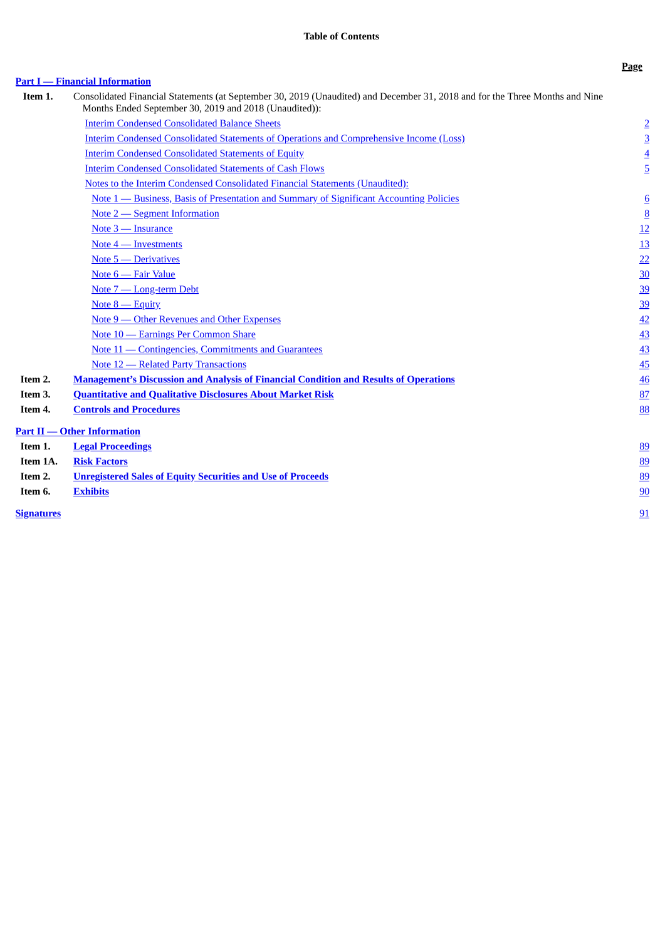|  | <b>Part I</b> — Financial Information |
|--|---------------------------------------|
|  |                                       |

<span id="page-1-0"></span>

|                   |                                                                                                                                                                                                                                 | <b>Page</b>     |
|-------------------|---------------------------------------------------------------------------------------------------------------------------------------------------------------------------------------------------------------------------------|-----------------|
| Item 1.           | <b>Part I</b> — Financial Information<br>Consolidated Financial Statements (at September 30, 2019 (Unaudited) and December 31, 2018 and for the Three Months and Nine<br>Months Ended September 30, 2019 and 2018 (Unaudited)): |                 |
|                   | <b>Interim Condensed Consolidated Balance Sheets</b>                                                                                                                                                                            | $\overline{2}$  |
|                   | <b>Interim Condensed Consolidated Statements of Operations and Comprehensive Income (Loss)</b>                                                                                                                                  | $\overline{3}$  |
|                   | <b>Interim Condensed Consolidated Statements of Equity</b>                                                                                                                                                                      | $\overline{4}$  |
|                   | <b>Interim Condensed Consolidated Statements of Cash Flows</b>                                                                                                                                                                  | $\overline{5}$  |
|                   | Notes to the Interim Condensed Consolidated Financial Statements (Unaudited):                                                                                                                                                   |                 |
|                   | Note 1 — Business, Basis of Presentation and Summary of Significant Accounting Policies                                                                                                                                         | $6\overline{6}$ |
|                   | Note 2 – Segment Information                                                                                                                                                                                                    | $\underline{8}$ |
|                   | Note 3 — Insurance                                                                                                                                                                                                              | 12              |
|                   | Note $4$ — Investments                                                                                                                                                                                                          | <u>13</u>       |
|                   | Note 5 - Derivatives                                                                                                                                                                                                            | 22              |
|                   | Note 6 - Fair Value                                                                                                                                                                                                             | 30              |
|                   | Note 7 - Long-term Debt                                                                                                                                                                                                         | 39              |
|                   | Note $8$ - Equity                                                                                                                                                                                                               | 39              |
|                   | Note 9 — Other Revenues and Other Expenses                                                                                                                                                                                      | 42              |
|                   | Note 10 - Earnings Per Common Share                                                                                                                                                                                             | 43              |
|                   | Note 11 – Contingencies, Commitments and Guarantees                                                                                                                                                                             | 43              |
|                   | Note 12 - Related Party Transactions                                                                                                                                                                                            | 45              |
| Item 2.           | <b>Management's Discussion and Analysis of Financial Condition and Results of Operations</b>                                                                                                                                    | 46              |
| Item 3.           | <b>Quantitative and Qualitative Disclosures About Market Risk</b>                                                                                                                                                               | 87              |
| Item 4.           | <b>Controls and Procedures</b>                                                                                                                                                                                                  | 88              |
|                   | <b>Part II - Other Information</b>                                                                                                                                                                                              |                 |
| Item 1.           | <b>Legal Proceedings</b>                                                                                                                                                                                                        | 89              |
| Item 1A.          | <b>Risk Factors</b>                                                                                                                                                                                                             | 89              |
| Item 2.           | <b>Unregistered Sales of Equity Securities and Use of Proceeds</b>                                                                                                                                                              | 89              |
| Item 6.           | <b>Exhibits</b>                                                                                                                                                                                                                 | 90              |
| <b>Signatures</b> |                                                                                                                                                                                                                                 | 91              |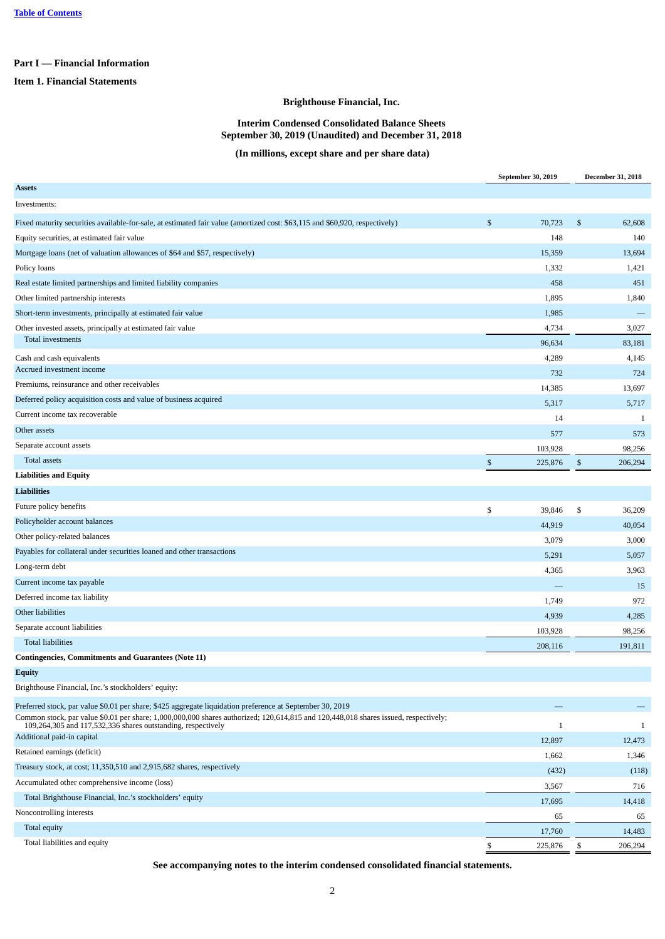## <span id="page-2-0"></span>**Part I — Financial Information**

## <span id="page-2-1"></span>**Item 1. Financial Statements**

**Brighthouse Financial, Inc.**

## **Interim Condensed Consolidated Balance Sheets September 30, 2019 (Unaudited) and December 31, 2018**

## **(In millions, except share and per share data)**

|                                                                                                                                                                                                     | September 30, 2019 | <b>December 31, 2018</b> |
|-----------------------------------------------------------------------------------------------------------------------------------------------------------------------------------------------------|--------------------|--------------------------|
| <b>Assets</b>                                                                                                                                                                                       |                    |                          |
| Investments:                                                                                                                                                                                        |                    |                          |
| Fixed maturity securities available-for-sale, at estimated fair value (amortized cost: \$63,115 and \$60,920, respectively)                                                                         | \$<br>70,723       | \$<br>62,608             |
| Equity securities, at estimated fair value                                                                                                                                                          | 148                | 140                      |
| Mortgage loans (net of valuation allowances of \$64 and \$57, respectively)                                                                                                                         | 15,359             | 13,694                   |
| Policy loans                                                                                                                                                                                        | 1,332              | 1,421                    |
| Real estate limited partnerships and limited liability companies                                                                                                                                    | 458                | 451                      |
| Other limited partnership interests                                                                                                                                                                 | 1,895              | 1,840                    |
| Short-term investments, principally at estimated fair value                                                                                                                                         | 1,985              |                          |
| Other invested assets, principally at estimated fair value                                                                                                                                          | 4,734              | 3,027                    |
| Total investments                                                                                                                                                                                   | 96,634             | 83,181                   |
| Cash and cash equivalents                                                                                                                                                                           | 4,289              | 4,145                    |
| Accrued investment income                                                                                                                                                                           | 732                | 724                      |
| Premiums, reinsurance and other receivables                                                                                                                                                         | 14,385             | 13,697                   |
| Deferred policy acquisition costs and value of business acquired                                                                                                                                    | 5,317              | 5,717                    |
| Current income tax recoverable                                                                                                                                                                      | 14                 | 1                        |
| Other assets                                                                                                                                                                                        | 577                | 573                      |
| Separate account assets                                                                                                                                                                             | 103,928            | 98,256                   |
| Total assets                                                                                                                                                                                        | \$<br>225,876      | \$<br>206,294            |
| <b>Liabilities and Equity</b>                                                                                                                                                                       |                    |                          |
| <b>Liabilities</b>                                                                                                                                                                                  |                    |                          |
| Future policy benefits                                                                                                                                                                              | \$<br>39,846       | \$<br>36,209             |
| Policyholder account balances                                                                                                                                                                       | 44,919             | 40,054                   |
| Other policy-related balances                                                                                                                                                                       | 3,079              | 3,000                    |
| Payables for collateral under securities loaned and other transactions                                                                                                                              | 5,291              | 5,057                    |
| Long-term debt                                                                                                                                                                                      | 4,365              | 3,963                    |
| Current income tax payable                                                                                                                                                                          |                    | 15                       |
| Deferred income tax liability                                                                                                                                                                       | 1,749              | 972                      |
| Other liabilities                                                                                                                                                                                   | 4,939              | 4,285                    |
| Separate account liabilities                                                                                                                                                                        | 103,928            | 98,256                   |
| <b>Total liabilities</b>                                                                                                                                                                            | 208,116            | 191,811                  |
| <b>Contingencies, Commitments and Guarantees (Note 11)</b>                                                                                                                                          |                    |                          |
| Equity                                                                                                                                                                                              |                    |                          |
| Brighthouse Financial, Inc.'s stockholders' equity:                                                                                                                                                 |                    |                          |
| Preferred stock, par value \$0.01 per share; \$425 aggregate liquidation preference at September 30, 2019                                                                                           |                    |                          |
| Common stock, par value \$0.01 per share; 1,000,000,000 shares authorized; 120,614,815 and 120,448,018 shares issued, respectively;<br>109,264,305 and 117,532,336 shares outstanding, respectively | $\mathbf{1}$       | $\mathbf{1}$             |
| Additional paid-in capital                                                                                                                                                                          | 12,897             | 12,473                   |
| Retained earnings (deficit)                                                                                                                                                                         | 1,662              | 1,346                    |
| Treasury stock, at cost; 11,350,510 and 2,915,682 shares, respectively                                                                                                                              | (432)              | (118)                    |
| Accumulated other comprehensive income (loss)                                                                                                                                                       | 3,567              | 716                      |
| Total Brighthouse Financial, Inc.'s stockholders' equity                                                                                                                                            | 17,695             | 14,418                   |
| Noncontrolling interests                                                                                                                                                                            | 65                 | 65                       |
| Total equity                                                                                                                                                                                        | 17,760             | 14,483                   |
| Total liabilities and equity                                                                                                                                                                        | \$<br>225,876      | \$<br>206,294            |

**See accompanying notes to the interim condensed consolidated financial statements.**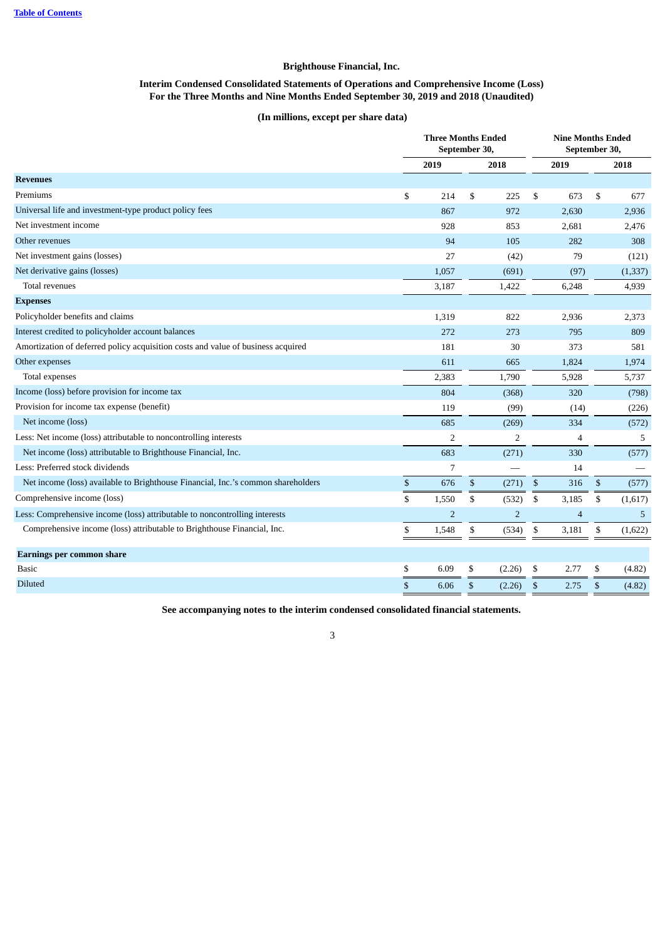## **Interim Condensed Consolidated Statements of Operations and Comprehensive Income (Loss) For the Three Months and Nine Months Ended September 30, 2019 and 2018 (Unaudited)**

## **(In millions, except per share data)**

<span id="page-3-0"></span>

|                                                                                  |               | <b>Three Months Ended</b><br>September 30, |    |                | <b>Nine Months Ended</b><br>September 30, |                          |                |          |
|----------------------------------------------------------------------------------|---------------|--------------------------------------------|----|----------------|-------------------------------------------|--------------------------|----------------|----------|
|                                                                                  |               | 2019                                       |    | 2018           |                                           | 2019                     |                | 2018     |
| <b>Revenues</b>                                                                  |               |                                            |    |                |                                           |                          |                |          |
| Premiums                                                                         | \$            | 214                                        | \$ | 225            | \$                                        | 673                      | \$             | 677      |
| Universal life and investment-type product policy fees                           |               | 867                                        |    | 972            |                                           | 2,630                    |                | 2,936    |
| Net investment income                                                            |               | 928                                        |    | 853            |                                           | 2,681                    |                | 2,476    |
| Other revenues                                                                   |               | 94                                         |    | 105            |                                           | 282                      |                | 308      |
| Net investment gains (losses)                                                    |               | 27                                         |    | (42)           |                                           | 79                       |                | (121)    |
| Net derivative gains (losses)                                                    |               | 1,057                                      |    | (691)          |                                           | (97)                     |                | (1, 337) |
| <b>Total revenues</b>                                                            |               | 3,187                                      |    | 1,422          |                                           | 6,248                    |                | 4,939    |
| <b>Expenses</b>                                                                  |               |                                            |    |                |                                           |                          |                |          |
| Policyholder benefits and claims                                                 |               | 1,319                                      |    | 822            |                                           | 2,936                    |                | 2,373    |
| Interest credited to policyholder account balances                               |               | 272                                        |    | 273            |                                           | 795                      |                | 809      |
| Amortization of deferred policy acquisition costs and value of business acquired |               | 181                                        |    | 30             |                                           | 373                      |                | 581      |
| Other expenses                                                                   |               | 611                                        |    | 665            |                                           | 1,824                    |                | 1,974    |
| Total expenses                                                                   |               | 2,383                                      |    | 1,790          |                                           | 5,928                    |                | 5,737    |
| Income (loss) before provision for income tax                                    |               | 804                                        |    | (368)          |                                           | 320                      |                | (798)    |
| Provision for income tax expense (benefit)                                       |               | 119                                        |    | (99)           |                                           | (14)                     |                | (226)    |
| Net income (loss)                                                                |               | 685                                        |    | (269)          |                                           | 334                      |                | (572)    |
| Less: Net income (loss) attributable to noncontrolling interests                 |               | $\overline{2}$                             |    | 2              |                                           | $\overline{\mathcal{A}}$ |                | 5        |
| Net income (loss) attributable to Brighthouse Financial, Inc.                    |               | 683                                        |    | (271)          |                                           | 330                      |                | (577)    |
| Less: Preferred stock dividends                                                  |               | 7                                          |    |                |                                           | 14                       |                |          |
| Net income (loss) available to Brighthouse Financial, Inc.'s common shareholders | ${\mathbb S}$ | 676                                        | \$ | (271)          | $\sqrt{3}$                                | 316                      | $\mathfrak{S}$ | (577)    |
| Comprehensive income (loss)                                                      | \$            | 1,550                                      | \$ | (532)          | \$                                        | 3,185                    | \$             | (1,617)  |
| Less: Comprehensive income (loss) attributable to noncontrolling interests       |               | $\overline{2}$                             |    | $\overline{2}$ |                                           | $\sqrt{4}$               |                | 5        |
| Comprehensive income (loss) attributable to Brighthouse Financial, Inc.          | \$            | 1,548                                      | \$ | (534)          | \$                                        | 3,181                    | \$             | (1,622)  |
| Earnings per common share                                                        |               |                                            |    |                |                                           |                          |                |          |
| <b>Basic</b>                                                                     | \$            | 6.09                                       | \$ | (2.26)         | \$                                        | 2.77                     | \$             | (4.82)   |
| <b>Diluted</b>                                                                   | \$            | 6.06                                       | \$ | (2.26)         | \$                                        | 2.75                     | \$             | (4.82)   |

**See accompanying notes to the interim condensed consolidated financial statements.**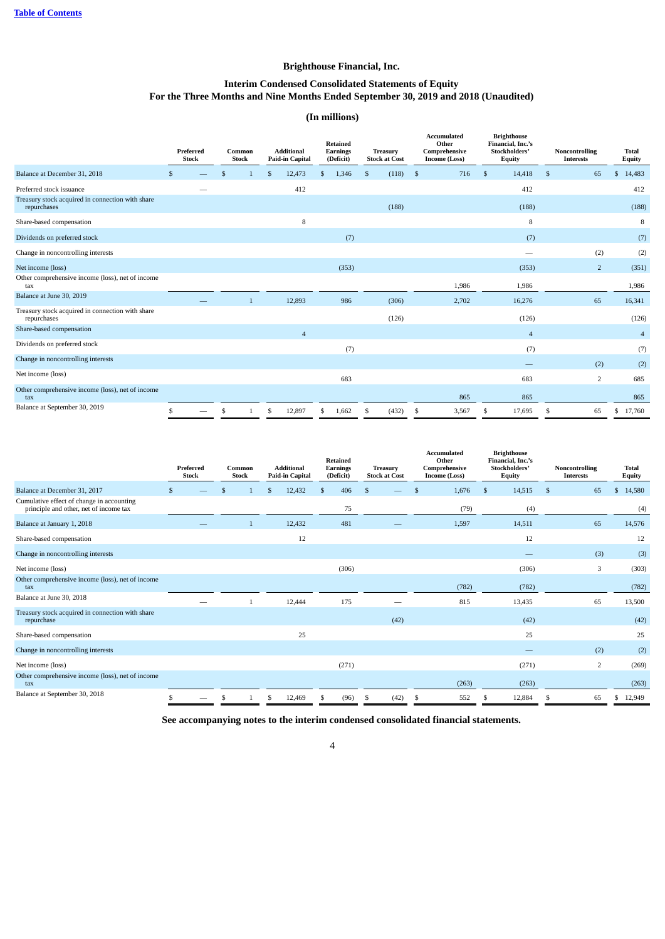## **Interim Condensed Consolidated Statements of Equity**

### **For the Three Months and Nine Months Ended September 30, 2019 and 2018 (Unaudited)**

## **(In millions)**

<span id="page-4-0"></span>

|                                                                 | Preferred<br><b>Stock</b> |     | Common<br><b>Stock</b> | <b>Additional</b><br><b>Paid-in Capital</b> |    | <b>Retained</b><br>Earnings<br>(Deficit) | <b>Treasury</b><br><b>Stock at Cost</b> | <b>Accumulated</b><br>Other<br>Comprehensive<br>Income (Loss) | <b>Brighthouse</b><br>Financial, Inc.'s<br>Stockholders'<br>Equity | Noncontrolling<br><b>Interests</b> | <b>Total</b><br>Equity |
|-----------------------------------------------------------------|---------------------------|-----|------------------------|---------------------------------------------|----|------------------------------------------|-----------------------------------------|---------------------------------------------------------------|--------------------------------------------------------------------|------------------------------------|------------------------|
| Balance at December 31, 2018                                    | \$                        |     |                        | \$<br>12,473                                | \$ | 1,346                                    | \$<br>(118)                             | \$<br>716                                                     | \$<br>14,418                                                       | \$<br>65                           | $\mathbb{S}$<br>14,483 |
| Preferred stock issuance                                        |                           |     |                        | 412                                         |    |                                          |                                         |                                                               | 412                                                                |                                    | 412                    |
| Treasury stock acquired in connection with share<br>repurchases |                           |     |                        |                                             |    |                                          | (188)                                   |                                                               | (188)                                                              |                                    | (188)                  |
| Share-based compensation                                        |                           |     |                        | 8                                           |    |                                          |                                         |                                                               | 8                                                                  |                                    | 8                      |
| Dividends on preferred stock                                    |                           |     |                        |                                             |    | (7)                                      |                                         |                                                               | (7)                                                                |                                    | (7)                    |
| Change in noncontrolling interests                              |                           |     |                        |                                             |    |                                          |                                         |                                                               |                                                                    | (2)                                | (2)                    |
| Net income (loss)                                               |                           |     |                        |                                             |    | (353)                                    |                                         |                                                               | (353)                                                              | $\overline{2}$                     | (351)                  |
| Other comprehensive income (loss), net of income<br>tax         |                           |     |                        |                                             |    |                                          |                                         | 1,986                                                         | 1,986                                                              |                                    | 1,986                  |
| Balance at June 30, 2019                                        |                           |     | $\mathbf{1}$           | 12,893                                      |    | 986                                      | (306)                                   | 2,702                                                         | 16,276                                                             | 65                                 | 16,341                 |
| Treasury stock acquired in connection with share<br>repurchases |                           |     |                        |                                             |    |                                          | (126)                                   |                                                               | (126)                                                              |                                    | (126)                  |
| Share-based compensation                                        |                           |     |                        | $\overline{4}$                              |    |                                          |                                         |                                                               | $\overline{4}$                                                     |                                    | 4                      |
| Dividends on preferred stock                                    |                           |     |                        |                                             |    | (7)                                      |                                         |                                                               | (7)                                                                |                                    | (7)                    |
| Change in noncontrolling interests                              |                           |     |                        |                                             |    |                                          |                                         |                                                               |                                                                    | (2)                                | (2)                    |
| Net income (loss)                                               |                           |     |                        |                                             |    | 683                                      |                                         |                                                               | 683                                                                | 2                                  | 685                    |
| Other comprehensive income (loss), net of income<br>tax         |                           |     |                        |                                             |    |                                          |                                         | 865                                                           | 865                                                                |                                    | 865                    |
| Balance at September 30, 2019                                   | \$                        | \$. |                        | \$<br>12,897                                | S. | 1,662                                    | \$<br>(432)                             | \$<br>3,567                                                   | \$<br>17,695                                                       | 65                                 | 17,760<br>\$           |

|                                                                                     | Preferred |              | Common       | <b>Additional</b>      |    | <b>Retained</b><br>Earnings |   | <b>Treasury</b>      |   | <b>Accumulated</b><br>Other<br>Comprehensive |    | <b>Brighthouse</b><br>Financial, Inc.'s<br>Stockholders' |    | Noncontrolling   | <b>Total</b> |  |
|-------------------------------------------------------------------------------------|-----------|--------------|--------------|------------------------|----|-----------------------------|---|----------------------|---|----------------------------------------------|----|----------------------------------------------------------|----|------------------|--------------|--|
|                                                                                     |           | <b>Stock</b> | <b>Stock</b> | <b>Paid-in Capital</b> |    | (Deficit)                   |   | <b>Stock at Cost</b> |   | <b>Income (Loss)</b>                         |    | Equity                                                   |    | <b>Interests</b> | Equity       |  |
| Balance at December 31, 2017                                                        | S.        |              |              | 12,432                 | .S | 406                         | Я |                      |   | 1,676                                        | -S | 14,515                                                   | -S | 65               | 14,580<br>\$ |  |
| Cumulative effect of change in accounting<br>principle and other, net of income tax |           |              |              |                        |    | 75                          |   |                      |   | (79)                                         |    | (4)                                                      |    |                  | (4)          |  |
| Balance at January 1, 2018                                                          |           |              | $\mathbf{1}$ | 12,432                 |    | 481                         |   |                      |   | 1,597                                        |    | 14,511                                                   |    | 65               | 14,576       |  |
| Share-based compensation                                                            |           |              |              | 12                     |    |                             |   |                      |   |                                              |    | 12                                                       |    |                  | 12           |  |
| Change in noncontrolling interests                                                  |           |              |              |                        |    |                             |   |                      |   |                                              |    |                                                          |    | (3)              | (3)          |  |
| Net income (loss)                                                                   |           |              |              |                        |    | (306)                       |   |                      |   |                                              |    | (306)                                                    |    | 3                | (303)        |  |
| Other comprehensive income (loss), net of income<br>tax                             |           |              |              |                        |    |                             |   |                      |   | (782)                                        |    | (782)                                                    |    |                  | (782)        |  |
| Balance at June 30, 2018                                                            |           |              |              | 12,444                 |    | 175                         |   |                      |   | 815                                          |    | 13,435                                                   |    | 65               | 13,500       |  |
| Treasury stock acquired in connection with share<br>repurchase                      |           |              |              |                        |    |                             |   | (42)                 |   |                                              |    | (42)                                                     |    |                  | (42)         |  |
| Share-based compensation                                                            |           |              |              | 25                     |    |                             |   |                      |   |                                              |    | 25                                                       |    |                  | 25           |  |
| Change in noncontrolling interests                                                  |           |              |              |                        |    |                             |   |                      |   |                                              |    |                                                          |    | (2)              | (2)          |  |
| Net income (loss)                                                                   |           |              |              |                        |    | (271)                       |   |                      |   |                                              |    | (271)                                                    |    | $\overline{2}$   | (269)        |  |
| Other comprehensive income (loss), net of income<br>tax                             |           |              |              |                        |    |                             |   |                      |   | (263)                                        |    | (263)                                                    |    |                  | (263)        |  |
| Balance at September 30, 2018                                                       |           |              | \$           | 12,469                 |    | (96)                        |   | (42)                 | S | 552                                          |    | 12,884                                                   |    | 65               | 12,949<br>£. |  |

**See accompanying notes to the interim condensed consolidated financial statements.**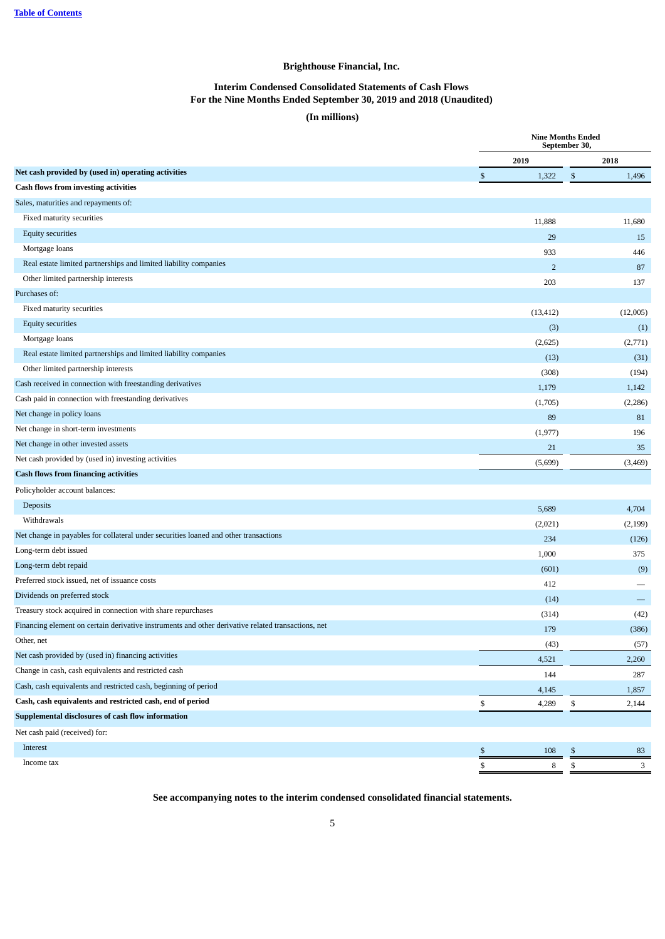## **Interim Condensed Consolidated Statements of Cash Flows For the Nine Months Ended September 30, 2019 and 2018 (Unaudited)**

## **(In millions)**

<span id="page-5-0"></span>

|                                                                                                    |                | <b>Nine Months Ended</b> | September 30, |          |
|----------------------------------------------------------------------------------------------------|----------------|--------------------------|---------------|----------|
|                                                                                                    |                | 2019                     |               | 2018     |
| Net cash provided by (used in) operating activities                                                | $\mathfrak{s}$ | 1,322                    | \$            | 1,496    |
| <b>Cash flows from investing activities</b>                                                        |                |                          |               |          |
| Sales, maturities and repayments of:                                                               |                |                          |               |          |
| Fixed maturity securities                                                                          |                | 11,888                   |               | 11,680   |
| <b>Equity securities</b>                                                                           |                | 29                       |               | 15       |
| Mortgage loans                                                                                     |                | 933                      |               | 446      |
| Real estate limited partnerships and limited liability companies                                   |                | $\overline{2}$           |               | 87       |
| Other limited partnership interests                                                                |                | 203                      |               | 137      |
| Purchases of:                                                                                      |                |                          |               |          |
| Fixed maturity securities                                                                          |                | (13, 412)                |               | (12,005) |
| <b>Equity securities</b>                                                                           |                | (3)                      |               | (1)      |
| Mortgage loans                                                                                     |                | (2,625)                  |               | (2,771)  |
| Real estate limited partnerships and limited liability companies                                   |                | (13)                     |               | (31)     |
| Other limited partnership interests                                                                |                | (308)                    |               | (194)    |
| Cash received in connection with freestanding derivatives                                          |                | 1,179                    |               | 1,142    |
| Cash paid in connection with freestanding derivatives                                              |                | (1,705)                  |               | (2,286)  |
| Net change in policy loans                                                                         |                | 89                       |               | 81       |
| Net change in short-term investments                                                               |                | (1, 977)                 |               | 196      |
| Net change in other invested assets                                                                |                | 21                       |               | 35       |
| Net cash provided by (used in) investing activities                                                |                | (5,699)                  |               | (3,469)  |
| <b>Cash flows from financing activities</b>                                                        |                |                          |               |          |
| Policyholder account balances:                                                                     |                |                          |               |          |
| Deposits                                                                                           |                | 5,689                    |               | 4,704    |
| Withdrawals                                                                                        |                | (2,021)                  |               | (2, 199) |
| Net change in payables for collateral under securities loaned and other transactions               |                | 234                      |               | (126)    |
| Long-term debt issued                                                                              |                | 1,000                    |               | 375      |
| Long-term debt repaid                                                                              |                | (601)                    |               | (9)      |
| Preferred stock issued, net of issuance costs                                                      |                | 412                      |               |          |
| Dividends on preferred stock                                                                       |                | (14)                     |               |          |
| Treasury stock acquired in connection with share repurchases                                       |                | (314)                    |               | (42)     |
| Financing element on certain derivative instruments and other derivative related transactions, net |                | 179                      |               | (386)    |
| Other, net                                                                                         |                | (43)                     |               | (57)     |
| Net cash provided by (used in) financing activities                                                |                | 4,521                    |               | 2,260    |
| Change in cash, cash equivalents and restricted cash                                               |                | 144                      |               | 287      |
| Cash, cash equivalents and restricted cash, beginning of period                                    |                | 4,145                    |               | 1,857    |
| Cash, cash equivalents and restricted cash, end of period                                          | \$             | 4,289                    | \$            | 2,144    |
| Supplemental disclosures of cash flow information                                                  |                |                          |               |          |
| Net cash paid (received) for:                                                                      |                |                          |               |          |
| Interest                                                                                           | \$             | 108                      | \$            | 83       |
| Income tax                                                                                         | \$             | 8                        | \$            | 3        |

**See accompanying notes to the interim condensed consolidated financial statements.**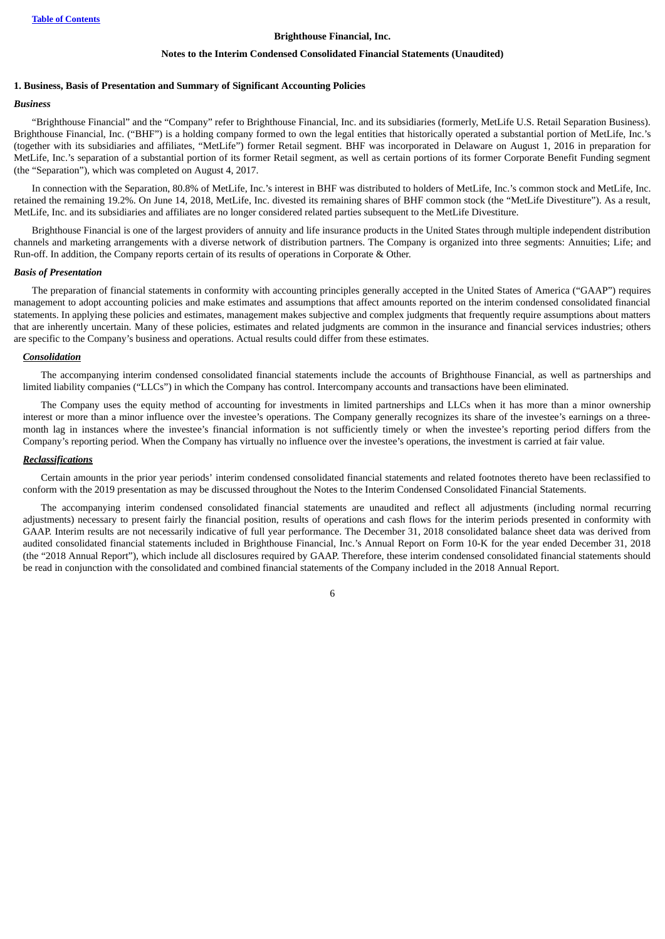#### **Notes to the Interim Condensed Consolidated Financial Statements (Unaudited)**

#### <span id="page-6-0"></span>**1. Business, Basis of Presentation and Summary of Significant Accounting Policies**

#### <span id="page-6-1"></span>*Business*

"Brighthouse Financial" and the "Company" refer to Brighthouse Financial, Inc. and its subsidiaries (formerly, MetLife U.S. Retail Separation Business). Brighthouse Financial, Inc. ("BHF") is a holding company formed to own the legal entities that historically operated a substantial portion of MetLife, Inc.'s (together with its subsidiaries and affiliates, "MetLife") former Retail segment. BHF was incorporated in Delaware on August 1, 2016 in preparation for MetLife, Inc.'s separation of a substantial portion of its former Retail segment, as well as certain portions of its former Corporate Benefit Funding segment (the "Separation"), which was completed on August 4, 2017.

In connection with the Separation, 80.8% of MetLife, Inc.'s interest in BHF was distributed to holders of MetLife, Inc.'s common stock and MetLife, Inc. retained the remaining 19.2%. On June 14, 2018, MetLife, Inc. divested its remaining shares of BHF common stock (the "MetLife Divestiture"). As a result, MetLife, Inc. and its subsidiaries and affiliates are no longer considered related parties subsequent to the MetLife Divestiture.

Brighthouse Financial is one of the largest providers of annuity and life insurance products in the United States through multiple independent distribution channels and marketing arrangements with a diverse network of distribution partners. The Company is organized into three segments: Annuities; Life; and Run-off. In addition, the Company reports certain of its results of operations in Corporate & Other.

#### *Basis of Presentation*

The preparation of financial statements in conformity with accounting principles generally accepted in the United States of America ("GAAP") requires management to adopt accounting policies and make estimates and assumptions that affect amounts reported on the interim condensed consolidated financial statements. In applying these policies and estimates, management makes subjective and complex judgments that frequently require assumptions about matters that are inherently uncertain. Many of these policies, estimates and related judgments are common in the insurance and financial services industries; others are specific to the Company's business and operations. Actual results could differ from these estimates.

#### *Consolidation*

The accompanying interim condensed consolidated financial statements include the accounts of Brighthouse Financial, as well as partnerships and limited liability companies ("LLCs") in which the Company has control. Intercompany accounts and transactions have been eliminated.

The Company uses the equity method of accounting for investments in limited partnerships and LLCs when it has more than a minor ownership interest or more than a minor influence over the investee's operations. The Company generally recognizes its share of the investee's earnings on a threemonth lag in instances where the investee's financial information is not sufficiently timely or when the investee's reporting period differs from the Company's reporting period. When the Company has virtually no influence over the investee's operations, the investment is carried at fair value.

#### *Reclassifications*

Certain amounts in the prior year periods' interim condensed consolidated financial statements and related footnotes thereto have been reclassified to conform with the 2019 presentation as may be discussed throughout the Notes to the Interim Condensed Consolidated Financial Statements.

The accompanying interim condensed consolidated financial statements are unaudited and reflect all adjustments (including normal recurring adjustments) necessary to present fairly the financial position, results of operations and cash flows for the interim periods presented in conformity with GAAP. Interim results are not necessarily indicative of full year performance. The December 31, 2018 consolidated balance sheet data was derived from audited consolidated financial statements included in Brighthouse Financial, Inc.'s Annual Report on Form 10-K for the year ended December 31, 2018 (the "2018 Annual Report"), which include all disclosures required by GAAP. Therefore, these interim condensed consolidated financial statements should be read in conjunction with the consolidated and combined financial statements of the Company included in the 2018 Annual Report.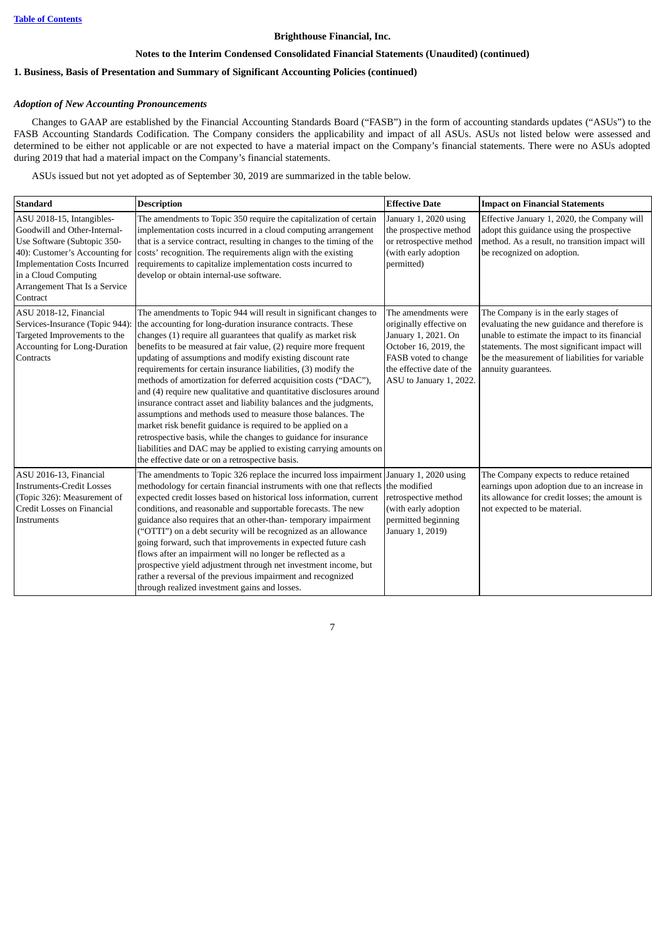## **Notes to the Interim Condensed Consolidated Financial Statements (Unaudited) (continued)**

## **1. Business, Basis of Presentation and Summary of Significant Accounting Policies (continued)**

## *Adoption of New Accounting Pronouncements*

Changes to GAAP are established by the Financial Accounting Standards Board ("FASB") in the form of accounting standards updates ("ASUs") to the FASB Accounting Standards Codification. The Company considers the applicability and impact of all ASUs. ASUs not listed below were assessed and determined to be either not applicable or are not expected to have a material impact on the Company's financial statements. There were no ASUs adopted during 2019 that had a material impact on the Company's financial statements.

ASUs issued but not yet adopted as of September 30, 2019 are summarized in the table below.

| <b>Standard</b>                                                                                                                                                                                                                         | <b>Description</b>                                                                                                                                                                                                                                                                                                                                                                                                                                                                                                                                                                                                                                                                                                                                                                                                                                                                                                                               | <b>Effective Date</b>                                                                                                                                                          | <b>Impact on Financial Statements</b>                                                                                                                                                                                                                            |
|-----------------------------------------------------------------------------------------------------------------------------------------------------------------------------------------------------------------------------------------|--------------------------------------------------------------------------------------------------------------------------------------------------------------------------------------------------------------------------------------------------------------------------------------------------------------------------------------------------------------------------------------------------------------------------------------------------------------------------------------------------------------------------------------------------------------------------------------------------------------------------------------------------------------------------------------------------------------------------------------------------------------------------------------------------------------------------------------------------------------------------------------------------------------------------------------------------|--------------------------------------------------------------------------------------------------------------------------------------------------------------------------------|------------------------------------------------------------------------------------------------------------------------------------------------------------------------------------------------------------------------------------------------------------------|
| ASU 2018-15, Intangibles-<br>Goodwill and Other-Internal-<br>Use Software (Subtopic 350-<br>40): Customer's Accounting for<br><b>Implementation Costs Incurred</b><br>in a Cloud Computing<br>Arrangement That Is a Service<br>Contract | The amendments to Topic 350 require the capitalization of certain<br>implementation costs incurred in a cloud computing arrangement<br>that is a service contract, resulting in changes to the timing of the<br>costs' recognition. The requirements align with the existing<br>requirements to capitalize implementation costs incurred to<br>develop or obtain internal-use software.                                                                                                                                                                                                                                                                                                                                                                                                                                                                                                                                                          | January 1, 2020 using<br>the prospective method<br>or retrospective method<br>(with early adoption<br>permitted)                                                               | Effective January 1, 2020, the Company will<br>adopt this guidance using the prospective<br>method. As a result, no transition impact will<br>be recognized on adoption.                                                                                         |
| ASU 2018-12, Financial<br>Services-Insurance (Topic 944):<br>Targeted Improvements to the<br><b>Accounting for Long-Duration</b><br>Contracts                                                                                           | The amendments to Topic 944 will result in significant changes to<br>the accounting for long-duration insurance contracts. These<br>changes (1) require all guarantees that qualify as market risk<br>benefits to be measured at fair value, (2) require more frequent<br>updating of assumptions and modify existing discount rate<br>requirements for certain insurance liabilities, (3) modify the<br>methods of amortization for deferred acquisition costs ("DAC"),<br>and (4) require new qualitative and quantitative disclosures around<br>insurance contract asset and liability balances and the judgments,<br>assumptions and methods used to measure those balances. The<br>market risk benefit guidance is required to be applied on a<br>retrospective basis, while the changes to guidance for insurance<br>liabilities and DAC may be applied to existing carrying amounts on<br>the effective date or on a retrospective basis. | The amendments were<br>originally effective on<br>January 1, 2021. On<br>October 16, 2019, the<br>FASB voted to change<br>the effective date of the<br>ASU to January 1, 2022. | The Company is in the early stages of<br>evaluating the new guidance and therefore is<br>unable to estimate the impact to its financial<br>statements. The most significant impact will<br>be the measurement of liabilities for variable<br>annuity guarantees. |
| ASU 2016-13, Financial<br><b>Instruments-Credit Losses</b><br>(Topic 326): Measurement of<br>Credit Losses on Financial<br>Instruments                                                                                                  | The amendments to Topic 326 replace the incurred loss impairment<br>methodology for certain financial instruments with one that reflects<br>expected credit losses based on historical loss information, current<br>conditions, and reasonable and supportable forecasts. The new<br>guidance also requires that an other-than- temporary impairment<br>("OTTI") on a debt security will be recognized as an allowance<br>going forward, such that improvements in expected future cash<br>flows after an impairment will no longer be reflected as a<br>prospective yield adjustment through net investment income, but<br>rather a reversal of the previous impairment and recognized<br>through realized investment gains and losses.                                                                                                                                                                                                         | January 1, 2020 using<br>the modified<br>retrospective method<br>(with early adoption<br>permitted beginning<br>January 1, 2019)                                               | The Company expects to reduce retained<br>earnings upon adoption due to an increase in<br>its allowance for credit losses; the amount is<br>not expected to be material.                                                                                         |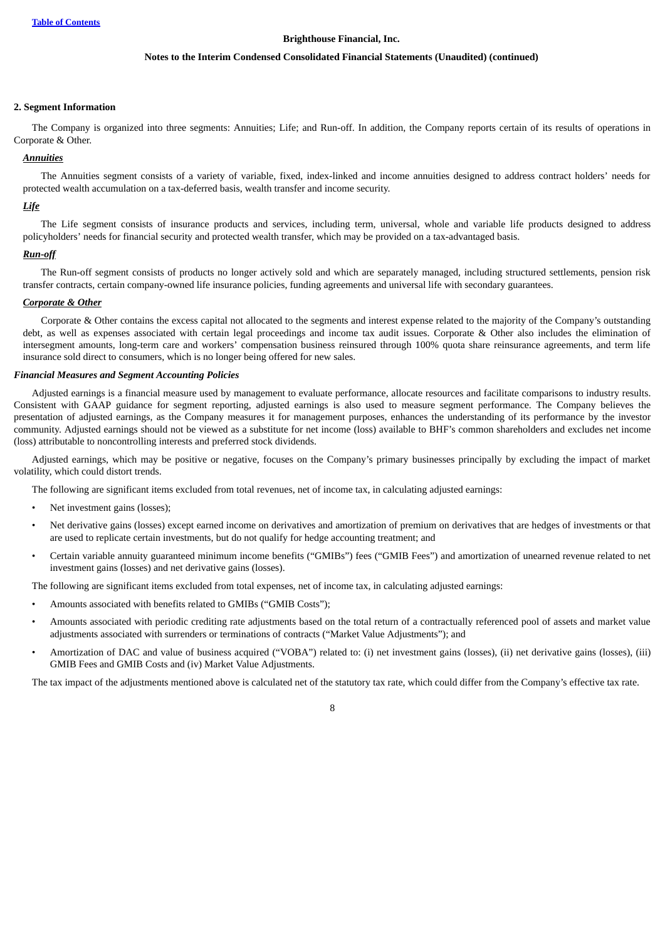#### **Notes to the Interim Condensed Consolidated Financial Statements (Unaudited) (continued)**

#### <span id="page-8-0"></span>**2. Segment Information**

The Company is organized into three segments: Annuities; Life; and Run-off. In addition, the Company reports certain of its results of operations in Corporate & Other.

#### *Annuities*

The Annuities segment consists of a variety of variable, fixed, index-linked and income annuities designed to address contract holders' needs for protected wealth accumulation on a tax-deferred basis, wealth transfer and income security.

#### *Life*

The Life segment consists of insurance products and services, including term, universal, whole and variable life products designed to address policyholders' needs for financial security and protected wealth transfer, which may be provided on a tax-advantaged basis.

#### *Run-off*

The Run-off segment consists of products no longer actively sold and which are separately managed, including structured settlements, pension risk transfer contracts, certain company-owned life insurance policies, funding agreements and universal life with secondary guarantees.

### *Corporate & Other*

Corporate & Other contains the excess capital not allocated to the segments and interest expense related to the majority of the Company's outstanding debt, as well as expenses associated with certain legal proceedings and income tax audit issues. Corporate & Other also includes the elimination of intersegment amounts, long-term care and workers' compensation business reinsured through 100% quota share reinsurance agreements, and term life insurance sold direct to consumers, which is no longer being offered for new sales.

#### *Financial Measures and Segment Accounting Policies*

Adjusted earnings is a financial measure used by management to evaluate performance, allocate resources and facilitate comparisons to industry results. Consistent with GAAP guidance for segment reporting, adjusted earnings is also used to measure segment performance. The Company believes the presentation of adjusted earnings, as the Company measures it for management purposes, enhances the understanding of its performance by the investor community. Adjusted earnings should not be viewed as a substitute for net income (loss) available to BHF's common shareholders and excludes net income (loss) attributable to noncontrolling interests and preferred stock dividends.

Adjusted earnings, which may be positive or negative, focuses on the Company's primary businesses principally by excluding the impact of market volatility, which could distort trends.

The following are significant items excluded from total revenues, net of income tax, in calculating adjusted earnings:

- Net investment gains (losses);
- Net derivative gains (losses) except earned income on derivatives and amortization of premium on derivatives that are hedges of investments or that are used to replicate certain investments, but do not qualify for hedge accounting treatment; and
- Certain variable annuity guaranteed minimum income benefits ("GMIBs") fees ("GMIB Fees") and amortization of unearned revenue related to net investment gains (losses) and net derivative gains (losses).

The following are significant items excluded from total expenses, net of income tax, in calculating adjusted earnings:

- Amounts associated with benefits related to GMIBs ("GMIB Costs");
- Amounts associated with periodic crediting rate adjustments based on the total return of a contractually referenced pool of assets and market value adjustments associated with surrenders or terminations of contracts ("Market Value Adjustments"); and
- Amortization of DAC and value of business acquired ("VOBA") related to: (i) net investment gains (losses), (ii) net derivative gains (losses), (iii) GMIB Fees and GMIB Costs and (iv) Market Value Adjustments.

The tax impact of the adjustments mentioned above is calculated net of the statutory tax rate, which could differ from the Company's effective tax rate.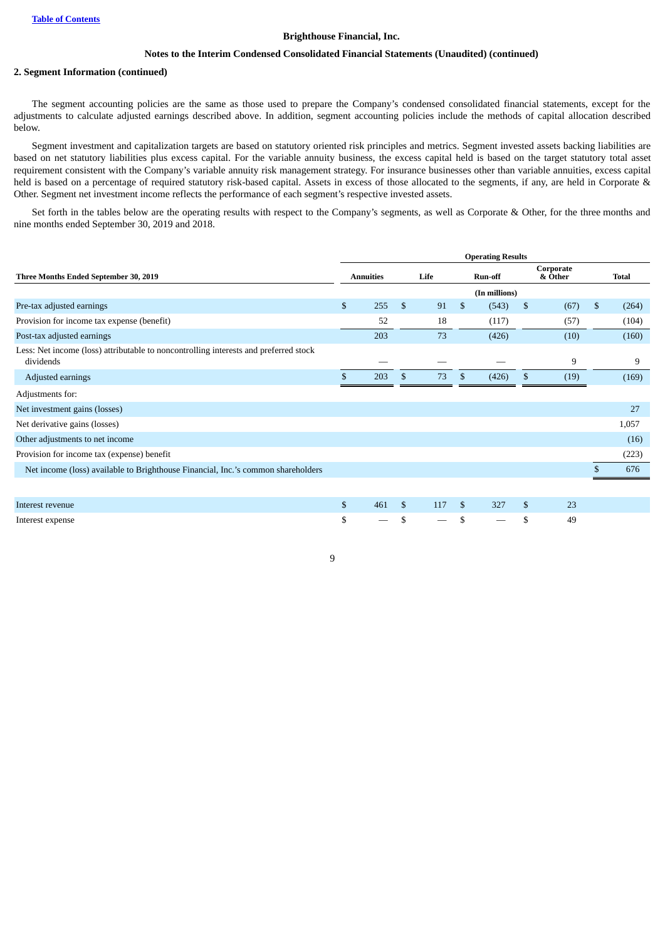## **Notes to the Interim Condensed Consolidated Financial Statements (Unaudited) (continued)**

## **2. Segment Information (continued)**

The segment accounting policies are the same as those used to prepare the Company's condensed consolidated financial statements, except for the adjustments to calculate adjusted earnings described above. In addition, segment accounting policies include the methods of capital allocation described below.

Segment investment and capitalization targets are based on statutory oriented risk principles and metrics. Segment invested assets backing liabilities are based on net statutory liabilities plus excess capital. For the variable annuity business, the excess capital held is based on the target statutory total asset requirement consistent with the Company's variable annuity risk management strategy. For insurance businesses other than variable annuities, excess capital held is based on a percentage of required statutory risk-based capital. Assets in excess of those allocated to the segments, if any, are held in Corporate & Other. Segment net investment income reflects the performance of each segment's respective invested assets.

Set forth in the tables below are the operating results with respect to the Company's segments, as well as Corporate & Other, for the three months and nine months ended September 30, 2019 and 2018.

|                                                                                                   |              |                  |               |                        |              | <b>Operating Results</b> |                      |              |    |       |
|---------------------------------------------------------------------------------------------------|--------------|------------------|---------------|------------------------|--------------|--------------------------|----------------------|--------------|----|-------|
| Three Months Ended September 30, 2019                                                             |              | <b>Annuities</b> |               | Life<br><b>Run-off</b> |              |                          | Corporate<br>& Other | <b>Total</b> |    |       |
|                                                                                                   |              |                  |               |                        |              | (In millions)            |                      |              |    |       |
| Pre-tax adjusted earnings                                                                         | $\mathbb{S}$ | 255              | <sup>\$</sup> | 91                     | \$           | (543)                    | \$                   | (67)         | \$ | (264) |
| Provision for income tax expense (benefit)                                                        |              | 52               |               | 18                     |              | (117)                    |                      | (57)         |    | (104) |
| Post-tax adjusted earnings                                                                        |              | 203              |               | 73                     |              | (426)                    |                      | (10)         |    | (160) |
| Less: Net income (loss) attributable to noncontrolling interests and preferred stock<br>dividends |              |                  |               |                        |              |                          |                      | 9            |    | 9     |
| Adjusted earnings                                                                                 |              | 203              | $\mathbf{S}$  | 73                     | $\mathbf{S}$ | (426)                    | $\mathbf{s}$         | (19)         |    | (169) |
| Adjustments for:                                                                                  |              |                  |               |                        |              |                          |                      |              |    |       |
| Net investment gains (losses)                                                                     |              |                  |               |                        |              |                          |                      |              |    | 27    |
| Net derivative gains (losses)                                                                     |              |                  |               |                        |              |                          |                      |              |    | 1,057 |
| Other adjustments to net income                                                                   |              |                  |               |                        |              |                          |                      |              |    | (16)  |
| Provision for income tax (expense) benefit                                                        |              |                  |               |                        |              |                          |                      |              |    | (223) |
| Net income (loss) available to Brighthouse Financial, Inc.'s common shareholders                  |              |                  |               |                        |              |                          |                      |              |    | 676   |
|                                                                                                   |              |                  |               |                        |              |                          |                      |              |    |       |
| Interest revenue                                                                                  | \$           | 461              | \$            | 117                    | \$           | 327                      | \$                   | 23           |    |       |

|                  | $+0-$ | <br>المتعار | ۔ ےب |           |
|------------------|-------|-------------|------|-----------|
| Interest expense |       |             |      | 10<br>. . |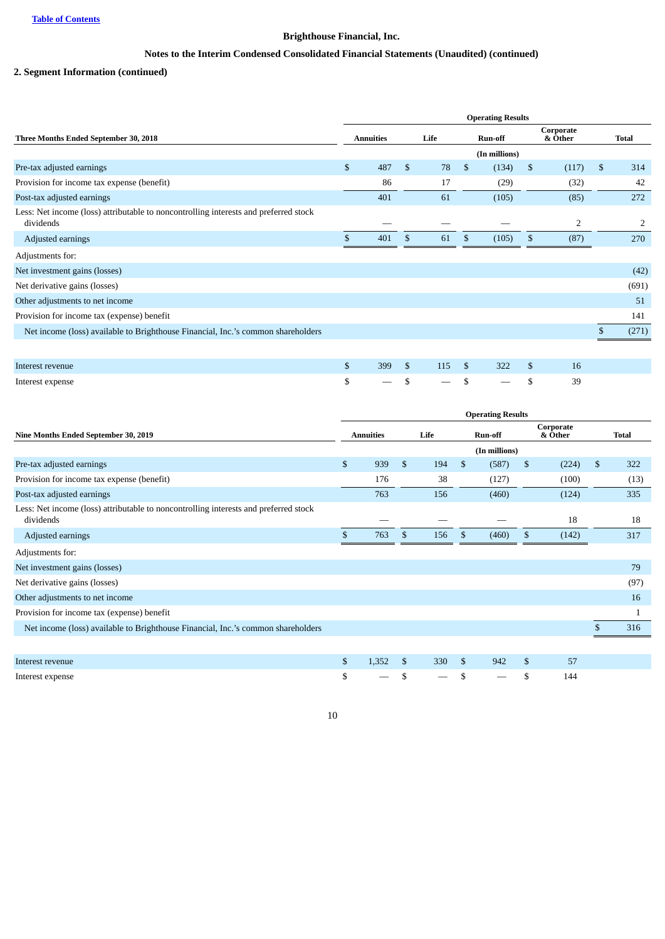## **Notes to the Interim Condensed Consolidated Financial Statements (Unaudited) (continued)**

## **2. Segment Information (continued)**

|                                                                                                   |             |                  |              |                 |                | <b>Operating Results</b> |                      |                |    |              |
|---------------------------------------------------------------------------------------------------|-------------|------------------|--------------|-----------------|----------------|--------------------------|----------------------|----------------|----|--------------|
| Three Months Ended September 30, 2018                                                             |             | <b>Annuities</b> | Life         |                 | <b>Run-off</b> |                          | Corporate<br>& Other |                |    | <b>Total</b> |
|                                                                                                   |             |                  |              |                 |                | (In millions)            |                      |                |    |              |
| Pre-tax adjusted earnings                                                                         | \$          | 487              | S            | 78              | \$             | (134)                    | \$                   | (117)          | S. | 314          |
| Provision for income tax expense (benefit)                                                        |             | 86               |              | 17              |                | (29)                     |                      | (32)           |    | 42           |
| Post-tax adjusted earnings                                                                        |             | 401              |              | 61              |                | (105)                    |                      | (85)           |    | 272          |
| Less: Net income (loss) attributable to noncontrolling interests and preferred stock<br>dividends |             |                  |              |                 |                |                          |                      | $\overline{2}$ |    | 2            |
| Adjusted earnings                                                                                 |             | 401              | \$           | 61              | \$             | (105)                    | \$                   | (87)           |    | 270          |
| Adjustments for:                                                                                  |             |                  |              |                 |                |                          |                      |                |    |              |
| Net investment gains (losses)                                                                     |             |                  |              |                 |                |                          |                      |                |    | (42)         |
| Net derivative gains (losses)                                                                     |             |                  |              |                 |                |                          |                      |                |    | (691)        |
| Other adjustments to net income                                                                   |             |                  |              |                 |                |                          |                      |                |    | 51           |
| Provision for income tax (expense) benefit                                                        |             |                  |              |                 |                |                          |                      |                |    | 141          |
| Net income (loss) available to Brighthouse Financial, Inc.'s common shareholders                  |             |                  |              |                 |                |                          |                      |                |    | (271)        |
|                                                                                                   |             |                  |              |                 |                |                          |                      |                |    |              |
| Tack and all indicated and                                                                        | $\triangle$ | 200              | $\mathbf{r}$ | 11 <sup>2</sup> | <u>ਾ</u> ⊄ਾ    | ר בר                     | $\triangle$          | 1 <sup>C</sup> |    |              |

| Interest revenue | C.                                                        | 399 \$ 115 \$ |  | 322 \$ | Τp |
|------------------|-----------------------------------------------------------|---------------|--|--------|----|
| Interest expense | $\texttt{s}$ $- \texttt{s}$ $- \texttt{s}$ $- \texttt{s}$ |               |  |        | 39 |

|                                                                                                   |     |                  |     |      |               | <b>Operating Results</b> |                |                      |              |
|---------------------------------------------------------------------------------------------------|-----|------------------|-----|------|---------------|--------------------------|----------------|----------------------|--------------|
| Nine Months Ended September 30, 2019                                                              |     | <b>Annuities</b> |     | Life |               | <b>Run-off</b>           |                | Corporate<br>& Other | <b>Total</b> |
|                                                                                                   |     |                  |     |      |               | (In millions)            |                |                      |              |
| Pre-tax adjusted earnings                                                                         | \$  | 939              | \$. | 194  | \$            | (587)                    | \$             | (224)                | \$<br>322    |
| Provision for income tax expense (benefit)                                                        |     | 176              |     | 38   |               | (127)                    |                | (100)                | (13)         |
| Post-tax adjusted earnings                                                                        |     | 763              |     | 156  |               | (460)                    |                | (124)                | 335          |
| Less: Net income (loss) attributable to noncontrolling interests and preferred stock<br>dividends |     |                  |     |      |               |                          |                | 18                   | 18           |
| Adjusted earnings                                                                                 | \$. | 763              | \$. | 156  | <sup>\$</sup> | (460)                    | $\mathfrak{S}$ | (142)                | 317          |
| Adjustments for:                                                                                  |     |                  |     |      |               |                          |                |                      |              |
| Net investment gains (losses)                                                                     |     |                  |     |      |               |                          |                |                      | 79           |
| Net derivative gains (losses)                                                                     |     |                  |     |      |               |                          |                |                      | (97)         |
| Other adjustments to net income                                                                   |     |                  |     |      |               |                          |                |                      | 16           |
| Provision for income tax (expense) benefit                                                        |     |                  |     |      |               |                          |                |                      | 1            |
| Net income (loss) available to Brighthouse Financial, Inc.'s common shareholders                  |     |                  |     |      |               |                          |                |                      | 316          |
|                                                                                                   |     |                  |     |      |               |                          |                |                      |              |
| Interest revenue                                                                                  | \$  | 1,352            | \$  | 330  | \$            | 942                      | \$             | 57                   |              |
| Interest expense                                                                                  | \$  |                  | \$  |      | \$            |                          | \$             | 144                  |              |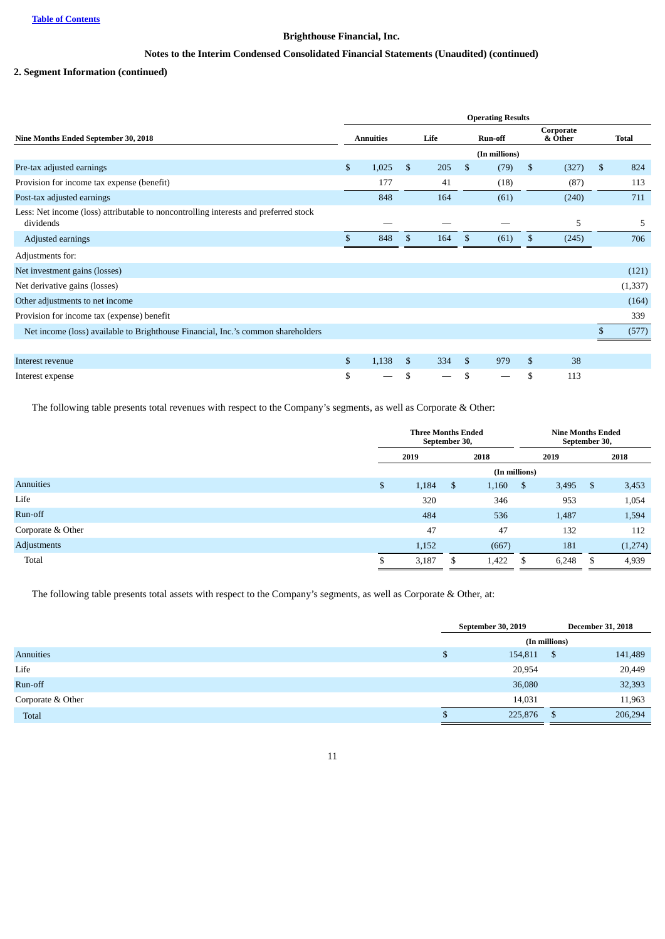## **Notes to the Interim Condensed Consolidated Financial Statements (Unaudited) (continued)**

## **2. Segment Information (continued)**

|                                                                                                   |                  |           | <b>Operating Results</b> |                      |              |
|---------------------------------------------------------------------------------------------------|------------------|-----------|--------------------------|----------------------|--------------|
| Nine Months Ended September 30, 2018                                                              | <b>Annuities</b> | Life      | <b>Run-off</b>           | Corporate<br>& Other | <b>Total</b> |
|                                                                                                   |                  |           | (In millions)            |                      |              |
| Pre-tax adjusted earnings                                                                         | \$<br>1,025      | \$<br>205 | \$<br>(79)               | \$<br>(327)          | \$<br>824    |
| Provision for income tax expense (benefit)                                                        | 177              | 41        | (18)                     | (87)                 | 113          |
| Post-tax adjusted earnings                                                                        | 848              | 164       | (61)                     | (240)                | 711          |
| Less: Net income (loss) attributable to noncontrolling interests and preferred stock<br>dividends |                  |           |                          | 5                    | 5            |
| Adjusted earnings                                                                                 | 848              | \$<br>164 | \$<br>(61)               | \$<br>(245)          | 706          |
| Adjustments for:                                                                                  |                  |           |                          |                      |              |
| Net investment gains (losses)                                                                     |                  |           |                          |                      | (121)        |
| Net derivative gains (losses)                                                                     |                  |           |                          |                      | (1, 337)     |
| Other adjustments to net income                                                                   |                  |           |                          |                      | (164)        |
| Provision for income tax (expense) benefit                                                        |                  |           |                          |                      | 339          |
| Net income (loss) available to Brighthouse Financial, Inc.'s common shareholders                  |                  |           |                          |                      | (577)        |
|                                                                                                   |                  |           |                          |                      |              |
| Interest revenue                                                                                  | \$<br>1,138      | \$<br>334 | \$<br>979                | \$<br>38             |              |
| Interest expense                                                                                  | \$               | \$        | \$                       | \$<br>113            |              |

The following table presents total revenues with respect to the Company's segments, as well as Corporate & Other:

|                   |    | <b>Three Months Ended</b><br>September 30, |    |               |    |       | <b>Nine Months Ended</b><br>September 30, |         |
|-------------------|----|--------------------------------------------|----|---------------|----|-------|-------------------------------------------|---------|
|                   |    | 2019                                       |    | 2018          |    | 2019  |                                           | 2018    |
|                   |    |                                            |    | (In millions) |    |       |                                           |         |
| Annuities         | \$ | 1,184                                      | \$ | 1,160         | S. | 3,495 | \$                                        | 3,453   |
| Life              |    | 320                                        |    | 346           |    | 953   |                                           | 1,054   |
| Run-off           |    | 484                                        |    | 536           |    | 1,487 |                                           | 1,594   |
| Corporate & Other |    | 47                                         |    | 47            |    | 132   |                                           | 112     |
| Adjustments       |    | 1,152                                      |    | (667)         |    | 181   |                                           | (1,274) |
| Total             | J. | 3,187                                      | £. | 1,422         | \$ | 6,248 | -\$                                       | 4,939   |

The following table presents total assets with respect to the Company's segments, as well as Corporate & Other, at:

|                   |        | September 30, 2019 |               | <b>December 31, 2018</b> |
|-------------------|--------|--------------------|---------------|--------------------------|
|                   |        |                    | (In millions) |                          |
| Annuities         | \$     | 154,811            | -S            | 141,489                  |
| Life              |        | 20,954             |               | 20,449                   |
| Run-off           |        | 36,080             |               | 32,393                   |
| Corporate & Other |        | 14,031             |               | 11,963                   |
| Total             | c<br>D | 225,876            | \$            | 206,294                  |

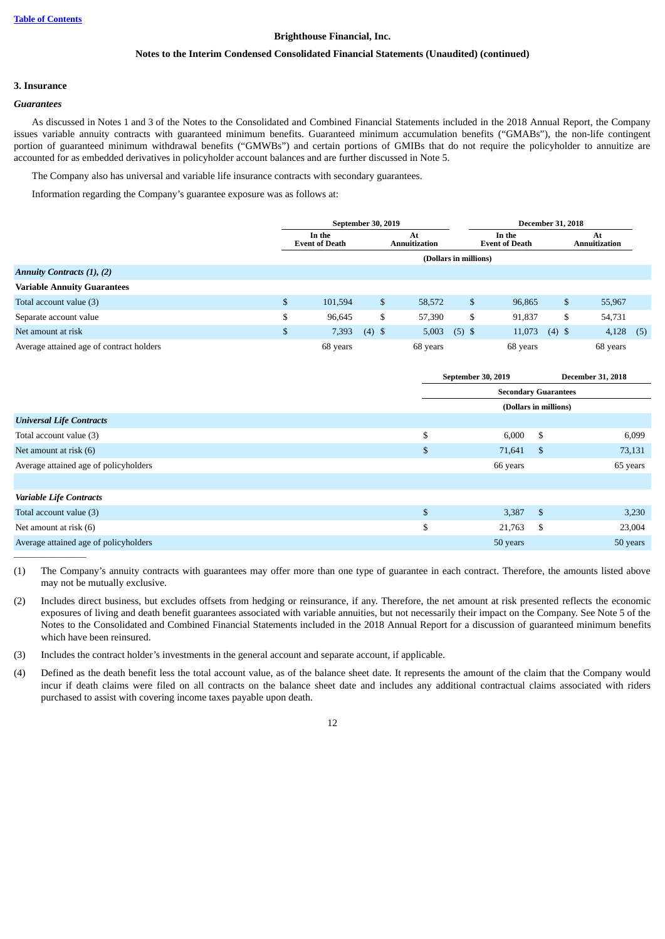## **Notes to the Interim Condensed Consolidated Financial Statements (Unaudited) (continued)**

#### <span id="page-12-0"></span>**3. Insurance**

#### *Guarantees*

As discussed in Notes 1 and 3 of the Notes to the Consolidated and Combined Financial Statements included in the 2018 Annual Report, the Company issues variable annuity contracts with guaranteed minimum benefits. Guaranteed minimum accumulation benefits ("GMABs"), the non-life contingent portion of guaranteed minimum withdrawal benefits ("GMWBs") and certain portions of GMIBs that do not require the policyholder to annuitize are accounted for as embedded derivatives in policyholder account balances and are further discussed in Note 5.

The Company also has universal and variable life insurance contracts with secondary guarantees.

Information regarding the Company's guarantee exposure was as follows at:

|                                          |                                 | September 30, 2019 |          |                            |  |          |                                 | <b>December 31, 2018</b> |                            |     |  |  |  |  |
|------------------------------------------|---------------------------------|--------------------|----------|----------------------------|--|----------|---------------------------------|--------------------------|----------------------------|-----|--|--|--|--|
|                                          | In the<br><b>Event of Death</b> |                    |          | At<br><b>Annuitization</b> |  |          | In the<br><b>Event of Death</b> |                          | At<br><b>Annuitization</b> |     |  |  |  |  |
|                                          | (Dollars in millions)           |                    |          |                            |  |          |                                 |                          |                            |     |  |  |  |  |
| <b>Annuity Contracts (1), (2)</b>        |                                 |                    |          |                            |  |          |                                 |                          |                            |     |  |  |  |  |
| <b>Variable Annuity Guarantees</b>       |                                 |                    |          |                            |  |          |                                 |                          |                            |     |  |  |  |  |
| Total account value (3)                  | $\mathfrak{S}$                  | 101,594            | \$       | 58,572                     |  | \$       | 96,865                          | \$                       | 55,967                     |     |  |  |  |  |
| Separate account value                   | \$                              | 96,645             | \$       | 57,390                     |  | \$       | 91,837                          | \$                       | 54,731                     |     |  |  |  |  |
| Net amount at risk                       | \$                              | 7,393              | $(4)$ \$ | 5,003                      |  | $(5)$ \$ | 11,073                          | $(4)$ \$                 | 4,128                      | (5) |  |  |  |  |
| Average attained age of contract holders |                                 | 68 years           |          | 68 years                   |  |          | 68 years                        |                          | 68 years                   |     |  |  |  |  |

|                                       | September 30, 2019          |                       | <b>December 31, 2018</b> |
|---------------------------------------|-----------------------------|-----------------------|--------------------------|
|                                       | <b>Secondary Guarantees</b> |                       |                          |
|                                       |                             | (Dollars in millions) |                          |
| <b>Universal Life Contracts</b>       |                             |                       |                          |
| Total account value (3)               | \$<br>6,000                 | - \$                  | 6,099                    |
| Net amount at risk (6)                | \$<br>71,641                | - \$                  | 73,131                   |
| Average attained age of policyholders | 66 years                    |                       | 65 years                 |
|                                       |                             |                       |                          |
| <b>Variable Life Contracts</b>        |                             |                       |                          |
| Total account value (3)               | \$<br>3,387                 | - \$                  | 3,230                    |
| Net amount at risk (6)                | \$<br>21,763                | -\$                   | 23,004                   |
| Average attained age of policyholders | 50 years                    |                       | 50 years                 |
|                                       |                             |                       |                          |

(1) The Company's annuity contracts with guarantees may offer more than one type of guarantee in each contract. Therefore, the amounts listed above may not be mutually exclusive.

- (2) Includes direct business, but excludes offsets from hedging or reinsurance, if any. Therefore, the net amount at risk presented reflects the economic exposures of living and death benefit guarantees associated with variable annuities, but not necessarily their impact on the Company. See Note 5 of the Notes to the Consolidated and Combined Financial Statements included in the 2018 Annual Report for a discussion of guaranteed minimum benefits which have been reinsured.
- (3) Includes the contract holder's investments in the general account and separate account, if applicable.
- (4) Defined as the death benefit less the total account value, as of the balance sheet date. It represents the amount of the claim that the Company would incur if death claims were filed on all contracts on the balance sheet date and includes any additional contractual claims associated with riders purchased to assist with covering income taxes payable upon death.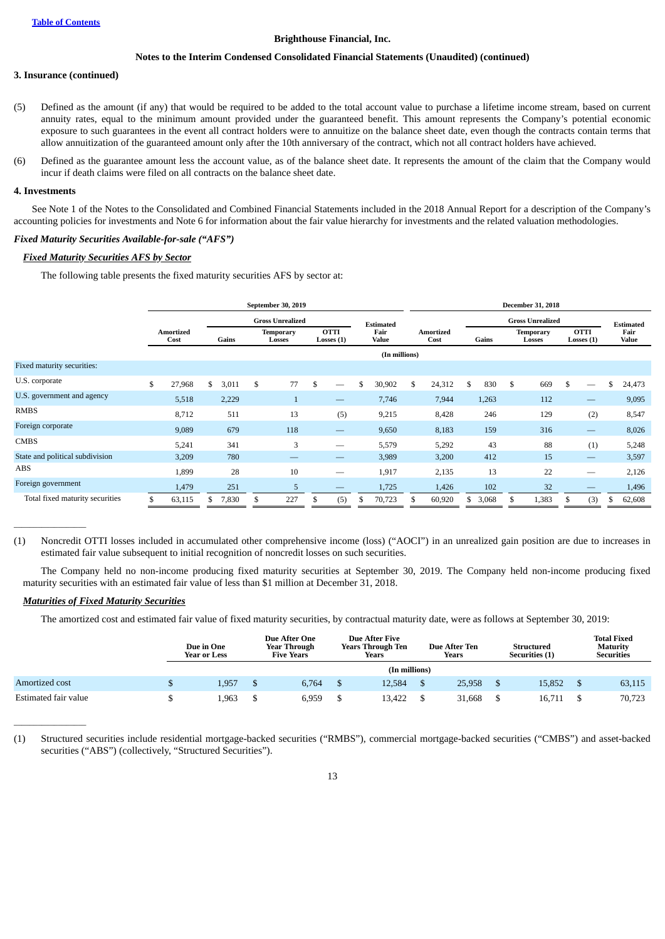### **Notes to the Interim Condensed Consolidated Financial Statements (Unaudited) (continued)**

### **3. Insurance (continued)**

- (5) Defined as the amount (if any) that would be required to be added to the total account value to purchase a lifetime income stream, based on current annuity rates, equal to the minimum amount provided under the guaranteed benefit. This amount represents the Company's potential economic exposure to such guarantees in the event all contract holders were to annuitize on the balance sheet date, even though the contracts contain terms that allow annuitization of the guaranteed amount only after the 10th anniversary of the contract, which not all contract holders have achieved.
- (6) Defined as the guarantee amount less the account value, as of the balance sheet date. It represents the amount of the claim that the Company would incur if death claims were filed on all contracts on the balance sheet date.

#### <span id="page-13-0"></span>**4. Investments**

See Note 1 of the Notes to the Consolidated and Combined Financial Statements included in the 2018 Annual Report for a description of the Company's accounting policies for investments and Note 6 for information about the fair value hierarchy for investments and the related valuation methodologies.

#### *Fixed Maturity Securities Available-for-sale ("AFS")*

#### *Fixed Maturity Securities AFS by Sector*

The following table presents the fixed maturity securities AFS by sector at:

|                                 |                   |             | September 30, 2019         |     |                                 |                  |                   |             | <b>December 31, 2018</b> |     |                                 |    |                  |
|---------------------------------|-------------------|-------------|----------------------------|-----|---------------------------------|------------------|-------------------|-------------|--------------------------|-----|---------------------------------|----|------------------|
|                                 |                   |             | <b>Gross Unrealized</b>    |     |                                 | <b>Estimated</b> |                   |             | <b>Gross Unrealized</b>  |     |                                 |    | <b>Estimated</b> |
|                                 | Amortized<br>Cost | Gains       | <b>Temporary</b><br>Losses |     | <b>OTTI</b><br>Losses $(1)$     | Fair<br>Value    | Amortized<br>Cost | Gains       | Temporary<br>Losses      |     | <b>OTTI</b><br>Losses $(1)$     |    | Fair<br>Value    |
|                                 |                   |             |                            |     |                                 | (In millions)    |                   |             |                          |     |                                 |    |                  |
| Fixed maturity securities:      |                   |             |                            |     |                                 |                  |                   |             |                          |     |                                 |    |                  |
| U.S. corporate                  | \$<br>27,968      | \$<br>3,011 | \$<br>77                   | \$. |                                 | \$<br>30,902     | \$<br>24,312      | \$<br>830   | \$<br>669                | \$. |                                 | ä. | 24,473           |
| U.S. government and agency      | 5,518             | 2,229       | $\mathbf{1}$               |     |                                 | 7,746            | 7,944             | 1,263       | 112                      |     |                                 |    | 9,095            |
| <b>RMBS</b>                     | 8,712             | 511         | 13                         |     | (5)                             | 9,215            | 8,428             | 246         | 129                      |     | (2)                             |    | 8,547            |
| Foreign corporate               | 9,089             | 679         | 118                        |     | $\hspace{0.1mm}-\hspace{0.1mm}$ | 9,650            | 8,183             | 159         | 316                      |     | $\hspace{0.1mm}-\hspace{0.1mm}$ |    | 8,026            |
| <b>CMBS</b>                     | 5,241             | 341         | 3                          |     | $\overline{\phantom{0}}$        | 5,579            | 5,292             | 43          | 88                       |     | (1)                             |    | 5,248            |
| State and political subdivision | 3,209             | 780         |                            |     | $\overline{\phantom{0}}$        | 3,989            | 3,200             | 412         | 15                       |     | $\hspace{0.1mm}-\hspace{0.1mm}$ |    | 3,597            |
| ABS.                            | 1,899             | 28          | 10                         |     |                                 | 1,917            | 2,135             | 13          | 22                       |     | $\qquad \qquad \longleftarrow$  |    | 2,126            |
| Foreign government              | 1,479             | 251         | 5                          |     |                                 | 1,725            | 1,426             | 102         | 32                       |     |                                 |    | 1,496            |
| Total fixed maturity securities | 63,115            | 7,830       | \$<br>227                  |     | (5)                             | 70,723           | 60,920            | \$<br>3,068 | 1,383                    |     | (3)                             |    | 62,608           |

(1) Noncredit OTTI losses included in accumulated other comprehensive income (loss) ("AOCI") in an unrealized gain position are due to increases in estimated fair value subsequent to initial recognition of noncredit losses on such securities.

The Company held no non-income producing fixed maturity securities at September 30, 2019. The Company held non-income producing fixed maturity securities with an estimated fair value of less than \$1 million at December 31, 2018.

### *Maturities of Fixed Maturity Securities*

 $\frac{1}{2}$  ,  $\frac{1}{2}$  ,  $\frac{1}{2}$  ,  $\frac{1}{2}$  ,  $\frac{1}{2}$  ,  $\frac{1}{2}$  ,  $\frac{1}{2}$  ,  $\frac{1}{2}$  ,  $\frac{1}{2}$ 

 $\frac{1}{2}$  ,  $\frac{1}{2}$  ,  $\frac{1}{2}$  ,  $\frac{1}{2}$  ,  $\frac{1}{2}$  ,  $\frac{1}{2}$  ,  $\frac{1}{2}$  ,  $\frac{1}{2}$  ,  $\frac{1}{2}$ 

The amortized cost and estimated fair value of fixed maturity securities, by contractual maturity date, were as follows at September 30, 2019:

|                      | Due in One<br><b>Year or Less</b> | Due After One<br><b>Year Through</b><br><b>Five Years</b> | Due After Five<br><b>Years Through Ten</b><br>Years | Due After Ten<br>Years | <b>Structured</b><br>Securities (1) | <b>Total Fixed</b><br><b>Maturity</b><br><b>Securities</b> |
|----------------------|-----------------------------------|-----------------------------------------------------------|-----------------------------------------------------|------------------------|-------------------------------------|------------------------------------------------------------|
|                      |                                   |                                                           | (In millions)                                       |                        |                                     |                                                            |
| Amortized cost       | 1.957                             | 6.764                                                     | 12.584                                              | 25,958                 | 15,852                              | 63,115                                                     |
| Estimated fair value | .963                              | 6,959                                                     | 13,422                                              | 31,668                 | 16,711                              | 70,723                                                     |

(1) Structured securities include residential mortgage-backed securities ("RMBS"), commercial mortgage-backed securities ("CMBS") and asset-backed securities ("ABS") (collectively, "Structured Securities").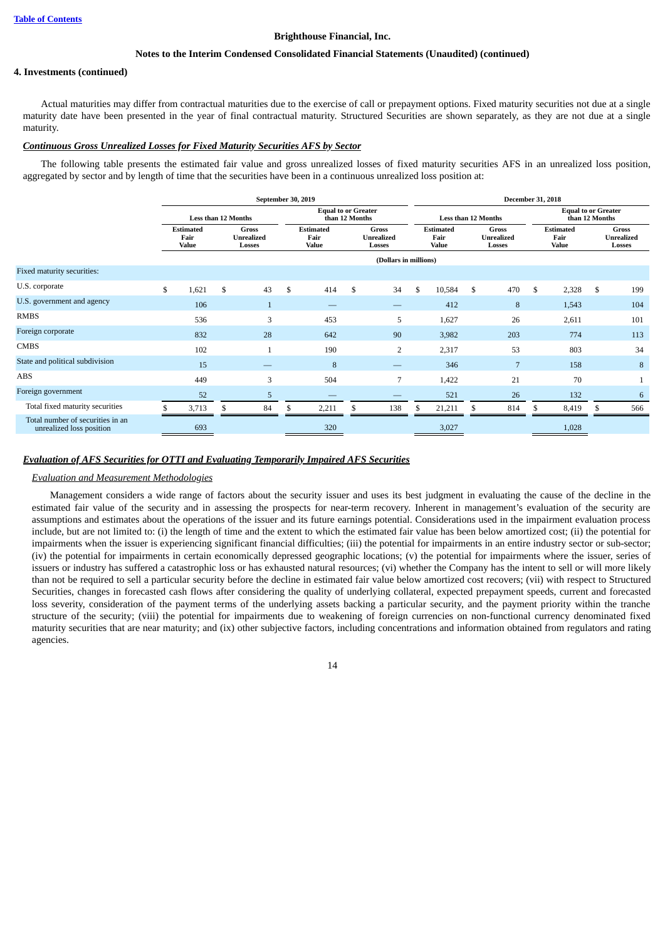## **Notes to the Interim Condensed Consolidated Financial Statements (Unaudited) (continued)**

## **4. Investments (continued)**

Actual maturities may differ from contractual maturities due to the exercise of call or prepayment options. Fixed maturity securities not due at a single maturity date have been presented in the year of final contractual maturity. Structured Securities are shown separately, as they are not due at a single maturity.

#### *Continuous Gross Unrealized Losses for Fixed Maturity Securities AFS by Sector*

The following table presents the estimated fair value and gross unrealized losses of fixed maturity securities AFS in an unrealized loss position, aggregated by sector and by length of time that the securities have been in a continuous unrealized loss position at:

|                                                              | September 30, 2019<br><b>December 31, 2018</b> |                                   |    |                                             |    |                                              |    |                                             |     |                                   |    |                                             |    |                                              |    |                                             |
|--------------------------------------------------------------|------------------------------------------------|-----------------------------------|----|---------------------------------------------|----|----------------------------------------------|----|---------------------------------------------|-----|-----------------------------------|----|---------------------------------------------|----|----------------------------------------------|----|---------------------------------------------|
|                                                              |                                                | Less than 12 Months               |    |                                             |    | <b>Equal to or Greater</b><br>than 12 Months |    |                                             |     | <b>Less than 12 Months</b>        |    |                                             |    | <b>Equal to or Greater</b><br>than 12 Months |    |                                             |
|                                                              |                                                | <b>Estimated</b><br>Fair<br>Value |    | <b>Gross</b><br><b>Unrealized</b><br>Losses |    | <b>Estimated</b><br>Fair<br>Value            |    | <b>Gross</b><br><b>Unrealized</b><br>Losses |     | <b>Estimated</b><br>Fair<br>Value |    | <b>Gross</b><br><b>Unrealized</b><br>Losses |    | <b>Estimated</b><br>Fair<br>Value            |    | <b>Gross</b><br><b>Unrealized</b><br>Losses |
|                                                              |                                                |                                   |    |                                             |    |                                              |    | (Dollars in millions)                       |     |                                   |    |                                             |    |                                              |    |                                             |
| Fixed maturity securities:                                   |                                                |                                   |    |                                             |    |                                              |    |                                             |     |                                   |    |                                             |    |                                              |    |                                             |
| U.S. corporate                                               | \$                                             | 1,621                             | \$ | 43                                          | \$ | 414                                          | \$ | 34                                          | \$  | 10,584                            | \$ | 470                                         | \$ | 2,328                                        | \$ | 199                                         |
| U.S. government and agency                                   |                                                | 106                               |    |                                             |    |                                              |    |                                             |     | 412                               |    | 8                                           |    | 1,543                                        |    | 104                                         |
| RMBS                                                         |                                                | 536                               |    | 3                                           |    | 453                                          |    | 5                                           |     | 1,627                             |    | 26                                          |    | 2,611                                        |    | 101                                         |
| Foreign corporate                                            |                                                | 832                               |    | 28                                          |    | 642                                          |    | 90                                          |     | 3,982                             |    | 203                                         |    | 774                                          |    | 113                                         |
| <b>CMBS</b>                                                  |                                                | 102                               |    |                                             |    | 190                                          |    | 2                                           |     | 2,317                             |    | 53                                          |    | 803                                          |    | 34                                          |
| State and political subdivision                              |                                                | 15                                |    |                                             |    | 8                                            |    |                                             |     | 346                               |    | $7\overline{ }$                             |    | 158                                          |    | 8                                           |
| ABS                                                          |                                                | 449                               |    | 3                                           |    | 504                                          |    | 7                                           |     | 1,422                             |    | 21                                          |    | 70                                           |    |                                             |
| Foreign government                                           |                                                | 52                                |    | 5                                           |    |                                              |    |                                             |     | 521                               |    | 26                                          |    | 132                                          |    | 6                                           |
| Total fixed maturity securities                              |                                                | 3,713                             | S  | 84                                          | S  | 2,211                                        | £. | 138                                         | \$. | 21,211                            | S. | 814                                         | .S | 8,419                                        | .S | 566                                         |
| Total number of securities in an<br>unrealized loss position |                                                | 693                               |    |                                             |    | 320                                          |    |                                             |     | 3,027                             |    |                                             |    | 1,028                                        |    |                                             |
|                                                              |                                                |                                   |    |                                             |    |                                              |    |                                             |     |                                   |    |                                             |    |                                              |    |                                             |

#### *Evaluation of AFS Securities for OTTI and Evaluating Temporarily Impaired AFS Securities*

#### *Evaluation and Measurement Methodologies*

Management considers a wide range of factors about the security issuer and uses its best judgment in evaluating the cause of the decline in the estimated fair value of the security and in assessing the prospects for near-term recovery. Inherent in management's evaluation of the security are assumptions and estimates about the operations of the issuer and its future earnings potential. Considerations used in the impairment evaluation process include, but are not limited to: (i) the length of time and the extent to which the estimated fair value has been below amortized cost; (ii) the potential for impairments when the issuer is experiencing significant financial difficulties; (iii) the potential for impairments in an entire industry sector or sub-sector; (iv) the potential for impairments in certain economically depressed geographic locations; (v) the potential for impairments where the issuer, series of issuers or industry has suffered a catastrophic loss or has exhausted natural resources; (vi) whether the Company has the intent to sell or will more likely than not be required to sell a particular security before the decline in estimated fair value below amortized cost recovers; (vii) with respect to Structured Securities, changes in forecasted cash flows after considering the quality of underlying collateral, expected prepayment speeds, current and forecasted loss severity, consideration of the payment terms of the underlying assets backing a particular security, and the payment priority within the tranche structure of the security; (viii) the potential for impairments due to weakening of foreign currencies on non-functional currency denominated fixed maturity securities that are near maturity; and (ix) other subjective factors, including concentrations and information obtained from regulators and rating agencies.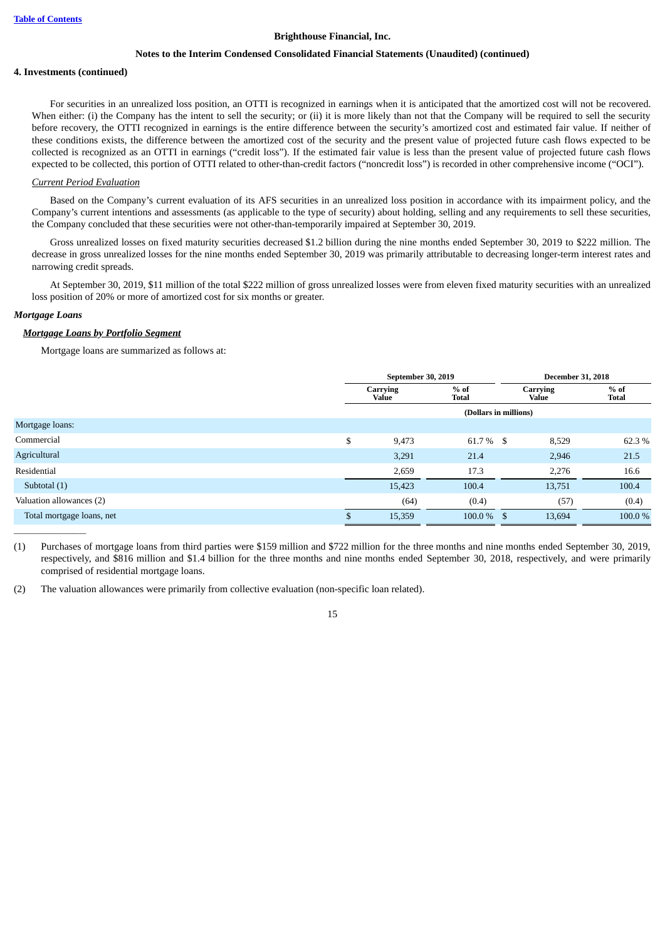## **Notes to the Interim Condensed Consolidated Financial Statements (Unaudited) (continued)**

## **4. Investments (continued)**

For securities in an unrealized loss position, an OTTI is recognized in earnings when it is anticipated that the amortized cost will not be recovered. When either: (i) the Company has the intent to sell the security; or (ii) it is more likely than not that the Company will be required to sell the security before recovery, the OTTI recognized in earnings is the entire difference between the security's amortized cost and estimated fair value. If neither of these conditions exists, the difference between the amortized cost of the security and the present value of projected future cash flows expected to be collected is recognized as an OTTI in earnings ("credit loss"). If the estimated fair value is less than the present value of projected future cash flows expected to be collected, this portion of OTTI related to other-than-credit factors ("noncredit loss") is recorded in other comprehensive income ("OCI").

#### *Current Period Evaluation*

Based on the Company's current evaluation of its AFS securities in an unrealized loss position in accordance with its impairment policy, and the Company's current intentions and assessments (as applicable to the type of security) about holding, selling and any requirements to sell these securities, the Company concluded that these securities were not other-than-temporarily impaired at September 30, 2019.

Gross unrealized losses on fixed maturity securities decreased \$1.2 billion during the nine months ended September 30, 2019 to \$222 million. The decrease in gross unrealized losses for the nine months ended September 30, 2019 was primarily attributable to decreasing longer-term interest rates and narrowing credit spreads.

At September 30, 2019, \$11 million of the total \$222 million of gross unrealized losses were from eleven fixed maturity securities with an unrealized loss position of 20% or more of amortized cost for six months or greater.

### *Mortgage Loans*

 $\overline{\phantom{a}}$  , where  $\overline{\phantom{a}}$ 

#### *Mortgage Loans by Portfolio Segment*

Mortgage loans are summarized as follows at:

|                           | <b>September 30, 2019</b> |                       | <b>December 31, 2018</b> |                        |  |
|---------------------------|---------------------------|-----------------------|--------------------------|------------------------|--|
|                           | Carrying<br>Value         | $%$ of<br>Total       | Carrying<br><b>Value</b> | $%$ of<br><b>Total</b> |  |
|                           |                           | (Dollars in millions) |                          |                        |  |
| Mortgage loans:           |                           |                       |                          |                        |  |
| Commercial                | \$<br>9,473               | 61.7% \$              | 8,529                    | 62.3%                  |  |
| Agricultural              | 3,291                     | 21.4                  | 2,946                    | 21.5                   |  |
| Residential               | 2,659                     | 17.3                  | 2,276                    | 16.6                   |  |
| Subtotal $(1)$            | 15,423                    | 100.4                 | 13,751                   | 100.4                  |  |
| Valuation allowances (2)  | (64)                      | (0.4)                 | (57)                     | (0.4)                  |  |
| Total mortgage loans, net | 15,359                    | $100.0\%$ \$          | 13,694                   | 100.0%                 |  |

(1) Purchases of mortgage loans from third parties were \$159 million and \$722 million for the three months and nine months ended September 30, 2019, respectively, and \$816 million and \$1.4 billion for the three months and nine months ended September 30, 2018, respectively, and were primarily comprised of residential mortgage loans.

(2) The valuation allowances were primarily from collective evaluation (non-specific loan related).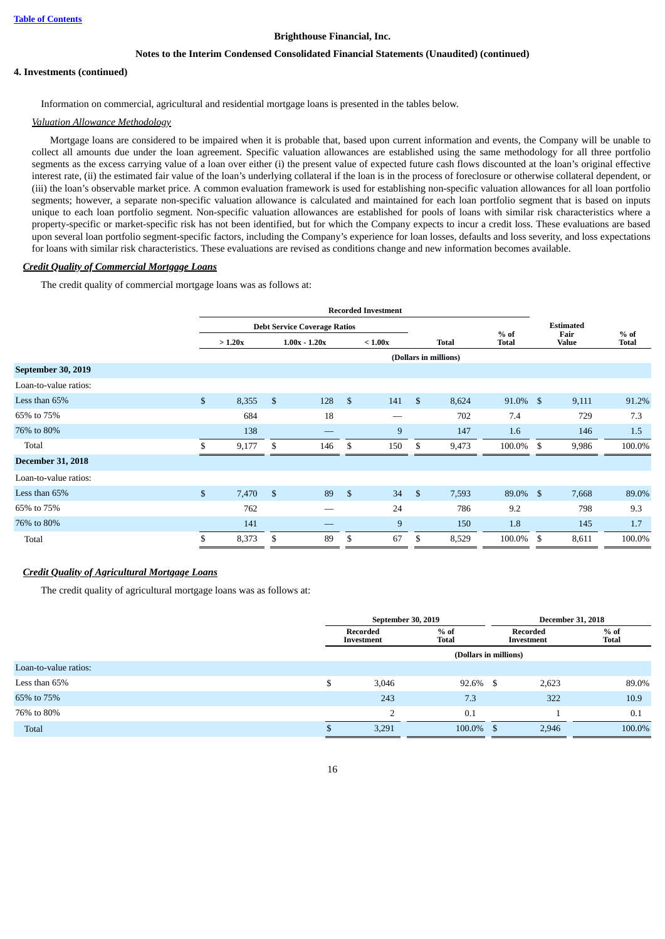## **Notes to the Interim Condensed Consolidated Financial Statements (Unaudited) (continued)**

### **4. Investments (continued)**

Information on commercial, agricultural and residential mortgage loans is presented in the tables below.

#### *Valuation Allowance Methodology*

Mortgage loans are considered to be impaired when it is probable that, based upon current information and events, the Company will be unable to collect all amounts due under the loan agreement. Specific valuation allowances are established using the same methodology for all three portfolio segments as the excess carrying value of a loan over either (i) the present value of expected future cash flows discounted at the loan's original effective interest rate, (ii) the estimated fair value of the loan's underlying collateral if the loan is in the process of foreclosure or otherwise collateral dependent, or (iii) the loan's observable market price. A common evaluation framework is used for establishing non-specific valuation allowances for all loan portfolio segments; however, a separate non-specific valuation allowance is calculated and maintained for each loan portfolio segment that is based on inputs unique to each loan portfolio segment. Non-specific valuation allowances are established for pools of loans with similar risk characteristics where a property-specific or market-specific risk has not been identified, but for which the Company expects to incur a credit loss. These evaluations are based upon several loan portfolio segment-specific factors, including the Company's experience for loan losses, defaults and loss severity, and loss expectations for loans with similar risk characteristics. These evaluations are revised as conditions change and new information becomes available.

#### *Credit Quality of Commercial Mortgage Loans*

The credit quality of commercial mortgage loans was as follows at:

|                          |              |        |                |                                     |                | <b>Recorded Investment</b> |                |                       |              |     |                          |              |
|--------------------------|--------------|--------|----------------|-------------------------------------|----------------|----------------------------|----------------|-----------------------|--------------|-----|--------------------------|--------------|
|                          |              |        |                | <b>Debt Service Coverage Ratios</b> |                |                            |                |                       | $%$ of       |     | <b>Estimated</b><br>Fair | $%$ of       |
|                          |              | >1.20x |                | $1.00x - 1.20x$                     |                | < 1.00x                    |                | <b>Total</b>          | <b>Total</b> |     | <b>Value</b>             | <b>Total</b> |
|                          |              |        |                |                                     |                |                            |                | (Dollars in millions) |              |     |                          |              |
| September 30, 2019       |              |        |                |                                     |                |                            |                |                       |              |     |                          |              |
| Loan-to-value ratios:    |              |        |                |                                     |                |                            |                |                       |              |     |                          |              |
| Less than 65%            | \$           | 8,355  | $\mathfrak{S}$ | 128                                 | $\mathfrak{S}$ | 141                        | $\mathfrak{S}$ | 8,624                 | 91.0% \$     |     | 9,111                    | 91.2%        |
| 65% to 75%               |              | 684    |                | 18                                  |                |                            |                | 702                   | 7.4          |     | 729                      | 7.3          |
| 76% to 80%               |              | 138    |                |                                     |                | 9                          |                | 147                   | 1.6          |     | 146                      | 1.5          |
| Total                    | \$           | 9,177  | \$             | 146                                 | \$             | 150                        | \$             | 9,473                 | 100.0% \$    |     | 9,986                    | 100.0%       |
| <b>December 31, 2018</b> |              |        |                |                                     |                |                            |                |                       |              |     |                          |              |
| Loan-to-value ratios:    |              |        |                |                                     |                |                            |                |                       |              |     |                          |              |
| Less than $65%$          | $\mathbb{S}$ | 7,470  | $\mathfrak{S}$ | 89                                  | \$             | 34                         | \$             | 7,593                 | 89.0% \$     |     | 7,668                    | 89.0%        |
| 65% to 75%               |              | 762    |                |                                     |                | 24                         |                | 786                   | 9.2          |     | 798                      | 9.3          |
| 76% to 80%               |              | 141    |                | $\overline{\phantom{a}}$            |                | 9                          |                | 150                   | 1.8          |     | 145                      | 1.7          |
| Total                    | \$           | 8,373  | \$             | 89                                  | \$             | 67                         | \$             | 8,529                 | 100.0%       | -\$ | 8,611                    | 100.0%       |

#### *Credit Quality of Agricultural Mortgage Loans*

The credit quality of agricultural mortgage loans was as follows at:

|                       |                        |                | <b>September 30, 2019</b> |    |                        | <b>December 31, 2018</b> |
|-----------------------|------------------------|----------------|---------------------------|----|------------------------|--------------------------|
|                       | Recorded<br>Investment |                | $%$ of<br><b>Total</b>    |    | Recorded<br>Investment | $%$ of<br><b>Total</b>   |
|                       |                        |                | (Dollars in millions)     |    |                        |                          |
| Loan-to-value ratios: |                        |                |                           |    |                        |                          |
| Less than 65%         | \$                     | 3,046          | 92.6%                     | -S | 2,623                  | 89.0%                    |
| 65% to 75%            |                        | 243            | 7.3                       |    | 322                    | 10.9                     |
| 76% to 80%            |                        | $\overline{2}$ | 0.1                       |    |                        | 0.1                      |
| Total                 |                        | 3,291          | 100.0%                    | -S | 2,946                  | 100.0%                   |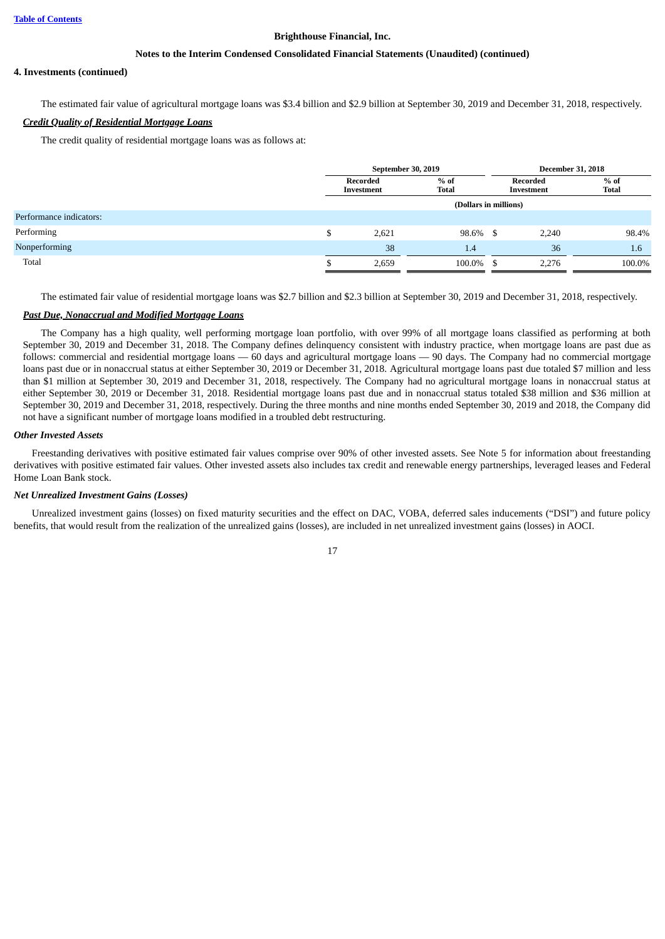## **Notes to the Interim Condensed Consolidated Financial Statements (Unaudited) (continued)**

#### **4. Investments (continued)**

The estimated fair value of agricultural mortgage loans was \$3.4 billion and \$2.9 billion at September 30, 2019 and December 31, 2018, respectively.

### *Credit Quality of Residential Mortgage Loans*

The credit quality of residential mortgage loans was as follows at:

|                         |                        | <b>September 30, 2019</b> |                        | <b>December 31, 2018</b> |
|-------------------------|------------------------|---------------------------|------------------------|--------------------------|
|                         | Recorded<br>Investment | $%$ of<br>Total           | Recorded<br>Investment | $%$ of<br><b>Total</b>   |
|                         |                        |                           | (Dollars in millions)  |                          |
| Performance indicators: |                        |                           |                        |                          |
| Performing              | \$<br>2,621            | 98.6%                     | 2,240<br>-S            | 98.4%                    |
| Nonperforming           | 38                     | 1.4                       | 36                     | 1.6                      |
| Total                   | 2,659                  | 100.0%                    | 2,276<br>- \$          | 100.0%                   |

The estimated fair value of residential mortgage loans was \$2.7 billion and \$2.3 billion at September 30, 2019 and December 31, 2018, respectively.

#### *Past Due, Nonaccrual and Modified Mortgage Loans*

The Company has a high quality, well performing mortgage loan portfolio, with over 99% of all mortgage loans classified as performing at both September 30, 2019 and December 31, 2018. The Company defines delinquency consistent with industry practice, when mortgage loans are past due as follows: commercial and residential mortgage loans — 60 days and agricultural mortgage loans — 90 days. The Company had no commercial mortgage loans past due or in nonaccrual status at either September 30, 2019 or December 31, 2018. Agricultural mortgage loans past due totaled \$7 million and less than \$1 million at September 30, 2019 and December 31, 2018, respectively. The Company had no agricultural mortgage loans in nonaccrual status at either September 30, 2019 or December 31, 2018. Residential mortgage loans past due and in nonaccrual status totaled \$38 million and \$36 million at September 30, 2019 and December 31, 2018, respectively. During the three months and nine months ended September 30, 2019 and 2018, the Company did not have a significant number of mortgage loans modified in a troubled debt restructuring.

### *Other Invested Assets*

Freestanding derivatives with positive estimated fair values comprise over 90% of other invested assets. See Note 5 for information about freestanding derivatives with positive estimated fair values. Other invested assets also includes tax credit and renewable energy partnerships, leveraged leases and Federal Home Loan Bank stock.

### *Net Unrealized Investment Gains (Losses)*

Unrealized investment gains (losses) on fixed maturity securities and the effect on DAC, VOBA, deferred sales inducements ("DSI") and future policy benefits, that would result from the realization of the unrealized gains (losses), are included in net unrealized investment gains (losses) in AOCI.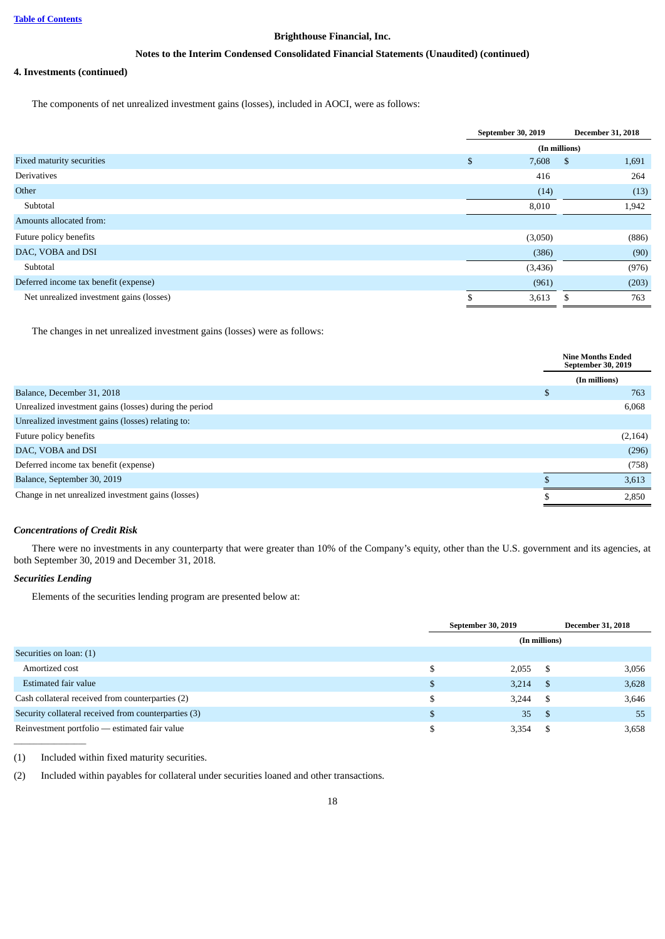## **Notes to the Interim Condensed Consolidated Financial Statements (Unaudited) (continued)**

## **4. Investments (continued)**

The components of net unrealized investment gains (losses), included in AOCI, were as follows:

|                                          |     | <b>September 30, 2019</b> |    | <b>December 31, 2018</b> |
|------------------------------------------|-----|---------------------------|----|--------------------------|
|                                          |     | (In millions)             |    |                          |
| Fixed maturity securities                | \$  | 7,608                     | S. | 1,691                    |
| <b>Derivatives</b>                       |     | 416                       |    | 264                      |
| Other                                    |     | (14)                      |    | (13)                     |
| Subtotal                                 |     | 8,010                     |    | 1,942                    |
| Amounts allocated from:                  |     |                           |    |                          |
| Future policy benefits                   |     | (3,050)                   |    | (886)                    |
| DAC, VOBA and DSI                        |     | (386)                     |    | (90)                     |
| Subtotal                                 |     | (3,436)                   |    | (976)                    |
| Deferred income tax benefit (expense)    |     | (961)                     |    | (203)                    |
| Net unrealized investment gains (losses) | \$. | 3,613                     | ъ  | 763                      |

The changes in net unrealized investment gains (losses) were as follows:

|                                                        |               | <b>Nine Months Ended</b><br>September 30, 2019 |  |  |
|--------------------------------------------------------|---------------|------------------------------------------------|--|--|
|                                                        | (In millions) |                                                |  |  |
| Balance, December 31, 2018                             |               | 763                                            |  |  |
| Unrealized investment gains (losses) during the period |               | 6,068                                          |  |  |
| Unrealized investment gains (losses) relating to:      |               |                                                |  |  |
| Future policy benefits                                 |               | (2, 164)                                       |  |  |
| DAC, VOBA and DSI                                      |               | (296)                                          |  |  |
| Deferred income tax benefit (expense)                  |               | (758)                                          |  |  |
| Balance, September 30, 2019                            |               | 3,613                                          |  |  |
| Change in net unrealized investment gains (losses)     |               | 2,850                                          |  |  |

## *Concentrations of Credit Risk*

There were no investments in any counterparty that were greater than 10% of the Company's equity, other than the U.S. government and its agencies, at both September 30, 2019 and December 31, 2018.

## *Securities Lending*

 $\frac{1}{2}$  ,  $\frac{1}{2}$  ,  $\frac{1}{2}$  ,  $\frac{1}{2}$  ,  $\frac{1}{2}$  ,  $\frac{1}{2}$  ,  $\frac{1}{2}$  ,  $\frac{1}{2}$  ,  $\frac{1}{2}$ 

Elements of the securities lending program are presented below at:

|                                                      | <b>September 30, 2019</b> |       |      | <b>December 31, 2018</b> |  |  |  |  |
|------------------------------------------------------|---------------------------|-------|------|--------------------------|--|--|--|--|
|                                                      | (In millions)             |       |      |                          |  |  |  |  |
| Securities on loan: (1)                              |                           |       |      |                          |  |  |  |  |
| Amortized cost                                       |                           | 2,055 | - S  | 3,056                    |  |  |  |  |
| Estimated fair value                                 |                           | 3,214 | - \$ | 3,628                    |  |  |  |  |
| Cash collateral received from counterparties (2)     | \$                        | 3,244 | - S  | 3,646                    |  |  |  |  |
| Security collateral received from counterparties (3) |                           | 35    | S    | 55                       |  |  |  |  |
| Reinvestment portfolio — estimated fair value        |                           | 3,354 |      | 3,658                    |  |  |  |  |

(1) Included within fixed maturity securities.

(2) Included within payables for collateral under securities loaned and other transactions.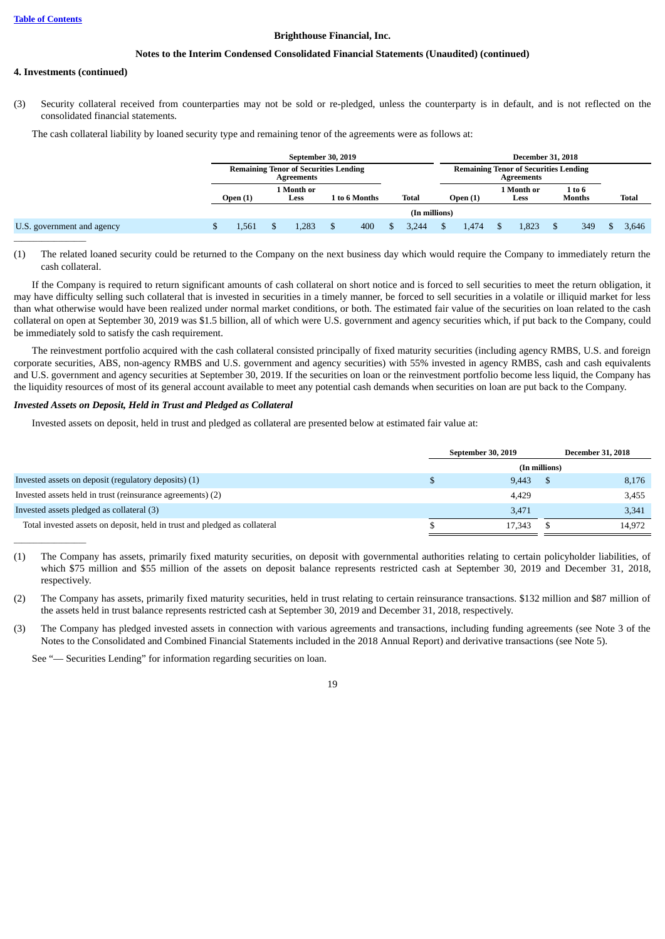\_\_\_\_\_\_\_\_\_\_\_\_\_\_\_\_\_\_

 $\frac{1}{2}$  ,  $\frac{1}{2}$  ,  $\frac{1}{2}$  ,  $\frac{1}{2}$  ,  $\frac{1}{2}$  ,  $\frac{1}{2}$  ,  $\frac{1}{2}$  ,  $\frac{1}{2}$  ,  $\frac{1}{2}$ 

#### **Brighthouse Financial, Inc.**

### **Notes to the Interim Condensed Consolidated Financial Statements (Unaudited) (continued)**

#### **4. Investments (continued)**

(3) Security collateral received from counterparties may not be sold or re-pledged, unless the counterparty is in default, and is not reflected on the consolidated financial statements.

The cash collateral liability by loaned security type and remaining tenor of the agreements were as follows at:

|                            |          |                    | <b>September 30, 2019</b>                                         |  |               |               |  |                                                                   |  | <b>December 31, 2018</b> |  |                  |              |  |  |
|----------------------------|----------|--------------------|-------------------------------------------------------------------|--|---------------|---------------|--|-------------------------------------------------------------------|--|--------------------------|--|------------------|--------------|--|--|
|                            |          |                    | <b>Remaining Tenor of Securities Lending</b><br><b>Agreements</b> |  |               |               |  | <b>Remaining Tenor of Securities Lending</b><br><b>Agreements</b> |  |                          |  |                  |              |  |  |
|                            | Open (1) | 1 Month or<br>Less |                                                                   |  | 1 to 6 Months | Total         |  | 1 Month or<br>Open (1)<br>Less                                    |  |                          |  | 1 to 6<br>Months | <b>Total</b> |  |  |
|                            |          |                    |                                                                   |  |               | (In millions) |  |                                                                   |  |                          |  |                  |              |  |  |
| U.S. government and agency | 1,561    |                    | ,283                                                              |  | 400           | 3.244         |  | 474                                                               |  | 1,823                    |  | 349              | 3,646        |  |  |

(1) The related loaned security could be returned to the Company on the next business day which would require the Company to immediately return the cash collateral.

If the Company is required to return significant amounts of cash collateral on short notice and is forced to sell securities to meet the return obligation, it may have difficulty selling such collateral that is invested in securities in a timely manner, be forced to sell securities in a volatile or illiquid market for less than what otherwise would have been realized under normal market conditions, or both. The estimated fair value of the securities on loan related to the cash collateral on open at September 30, 2019 was \$1.5 billion, all of which were U.S. government and agency securities which, if put back to the Company, could be immediately sold to satisfy the cash requirement.

The reinvestment portfolio acquired with the cash collateral consisted principally of fixed maturity securities (including agency RMBS, U.S. and foreign corporate securities, ABS, non-agency RMBS and U.S. government and agency securities) with 55% invested in agency RMBS, cash and cash equivalents and U.S. government and agency securities at September 30, 2019. If the securities on loan or the reinvestment portfolio become less liquid, the Company has the liquidity resources of most of its general account available to meet any potential cash demands when securities on loan are put back to the Company.

#### *Invested Assets on Deposit, Held in Trust and Pledged as Collateral*

Invested assets on deposit, held in trust and pledged as collateral are presented below at estimated fair value at:

|                                                                           |  | September 30, 2019 |  | <b>December 31, 2018</b> |
|---------------------------------------------------------------------------|--|--------------------|--|--------------------------|
|                                                                           |  |                    |  |                          |
| Invested assets on deposit (regulatory deposits) (1)                      |  | 9.443              |  | 8,176                    |
| Invested assets held in trust (reinsurance agreements) (2)                |  | 4,429              |  | 3,455                    |
| Invested assets pledged as collateral (3)                                 |  | 3,471              |  | 3.341                    |
| Total invested assets on deposit, held in trust and pledged as collateral |  | 17.343             |  | 14.972                   |

(1) The Company has assets, primarily fixed maturity securities, on deposit with governmental authorities relating to certain policyholder liabilities, of which \$75 million and \$55 million of the assets on deposit balance represents restricted cash at September 30, 2019 and December 31, 2018, respectively.

(2) The Company has assets, primarily fixed maturity securities, held in trust relating to certain reinsurance transactions. \$132 million and \$87 million of the assets held in trust balance represents restricted cash at September 30, 2019 and December 31, 2018, respectively.

(3) The Company has pledged invested assets in connection with various agreements and transactions, including funding agreements (see Note 3 of the Notes to the Consolidated and Combined Financial Statements included in the 2018 Annual Report) and derivative transactions (see Note 5).

See "— Securities Lending" for information regarding securities on loan.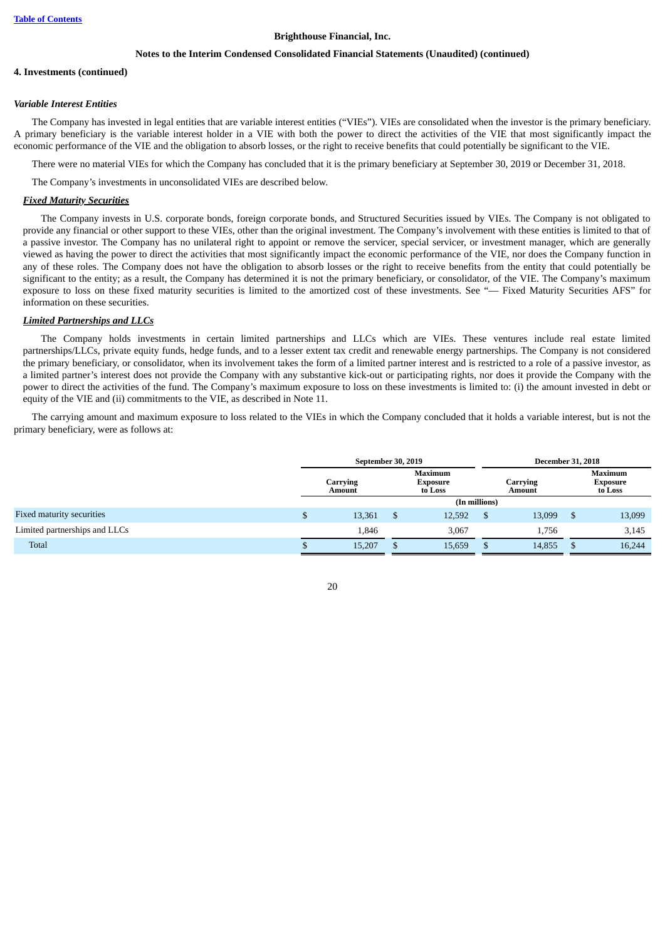### **Notes to the Interim Condensed Consolidated Financial Statements (Unaudited) (continued)**

#### **4. Investments (continued)**

#### *Variable Interest Entities*

The Company has invested in legal entities that are variable interest entities ("VIEs"). VIEs are consolidated when the investor is the primary beneficiary. A primary beneficiary is the variable interest holder in a VIE with both the power to direct the activities of the VIE that most significantly impact the economic performance of the VIE and the obligation to absorb losses, or the right to receive benefits that could potentially be significant to the VIE.

There were no material VIEs for which the Company has concluded that it is the primary beneficiary at September 30, 2019 or December 31, 2018.

The Company's investments in unconsolidated VIEs are described below.

#### *Fixed Maturity Securities*

The Company invests in U.S. corporate bonds, foreign corporate bonds, and Structured Securities issued by VIEs. The Company is not obligated to provide any financial or other support to these VIEs, other than the original investment. The Company's involvement with these entities is limited to that of a passive investor. The Company has no unilateral right to appoint or remove the servicer, special servicer, or investment manager, which are generally viewed as having the power to direct the activities that most significantly impact the economic performance of the VIE, nor does the Company function in any of these roles. The Company does not have the obligation to absorb losses or the right to receive benefits from the entity that could potentially be significant to the entity; as a result, the Company has determined it is not the primary beneficiary, or consolidator, of the VIE. The Company's maximum exposure to loss on these fixed maturity securities is limited to the amortized cost of these investments. See "— Fixed Maturity Securities AFS" for information on these securities.

#### *Limited Partnerships and LLCs*

The Company holds investments in certain limited partnerships and LLCs which are VIEs. These ventures include real estate limited partnerships/LLCs, private equity funds, hedge funds, and to a lesser extent tax credit and renewable energy partnerships. The Company is not considered the primary beneficiary, or consolidator, when its involvement takes the form of a limited partner interest and is restricted to a role of a passive investor, as a limited partner's interest does not provide the Company with any substantive kick-out or participating rights, nor does it provide the Company with the power to direct the activities of the fund. The Company's maximum exposure to loss on these investments is limited to: (i) the amount invested in debt or equity of the VIE and (ii) commitments to the VIE, as described in Note 11.

The carrying amount and maximum exposure to loss related to the VIEs in which the Company concluded that it holds a variable interest, but is not the primary beneficiary, were as follows at:

|                               |    | <b>September 30, 2019</b> |     |                                              |               | <b>December 31, 2018</b> |    |                                       |
|-------------------------------|----|---------------------------|-----|----------------------------------------------|---------------|--------------------------|----|---------------------------------------|
|                               |    | Carrying<br>Amount        |     | <b>Maximum</b><br><b>Exposure</b><br>to Loss |               | Carrying<br>Amount       |    | Maximum<br><b>Exposure</b><br>to Loss |
|                               |    |                           |     | (In millions)                                |               |                          |    |                                       |
| Fixed maturity securities     | ٠D | 13,361                    | -\$ | 12,592                                       | <sup>\$</sup> | 13,099                   | \$ | 13,099                                |
| Limited partnerships and LLCs |    | 1,846                     |     | 3,067                                        |               | 1,756                    |    | 3,145                                 |
| <b>Total</b>                  |    | 15,207                    | -S  | 15,659                                       | S             | 14,855                   | -S | 16,244                                |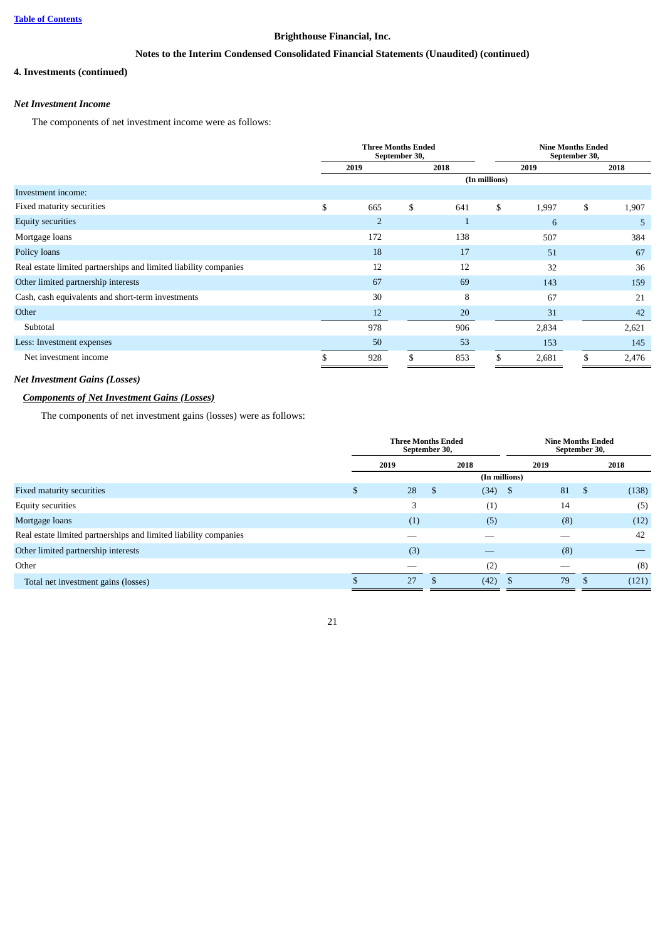## **Notes to the Interim Condensed Consolidated Financial Statements (Unaudited) (continued)**

## **4. Investments (continued)**

### *Net Investment Income*

The components of net investment income were as follows:

|                                                                  |                | <b>Three Months Ended</b><br>September 30, |      |               | <b>Nine Months Ended</b> | September 30, |       |
|------------------------------------------------------------------|----------------|--------------------------------------------|------|---------------|--------------------------|---------------|-------|
|                                                                  | 2019           |                                            | 2018 |               | 2019                     |               | 2018  |
|                                                                  |                |                                            |      | (In millions) |                          |               |       |
| Investment income:                                               |                |                                            |      |               |                          |               |       |
| Fixed maturity securities                                        | \$<br>665      | \$                                         | 641  | \$            | 1,997                    | \$            | 1,907 |
| <b>Equity securities</b>                                         | $\overline{2}$ |                                            |      |               | 6                        |               | 5     |
| Mortgage loans                                                   | 172            |                                            | 138  |               | 507                      |               | 384   |
| Policy loans                                                     | 18             |                                            | 17   |               | 51                       |               | 67    |
| Real estate limited partnerships and limited liability companies | 12             |                                            | 12   |               | 32                       |               | 36    |
| Other limited partnership interests                              | 67             |                                            | 69   |               | 143                      |               | 159   |
| Cash, cash equivalents and short-term investments                | 30             |                                            | 8    |               | 67                       |               | 21    |
| Other                                                            | 12             |                                            | 20   |               | 31                       |               | 42    |
| Subtotal                                                         | 978            |                                            | 906  |               | 2,834                    |               | 2,621 |
| Less: Investment expenses                                        | 50             |                                            | 53   |               | 153                      |               | 145   |
| Net investment income                                            | 928            | \$                                         | 853  | \$.           | 2,681                    | S             | 2,476 |

## *Net Investment Gains (Losses)*

## *Components of Net Investment Gains (Losses)*

The components of net investment gains (losses) were as follows:

|                                                                  | <b>Three Months Ended</b> | September 30, |               | <b>Nine Months Ended</b><br>September 30, |      |       |
|------------------------------------------------------------------|---------------------------|---------------|---------------|-------------------------------------------|------|-------|
|                                                                  | 2019                      |               | 2018          | 2019                                      |      | 2018  |
|                                                                  |                           |               | (In millions) |                                           |      |       |
| Fixed maturity securities                                        | 28                        | -\$           | $(34)$ \$     | 81                                        | - \$ | (138) |
| <b>Equity securities</b>                                         | 3                         |               | (1)           | 14                                        |      | (5)   |
| Mortgage loans                                                   | (1)                       |               | (5)           | (8)                                       |      | (12)  |
| Real estate limited partnerships and limited liability companies |                           |               |               |                                           |      | 42    |
| Other limited partnership interests                              | (3)                       |               |               | (8)                                       |      |       |
| Other                                                            |                           |               | (2)           |                                           |      | (8)   |
| Total net investment gains (losses)                              | 27                        | æ             | (42)          | 79                                        |      | (121) |

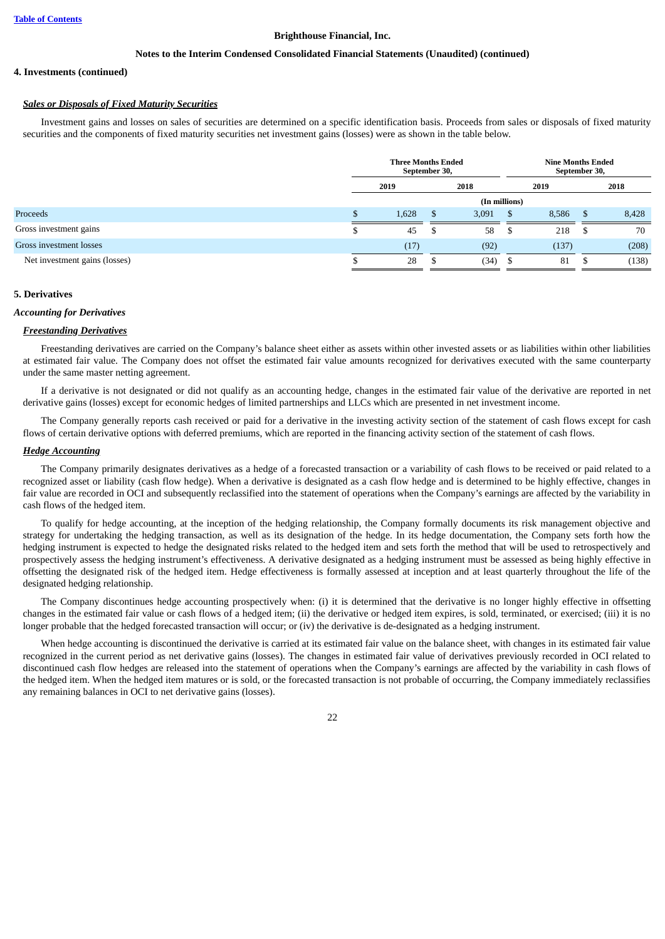## **Notes to the Interim Condensed Consolidated Financial Statements (Unaudited) (continued)**

#### **4. Investments (continued)**

### *Sales or Disposals of Fixed Maturity Securities*

Investment gains and losses on sales of securities are determined on a specific identification basis. Proceeds from sales or disposals of fixed maturity securities and the components of fixed maturity securities net investment gains (losses) were as shown in the table below.

|                               | <b>Three Months Ended</b><br>September 30, |   |               | <b>Nine Months Ended</b><br>September 30, |       |    |       |
|-------------------------------|--------------------------------------------|---|---------------|-------------------------------------------|-------|----|-------|
|                               | 2019                                       |   | 2018          |                                           | 2019  |    | 2018  |
|                               |                                            |   | (In millions) |                                           |       |    |       |
| Proceeds                      | 1,628                                      | S | 3,091         | S                                         | 8,586 | -S | 8,428 |
| Gross investment gains        | 45                                         | D | 58            | D                                         | 218   | -S | 70    |
| Gross investment losses       | (17)                                       |   | (92)          |                                           | (137) |    | (208) |
| Net investment gains (losses) | 28                                         |   | (34)          |                                           | 81    |    | (138) |

#### <span id="page-22-0"></span>**5. Derivatives**

### *Accounting for Derivatives*

#### *Freestanding Derivatives*

Freestanding derivatives are carried on the Company's balance sheet either as assets within other invested assets or as liabilities within other liabilities at estimated fair value. The Company does not offset the estimated fair value amounts recognized for derivatives executed with the same counterparty under the same master netting agreement.

If a derivative is not designated or did not qualify as an accounting hedge, changes in the estimated fair value of the derivative are reported in net derivative gains (losses) except for economic hedges of limited partnerships and LLCs which are presented in net investment income.

The Company generally reports cash received or paid for a derivative in the investing activity section of the statement of cash flows except for cash flows of certain derivative options with deferred premiums, which are reported in the financing activity section of the statement of cash flows.

### *Hedge Accounting*

The Company primarily designates derivatives as a hedge of a forecasted transaction or a variability of cash flows to be received or paid related to a recognized asset or liability (cash flow hedge). When a derivative is designated as a cash flow hedge and is determined to be highly effective, changes in fair value are recorded in OCI and subsequently reclassified into the statement of operations when the Company's earnings are affected by the variability in cash flows of the hedged item.

To qualify for hedge accounting, at the inception of the hedging relationship, the Company formally documents its risk management objective and strategy for undertaking the hedging transaction, as well as its designation of the hedge. In its hedge documentation, the Company sets forth how the hedging instrument is expected to hedge the designated risks related to the hedged item and sets forth the method that will be used to retrospectively and prospectively assess the hedging instrument's effectiveness. A derivative designated as a hedging instrument must be assessed as being highly effective in offsetting the designated risk of the hedged item. Hedge effectiveness is formally assessed at inception and at least quarterly throughout the life of the designated hedging relationship.

The Company discontinues hedge accounting prospectively when: (i) it is determined that the derivative is no longer highly effective in offsetting changes in the estimated fair value or cash flows of a hedged item; (ii) the derivative or hedged item expires, is sold, terminated, or exercised; (iii) it is no longer probable that the hedged forecasted transaction will occur; or (iv) the derivative is de-designated as a hedging instrument.

When hedge accounting is discontinued the derivative is carried at its estimated fair value on the balance sheet, with changes in its estimated fair value recognized in the current period as net derivative gains (losses). The changes in estimated fair value of derivatives previously recorded in OCI related to discontinued cash flow hedges are released into the statement of operations when the Company's earnings are affected by the variability in cash flows of the hedged item. When the hedged item matures or is sold, or the forecasted transaction is not probable of occurring, the Company immediately reclassifies any remaining balances in OCI to net derivative gains (losses).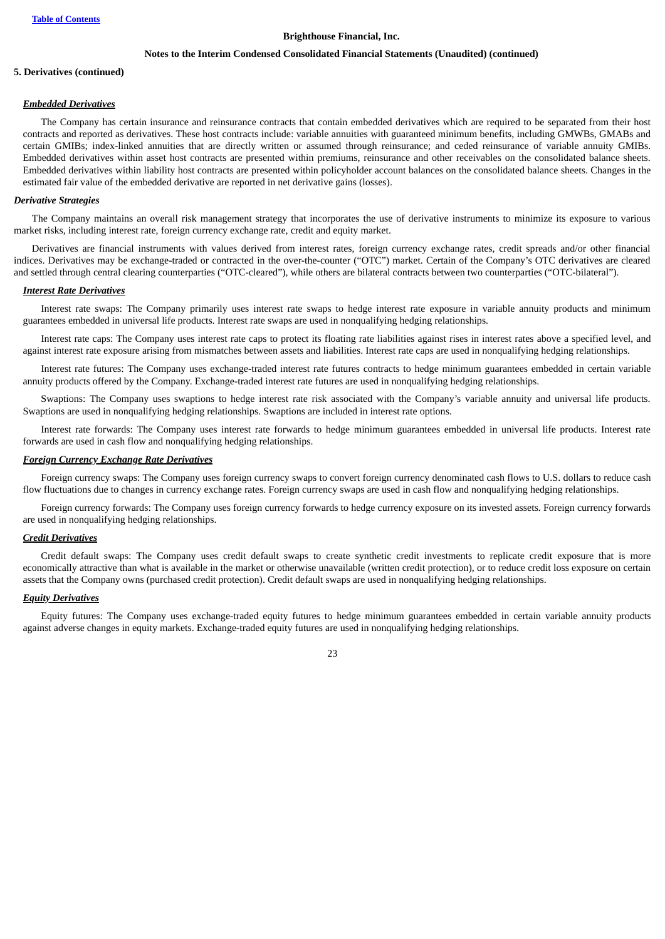#### **Notes to the Interim Condensed Consolidated Financial Statements (Unaudited) (continued)**

#### **5. Derivatives (continued)**

#### *Embedded Derivatives*

The Company has certain insurance and reinsurance contracts that contain embedded derivatives which are required to be separated from their host contracts and reported as derivatives. These host contracts include: variable annuities with guaranteed minimum benefits, including GMWBs, GMABs and certain GMIBs; index-linked annuities that are directly written or assumed through reinsurance; and ceded reinsurance of variable annuity GMIBs. Embedded derivatives within asset host contracts are presented within premiums, reinsurance and other receivables on the consolidated balance sheets. Embedded derivatives within liability host contracts are presented within policyholder account balances on the consolidated balance sheets. Changes in the estimated fair value of the embedded derivative are reported in net derivative gains (losses).

#### *Derivative Strategies*

The Company maintains an overall risk management strategy that incorporates the use of derivative instruments to minimize its exposure to various market risks, including interest rate, foreign currency exchange rate, credit and equity market.

Derivatives are financial instruments with values derived from interest rates, foreign currency exchange rates, credit spreads and/or other financial indices. Derivatives may be exchange-traded or contracted in the over-the-counter ("OTC") market. Certain of the Company's OTC derivatives are cleared and settled through central clearing counterparties ("OTC-cleared"), while others are bilateral contracts between two counterparties ("OTC-bilateral").

#### *Interest Rate Derivatives*

Interest rate swaps: The Company primarily uses interest rate swaps to hedge interest rate exposure in variable annuity products and minimum guarantees embedded in universal life products. Interest rate swaps are used in nonqualifying hedging relationships.

Interest rate caps: The Company uses interest rate caps to protect its floating rate liabilities against rises in interest rates above a specified level, and against interest rate exposure arising from mismatches between assets and liabilities. Interest rate caps are used in nonqualifying hedging relationships.

Interest rate futures: The Company uses exchange-traded interest rate futures contracts to hedge minimum guarantees embedded in certain variable annuity products offered by the Company. Exchange-traded interest rate futures are used in nonqualifying hedging relationships.

Swaptions: The Company uses swaptions to hedge interest rate risk associated with the Company's variable annuity and universal life products. Swaptions are used in nonqualifying hedging relationships. Swaptions are included in interest rate options.

Interest rate forwards: The Company uses interest rate forwards to hedge minimum guarantees embedded in universal life products. Interest rate forwards are used in cash flow and nonqualifying hedging relationships.

#### *Foreign Currency Exchange Rate Derivatives*

Foreign currency swaps: The Company uses foreign currency swaps to convert foreign currency denominated cash flows to U.S. dollars to reduce cash flow fluctuations due to changes in currency exchange rates. Foreign currency swaps are used in cash flow and nonqualifying hedging relationships.

Foreign currency forwards: The Company uses foreign currency forwards to hedge currency exposure on its invested assets. Foreign currency forwards are used in nonqualifying hedging relationships.

#### *Credit Derivatives*

Credit default swaps: The Company uses credit default swaps to create synthetic credit investments to replicate credit exposure that is more economically attractive than what is available in the market or otherwise unavailable (written credit protection), or to reduce credit loss exposure on certain assets that the Company owns (purchased credit protection). Credit default swaps are used in nonqualifying hedging relationships.

### *Equity Derivatives*

Equity futures: The Company uses exchange-traded equity futures to hedge minimum guarantees embedded in certain variable annuity products against adverse changes in equity markets. Exchange-traded equity futures are used in nonqualifying hedging relationships.

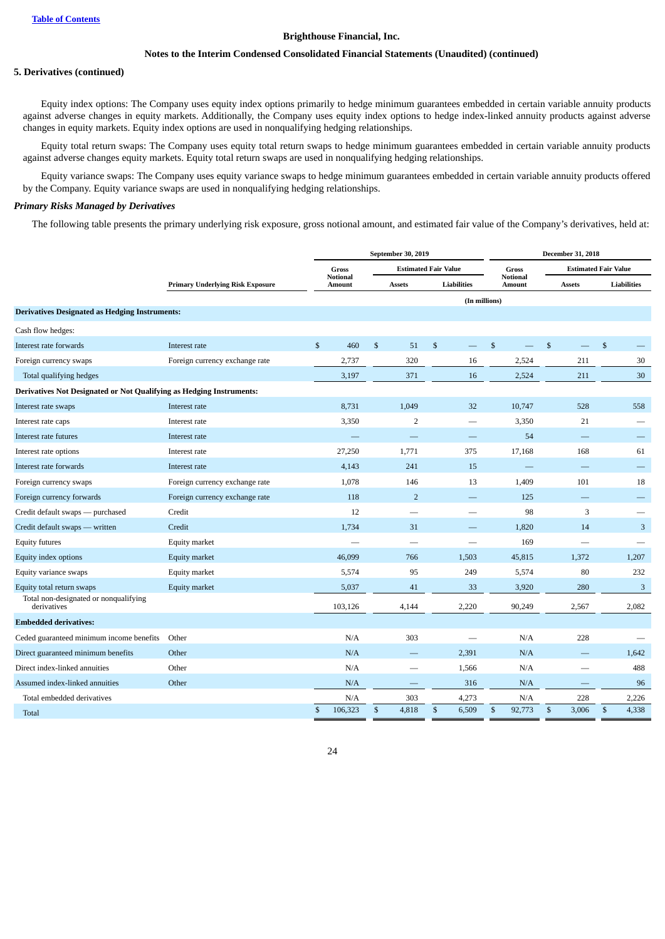## **Notes to the Interim Condensed Consolidated Financial Statements (Unaudited) (continued)**

## **5. Derivatives (continued)**

Equity index options: The Company uses equity index options primarily to hedge minimum guarantees embedded in certain variable annuity products against adverse changes in equity markets. Additionally, the Company uses equity index options to hedge index-linked annuity products against adverse changes in equity markets. Equity index options are used in nonqualifying hedging relationships.

Equity total return swaps: The Company uses equity total return swaps to hedge minimum guarantees embedded in certain variable annuity products against adverse changes equity markets. Equity total return swaps are used in nonqualifying hedging relationships.

Equity variance swaps: The Company uses equity variance swaps to hedge minimum guarantees embedded in certain variable annuity products offered by the Company. Equity variance swaps are used in nonqualifying hedging relationships.

### *Primary Risks Managed by Derivatives*

The following table presents the primary underlying risk exposure, gross notional amount, and estimated fair value of the Company's derivatives, held at:

|                                                                      |                                         |               |                           |                | September 30, 2019          |              |               | <b>December 31, 2018</b>  |              |              |                                |              |             |  |  |
|----------------------------------------------------------------------|-----------------------------------------|---------------|---------------------------|----------------|-----------------------------|--------------|---------------|---------------------------|--------------|--------------|--------------------------------|--------------|-------------|--|--|
|                                                                      |                                         |               | <b>Gross</b>              |                | <b>Estimated Fair Value</b> |              |               |                           | <b>Gross</b> |              | <b>Estimated Fair Value</b>    |              |             |  |  |
|                                                                      | <b>Primary Underlying Risk Exposure</b> |               | <b>Notional</b><br>Amount |                | <b>Assets</b>               |              | Liabilities   | <b>Notional</b><br>Amount |              |              | Assets                         |              | Liabilities |  |  |
|                                                                      |                                         |               |                           |                |                             |              | (In millions) |                           |              |              |                                |              |             |  |  |
| <b>Derivatives Designated as Hedging Instruments:</b>                |                                         |               |                           |                |                             |              |               |                           |              |              |                                |              |             |  |  |
| Cash flow hedges:                                                    |                                         |               |                           |                |                             |              |               |                           |              |              |                                |              |             |  |  |
| Interest rate forwards                                               | Interest rate                           | $\mathfrak s$ | 460                       | \$             | 51                          | $\mathbb{S}$ |               | \$                        |              | $\mathbb{S}$ |                                | $\mathbb{S}$ |             |  |  |
| Foreign currency swaps                                               | Foreign currency exchange rate          |               | 2,737                     |                | 320                         |              | 16            |                           | 2,524        |              | 211                            |              | 30          |  |  |
| Total qualifying hedges                                              |                                         |               | 3,197                     |                | 371                         |              | 16            |                           | 2,524        |              | 211                            |              | 30          |  |  |
| Derivatives Not Designated or Not Qualifying as Hedging Instruments: |                                         |               |                           |                |                             |              |               |                           |              |              |                                |              |             |  |  |
| Interest rate swaps                                                  | Interest rate                           |               | 8,731                     |                | 1,049                       |              | 32            |                           | 10.747       |              | 528                            |              | 558         |  |  |
| Interest rate caps                                                   | Interest rate                           |               | 3,350                     |                | $\overline{2}$              |              |               |                           | 3,350        |              | 21                             |              |             |  |  |
| Interest rate futures                                                | Interest rate                           |               |                           |                |                             |              |               |                           | 54           |              | $\sim$                         |              |             |  |  |
| Interest rate options                                                | Interest rate                           |               | 27,250                    |                | 1,771                       |              | 375           |                           | 17,168       |              | 168                            |              | 61          |  |  |
| Interest rate forwards                                               | Interest rate                           |               | 4,143                     |                | 241                         |              | 15            |                           |              |              |                                |              |             |  |  |
| Foreign currency swaps                                               | Foreign currency exchange rate          |               | 1,078                     |                | 146                         |              | 13            |                           | 1,409        |              | 101                            |              | 18          |  |  |
| Foreign currency forwards                                            | Foreign currency exchange rate          |               | 118                       |                | $\overline{2}$              |              |               |                           | 125          |              |                                |              |             |  |  |
| Credit default swaps - purchased                                     | Credit                                  |               | 12                        |                |                             |              |               |                           | 98           |              | 3                              |              |             |  |  |
| Credit default swaps - written                                       | Credit                                  |               | 1,734                     |                | 31                          |              | $\mathcal{L}$ |                           | 1,820        |              | 14                             |              | 3           |  |  |
| <b>Equity futures</b>                                                | Equity market                           |               |                           |                |                             |              | —             |                           | 169          |              |                                |              |             |  |  |
| Equity index options                                                 | <b>Equity market</b>                    |               | 46,099                    |                | 766                         |              | 1,503         |                           | 45,815       |              | 1,372                          |              | 1,207       |  |  |
| Equity variance swaps                                                | Equity market                           |               | 5,574                     |                | 95                          |              | 249           |                           | 5,574        |              | 80                             |              | 232         |  |  |
| Equity total return swaps                                            | Equity market                           |               | 5,037                     |                | 41                          |              | 33            |                           | 3,920        |              | 280                            |              | 3           |  |  |
| Total non-designated or nonqualifying<br>derivatives                 |                                         |               | 103,126                   |                | 4,144                       |              | 2,220         |                           | 90,249       |              | 2,567                          |              | 2,082       |  |  |
| <b>Embedded derivatives:</b>                                         |                                         |               |                           |                |                             |              |               |                           |              |              |                                |              |             |  |  |
| Ceded guaranteed minimum income benefits                             | Other                                   |               | N/A                       |                | 303                         |              |               |                           | N/A          |              | 228                            |              |             |  |  |
| Direct guaranteed minimum benefits                                   | Other                                   |               | N/A                       |                |                             |              | 2,391         |                           | N/A          |              |                                |              | 1,642       |  |  |
| Direct index-linked annuities                                        | Other                                   |               | N/A                       |                |                             |              | 1,566         |                           | N/A          |              |                                |              | 488         |  |  |
| Assumed index-linked annuities                                       | Other                                   |               | N/A                       |                |                             |              | 316           |                           | N/A          |              | $\qquad \qquad \longleftarrow$ |              | 96          |  |  |
| Total embedded derivatives                                           |                                         |               | N/A                       |                | 303                         |              | 4,273         |                           | N/A          |              | 228                            |              | 2,226       |  |  |
| Total                                                                |                                         | $\mathbb{S}$  | 106,323                   | $\mathfrak{s}$ | 4,818                       | $\mathbb{S}$ | 6,509         | $\mathbb{S}$              | 92,773       | $\mathbb{S}$ | 3,006                          | $\mathbb{S}$ | 4,338       |  |  |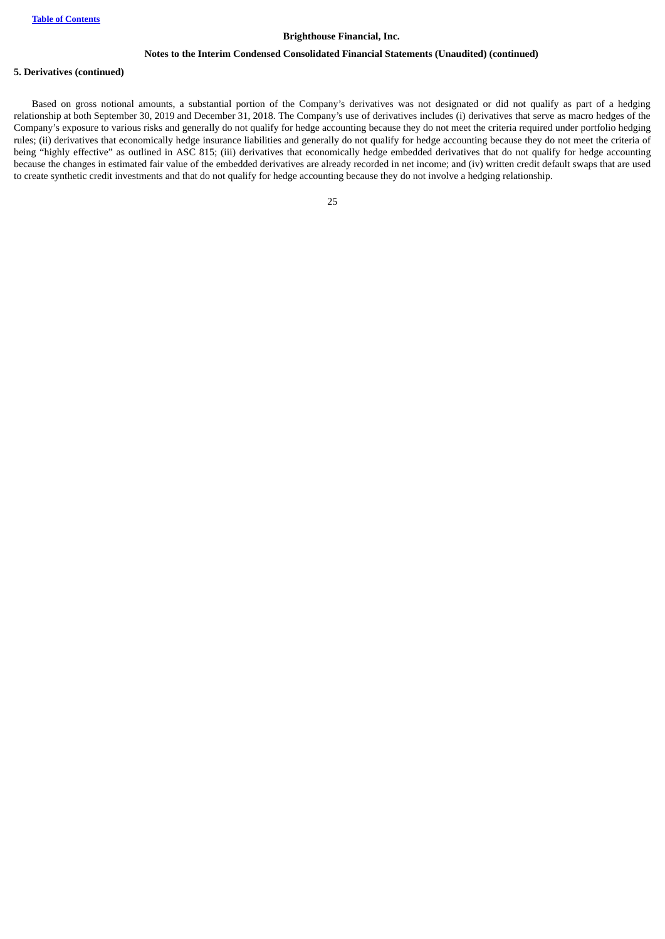## **Notes to the Interim Condensed Consolidated Financial Statements (Unaudited) (continued)**

## **5. Derivatives (continued)**

Based on gross notional amounts, a substantial portion of the Company's derivatives was not designated or did not qualify as part of a hedging relationship at both September 30, 2019 and December 31, 2018. The Company's use of derivatives includes (i) derivatives that serve as macro hedges of the Company's exposure to various risks and generally do not qualify for hedge accounting because they do not meet the criteria required under portfolio hedging rules; (ii) derivatives that economically hedge insurance liabilities and generally do not qualify for hedge accounting because they do not meet the criteria of being "highly effective" as outlined in ASC 815; (iii) derivatives that economically hedge embedded derivatives that do not qualify for hedge accounting because the changes in estimated fair value of the embedded derivatives are already recorded in net income; and (iv) written credit default swaps that are used to create synthetic credit investments and that do not qualify for hedge accounting because they do not involve a hedging relationship.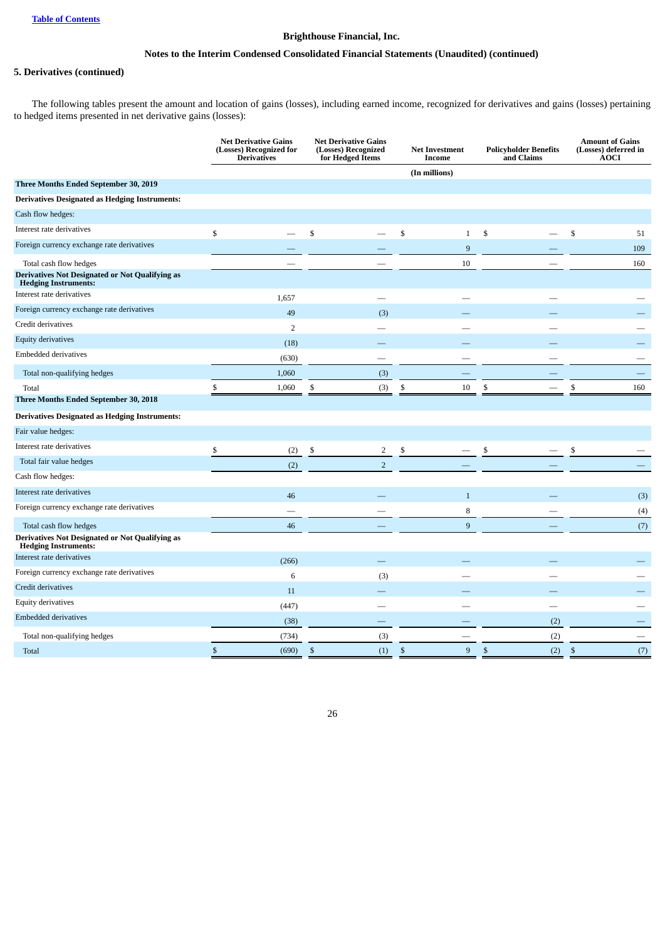## **Notes to the Interim Condensed Consolidated Financial Statements (Unaudited) (continued)**

## **5. Derivatives (continued)**

The following tables present the amount and location of gains (losses), including earned income, recognized for derivatives and gains (losses) pertaining to hedged items presented in net derivative gains (losses):

|                                                                                       |             | <b>Net Derivative Gains</b><br>(Losses) Recognized for<br><b>Derivatives</b> |              | <b>Net Derivative Gains</b><br>(Losses) Recognized<br>for Hedged Items |              | <b>Net Investment</b><br>Income |              | <b>Policyholder Benefits</b><br>and Claims |              | <b>Amount of Gains</b><br>(Losses) deferred in<br><b>AOCI</b> |
|---------------------------------------------------------------------------------------|-------------|------------------------------------------------------------------------------|--------------|------------------------------------------------------------------------|--------------|---------------------------------|--------------|--------------------------------------------|--------------|---------------------------------------------------------------|
|                                                                                       |             |                                                                              |              |                                                                        |              | (In millions)                   |              |                                            |              |                                                               |
| Three Months Ended September 30, 2019                                                 |             |                                                                              |              |                                                                        |              |                                 |              |                                            |              |                                                               |
| <b>Derivatives Designated as Hedging Instruments:</b>                                 |             |                                                                              |              |                                                                        |              |                                 |              |                                            |              |                                                               |
| Cash flow hedges:                                                                     |             |                                                                              |              |                                                                        |              |                                 |              |                                            |              |                                                               |
| Interest rate derivatives                                                             | \$          |                                                                              | \$           |                                                                        | \$           | $\mathbf{1}$                    | \$           |                                            | \$           | 51                                                            |
| Foreign currency exchange rate derivatives                                            |             |                                                                              |              |                                                                        |              | $9\,$                           |              |                                            |              | 109                                                           |
| Total cash flow hedges                                                                |             |                                                                              |              |                                                                        |              | 10                              |              |                                            |              | 160                                                           |
| <b>Derivatives Not Designated or Not Qualifying as</b><br><b>Hedging Instruments:</b> |             |                                                                              |              |                                                                        |              |                                 |              |                                            |              |                                                               |
| Interest rate derivatives                                                             |             | 1,657                                                                        |              |                                                                        |              |                                 |              |                                            |              |                                                               |
| Foreign currency exchange rate derivatives                                            |             | 49                                                                           |              | (3)                                                                    |              |                                 |              |                                            |              |                                                               |
| Credit derivatives                                                                    |             | $\overline{2}$                                                               |              |                                                                        |              |                                 |              |                                            |              |                                                               |
| <b>Equity derivatives</b>                                                             |             | (18)                                                                         |              |                                                                        |              |                                 |              |                                            |              |                                                               |
| <b>Embedded derivatives</b>                                                           |             | (630)                                                                        |              |                                                                        |              |                                 |              |                                            |              |                                                               |
| Total non-qualifying hedges                                                           |             | 1,060                                                                        |              | (3)                                                                    |              |                                 |              |                                            |              |                                                               |
| Total                                                                                 | \$          | 1,060                                                                        | \$           | (3)                                                                    | \$           | 10                              | \$           | $\overline{\phantom{0}}$                   | \$           | 160                                                           |
| Three Months Ended September 30, 2018                                                 |             |                                                                              |              |                                                                        |              |                                 |              |                                            |              |                                                               |
| <b>Derivatives Designated as Hedging Instruments:</b>                                 |             |                                                                              |              |                                                                        |              |                                 |              |                                            |              |                                                               |
| Fair value hedges:                                                                    |             |                                                                              |              |                                                                        |              |                                 |              |                                            |              |                                                               |
| Interest rate derivatives                                                             | \$          | (2)                                                                          | \$           | $\overline{2}$                                                         | \$           |                                 | \$           |                                            | \$           |                                                               |
| Total fair value hedges                                                               |             | (2)                                                                          |              | $\overline{2}$                                                         |              |                                 |              |                                            |              |                                                               |
| Cash flow hedges:                                                                     |             |                                                                              |              |                                                                        |              |                                 |              |                                            |              |                                                               |
| Interest rate derivatives                                                             |             | 46                                                                           |              |                                                                        |              | $\mathbf{1}$                    |              |                                            |              | (3)                                                           |
| Foreign currency exchange rate derivatives                                            |             |                                                                              |              |                                                                        |              | 8                               |              |                                            |              | (4)                                                           |
| Total cash flow hedges                                                                |             | 46                                                                           |              |                                                                        |              | $\boldsymbol{9}$                |              |                                            |              | (7)                                                           |
| <b>Derivatives Not Designated or Not Qualifying as</b><br><b>Hedging Instruments:</b> |             |                                                                              |              |                                                                        |              |                                 |              |                                            |              |                                                               |
| Interest rate derivatives                                                             |             | (266)                                                                        |              |                                                                        |              |                                 |              |                                            |              |                                                               |
| Foreign currency exchange rate derivatives                                            |             | 6                                                                            |              | (3)                                                                    |              |                                 |              |                                            |              |                                                               |
| Credit derivatives                                                                    |             | 11                                                                           |              |                                                                        |              |                                 |              |                                            |              |                                                               |
| <b>Equity derivatives</b>                                                             |             | (447)                                                                        |              |                                                                        |              |                                 |              |                                            |              |                                                               |
| <b>Embedded derivatives</b>                                                           |             | (38)                                                                         |              |                                                                        |              |                                 |              | (2)                                        |              |                                                               |
| Total non-qualifying hedges                                                           |             | (734)                                                                        |              | (3)                                                                    |              |                                 |              | (2)                                        |              |                                                               |
| <b>Total</b>                                                                          | $\mathbb S$ | (690)                                                                        | $\mathbb{S}$ | (1)                                                                    | $\mathbb{S}$ | 9                               | $\mathbb{S}$ | (2)                                        | $\mathbb{S}$ | (7)                                                           |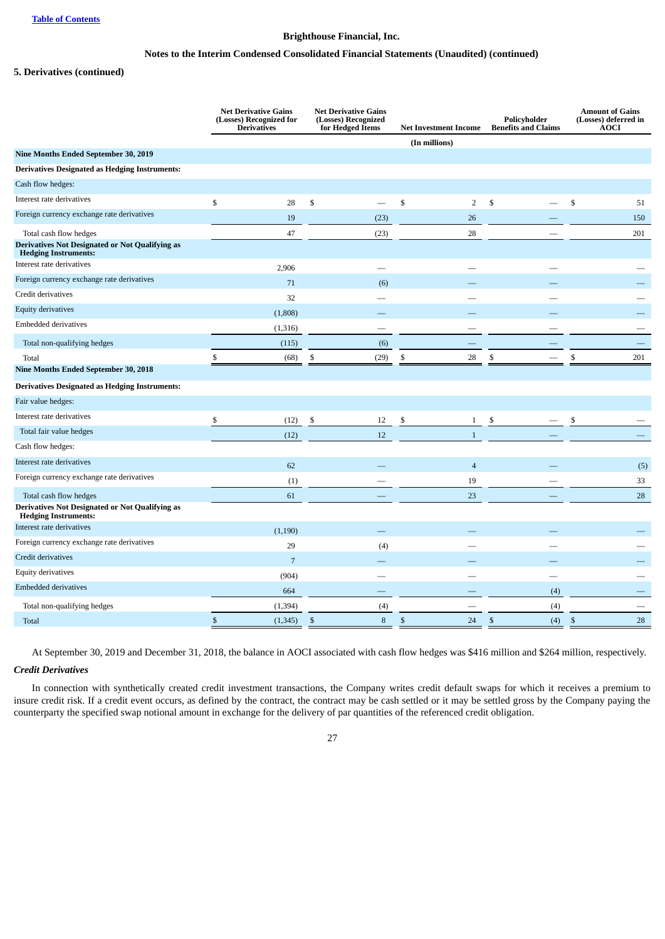## **Notes to the Interim Condensed Consolidated Financial Statements (Unaudited) (continued)**

## **5. Derivatives (continued)**

|                                                                                       | <b>Net Derivative Gains</b><br>(Losses) Recognized for<br><b>Derivatives</b> |             | <b>Net Derivative Gains</b><br>(Losses) Recognized<br>for Hedged Items |              | <b>Net Investment Income</b> |              | Policyholder<br><b>Benefits and Claims</b> |                | <b>Amount of Gains</b><br>(Losses) deferred in<br><b>AOCI</b> |
|---------------------------------------------------------------------------------------|------------------------------------------------------------------------------|-------------|------------------------------------------------------------------------|--------------|------------------------------|--------------|--------------------------------------------|----------------|---------------------------------------------------------------|
|                                                                                       |                                                                              |             |                                                                        |              | (In millions)                |              |                                            |                |                                                               |
| Nine Months Ended September 30, 2019                                                  |                                                                              |             |                                                                        |              |                              |              |                                            |                |                                                               |
| <b>Derivatives Designated as Hedging Instruments:</b>                                 |                                                                              |             |                                                                        |              |                              |              |                                            |                |                                                               |
| Cash flow hedges:                                                                     |                                                                              |             |                                                                        |              |                              |              |                                            |                |                                                               |
| Interest rate derivatives                                                             | \$<br>28                                                                     | \$          |                                                                        | \$           | $\overline{2}$               | \$           |                                            | \$             | 51                                                            |
| Foreign currency exchange rate derivatives                                            | 19                                                                           |             | (23)                                                                   |              | 26                           |              |                                            |                | 150                                                           |
| Total cash flow hedges                                                                | 47                                                                           |             | (23)                                                                   |              | 28                           |              |                                            |                | 201                                                           |
| <b>Derivatives Not Designated or Not Qualifying as</b><br><b>Hedging Instruments:</b> |                                                                              |             |                                                                        |              |                              |              |                                            |                |                                                               |
| Interest rate derivatives                                                             | 2,906                                                                        |             |                                                                        |              |                              |              |                                            |                |                                                               |
| Foreign currency exchange rate derivatives                                            | 71                                                                           |             | (6)                                                                    |              |                              |              |                                            |                |                                                               |
| Credit derivatives                                                                    | 32                                                                           |             |                                                                        |              |                              |              |                                            |                |                                                               |
| <b>Equity derivatives</b>                                                             | (1,808)                                                                      |             |                                                                        |              |                              |              |                                            |                |                                                               |
| Embedded derivatives                                                                  | (1,316)                                                                      |             |                                                                        |              |                              |              |                                            |                |                                                               |
| Total non-qualifying hedges                                                           | (115)                                                                        |             | (6)                                                                    |              |                              |              |                                            |                |                                                               |
| Total                                                                                 | \$<br>(68)                                                                   | \$          | (29)                                                                   | \$           | 28                           | \$           |                                            | \$             | 201                                                           |
| <b>Nine Months Ended September 30, 2018</b>                                           |                                                                              |             |                                                                        |              |                              |              |                                            |                |                                                               |
| <b>Derivatives Designated as Hedging Instruments:</b>                                 |                                                                              |             |                                                                        |              |                              |              |                                            |                |                                                               |
| Fair value hedges:                                                                    |                                                                              |             |                                                                        |              |                              |              |                                            |                |                                                               |
| Interest rate derivatives                                                             | \$<br>(12)                                                                   | \$          | 12                                                                     | \$           | $\mathbf{1}$                 | \$           |                                            | \$             |                                                               |
| Total fair value hedges                                                               | (12)                                                                         |             | 12                                                                     |              | $1\,$                        |              |                                            |                |                                                               |
| Cash flow hedges:                                                                     |                                                                              |             |                                                                        |              |                              |              |                                            |                |                                                               |
| Interest rate derivatives                                                             | 62                                                                           |             |                                                                        |              | $\overline{4}$               |              |                                            |                | (5)                                                           |
| Foreign currency exchange rate derivatives                                            | (1)                                                                          |             |                                                                        |              | 19                           |              |                                            |                | 33                                                            |
| Total cash flow hedges                                                                | 61                                                                           |             |                                                                        |              | 23                           |              |                                            |                | 28                                                            |
| <b>Derivatives Not Designated or Not Qualifying as</b><br><b>Hedging Instruments:</b> |                                                                              |             |                                                                        |              |                              |              |                                            |                |                                                               |
| Interest rate derivatives                                                             | (1,190)                                                                      |             |                                                                        |              |                              |              |                                            |                |                                                               |
| Foreign currency exchange rate derivatives                                            | 29                                                                           |             | (4)                                                                    |              |                              |              |                                            |                |                                                               |
| Credit derivatives                                                                    | $\overline{7}$                                                               |             |                                                                        |              |                              |              |                                            |                |                                                               |
| Equity derivatives                                                                    | (904)                                                                        |             |                                                                        |              |                              |              |                                            |                |                                                               |
| <b>Embedded derivatives</b>                                                           | 664                                                                          |             |                                                                        |              |                              |              | (4)                                        |                |                                                               |
| Total non-qualifying hedges                                                           | (1, 394)                                                                     |             | (4)                                                                    |              |                              |              | (4)                                        |                |                                                               |
| Total                                                                                 | \$<br>(1,345)                                                                | $\mathbb S$ | 8                                                                      | $\mathbb{S}$ | 24                           | $\mathbb{S}$ | (4)                                        | $\mathfrak{s}$ | 28                                                            |

At September 30, 2019 and December 31, 2018, the balance in AOCI associated with cash flow hedges was \$416 million and \$264 million, respectively.

## *Credit Derivatives*

In connection with synthetically created credit investment transactions, the Company writes credit default swaps for which it receives a premium to insure credit risk. If a credit event occurs, as defined by the contract, the contract may be cash settled or it may be settled gross by the Company paying the counterparty the specified swap notional amount in exchange for the delivery of par quantities of the referenced credit obligation.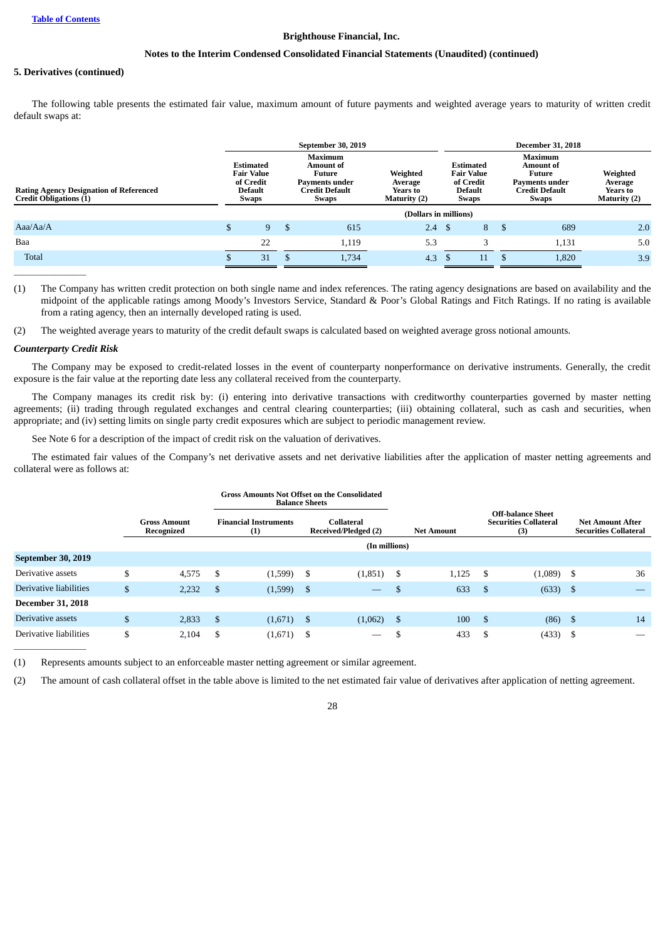### **Notes to the Interim Condensed Consolidated Financial Statements (Unaudited) (continued)**

### **5. Derivatives (continued)**

The following table presents the estimated fair value, maximum amount of future payments and weighted average years to maturity of written credit default swaps at:

|                                                                                 |  |                                                                                      |           | <b>September 30, 2019</b>                                                                                             |                                                        | <b>December 31, 2018</b>                                                             |    |                                                                                                         |       |                                                        |  |  |
|---------------------------------------------------------------------------------|--|--------------------------------------------------------------------------------------|-----------|-----------------------------------------------------------------------------------------------------------------------|--------------------------------------------------------|--------------------------------------------------------------------------------------|----|---------------------------------------------------------------------------------------------------------|-------|--------------------------------------------------------|--|--|
| <b>Rating Agency Designation of Referenced</b><br><b>Credit Obligations (1)</b> |  | <b>Estimated</b><br><b>Fair Value</b><br>of Credit<br><b>Default</b><br><b>Swaps</b> |           | <b>Maximum</b><br><b>Amount of</b><br><b>Future</b><br><b>Payments under</b><br><b>Credit Default</b><br><b>Swaps</b> | Weighted<br>Average<br>Years to<br><b>Maturity (2)</b> | <b>Estimated</b><br><b>Fair Value</b><br>of Credit<br><b>Default</b><br><b>Swaps</b> |    | <b>Maximum</b><br><b>Amount of</b><br>Future<br><b>Payments under</b><br><b>Credit Default</b><br>Swaps |       | Weighted<br>Average<br>Years to<br><b>Maturity (2)</b> |  |  |
|                                                                                 |  |                                                                                      |           |                                                                                                                       | (Dollars in millions)                                  |                                                                                      |    |                                                                                                         |       |                                                        |  |  |
| Aaa/Aa/A                                                                        |  | 9                                                                                    | \$        | 615                                                                                                                   | 2.4 <sup>5</sup>                                       |                                                                                      | 8  | \$                                                                                                      | 689   | 2.0                                                    |  |  |
| Baa                                                                             |  | 22                                                                                   |           | 1,119                                                                                                                 | 5.3                                                    |                                                                                      | 3  |                                                                                                         | 1,131 | 5.0                                                    |  |  |
| Total                                                                           |  | 31                                                                                   | <b>JD</b> | 1,734                                                                                                                 | 4.3                                                    |                                                                                      | 11 | .n                                                                                                      | 1,820 | 3.9                                                    |  |  |
|                                                                                 |  |                                                                                      |           |                                                                                                                       |                                                        |                                                                                      |    |                                                                                                         |       |                                                        |  |  |

(1) The Company has written credit protection on both single name and index references. The rating agency designations are based on availability and the midpoint of the applicable ratings among Moody's Investors Service, Standard & Poor's Global Ratings and Fitch Ratings. If no rating is available from a rating agency, then an internally developed rating is used.

(2) The weighted average years to maturity of the credit default swaps is calculated based on weighted average gross notional amounts.

### *Counterparty Credit Risk*

The Company may be exposed to credit-related losses in the event of counterparty nonperformance on derivative instruments. Generally, the credit exposure is the fair value at the reporting date less any collateral received from the counterparty.

The Company manages its credit risk by: (i) entering into derivative transactions with creditworthy counterparties governed by master netting agreements; (ii) trading through regulated exchanges and central clearing counterparties; (iii) obtaining collateral, such as cash and securities, when appropriate; and (iv) setting limits on single party credit exposures which are subject to periodic management review.

See Note 6 for a description of the impact of credit risk on the valuation of derivatives.

The estimated fair values of the Company's net derivative assets and net derivative liabilities after the application of master netting agreements and collateral were as follows at:

|                          |                                   |    | <b>Gross Amounts Not Offset on the Consolidated</b><br><b>Balance Sheets</b> |     |                                           |      |                   |                                                                 |              |  |                                                         |  |
|--------------------------|-----------------------------------|----|------------------------------------------------------------------------------|-----|-------------------------------------------|------|-------------------|-----------------------------------------------------------------|--------------|--|---------------------------------------------------------|--|
|                          | <b>Gross Amount</b><br>Recognized |    | <b>Financial Instruments</b><br>(1)                                          |     | <b>Collateral</b><br>Received/Pledged (2) |      | <b>Net Amount</b> | <b>Off-balance Sheet</b><br><b>Securities Collateral</b><br>(3) |              |  | <b>Net Amount After</b><br><b>Securities Collateral</b> |  |
|                          |                                   |    |                                                                              |     | (In millions)                             |      |                   |                                                                 |              |  |                                                         |  |
| September 30, 2019       |                                   |    |                                                                              |     |                                           |      |                   |                                                                 |              |  |                                                         |  |
| Derivative assets        | \$<br>4,575                       | \$ | (1,599)                                                                      | -\$ | (1,851)                                   | - \$ | 1,125             | \$                                                              | $(1,089)$ \$ |  | 36                                                      |  |
| Derivative liabilities   | \$<br>2,232                       | -S | (1,599)                                                                      | -\$ |                                           | a    | 633               | \$                                                              | $(633)$ \$   |  |                                                         |  |
| <b>December 31, 2018</b> |                                   |    |                                                                              |     |                                           |      |                   |                                                                 |              |  |                                                         |  |
| Derivative assets        | \$<br>2,833                       | \$ | (1,671)                                                                      | -\$ | $(1,062)$ \$                              |      | 100               | \$                                                              | $(86)$ \$    |  | 14                                                      |  |
| Derivative liabilities   | \$<br>2,104                       | \$ | (1,671)                                                                      | -\$ |                                           | ъ    | 433               | \$                                                              | $(433)$ \$   |  |                                                         |  |

(1) Represents amounts subject to an enforceable master netting agreement or similar agreement.

(2) The amount of cash collateral offset in the table above is limited to the net estimated fair value of derivatives after application of netting agreement.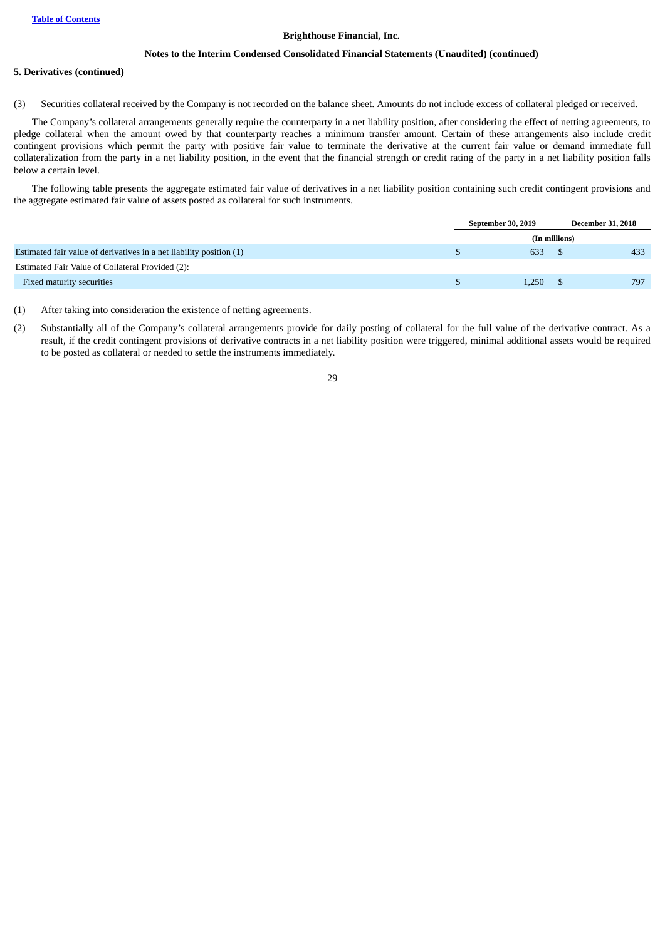## **Notes to the Interim Condensed Consolidated Financial Statements (Unaudited) (continued)**

### **5. Derivatives (continued)**

(3) Securities collateral received by the Company is not recorded on the balance sheet. Amounts do not include excess of collateral pledged or received.

The Company's collateral arrangements generally require the counterparty in a net liability position, after considering the effect of netting agreements, to pledge collateral when the amount owed by that counterparty reaches a minimum transfer amount. Certain of these arrangements also include credit contingent provisions which permit the party with positive fair value to terminate the derivative at the current fair value or demand immediate full collateralization from the party in a net liability position, in the event that the financial strength or credit rating of the party in a net liability position falls below a certain level.

The following table presents the aggregate estimated fair value of derivatives in a net liability position containing such credit contingent provisions and the aggregate estimated fair value of assets posted as collateral for such instruments.

|                                                                     | September 30, 2019 |               | <b>December 31, 2018</b> |
|---------------------------------------------------------------------|--------------------|---------------|--------------------------|
|                                                                     |                    | (In millions) |                          |
| Estimated fair value of derivatives in a net liability position (1) | 633                |               | 433                      |
| Estimated Fair Value of Collateral Provided (2):                    |                    |               |                          |
| Fixed maturity securities                                           | 1.250              |               | 797                      |
|                                                                     |                    |               |                          |

(1) After taking into consideration the existence of netting agreements.

(2) Substantially all of the Company's collateral arrangements provide for daily posting of collateral for the full value of the derivative contract. As a result, if the credit contingent provisions of derivative contracts in a net liability position were triggered, minimal additional assets would be required to be posted as collateral or needed to settle the instruments immediately.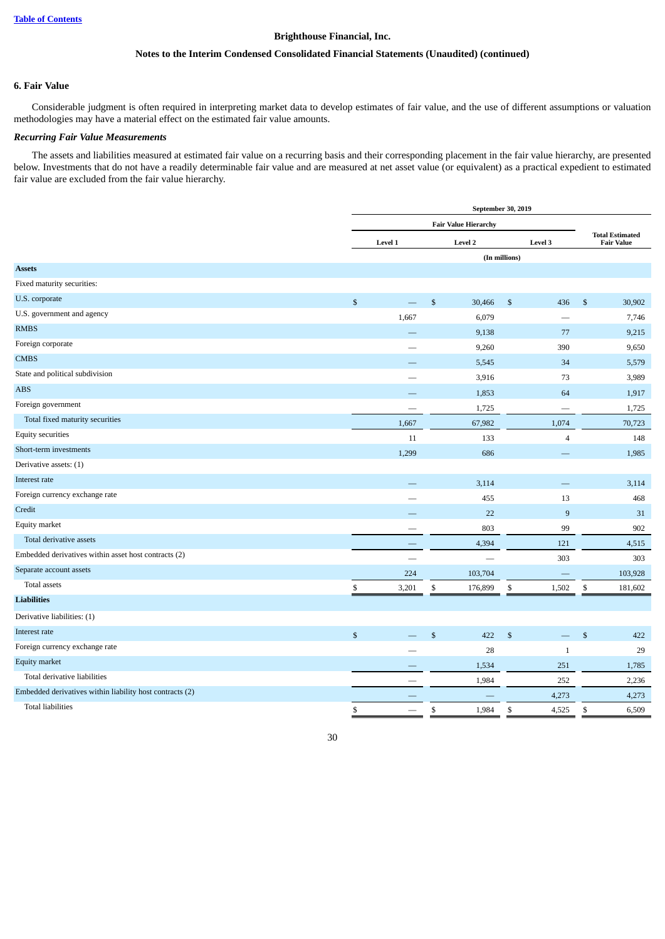## **Notes to the Interim Condensed Consolidated Financial Statements (Unaudited) (continued)**

## <span id="page-30-0"></span>**6. Fair Value**

Considerable judgment is often required in interpreting market data to develop estimates of fair value, and the use of different assumptions or valuation methodologies may have a material effect on the estimated fair value amounts.

### *Recurring Fair Value Measurements*

The assets and liabilities measured at estimated fair value on a recurring basis and their corresponding placement in the fair value hierarchy, are presented below. Investments that do not have a readily determinable fair value and are measured at net asset value (or equivalent) as a practical expedient to estimated fair value are excluded from the fair value hierarchy.

|                                                          | September 30, 2019          |         |              |                |                |                |              |                                             |
|----------------------------------------------------------|-----------------------------|---------|--------------|----------------|----------------|----------------|--------------|---------------------------------------------|
|                                                          | <b>Fair Value Hierarchy</b> |         |              |                |                |                |              |                                             |
|                                                          |                             | Level 1 |              | <b>Level 2</b> |                | Level 3        |              | <b>Total Estimated</b><br><b>Fair Value</b> |
|                                                          |                             |         |              | (In millions)  |                |                |              |                                             |
| <b>Assets</b>                                            |                             |         |              |                |                |                |              |                                             |
| Fixed maturity securities:                               |                             |         |              |                |                |                |              |                                             |
| U.S. corporate                                           | $\mathbb{S}$                |         | $\mathbb{S}$ | 30,466         | $\mathbb{S}$   | 436            | $\mathbb{S}$ | 30,902                                      |
| U.S. government and agency                               |                             | 1,667   |              | 6,079          |                |                |              | 7,746                                       |
| <b>RMBS</b>                                              |                             |         |              | 9,138          |                | 77             |              | 9,215                                       |
| Foreign corporate                                        |                             |         |              | 9,260          |                | 390            |              | 9,650                                       |
| <b>CMBS</b>                                              |                             |         |              | 5,545          |                | 34             |              | 5,579                                       |
| State and political subdivision                          |                             |         |              | 3,916          |                | 73             |              | 3,989                                       |
| <b>ABS</b>                                               |                             |         |              | 1,853          |                | 64             |              | 1,917                                       |
| Foreign government                                       |                             |         |              | 1,725          |                |                |              | 1,725                                       |
| Total fixed maturity securities                          |                             | 1,667   |              | 67,982         |                | 1,074          |              | 70,723                                      |
| Equity securities                                        |                             | 11      |              | 133            |                | $\overline{4}$ |              | 148                                         |
| Short-term investments                                   |                             | 1,299   |              | 686            |                |                |              | 1,985                                       |
| Derivative assets: (1)                                   |                             |         |              |                |                |                |              |                                             |
| Interest rate                                            |                             |         |              | 3,114          |                |                |              | 3,114                                       |
| Foreign currency exchange rate                           |                             |         |              | 455            |                | 13             |              | 468                                         |
| Credit                                                   |                             |         |              | 22             |                | $\overline{9}$ |              | 31                                          |
| Equity market                                            |                             |         |              | 803            |                | 99             |              | 902                                         |
| Total derivative assets                                  |                             |         |              | 4,394          |                | 121            |              | 4,515                                       |
| Embedded derivatives within asset host contracts (2)     |                             |         |              |                |                | 303            |              | 303                                         |
| Separate account assets                                  |                             | 224     |              | 103,704        |                |                |              | 103,928                                     |
| <b>Total assets</b>                                      | \$                          | 3,201   | \$           | 176,899        | \$             | 1,502          | \$           | 181,602                                     |
| <b>Liabilities</b>                                       |                             |         |              |                |                |                |              |                                             |
| Derivative liabilities: (1)                              |                             |         |              |                |                |                |              |                                             |
| Interest rate                                            | $\mathbb{S}$                |         | $\mathbb{S}$ | 422            | $\mathfrak{S}$ |                | \$           | 422                                         |
| Foreign currency exchange rate                           |                             |         |              | 28             |                | $\mathbf{1}$   |              | 29                                          |
| <b>Equity market</b>                                     |                             |         |              | 1,534          |                | 251            |              | 1,785                                       |
| Total derivative liabilities                             |                             |         |              | 1,984          |                | 252            |              | 2,236                                       |
| Embedded derivatives within liability host contracts (2) |                             |         |              |                |                | 4,273          |              | 4,273                                       |
| <b>Total liabilities</b>                                 | \$                          |         | \$           | 1,984          | \$             | 4,525          | \$           | 6,509                                       |

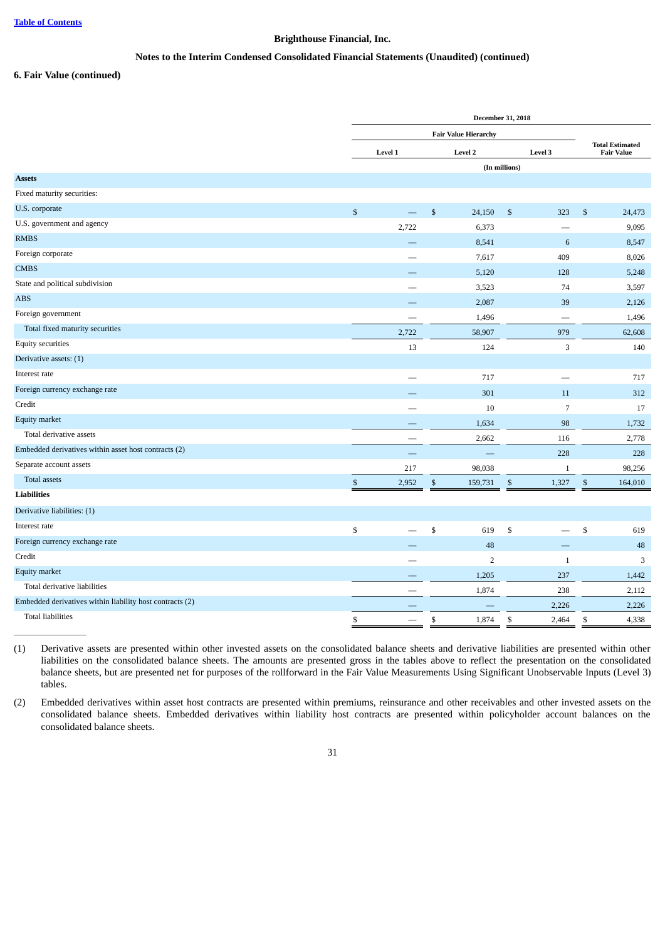## **Notes to the Interim Condensed Consolidated Financial Statements (Unaudited) (continued)**

## **6. Fair Value (continued)**

|                                                          | December 31, 2018           |         |              |            |               |              |              |                                             |
|----------------------------------------------------------|-----------------------------|---------|--------------|------------|---------------|--------------|--------------|---------------------------------------------|
|                                                          | <b>Fair Value Hierarchy</b> |         |              |            |               |              |              |                                             |
|                                                          |                             | Level 1 |              | Level 2    |               | Level 3      |              | <b>Total Estimated</b><br><b>Fair Value</b> |
|                                                          |                             |         |              |            | (In millions) |              |              |                                             |
| <b>Assets</b>                                            |                             |         |              |            |               |              |              |                                             |
| Fixed maturity securities:                               |                             |         |              |            |               |              |              |                                             |
| U.S. corporate                                           | $\mathbb S$                 |         | $\mathbb{S}$ | 24,150     | $\mathbb{S}$  | 323          | $\mathbb{S}$ | 24,473                                      |
| U.S. government and agency                               |                             | 2,722   |              | 6,373      |               |              |              | 9,095                                       |
| <b>RMBS</b>                                              |                             |         |              | 8,541      |               | 6            |              | 8,547                                       |
| Foreign corporate                                        |                             |         |              | 7,617      |               | 409          |              | 8,026                                       |
| <b>CMBS</b>                                              |                             |         |              | 5,120      |               | 128          |              | 5,248                                       |
| State and political subdivision                          |                             |         |              | 3,523      |               | 74           |              | 3,597                                       |
| <b>ABS</b>                                               |                             |         |              | 2,087      |               | 39           |              | 2,126                                       |
| Foreign government                                       |                             |         |              | 1,496      |               |              |              | 1,496                                       |
| Total fixed maturity securities                          |                             | 2,722   |              | 58,907     |               | 979          |              | 62,608                                      |
| <b>Equity securities</b>                                 |                             | 13      |              | 124        |               | 3            |              | 140                                         |
| Derivative assets: (1)                                   |                             |         |              |            |               |              |              |                                             |
| Interest rate                                            |                             |         |              | 717        |               |              |              | 717                                         |
| Foreign currency exchange rate                           |                             |         |              | 301        |               | 11           |              | 312                                         |
| Credit                                                   |                             |         |              | 10         |               | $\sqrt{2}$   |              | 17                                          |
| <b>Equity market</b>                                     |                             |         |              | 1,634      |               | 98           |              | 1,732                                       |
| Total derivative assets                                  |                             |         |              | 2,662      |               | 116          |              | 2,778                                       |
| Embedded derivatives within asset host contracts (2)     |                             |         |              |            |               | 228          |              | 228                                         |
| Separate account assets                                  |                             | 217     |              | 98,038     |               | $\mathbf{1}$ |              | 98,256                                      |
| <b>Total assets</b>                                      | $\mathbb S$                 | 2,952   | $\mathbb{S}$ | 159,731    | $\mathbb{S}$  | 1,327        | $\mathbb{S}$ | 164,010                                     |
| <b>Liabilities</b>                                       |                             |         |              |            |               |              |              |                                             |
| Derivative liabilities: (1)                              |                             |         |              |            |               |              |              |                                             |
| Interest rate                                            | \$                          |         | \$           | 619        | \$            |              | \$           | 619                                         |
| Foreign currency exchange rate                           |                             |         |              | 48         |               |              |              | 48                                          |
| Credit                                                   |                             |         |              | $\sqrt{2}$ |               | $\mathbf{1}$ |              | 3                                           |
| Equity market                                            |                             |         |              | 1,205      |               | 237          |              | 1,442                                       |
| Total derivative liabilities                             |                             |         |              | 1,874      |               | 238          |              | 2,112                                       |
| Embedded derivatives within liability host contracts (2) |                             |         |              |            |               | 2,226        |              | 2,226                                       |
| <b>Total liabilities</b>                                 | \$                          |         | \$           | 1,874      | \$            | 2,464        | \$           | 4,338                                       |

(1) Derivative assets are presented within other invested assets on the consolidated balance sheets and derivative liabilities are presented within other liabilities on the consolidated balance sheets. The amounts are presented gross in the tables above to reflect the presentation on the consolidated balance sheets, but are presented net for purposes of the rollforward in the Fair Value Measurements Using Significant Unobservable Inputs (Level 3) tables.

(2) Embedded derivatives within asset host contracts are presented within premiums, reinsurance and other receivables and other invested assets on the consolidated balance sheets. Embedded derivatives within liability host contracts are presented within policyholder account balances on the consolidated balance sheets.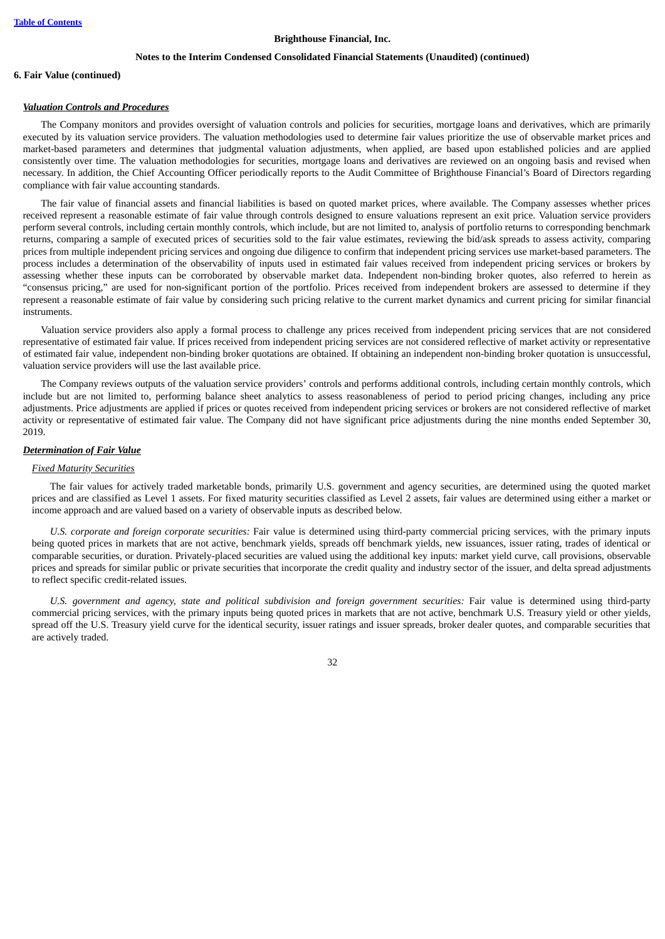### **Notes to the Interim Condensed Consolidated Financial Statements (Unaudited) (continued)**

### **6. Fair Value (continued)**

#### *Valuation Controls and Procedures*

The Company monitors and provides oversight of valuation controls and policies for securities, mortgage loans and derivatives, which are primarily executed by its valuation service providers. The valuation methodologies used to determine fair values prioritize the use of observable market prices and market-based parameters and determines that judgmental valuation adjustments, when applied, are based upon established policies and are applied consistently over time. The valuation methodologies for securities, mortgage loans and derivatives are reviewed on an ongoing basis and revised when necessary. In addition, the Chief Accounting Officer periodically reports to the Audit Committee of Brighthouse Financial's Board of Directors regarding compliance with fair value accounting standards.

The fair value of financial assets and financial liabilities is based on quoted market prices, where available. The Company assesses whether prices received represent a reasonable estimate of fair value through controls designed to ensure valuations represent an exit price. Valuation service providers perform several controls, including certain monthly controls, which include, but are not limited to, analysis of portfolio returns to corresponding benchmark returns, comparing a sample of executed prices of securities sold to the fair value estimates, reviewing the bid/ask spreads to assess activity, comparing prices from multiple independent pricing services and ongoing due diligence to confirm that independent pricing services use market-based parameters. The process includes a determination of the observability of inputs used in estimated fair values received from independent pricing services or brokers by assessing whether these inputs can be corroborated by observable market data. Independent non-binding broker quotes, also referred to herein as "consensus pricing," are used for non-significant portion of the portfolio. Prices received from independent brokers are assessed to determine if they represent a reasonable estimate of fair value by considering such pricing relative to the current market dynamics and current pricing for similar financial instruments.

Valuation service providers also apply a formal process to challenge any prices received from independent pricing services that are not considered representative of estimated fair value. If prices received from independent pricing services are not considered reflective of market activity or representative of estimated fair value, independent non-binding broker quotations are obtained. If obtaining an independent non-binding broker quotation is unsuccessful, valuation service providers will use the last available price.

The Company reviews outputs of the valuation service providers' controls and performs additional controls, including certain monthly controls, which include but are not limited to, performing balance sheet analytics to assess reasonableness of period to period pricing changes, including any price adjustments. Price adjustments are applied if prices or quotes received from independent pricing services or brokers are not considered reflective of market activity or representative of estimated fair value. The Company did not have significant price adjustments during the nine months ended September 30, 2019.

#### *Determination of Fair Value*

#### *Fixed Maturity Securities*

The fair values for actively traded marketable bonds, primarily U.S. government and agency securities, are determined using the quoted market prices and are classified as Level 1 assets. For fixed maturity securities classified as Level 2 assets, fair values are determined using either a market or income approach and are valued based on a variety of observable inputs as described below.

*U.S. corporate and foreign corporate securities:* Fair value is determined using third-party commercial pricing services, with the primary inputs being quoted prices in markets that are not active, benchmark yields, spreads off benchmark yields, new issuances, issuer rating, trades of identical or comparable securities, or duration. Privately-placed securities are valued using the additional key inputs: market yield curve, call provisions, observable prices and spreads for similar public or private securities that incorporate the credit quality and industry sector of the issuer, and delta spread adjustments to reflect specific credit-related issues.

*U.S. government and agency, state and political subdivision and foreign government securities:* Fair value is determined using third-party commercial pricing services, with the primary inputs being quoted prices in markets that are not active, benchmark U.S. Treasury yield or other yields, spread off the U.S. Treasury yield curve for the identical security, issuer ratings and issuer spreads, broker dealer quotes, and comparable securities that are actively traded.

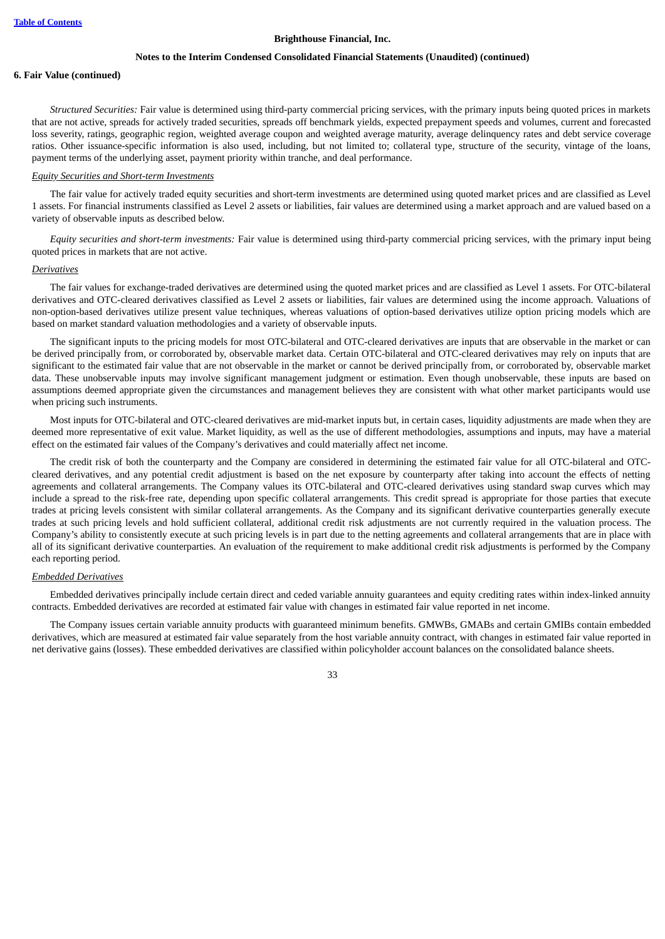### **Notes to the Interim Condensed Consolidated Financial Statements (Unaudited) (continued)**

### **6. Fair Value (continued)**

*Structured Securities:* Fair value is determined using third-party commercial pricing services, with the primary inputs being quoted prices in markets that are not active, spreads for actively traded securities, spreads off benchmark yields, expected prepayment speeds and volumes, current and forecasted loss severity, ratings, geographic region, weighted average coupon and weighted average maturity, average delinquency rates and debt service coverage ratios. Other issuance-specific information is also used, including, but not limited to; collateral type, structure of the security, vintage of the loans, payment terms of the underlying asset, payment priority within tranche, and deal performance.

#### *Equity Securities and Short-term Investments*

The fair value for actively traded equity securities and short-term investments are determined using quoted market prices and are classified as Level 1 assets. For financial instruments classified as Level 2 assets or liabilities, fair values are determined using a market approach and are valued based on a variety of observable inputs as described below.

*Equity securities and short-term investments:* Fair value is determined using third-party commercial pricing services, with the primary input being quoted prices in markets that are not active.

#### *Derivatives*

The fair values for exchange-traded derivatives are determined using the quoted market prices and are classified as Level 1 assets. For OTC-bilateral derivatives and OTC-cleared derivatives classified as Level 2 assets or liabilities, fair values are determined using the income approach. Valuations of non-option-based derivatives utilize present value techniques, whereas valuations of option-based derivatives utilize option pricing models which are based on market standard valuation methodologies and a variety of observable inputs.

The significant inputs to the pricing models for most OTC-bilateral and OTC-cleared derivatives are inputs that are observable in the market or can be derived principally from, or corroborated by, observable market data. Certain OTC-bilateral and OTC-cleared derivatives may rely on inputs that are significant to the estimated fair value that are not observable in the market or cannot be derived principally from, or corroborated by, observable market data. These unobservable inputs may involve significant management judgment or estimation. Even though unobservable, these inputs are based on assumptions deemed appropriate given the circumstances and management believes they are consistent with what other market participants would use when pricing such instruments.

Most inputs for OTC-bilateral and OTC-cleared derivatives are mid-market inputs but, in certain cases, liquidity adjustments are made when they are deemed more representative of exit value. Market liquidity, as well as the use of different methodologies, assumptions and inputs, may have a material effect on the estimated fair values of the Company's derivatives and could materially affect net income.

The credit risk of both the counterparty and the Company are considered in determining the estimated fair value for all OTC-bilateral and OTCcleared derivatives, and any potential credit adjustment is based on the net exposure by counterparty after taking into account the effects of netting agreements and collateral arrangements. The Company values its OTC-bilateral and OTC-cleared derivatives using standard swap curves which may include a spread to the risk-free rate, depending upon specific collateral arrangements. This credit spread is appropriate for those parties that execute trades at pricing levels consistent with similar collateral arrangements. As the Company and its significant derivative counterparties generally execute trades at such pricing levels and hold sufficient collateral, additional credit risk adjustments are not currently required in the valuation process. The Company's ability to consistently execute at such pricing levels is in part due to the netting agreements and collateral arrangements that are in place with all of its significant derivative counterparties. An evaluation of the requirement to make additional credit risk adjustments is performed by the Company each reporting period.

#### *Embedded Derivatives*

Embedded derivatives principally include certain direct and ceded variable annuity guarantees and equity crediting rates within index-linked annuity contracts. Embedded derivatives are recorded at estimated fair value with changes in estimated fair value reported in net income.

The Company issues certain variable annuity products with guaranteed minimum benefits. GMWBs, GMABs and certain GMIBs contain embedded derivatives, which are measured at estimated fair value separately from the host variable annuity contract, with changes in estimated fair value reported in net derivative gains (losses). These embedded derivatives are classified within policyholder account balances on the consolidated balance sheets.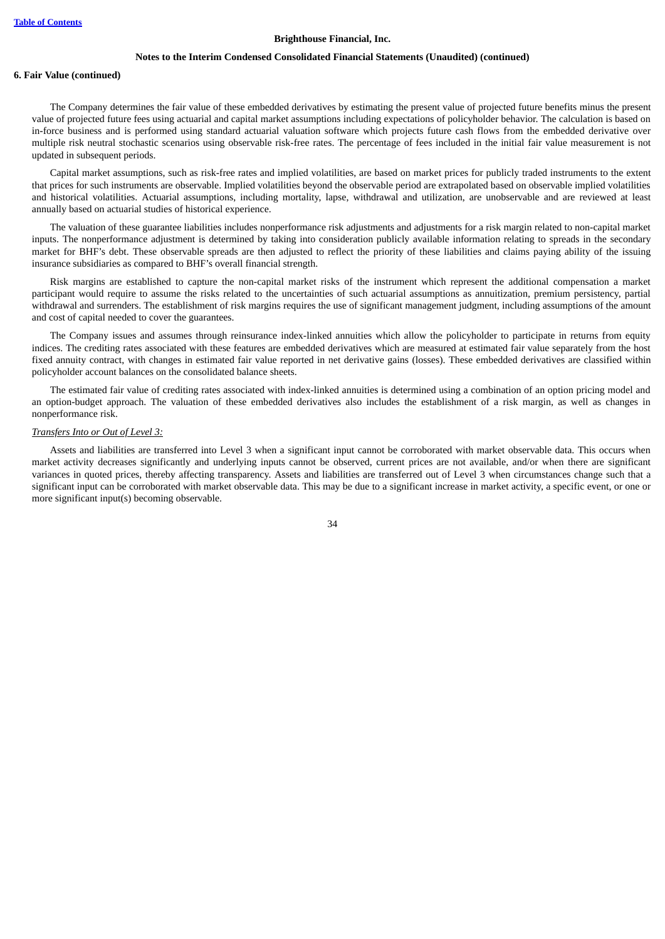### **Notes to the Interim Condensed Consolidated Financial Statements (Unaudited) (continued)**

### **6. Fair Value (continued)**

The Company determines the fair value of these embedded derivatives by estimating the present value of projected future benefits minus the present value of projected future fees using actuarial and capital market assumptions including expectations of policyholder behavior. The calculation is based on in-force business and is performed using standard actuarial valuation software which projects future cash flows from the embedded derivative over multiple risk neutral stochastic scenarios using observable risk-free rates. The percentage of fees included in the initial fair value measurement is not updated in subsequent periods.

Capital market assumptions, such as risk-free rates and implied volatilities, are based on market prices for publicly traded instruments to the extent that prices for such instruments are observable. Implied volatilities beyond the observable period are extrapolated based on observable implied volatilities and historical volatilities. Actuarial assumptions, including mortality, lapse, withdrawal and utilization, are unobservable and are reviewed at least annually based on actuarial studies of historical experience.

The valuation of these guarantee liabilities includes nonperformance risk adjustments and adjustments for a risk margin related to non-capital market inputs. The nonperformance adjustment is determined by taking into consideration publicly available information relating to spreads in the secondary market for BHF's debt. These observable spreads are then adjusted to reflect the priority of these liabilities and claims paying ability of the issuing insurance subsidiaries as compared to BHF's overall financial strength.

Risk margins are established to capture the non-capital market risks of the instrument which represent the additional compensation a market participant would require to assume the risks related to the uncertainties of such actuarial assumptions as annuitization, premium persistency, partial withdrawal and surrenders. The establishment of risk margins requires the use of significant management judgment, including assumptions of the amount and cost of capital needed to cover the guarantees.

The Company issues and assumes through reinsurance index-linked annuities which allow the policyholder to participate in returns from equity indices. The crediting rates associated with these features are embedded derivatives which are measured at estimated fair value separately from the host fixed annuity contract, with changes in estimated fair value reported in net derivative gains (losses). These embedded derivatives are classified within policyholder account balances on the consolidated balance sheets.

The estimated fair value of crediting rates associated with index-linked annuities is determined using a combination of an option pricing model and an option-budget approach. The valuation of these embedded derivatives also includes the establishment of a risk margin, as well as changes in nonperformance risk.

### *Transfers Into or Out of Level 3:*

Assets and liabilities are transferred into Level 3 when a significant input cannot be corroborated with market observable data. This occurs when market activity decreases significantly and underlying inputs cannot be observed, current prices are not available, and/or when there are significant variances in quoted prices, thereby affecting transparency. Assets and liabilities are transferred out of Level 3 when circumstances change such that a significant input can be corroborated with market observable data. This may be due to a significant increase in market activity, a specific event, or one or more significant input(s) becoming observable.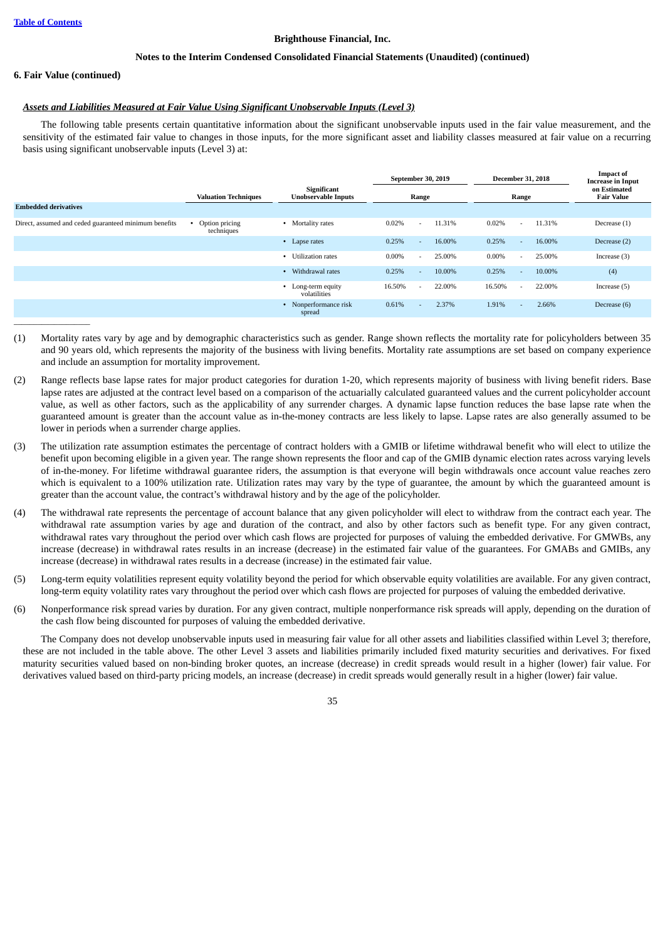### **Notes to the Interim Condensed Consolidated Financial Statements (Unaudited) (continued)**

### **6. Fair Value (continued)**

\_\_\_\_\_\_\_\_\_\_\_\_\_\_\_\_\_\_\_

### *Assets and Liabilities Measured at Fair Value Using Significant Unobservable Inputs (Level 3)*

The following table presents certain quantitative information about the significant unobservable inputs used in the fair value measurement, and the sensitivity of the estimated fair value to changes in those inputs, for the more significant asset and liability classes measured at fair value on a recurring basis using significant unobservable inputs (Level 3) at:

|                                                       |                              |                                           | <b>September 30, 2019</b>                    | <b>December 31, 2018</b>                    | <b>Impact of</b><br><b>Increase in Input</b> |  |
|-------------------------------------------------------|------------------------------|-------------------------------------------|----------------------------------------------|---------------------------------------------|----------------------------------------------|--|
|                                                       | <b>Valuation Techniques</b>  | Significant<br><b>Unobservable Inputs</b> | Range                                        | Range                                       | on Estimated<br><b>Fair Value</b>            |  |
| <b>Embedded derivatives</b>                           |                              |                                           |                                              |                                             |                                              |  |
| Direct, assumed and ceded guaranteed minimum benefits | Option pricing<br>techniques | • Mortality rates                         | 11.31%<br>0.02%<br>$\overline{\phantom{a}}$  | 0.02%<br>11.31%<br>$\overline{\phantom{a}}$ | Decrease (1)                                 |  |
|                                                       |                              | • Lapse rates                             | 16.00%<br>0.25%<br>$\overline{\phantom{0}}$  | 16.00%<br>0.25%<br>۰                        | Decrease (2)                                 |  |
|                                                       |                              | <b>Utilization rates</b>                  | 0.00%<br>25.00%<br>$\sim$                    | 0.00%<br>25.00%<br>$\overline{\phantom{a}}$ | Increase $(3)$                               |  |
|                                                       |                              | Withdrawal rates                          | 0.25%<br>10.00%<br>$\sim$                    | 0.25%<br>10.00%<br>$\sim$                   | (4)                                          |  |
|                                                       |                              | Long-term equity<br>٠<br>volatilities     | 16.50%<br>22.00%<br>$\overline{\phantom{a}}$ | 22.00%<br>16.50%<br>$\sim$                  | Increase $(5)$                               |  |
|                                                       |                              | • Nonperformance risk<br>spread           | 0.61%<br>2.37%<br>$\overline{\phantom{a}}$   | 2.66%<br>1.91%<br>$\sim$                    | Decrease (6)                                 |  |

- (1) Mortality rates vary by age and by demographic characteristics such as gender. Range shown reflects the mortality rate for policyholders between 35 and 90 years old, which represents the majority of the business with living benefits. Mortality rate assumptions are set based on company experience and include an assumption for mortality improvement.
- (2) Range reflects base lapse rates for major product categories for duration 1-20, which represents majority of business with living benefit riders. Base lapse rates are adjusted at the contract level based on a comparison of the actuarially calculated guaranteed values and the current policyholder account value, as well as other factors, such as the applicability of any surrender charges. A dynamic lapse function reduces the base lapse rate when the guaranteed amount is greater than the account value as in-the-money contracts are less likely to lapse. Lapse rates are also generally assumed to be lower in periods when a surrender charge applies.
- (3) The utilization rate assumption estimates the percentage of contract holders with a GMIB or lifetime withdrawal benefit who will elect to utilize the benefit upon becoming eligible in a given year. The range shown represents the floor and cap of the GMIB dynamic election rates across varying levels of in-the-money. For lifetime withdrawal guarantee riders, the assumption is that everyone will begin withdrawals once account value reaches zero which is equivalent to a 100% utilization rate. Utilization rates may vary by the type of guarantee, the amount by which the guaranteed amount is greater than the account value, the contract's withdrawal history and by the age of the policyholder.
- (4) The withdrawal rate represents the percentage of account balance that any given policyholder will elect to withdraw from the contract each year. The withdrawal rate assumption varies by age and duration of the contract, and also by other factors such as benefit type. For any given contract, withdrawal rates vary throughout the period over which cash flows are projected for purposes of valuing the embedded derivative. For GMWBs, any increase (decrease) in withdrawal rates results in an increase (decrease) in the estimated fair value of the guarantees. For GMABs and GMIBs, any increase (decrease) in withdrawal rates results in a decrease (increase) in the estimated fair value.
- (5) Long-term equity volatilities represent equity volatility beyond the period for which observable equity volatilities are available. For any given contract, long-term equity volatility rates vary throughout the period over which cash flows are projected for purposes of valuing the embedded derivative.
- (6) Nonperformance risk spread varies by duration. For any given contract, multiple nonperformance risk spreads will apply, depending on the duration of the cash flow being discounted for purposes of valuing the embedded derivative.

The Company does not develop unobservable inputs used in measuring fair value for all other assets and liabilities classified within Level 3; therefore, these are not included in the table above. The other Level 3 assets and liabilities primarily included fixed maturity securities and derivatives. For fixed maturity securities valued based on non-binding broker quotes, an increase (decrease) in credit spreads would result in a higher (lower) fair value. For derivatives valued based on third-party pricing models, an increase (decrease) in credit spreads would generally result in a higher (lower) fair value.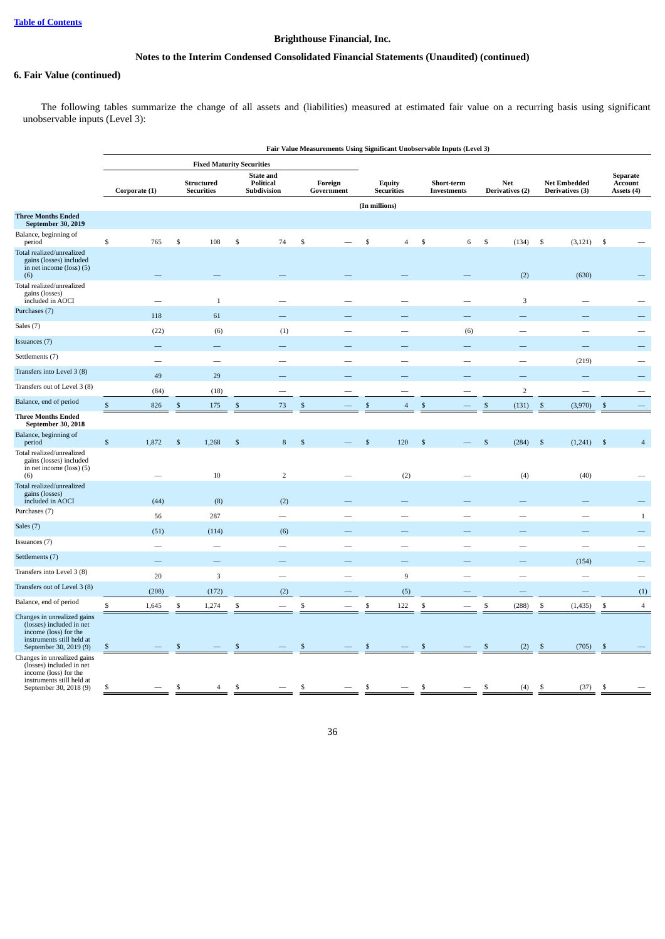# **Notes to the Interim Condensed Consolidated Financial Statements (Unaudited) (continued)**

# **6. Fair Value (continued)**

The following tables summarize the change of all assets and (liabilities) measured at estimated fair value on a recurring basis using significant unobservable inputs (Level 3):

|                                                                                                                                         | Fair Value Measurements Using Significant Unobservable Inputs (Level 3) |                          |              |                                 |    |                                                     |              |                       |    |                                    |              |                           |                |                        |                |                                        |                |                                          |
|-----------------------------------------------------------------------------------------------------------------------------------------|-------------------------------------------------------------------------|--------------------------|--------------|---------------------------------|----|-----------------------------------------------------|--------------|-----------------------|----|------------------------------------|--------------|---------------------------|----------------|------------------------|----------------|----------------------------------------|----------------|------------------------------------------|
|                                                                                                                                         | <b>Fixed Maturity Securities</b>                                        |                          |              |                                 |    |                                                     |              |                       |    |                                    |              |                           |                |                        |                |                                        |                |                                          |
|                                                                                                                                         |                                                                         | Corporate (1)            |              | Structured<br><b>Securities</b> |    | <b>State and</b><br><b>Political</b><br>Subdivision |              | Foreign<br>Government |    | <b>Equity</b><br><b>Securities</b> |              | Short-term<br>Investments |                | Net<br>Derivatives (2) |                | <b>Net Embedded</b><br>Derivatives (3) |                | Separate<br><b>Account</b><br>Assets (4) |
|                                                                                                                                         |                                                                         |                          |              |                                 |    |                                                     |              |                       |    | (In millions)                      |              |                           |                |                        |                |                                        |                |                                          |
| <b>Three Months Ended</b><br>September 30, 2019                                                                                         |                                                                         |                          |              |                                 |    |                                                     |              |                       |    |                                    |              |                           |                |                        |                |                                        |                |                                          |
| Balance, beginning of<br>period                                                                                                         | \$                                                                      | 765                      | \$           | 108                             | \$ | 74                                                  | -\$          |                       | \$ | $\overline{4}$                     | \$           | 6                         | \$             | (134)                  | $\mathbf{s}$   | (3, 121)                               | - \$           |                                          |
| Total realized/unrealized<br>gains (losses) included<br>in net income (loss) (5)<br>(6)                                                 |                                                                         |                          |              |                                 |    |                                                     |              |                       |    |                                    |              |                           |                | (2)                    |                | (630)                                  |                |                                          |
| Total realized/unrealized<br>gains (losses)<br>included in AOCI                                                                         |                                                                         |                          |              | $\mathbf{1}$                    |    |                                                     |              |                       |    |                                    |              |                           |                | 3                      |                |                                        |                |                                          |
| Purchases (7)                                                                                                                           |                                                                         | 118                      |              | 61                              |    |                                                     |              |                       |    |                                    |              |                           |                |                        |                |                                        |                |                                          |
| Sales (7)                                                                                                                               |                                                                         | (22)                     |              | (6)                             |    | (1)                                                 |              |                       |    |                                    |              | (6)                       |                |                        |                |                                        |                |                                          |
| Issuances (7)                                                                                                                           |                                                                         |                          |              |                                 |    |                                                     |              |                       |    |                                    |              |                           |                |                        |                |                                        |                |                                          |
| Settlements (7)                                                                                                                         |                                                                         | $\overline{\phantom{0}}$ |              | -                               |    |                                                     |              |                       |    |                                    |              |                           |                |                        |                | (219)                                  |                |                                          |
| Transfers into Level 3 (8)                                                                                                              |                                                                         | 49                       |              | 29                              |    |                                                     |              |                       |    |                                    |              |                           |                |                        |                |                                        |                |                                          |
| Transfers out of Level 3 (8)                                                                                                            |                                                                         | (84)                     |              | (18)                            |    |                                                     |              |                       |    |                                    |              |                           |                | $\overline{2}$         |                |                                        |                |                                          |
| Balance, end of period                                                                                                                  | $\mathfrak{s}$                                                          | 826                      | $\mathbb{S}$ | 175                             | \$ | 73                                                  | $\mathbb{S}$ |                       | \$ | $\overline{4}$                     | $\mathbb{S}$ |                           | $\mathfrak{s}$ | (131)                  | $\mathfrak{s}$ | (3,970)                                | $$\mathbb{S}$$ |                                          |
| <b>Three Months Ended</b><br>September 30, 2018                                                                                         |                                                                         |                          |              |                                 |    |                                                     |              |                       |    |                                    |              |                           |                |                        |                |                                        |                |                                          |
| Balance, beginning of<br>period                                                                                                         | $\mathbb{S}$                                                            | 1,872                    | $\mathbb{S}$ | 1,268                           | \$ | 8                                                   | \$           |                       | \$ | 120                                | \$           |                           | \$             | (284)                  | $\mathbf{s}$   | (1,241)                                | $\mathfrak{s}$ | $\overline{4}$                           |
| Total realized/unrealized<br>gains (losses) included<br>in net income $(\text{loss})$ (5)<br>(6)                                        |                                                                         |                          |              | 10                              |    | $\overline{2}$                                      |              |                       |    | (2)                                |              |                           |                | (4)                    |                | (40)                                   |                |                                          |
| Total realized/unrealized<br>gains (losses)<br>included in AOCI                                                                         |                                                                         | (44)                     |              | (8)                             |    | (2)                                                 |              |                       |    |                                    |              |                           |                |                        |                |                                        |                |                                          |
| Purchases (7)                                                                                                                           |                                                                         | 56                       |              | 287                             |    | ÷                                                   |              |                       |    |                                    |              |                           |                |                        |                |                                        |                | $\mathbf{1}$                             |
| Sales (7)                                                                                                                               |                                                                         | (51)                     |              | (114)                           |    | (6)                                                 |              |                       |    |                                    |              |                           |                |                        |                |                                        |                |                                          |
| Issuances (7)                                                                                                                           |                                                                         |                          |              |                                 |    |                                                     |              |                       |    |                                    |              |                           |                |                        |                |                                        |                |                                          |
| Settlements (7)                                                                                                                         |                                                                         |                          |              |                                 |    |                                                     |              |                       |    |                                    |              |                           |                |                        |                | (154)                                  |                |                                          |
| Transfers into Level 3 (8)                                                                                                              |                                                                         | 20                       |              | 3                               |    |                                                     |              |                       |    | 9                                  |              |                           |                |                        |                |                                        |                | -                                        |
| Transfers out of Level 3 (8)                                                                                                            |                                                                         | (208)                    |              | (172)                           |    | (2)                                                 |              |                       |    | (5)                                |              |                           |                |                        |                |                                        |                | (1)                                      |
| Balance, end of period                                                                                                                  | \$                                                                      | 1,645                    | \$           | 1,274                           | \$ |                                                     | \$           |                       | \$ | 122                                | \$           | -                         | \$             | (288)                  | \$             | (1, 435)                               | \$             | $\overline{4}$                           |
| Changes in unrealized gains<br>(losses) included in net<br>income (loss) for the<br>instruments still held at<br>September 30, 2019 (9) | $\mathfrak s$                                                           |                          | \$           |                                 | \$ |                                                     | \$           |                       | \$ |                                    | $\$$         |                           | \$             | (2)                    | $\mathfrak{s}$ | (705)                                  | $\mathfrak{s}$ |                                          |
| Changes in unrealized gains<br>(losses) included in net<br>income (loss) for the<br>instruments still held at<br>September 30, 2018 (9) | \$                                                                      |                          | \$           | $\boldsymbol{\Delta}$           | \$ |                                                     | \$           |                       | S  |                                    | \$           |                           | \$             | (4)                    | \$             | (37)                                   | \$             |                                          |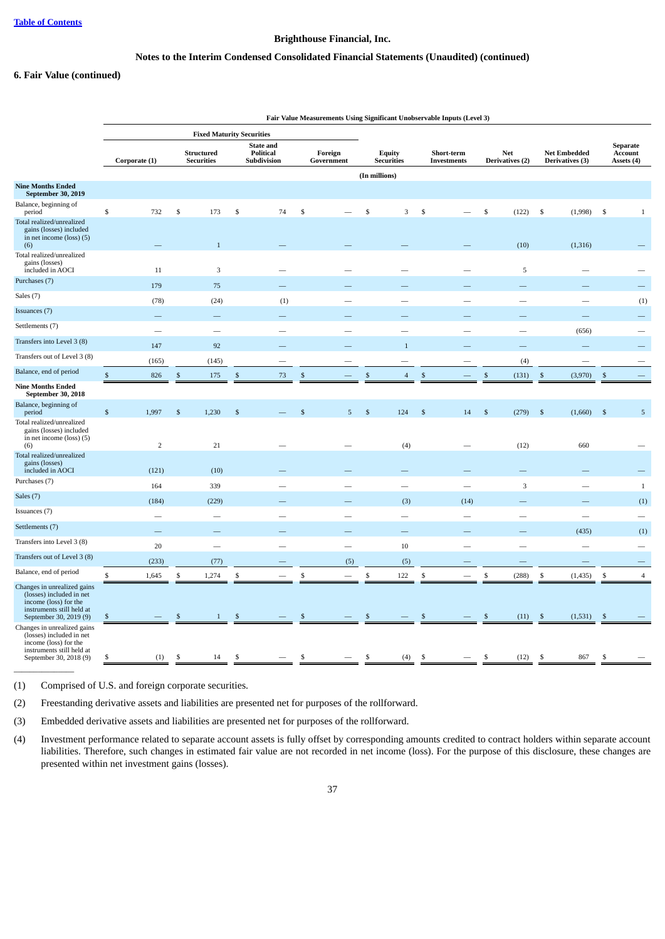# **Notes to the Interim Condensed Consolidated Financial Statements (Unaudited) (continued)**

### **6. Fair Value (continued)**

|                                                                                                                                         | Fair Value Measurements Using Significant Unobservable Inputs (Level 3) |                |                |                                 |                |                                                     |                |                       |                |                                    |                |                           |                |                        |                |                                        |                |                                                 |
|-----------------------------------------------------------------------------------------------------------------------------------------|-------------------------------------------------------------------------|----------------|----------------|---------------------------------|----------------|-----------------------------------------------------|----------------|-----------------------|----------------|------------------------------------|----------------|---------------------------|----------------|------------------------|----------------|----------------------------------------|----------------|-------------------------------------------------|
|                                                                                                                                         | <b>Fixed Maturity Securities</b>                                        |                |                |                                 |                |                                                     |                |                       |                |                                    |                |                           |                |                        |                |                                        |                |                                                 |
|                                                                                                                                         |                                                                         | Corporate (1)  |                | Structured<br><b>Securities</b> |                | <b>State and</b><br><b>Political</b><br>Subdivision |                | Foreign<br>Government |                | <b>Equity</b><br><b>Securities</b> |                | Short-term<br>Investments |                | Net<br>Derivatives (2) |                | <b>Net Embedded</b><br>Derivatives (3) |                | <b>Separate</b><br><b>Account</b><br>Assets (4) |
|                                                                                                                                         |                                                                         |                |                |                                 |                |                                                     |                |                       |                | (In millions)                      |                |                           |                |                        |                |                                        |                |                                                 |
| <b>Nine Months Ended</b><br><b>September 30, 2019</b>                                                                                   |                                                                         |                |                |                                 |                |                                                     |                |                       |                |                                    |                |                           |                |                        |                |                                        |                |                                                 |
| Balance, beginning of<br>period                                                                                                         | \$                                                                      | 732            | \$             | 173                             | \$             | 74                                                  | \$             |                       | \$             | 3                                  | \$             |                           | \$             | (122)                  | $\mathbf{s}$   | (1,998)                                | \$             | $\mathbf{1}$                                    |
| Total realized/unrealized<br>gains (losses) included<br>in net income (loss) (5)<br>(6)                                                 |                                                                         |                |                | $\mathbf{1}$                    |                |                                                     |                |                       |                |                                    |                |                           |                | (10)                   |                | (1, 316)                               |                |                                                 |
| Total realized/unrealized<br>gains (losses)<br>included in AOCI                                                                         |                                                                         | 11             |                | 3                               |                |                                                     |                |                       |                |                                    |                |                           |                | 5                      |                |                                        |                |                                                 |
| Purchases (7)                                                                                                                           |                                                                         | 179            |                | 75                              |                |                                                     |                |                       |                |                                    |                |                           |                |                        |                |                                        |                |                                                 |
| Sales (7)                                                                                                                               |                                                                         | (78)           |                | (24)                            |                | (1)                                                 |                |                       |                |                                    |                |                           |                |                        |                |                                        |                | (1)                                             |
| Issuances (7)                                                                                                                           |                                                                         |                |                |                                 |                |                                                     |                |                       |                |                                    |                |                           |                |                        |                |                                        |                |                                                 |
| Settlements (7)                                                                                                                         |                                                                         |                |                |                                 |                |                                                     |                |                       |                |                                    |                |                           |                |                        |                | (656)                                  |                |                                                 |
| Transfers into Level 3 (8)                                                                                                              |                                                                         | 147            |                | 92                              |                |                                                     |                |                       |                | $\mathbf{1}$                       |                |                           |                |                        |                |                                        |                |                                                 |
| Transfers out of Level 3 (8)                                                                                                            |                                                                         | (165)          |                | (145)                           |                |                                                     |                |                       |                |                                    |                |                           |                | (4)                    |                |                                        |                |                                                 |
| Balance, end of period                                                                                                                  | $\mathbb{S}$                                                            | 826            | $\mathfrak{s}$ | 175                             | $\mathfrak{s}$ | $73\,$                                              | $\mathfrak{s}$ |                       | \$             | $\overline{4}$                     | $\mathfrak{s}$ |                           | $\mathbb{S}$   | (131)                  | $$\mathbb{S}$$ | (3,970)                                | $\mathbb{S}$   |                                                 |
| <b>Nine Months Ended</b><br><b>September 30, 2018</b>                                                                                   |                                                                         |                |                |                                 |                |                                                     |                |                       |                |                                    |                |                           |                |                        |                |                                        |                |                                                 |
| Balance, beginning of<br>period                                                                                                         | $\mathbb{S}$                                                            | 1,997          | $\mathfrak{s}$ | 1,230                           | $\mathfrak{s}$ |                                                     | \$             | $\overline{5}$        | $\mathfrak{s}$ | 124                                | $\sqrt{5}$     | 14                        | $\mathfrak{s}$ | (279)                  | $\mathfrak{s}$ | (1,660)                                | $\mathfrak{s}$ | $5\phantom{.}$                                  |
| Total realized/unrealized<br>gains (losses) included<br>in net income (loss) (5)<br>(6)                                                 |                                                                         | $\overline{2}$ |                | 21                              |                |                                                     |                |                       |                | (4)                                |                |                           |                | (12)                   |                | 660                                    |                |                                                 |
| Total realized/unrealized<br>gains (losses)<br>included in AOCI                                                                         |                                                                         | (121)          |                | (10)                            |                |                                                     |                |                       |                |                                    |                |                           |                |                        |                |                                        |                |                                                 |
| Purchases (7)                                                                                                                           |                                                                         | 164            |                | 339                             |                |                                                     |                |                       |                |                                    |                |                           |                | 3                      |                |                                        |                | $\mathbf{1}$                                    |
| Sales (7)                                                                                                                               |                                                                         | (184)          |                | (229)                           |                |                                                     |                |                       |                | (3)                                |                | (14)                      |                |                        |                |                                        |                | (1)                                             |
| Issuances (7)                                                                                                                           |                                                                         |                |                |                                 |                |                                                     |                |                       |                |                                    |                |                           |                |                        |                |                                        |                |                                                 |
| Settlements (7)                                                                                                                         |                                                                         |                |                |                                 |                |                                                     |                |                       |                |                                    |                |                           |                |                        |                | (435)                                  |                | (1)                                             |
| Transfers into Level 3 (8)                                                                                                              |                                                                         | 20             |                | -                               |                |                                                     |                |                       |                | 10                                 |                |                           |                |                        |                |                                        |                |                                                 |
| Transfers out of Level 3 (8)                                                                                                            |                                                                         | (233)          |                | (77)                            |                |                                                     |                | (5)                   |                | (5)                                |                |                           |                |                        |                |                                        |                |                                                 |
| Balance, end of period                                                                                                                  | $\mathbb{S}$                                                            | 1,645          | \$             | 1,274                           | \$             |                                                     | \$             |                       | \$             | 122                                | \$             |                           | \$             | (288)                  | \$             | (1, 435)                               | $\mathbb{S}$   | $\overline{4}$                                  |
| Changes in unrealized gains<br>(losses) included in net<br>income (loss) for the<br>instruments still held at<br>September 30, 2019 (9) | $\mathbb{S}$                                                            |                | $\mathfrak{L}$ | $\mathbf{1}$                    | $\mathfrak{s}$ |                                                     | \$             |                       | \$             |                                    | \$             |                           | $\$$           | (11)                   | $\mathfrak{s}$ | (1,531)                                | $\mathfrak{s}$ |                                                 |
| Changes in unrealized gains<br>(losses) included in net<br>income (loss) for the<br>instruments still held at<br>September 30, 2018 (9) | \$                                                                      | (1)            | \$             | 14                              | \$             |                                                     | \$             |                       | \$             | (4)                                | \$             |                           | \$             | (12)                   | -\$            | 867                                    | \$             |                                                 |

(1) Comprised of U.S. and foreign corporate securities.

 $\overline{\phantom{a}}$ 

(2) Freestanding derivative assets and liabilities are presented net for purposes of the rollforward.

(3) Embedded derivative assets and liabilities are presented net for purposes of the rollforward.

(4) Investment performance related to separate account assets is fully offset by corresponding amounts credited to contract holders within separate account liabilities. Therefore, such changes in estimated fair value are not recorded in net income (loss). For the purpose of this disclosure, these changes are presented within net investment gains (losses).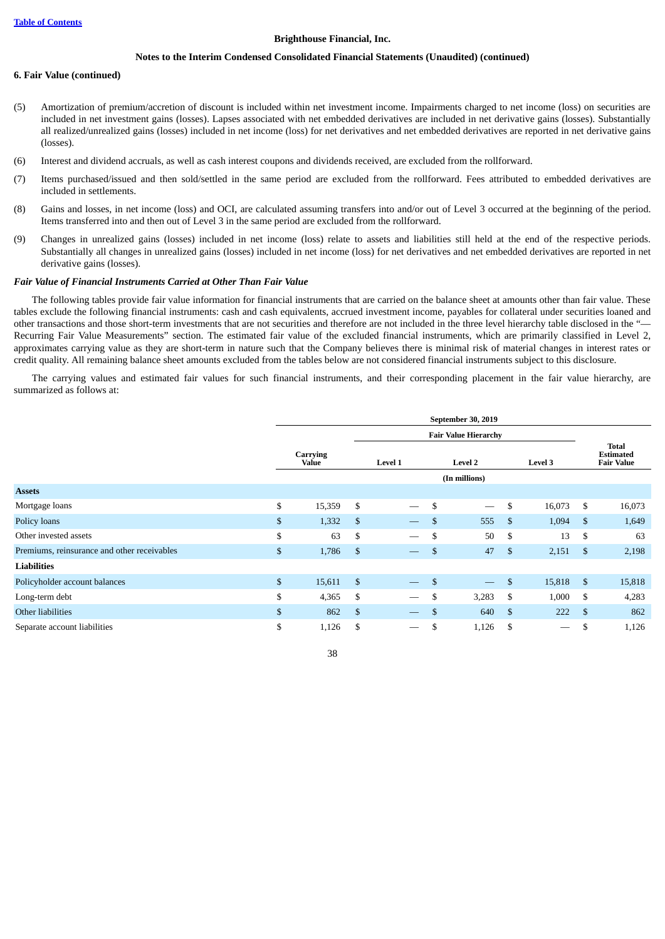### **Notes to the Interim Condensed Consolidated Financial Statements (Unaudited) (continued)**

### **6. Fair Value (continued)**

- (5) Amortization of premium/accretion of discount is included within net investment income. Impairments charged to net income (loss) on securities are included in net investment gains (losses). Lapses associated with net embedded derivatives are included in net derivative gains (losses). Substantially all realized/unrealized gains (losses) included in net income (loss) for net derivatives and net embedded derivatives are reported in net derivative gains (losses).
- (6) Interest and dividend accruals, as well as cash interest coupons and dividends received, are excluded from the rollforward.
- (7) Items purchased/issued and then sold/settled in the same period are excluded from the rollforward. Fees attributed to embedded derivatives are included in settlements.
- (8) Gains and losses, in net income (loss) and OCI, are calculated assuming transfers into and/or out of Level 3 occurred at the beginning of the period. Items transferred into and then out of Level 3 in the same period are excluded from the rollforward.
- (9) Changes in unrealized gains (losses) included in net income (loss) relate to assets and liabilities still held at the end of the respective periods. Substantially all changes in unrealized gains (losses) included in net income (loss) for net derivatives and net embedded derivatives are reported in net derivative gains (losses).

### *Fair Value of Financial Instruments Carried at Other Than Fair Value*

The following tables provide fair value information for financial instruments that are carried on the balance sheet at amounts other than fair value. These tables exclude the following financial instruments: cash and cash equivalents, accrued investment income, payables for collateral under securities loaned and other transactions and those short-term investments that are not securities and therefore are not included in the three level hierarchy table disclosed in the "— Recurring Fair Value Measurements" section. The estimated fair value of the excluded financial instruments, which are primarily classified in Level 2, approximates carrying value as they are short-term in nature such that the Company believes there is minimal risk of material changes in interest rates or credit quality. All remaining balance sheet amounts excluded from the tables below are not considered financial instruments subject to this disclosure.

The carrying values and estimated fair values for such financial instruments, and their corresponding placement in the fair value hierarchy, are summarized as follows at:

|                                             |                          |                |                                 | September 30, 2019          |                |                   |                                                       |
|---------------------------------------------|--------------------------|----------------|---------------------------------|-----------------------------|----------------|-------------------|-------------------------------------------------------|
|                                             |                          |                |                                 | <b>Fair Value Hierarchy</b> |                |                   |                                                       |
|                                             | Carrying<br><b>Value</b> |                | Level 1                         | Level 2                     |                | <b>Level 3</b>    | <b>Total</b><br><b>Estimated</b><br><b>Fair Value</b> |
|                                             |                          |                |                                 | (In millions)               |                |                   |                                                       |
| <b>Assets</b>                               |                          |                |                                 |                             |                |                   |                                                       |
| Mortgage loans                              | \$<br>15,359             | \$             |                                 | \$                          | \$             | 16,073            | \$<br>16,073                                          |
| Policy loans                                | \$<br>1,332              | \$             | $\hspace{0.05cm}$               | \$<br>555                   | $\mathfrak{S}$ | 1,094             | \$<br>1,649                                           |
| Other invested assets                       | \$<br>63                 | \$             | $\hspace{0.05cm}$               | \$<br>50                    | \$             | 13                | \$<br>63                                              |
| Premiums, reinsurance and other receivables | \$<br>1,786              | \$             |                                 | \$<br>47                    | $\mathfrak{F}$ | 2,151             | \$<br>2,198                                           |
| <b>Liabilities</b>                          |                          |                |                                 |                             |                |                   |                                                       |
| Policyholder account balances               | \$<br>15,611             | \$             |                                 | \$                          | $\mathfrak{F}$ | 15,818            | \$<br>15,818                                          |
| Long-term debt                              | \$<br>4,365              | \$             |                                 | \$<br>3,283                 | \$             | 1,000             | \$<br>4,283                                           |
| Other liabilities                           | \$<br>862                | $\mathfrak{S}$ |                                 | \$<br>640                   | $\mathfrak{F}$ | 222               | \$<br>862                                             |
| Separate account liabilities                | \$<br>1,126              | \$             | $\hspace{0.1mm}-\hspace{0.1mm}$ | \$<br>1,126                 | \$             | $\hspace{0.05cm}$ | \$<br>1,126                                           |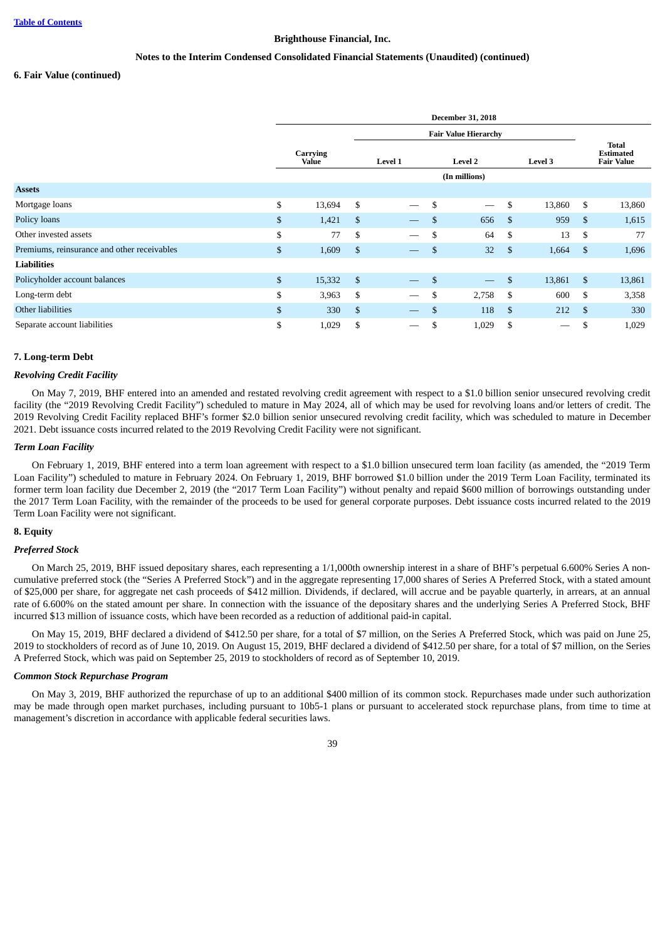### **Notes to the Interim Condensed Consolidated Financial Statements (Unaudited) (continued)**

### **6. Fair Value (continued)**

|                                             |              |                   |                |         | <b>December 31, 2018</b>    |                |                                 |                                                       |
|---------------------------------------------|--------------|-------------------|----------------|---------|-----------------------------|----------------|---------------------------------|-------------------------------------------------------|
|                                             |              |                   |                |         | <b>Fair Value Hierarchy</b> |                |                                 |                                                       |
|                                             |              | Carrying<br>Value |                | Level 1 | <b>Level 2</b>              |                | <b>Level 3</b>                  | <b>Total</b><br><b>Estimated</b><br><b>Fair Value</b> |
|                                             |              |                   |                |         | (In millions)               |                |                                 |                                                       |
| <b>Assets</b>                               |              |                   |                |         |                             |                |                                 |                                                       |
| Mortgage loans                              | \$           | 13,694            | \$             |         | \$<br>$\hspace{0.05cm}$     | \$             | 13,860                          | \$<br>13,860                                          |
| Policy loans                                | \$           | 1,421             | \$             |         | \$<br>656                   | $\mathfrak{F}$ | 959                             | \$<br>1,615                                           |
| Other invested assets                       | \$           | 77                | \$             |         | \$<br>64                    | \$             | 13                              | \$<br>77                                              |
| Premiums, reinsurance and other receivables | \$           | 1,609             | \$             |         | \$<br>32                    | $\mathfrak{S}$ | 1,664                           | \$<br>1,696                                           |
| <b>Liabilities</b>                          |              |                   |                |         |                             |                |                                 |                                                       |
| Policyholder account balances               | \$           | 15,332            | $\mathfrak{S}$ |         | \$                          | $\mathfrak{S}$ | 13,861                          | \$<br>13,861                                          |
| Long-term debt                              | \$           | 3,963             | \$             |         | \$<br>2,758                 | \$             | 600                             | \$<br>3,358                                           |
| Other liabilities                           | $\mathbf{s}$ | 330               | $\mathfrak{S}$ |         | \$<br>118                   | $\mathfrak{S}$ | 212                             | \$<br>330                                             |
| Separate account liabilities                | \$           | 1,029             | \$             |         | \$<br>1,029                 | \$             | $\hspace{0.1mm}-\hspace{0.1mm}$ | \$<br>1,029                                           |

### **7. Long-term Debt**

#### *Revolving Credit Facility*

On May 7, 2019, BHF entered into an amended and restated revolving credit agreement with respect to a \$1.0 billion senior unsecured revolving credit facility (the "2019 Revolving Credit Facility") scheduled to mature in May 2024, all of which may be used for revolving loans and/or letters of credit. The 2019 Revolving Credit Facility replaced BHF's former \$2.0 billion senior unsecured revolving credit facility, which was scheduled to mature in December 2021. Debt issuance costs incurred related to the 2019 Revolving Credit Facility were not significant.

#### *Term Loan Facility*

On February 1, 2019, BHF entered into a term loan agreement with respect to a \$1.0 billion unsecured term loan facility (as amended, the "2019 Term Loan Facility") scheduled to mature in February 2024. On February 1, 2019, BHF borrowed \$1.0 billion under the 2019 Term Loan Facility, terminated its former term loan facility due December 2, 2019 (the "2017 Term Loan Facility") without penalty and repaid \$600 million of borrowings outstanding under the 2017 Term Loan Facility, with the remainder of the proceeds to be used for general corporate purposes. Debt issuance costs incurred related to the 2019 Term Loan Facility were not significant.

### **8. Equity**

#### *Preferred Stock*

On March 25, 2019, BHF issued depositary shares, each representing a 1/1,000th ownership interest in a share of BHF's perpetual 6.600% Series A noncumulative preferred stock (the "Series A Preferred Stock") and in the aggregate representing 17,000 shares of Series A Preferred Stock, with a stated amount of \$25,000 per share, for aggregate net cash proceeds of \$412 million. Dividends, if declared, will accrue and be payable quarterly, in arrears, at an annual rate of 6.600% on the stated amount per share. In connection with the issuance of the depositary shares and the underlying Series A Preferred Stock, BHF incurred \$13 million of issuance costs, which have been recorded as a reduction of additional paid-in capital.

On May 15, 2019, BHF declared a dividend of \$412.50 per share, for a total of \$7 million, on the Series A Preferred Stock, which was paid on June 25, 2019 to stockholders of record as of June 10, 2019. On August 15, 2019, BHF declared a dividend of \$412.50 per share, for a total of \$7 million, on the Series A Preferred Stock, which was paid on September 25, 2019 to stockholders of record as of September 10, 2019.

### *Common Stock Repurchase Program*

On May 3, 2019, BHF authorized the repurchase of up to an additional \$400 million of its common stock. Repurchases made under such authorization may be made through open market purchases, including pursuant to 10b5-1 plans or pursuant to accelerated stock repurchase plans, from time to time at management's discretion in accordance with applicable federal securities laws.

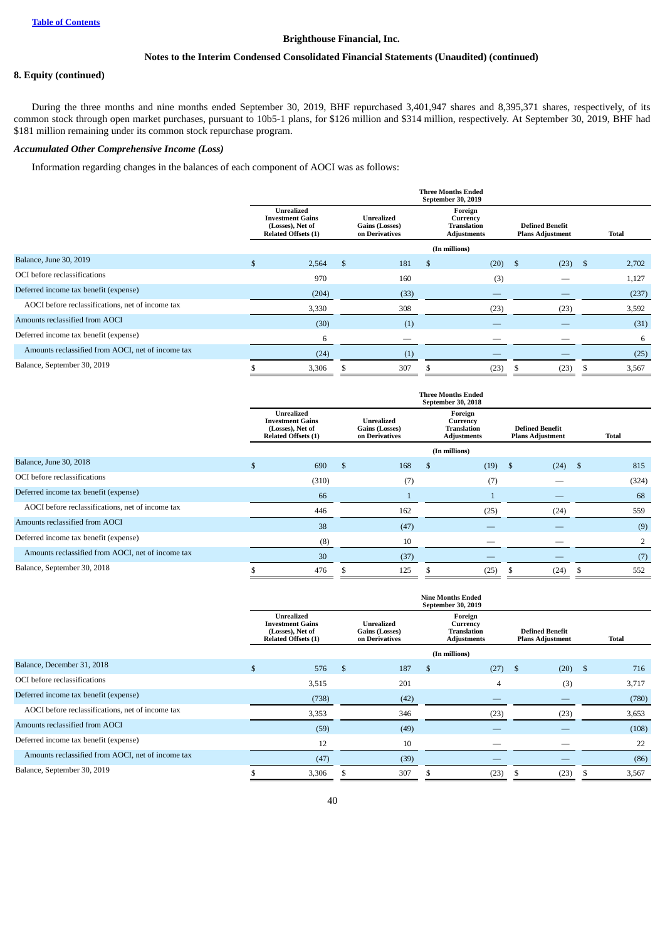### **Notes to the Interim Condensed Consolidated Financial Statements (Unaudited) (continued)**

# **8. Equity (continued)**

During the three months and nine months ended September 30, 2019, BHF repurchased 3,401,947 shares and 8,395,371 shares, respectively, of its common stock through open market purchases, pursuant to 10b5-1 plans, for \$126 million and \$314 million, respectively. At September 30, 2019, BHF had \$181 million remaining under its common stock repurchase program.

### *Accumulated Other Comprehensive Income (Loss)*

Information regarding changes in the balances of each component of AOCI was as follows:

|                                                   |                                                                                                |              |                                                |               | <b>Three Months Ended</b><br>September 30, 2019                 |           |                                                   |   |              |
|---------------------------------------------------|------------------------------------------------------------------------------------------------|--------------|------------------------------------------------|---------------|-----------------------------------------------------------------|-----------|---------------------------------------------------|---|--------------|
|                                                   | <b>Unrealized</b><br><b>Investment Gains</b><br>(Losses), Net of<br><b>Related Offsets (1)</b> |              | Unrealized<br>Gains (Losses)<br>on Derivatives |               | Foreign<br>Currency<br><b>Translation</b><br><b>Adjustments</b> |           | <b>Defined Benefit</b><br><b>Plans Adjustment</b> |   | <b>Total</b> |
|                                                   |                                                                                                |              |                                                |               | (In millions)                                                   |           |                                                   |   |              |
| Balance, June 30, 2019                            | \$<br>2,564                                                                                    | $\mathbb{S}$ | 181                                            | <sup>\$</sup> | (20)                                                            | $\sim$ \$ | $(23)$ \$                                         |   | 2,702        |
| OCI before reclassifications                      | 970                                                                                            |              | 160                                            |               | (3)                                                             |           |                                                   |   | 1,127        |
| Deferred income tax benefit (expense)             | (204)                                                                                          |              | (33)                                           |               |                                                                 |           |                                                   |   | (237)        |
| AOCI before reclassifications, net of income tax  | 3,330                                                                                          |              | 308                                            |               | (23)                                                            |           | (23)                                              |   | 3,592        |
| Amounts reclassified from AOCI                    | (30)                                                                                           |              | (1)                                            |               |                                                                 |           |                                                   |   | (31)         |
| Deferred income tax benefit (expense)             | 6                                                                                              |              |                                                |               |                                                                 |           |                                                   |   | 6            |
| Amounts reclassified from AOCI, net of income tax | (24)                                                                                           |              | (1)                                            |               |                                                                 |           |                                                   |   | (25)         |
| Balance, September 30, 2019                       | 3,306                                                                                          | S            | 307                                            | Эħ            | (23)                                                            | Ъ.        | (23)                                              | ъ | 3,567        |

|                                                   |                                                                                                |    |                                                       |     | <b>Three Months Ended</b><br>September 30, 2018          |                                                   |      |       |
|---------------------------------------------------|------------------------------------------------------------------------------------------------|----|-------------------------------------------------------|-----|----------------------------------------------------------|---------------------------------------------------|------|-------|
|                                                   | <b>Unrealized</b><br><b>Investment Gains</b><br>(Losses), Net of<br><b>Related Offsets (1)</b> |    | <b>Unrealized</b><br>Gains (Losses)<br>on Derivatives |     | Foreign<br>Currency<br>Translation<br><b>Adjustments</b> | <b>Defined Benefit</b><br><b>Plans Adjustment</b> |      | Total |
|                                                   |                                                                                                |    |                                                       |     | (In millions)                                            |                                                   |      |       |
| Balance, June 30, 2018                            | 690                                                                                            | -S | 168                                                   | -\$ | (19)                                                     | \$<br>(24)                                        | - \$ | 815   |
| OCI before reclassifications                      | (310)                                                                                          |    | (7)                                                   |     | (7)                                                      |                                                   |      | (324) |
| Deferred income tax benefit (expense)             | 66                                                                                             |    |                                                       |     |                                                          |                                                   |      | 68    |
| AOCI before reclassifications, net of income tax  | 446                                                                                            |    | 162                                                   |     | (25)                                                     | (24)                                              |      | 559   |
| Amounts reclassified from AOCI                    | 38                                                                                             |    | (47)                                                  |     |                                                          |                                                   |      | (9)   |
| Deferred income tax benefit (expense)             | (8)                                                                                            |    | 10                                                    |     |                                                          |                                                   |      | 2     |
| Amounts reclassified from AOCI, net of income tax | 30                                                                                             |    | (37)                                                  |     |                                                          |                                                   |      | (7)   |
| Balance, September 30, 2018                       | 476                                                                                            |    | 125                                                   |     | (25)                                                     | (24)                                              |      | 552   |

|                                                   |    |                                                                                                |          |                                                |              | <b>Nine Months Ended</b><br><b>September 30, 2019</b>           |      |                                                   |            |              |
|---------------------------------------------------|----|------------------------------------------------------------------------------------------------|----------|------------------------------------------------|--------------|-----------------------------------------------------------------|------|---------------------------------------------------|------------|--------------|
|                                                   |    | <b>Unrealized</b><br><b>Investment Gains</b><br>(Losses), Net of<br><b>Related Offsets (1)</b> |          | Unrealized<br>Gains (Losses)<br>on Derivatives |              | Foreign<br>Currency<br><b>Translation</b><br><b>Adjustments</b> |      | <b>Defined Benefit</b><br><b>Plans Adjustment</b> |            | <b>Total</b> |
|                                                   |    |                                                                                                |          |                                                |              | (In millions)                                                   |      |                                                   |            |              |
| Balance, December 31, 2018                        | £. | 576                                                                                            | <b>S</b> | 187                                            | $\mathbb{S}$ | (27)                                                            | - \$ | (20)                                              | $\sqrt{s}$ | 716          |
| OCI before reclassifications                      |    | 3,515                                                                                          |          | 201                                            |              | 4                                                               |      | (3)                                               |            | 3,717        |
| Deferred income tax benefit (expense)             |    | (738)                                                                                          |          | (42)                                           |              |                                                                 |      |                                                   |            | (780)        |
| AOCI before reclassifications, net of income tax  |    | 3,353                                                                                          |          | 346                                            |              | (23)                                                            |      | (23)                                              |            | 3,653        |
| Amounts reclassified from AOCI                    |    | (59)                                                                                           |          | (49)                                           |              |                                                                 |      |                                                   |            | (108)        |
| Deferred income tax benefit (expense)             |    | 12                                                                                             |          | 10                                             |              |                                                                 |      |                                                   |            | 22           |
| Amounts reclassified from AOCI, net of income tax |    | (47)                                                                                           |          | (39)                                           |              |                                                                 |      |                                                   |            | (86)         |
| Balance, September 30, 2019                       |    | 3,306                                                                                          |          | 307                                            |              | (23)                                                            |      | (23)                                              | J.         | 3,567        |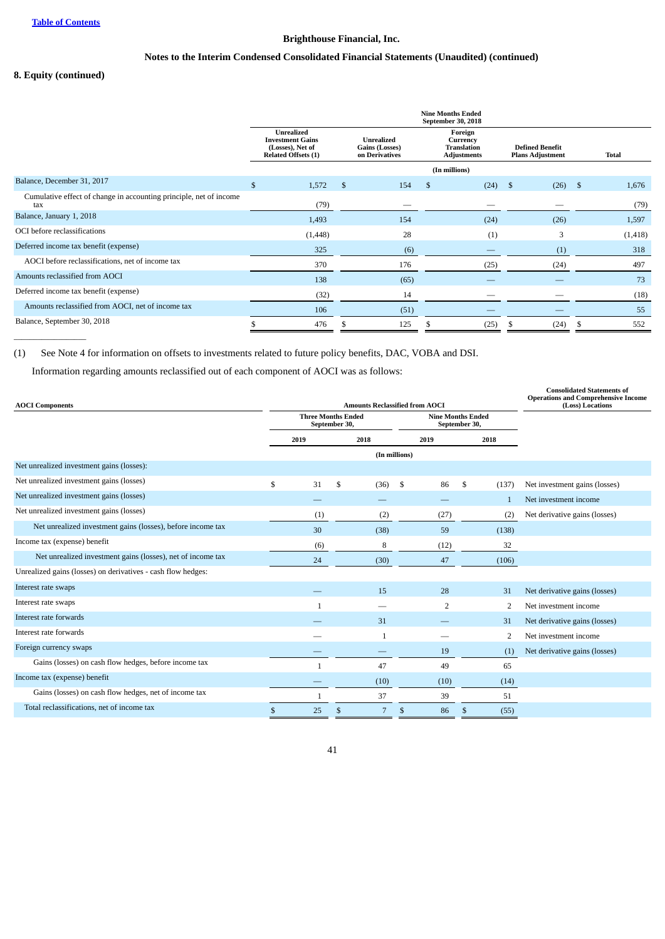# **Notes to the Interim Condensed Consolidated Financial Statements (Unaudited) (continued)**

# **8. Equity (continued)**

|                                                                           |                                                                                                |              |                                                       |    | <b>Nine Months Ended</b><br>September 30, 2018                  |                                                   |      |     |          |
|---------------------------------------------------------------------------|------------------------------------------------------------------------------------------------|--------------|-------------------------------------------------------|----|-----------------------------------------------------------------|---------------------------------------------------|------|-----|----------|
|                                                                           | <b>Unrealized</b><br><b>Investment Gains</b><br>(Losses), Net of<br><b>Related Offsets (1)</b> |              | <b>Unrealized</b><br>Gains (Losses)<br>on Derivatives |    | Foreign<br>Currency<br><b>Translation</b><br><b>Adjustments</b> | <b>Defined Benefit</b><br><b>Plans Adjustment</b> |      |     | Total    |
|                                                                           |                                                                                                |              |                                                       |    | (In millions)                                                   |                                                   |      |     |          |
| Balance, December 31, 2017                                                | \$<br>1,572                                                                                    | $\mathbb{S}$ | 154                                                   | -S | (24)                                                            | -\$                                               | (26) | -\$ | 1,676    |
| Cumulative effect of change in accounting principle, net of income<br>tax | (79)                                                                                           |              |                                                       |    |                                                                 |                                                   |      |     | (79)     |
| Balance, January 1, 2018                                                  | 1,493                                                                                          |              | 154                                                   |    | (24)                                                            |                                                   | (26) |     | 1,597    |
| OCI before reclassifications                                              | (1, 448)                                                                                       |              | 28                                                    |    | (1)                                                             |                                                   | 3    |     | (1, 418) |
| Deferred income tax benefit (expense)                                     | 325                                                                                            |              | (6)                                                   |    |                                                                 |                                                   | (1)  |     | 318      |
| AOCI before reclassifications, net of income tax                          | 370                                                                                            |              | 176                                                   |    | (25)                                                            |                                                   | (24) |     | 497      |
| Amounts reclassified from AOCI                                            | 138                                                                                            |              | (65)                                                  |    |                                                                 |                                                   |      |     | 73       |
| Deferred income tax benefit (expense)                                     | (32)                                                                                           |              | 14                                                    |    |                                                                 |                                                   |      |     | (18)     |
| Amounts reclassified from AOCI, net of income tax                         | 106                                                                                            |              | (51)                                                  |    |                                                                 |                                                   |      |     | 55       |
| Balance, September 30, 2018                                               | 476                                                                                            |              | 125                                                   |    | (25)                                                            | Э'n,                                              | (24) | J.  | 552      |
|                                                                           |                                                                                                |              |                                                       |    |                                                                 |                                                   |      |     |          |

(1) See Note 4 for information on offsets to investments related to future policy benefits, DAC, VOBA and DSI.

Information regarding amounts reclassified out of each component of AOCI was as follows:

| <b>AOCI</b> Components                                       |    |                           | <b>Amounts Reclassified from AOCI</b> |               |                          | <b>Consolidated Statements of</b><br><b>Operations and Comprehensive Income</b><br>(Loss) Locations |       |                               |
|--------------------------------------------------------------|----|---------------------------|---------------------------------------|---------------|--------------------------|-----------------------------------------------------------------------------------------------------|-------|-------------------------------|
|                                                              |    | <b>Three Months Ended</b> | September 30,                         |               | <b>Nine Months Ended</b> | September 30,                                                                                       |       |                               |
|                                                              |    | 2019                      | 2018                                  |               | 2019                     | 2018                                                                                                |       |                               |
|                                                              |    |                           |                                       | (In millions) |                          |                                                                                                     |       |                               |
| Net unrealized investment gains (losses):                    |    |                           |                                       |               |                          |                                                                                                     |       |                               |
| Net unrealized investment gains (losses)                     | \$ | 31                        | \$                                    | (36)          | \$<br>86                 | \$                                                                                                  | (137) | Net investment gains (losses) |
| Net unrealized investment gains (losses)                     |    |                           |                                       |               |                          |                                                                                                     |       | Net investment income         |
| Net unrealized investment gains (losses)                     |    | (1)                       |                                       | (2)           | (27)                     |                                                                                                     | (2)   | Net derivative gains (losses) |
| Net unrealized investment gains (losses), before income tax  |    | 30                        |                                       | (38)          | 59                       |                                                                                                     | (138) |                               |
| Income tax (expense) benefit                                 |    | (6)                       |                                       | 8             | (12)                     |                                                                                                     | 32    |                               |
| Net unrealized investment gains (losses), net of income tax  |    | 24                        |                                       | (30)          | 47                       |                                                                                                     | (106) |                               |
| Unrealized gains (losses) on derivatives - cash flow hedges: |    |                           |                                       |               |                          |                                                                                                     |       |                               |
| Interest rate swaps                                          |    |                           |                                       | 15            | 28                       |                                                                                                     | 31    | Net derivative gains (losses) |
| Interest rate swaps                                          |    | $\mathbf{1}$              |                                       |               | $\overline{2}$           |                                                                                                     | 2     | Net investment income         |
| Interest rate forwards                                       |    |                           |                                       | 31            |                          |                                                                                                     | 31    | Net derivative gains (losses) |
| Interest rate forwards                                       |    |                           |                                       | 1             |                          |                                                                                                     | 2     | Net investment income         |
| Foreign currency swaps                                       |    |                           |                                       |               | 19                       |                                                                                                     | (1)   | Net derivative gains (losses) |
| Gains (losses) on cash flow hedges, before income tax        |    | $\overline{1}$            |                                       | 47            | 49                       |                                                                                                     | 65    |                               |
| Income tax (expense) benefit                                 |    |                           |                                       | (10)          | (10)                     |                                                                                                     | (14)  |                               |
| Gains (losses) on cash flow hedges, net of income tax        |    | $\mathbf{1}$              |                                       | 37            | 39                       |                                                                                                     | 51    |                               |
| Total reclassifications, net of income tax                   | S  | 25                        | \$                                    | 7             | \$<br>86                 | \$                                                                                                  | (55)  |                               |

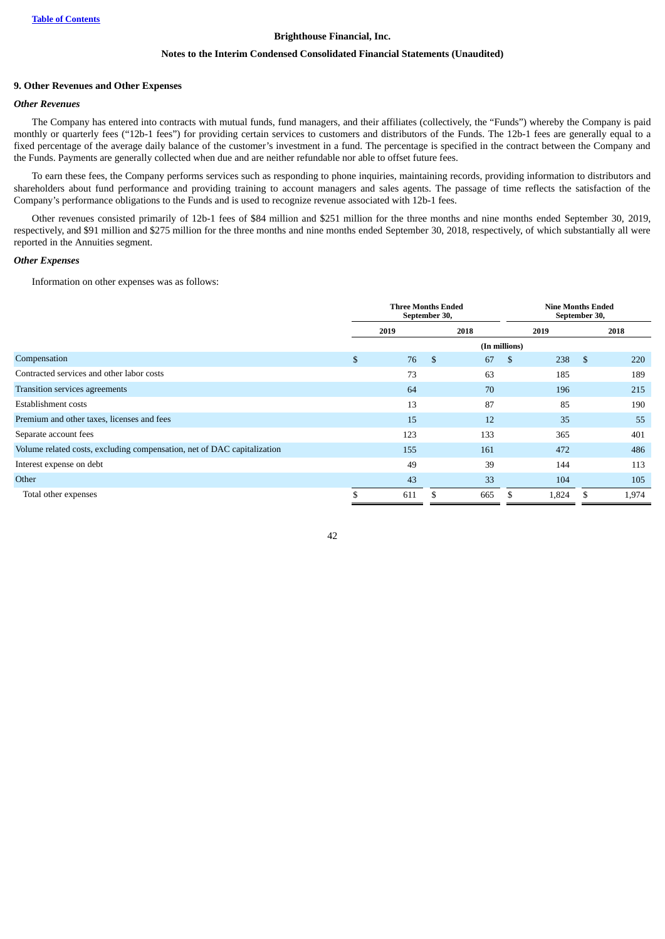# **Notes to the Interim Condensed Consolidated Financial Statements (Unaudited)**

#### **9. Other Revenues and Other Expenses**

### *Other Revenues*

The Company has entered into contracts with mutual funds, fund managers, and their affiliates (collectively, the "Funds") whereby the Company is paid monthly or quarterly fees ("12b-1 fees") for providing certain services to customers and distributors of the Funds. The 12b-1 fees are generally equal to a fixed percentage of the average daily balance of the customer's investment in a fund. The percentage is specified in the contract between the Company and the Funds. Payments are generally collected when due and are neither refundable nor able to offset future fees.

To earn these fees, the Company performs services such as responding to phone inquiries, maintaining records, providing information to distributors and shareholders about fund performance and providing training to account managers and sales agents. The passage of time reflects the satisfaction of the Company's performance obligations to the Funds and is used to recognize revenue associated with 12b-1 fees.

Other revenues consisted primarily of 12b-1 fees of \$84 million and \$251 million for the three months and nine months ended September 30, 2019, respectively, and \$91 million and \$275 million for the three months and nine months ended September 30, 2018, respectively, of which substantially all were reported in the Annuities segment.

#### *Other Expenses*

Information on other expenses was as follows:

|                                                                         | <b>Three Months Ended</b><br>September 30, |      |                |      |               | <b>Nine Months Ended</b><br>September 30, |           |
|-------------------------------------------------------------------------|--------------------------------------------|------|----------------|------|---------------|-------------------------------------------|-----------|
|                                                                         |                                            | 2019 |                | 2018 |               | 2019                                      | 2018      |
|                                                                         |                                            |      |                |      | (In millions) |                                           |           |
| Compensation                                                            | \$                                         | 76   | $\mathfrak{F}$ | 67   | \$            | 238                                       | \$<br>220 |
| Contracted services and other labor costs                               |                                            | 73   |                | 63   |               | 185                                       | 189       |
| Transition services agreements                                          |                                            | 64   |                | 70   |               | 196                                       | 215       |
| Establishment costs                                                     |                                            | 13   |                | 87   |               | 85                                        | 190       |
| Premium and other taxes, licenses and fees                              |                                            | 15   |                | 12   |               | 35                                        | 55        |
| Separate account fees                                                   |                                            | 123  |                | 133  |               | 365                                       | 401       |
| Volume related costs, excluding compensation, net of DAC capitalization |                                            | 155  |                | 161  |               | 472                                       | 486       |
| Interest expense on debt                                                |                                            | 49   |                | 39   |               | 144                                       | 113       |
| Other                                                                   |                                            | 43   |                | 33   |               | 104                                       | 105       |
| Total other expenses                                                    |                                            | 611  |                | 665  |               | 1,824                                     | 1,974     |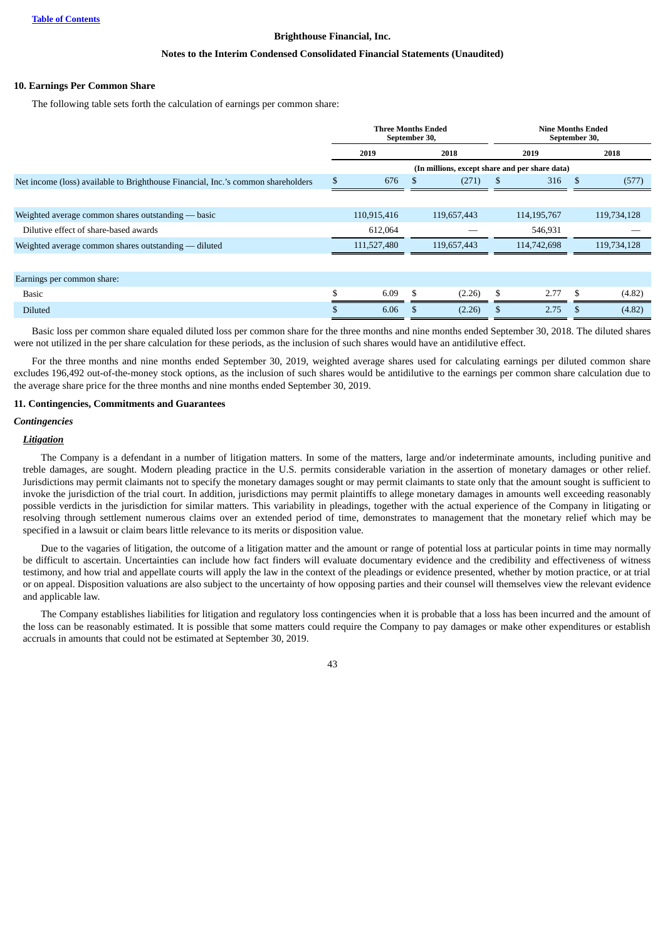### **Notes to the Interim Condensed Consolidated Financial Statements (Unaudited)**

#### **10. Earnings Per Common Share**

The following table sets forth the calculation of earnings per common share:

|                                                                                  | <b>Three Months Ended</b><br>September 30, |      |                                                |      |               | <b>Nine Months Ended</b><br>September 30, |             |  |  |
|----------------------------------------------------------------------------------|--------------------------------------------|------|------------------------------------------------|------|---------------|-------------------------------------------|-------------|--|--|
|                                                                                  | 2019                                       |      | 2018                                           |      | 2019          |                                           | 2018        |  |  |
|                                                                                  |                                            |      | (In millions, except share and per share data) |      |               |                                           |             |  |  |
| Net income (loss) available to Brighthouse Financial, Inc.'s common shareholders | \$<br>676                                  | -S   | (271)                                          | - \$ | 316           | - \$                                      | (577)       |  |  |
|                                                                                  |                                            |      |                                                |      |               |                                           |             |  |  |
| Weighted average common shares outstanding — basic                               | 110,915,416                                |      | 119,657,443                                    |      | 114, 195, 767 |                                           | 119,734,128 |  |  |
| Dilutive effect of share-based awards                                            | 612,064                                    |      |                                                |      | 546,931       |                                           |             |  |  |
| Weighted average common shares outstanding — diluted                             | 111,527,480                                |      | 119,657,443                                    |      | 114,742,698   |                                           | 119,734,128 |  |  |
|                                                                                  |                                            |      |                                                |      |               |                                           |             |  |  |
| Earnings per common share:                                                       |                                            |      |                                                |      |               |                                           |             |  |  |
| Basic                                                                            | \$<br>6.09                                 | \$   | (2.26)                                         | \$.  | 2.77          | \$                                        | (4.82)      |  |  |
| <b>Diluted</b>                                                                   | 6.06                                       | - 55 | (2.26)                                         | -86  | 2.75          | - \$                                      | (4.82)      |  |  |
|                                                                                  |                                            |      |                                                |      |               |                                           |             |  |  |

Basic loss per common share equaled diluted loss per common share for the three months and nine months ended September 30, 2018. The diluted shares were not utilized in the per share calculation for these periods, as the inclusion of such shares would have an antidilutive effect.

For the three months and nine months ended September 30, 2019, weighted average shares used for calculating earnings per diluted common share excludes 196,492 out-of-the-money stock options, as the inclusion of such shares would be antidilutive to the earnings per common share calculation due to the average share price for the three months and nine months ended September 30, 2019.

#### **11. Contingencies, Commitments and Guarantees**

#### *Contingencies*

#### *Litigation*

The Company is a defendant in a number of litigation matters. In some of the matters, large and/or indeterminate amounts, including punitive and treble damages, are sought. Modern pleading practice in the U.S. permits considerable variation in the assertion of monetary damages or other relief. Jurisdictions may permit claimants not to specify the monetary damages sought or may permit claimants to state only that the amount sought is sufficient to invoke the jurisdiction of the trial court. In addition, jurisdictions may permit plaintiffs to allege monetary damages in amounts well exceeding reasonably possible verdicts in the jurisdiction for similar matters. This variability in pleadings, together with the actual experience of the Company in litigating or resolving through settlement numerous claims over an extended period of time, demonstrates to management that the monetary relief which may be specified in a lawsuit or claim bears little relevance to its merits or disposition value.

Due to the vagaries of litigation, the outcome of a litigation matter and the amount or range of potential loss at particular points in time may normally be difficult to ascertain. Uncertainties can include how fact finders will evaluate documentary evidence and the credibility and effectiveness of witness testimony, and how trial and appellate courts will apply the law in the context of the pleadings or evidence presented, whether by motion practice, or at trial or on appeal. Disposition valuations are also subject to the uncertainty of how opposing parties and their counsel will themselves view the relevant evidence and applicable law.

The Company establishes liabilities for litigation and regulatory loss contingencies when it is probable that a loss has been incurred and the amount of the loss can be reasonably estimated. It is possible that some matters could require the Company to pay damages or make other expenditures or establish accruals in amounts that could not be estimated at September 30, 2019.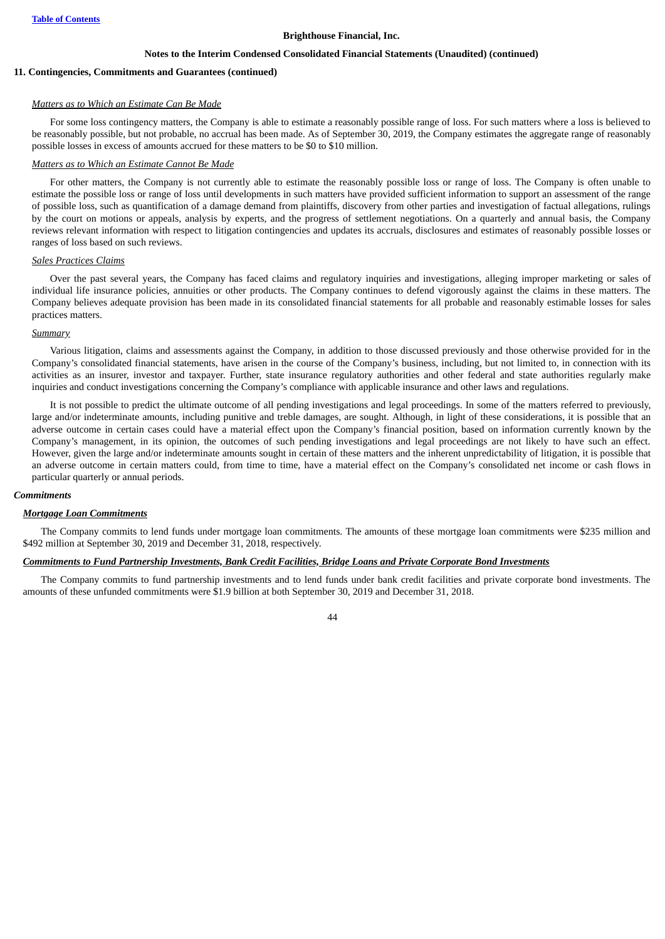### **Notes to the Interim Condensed Consolidated Financial Statements (Unaudited) (continued)**

### **11. Contingencies, Commitments and Guarantees (continued)**

#### *Matters as to Which an Estimate Can Be Made*

For some loss contingency matters, the Company is able to estimate a reasonably possible range of loss. For such matters where a loss is believed to be reasonably possible, but not probable, no accrual has been made. As of September 30, 2019, the Company estimates the aggregate range of reasonably possible losses in excess of amounts accrued for these matters to be \$0 to \$10 million.

### *Matters as to Which an Estimate Cannot Be Made*

For other matters, the Company is not currently able to estimate the reasonably possible loss or range of loss. The Company is often unable to estimate the possible loss or range of loss until developments in such matters have provided sufficient information to support an assessment of the range of possible loss, such as quantification of a damage demand from plaintiffs, discovery from other parties and investigation of factual allegations, rulings by the court on motions or appeals, analysis by experts, and the progress of settlement negotiations. On a quarterly and annual basis, the Company reviews relevant information with respect to litigation contingencies and updates its accruals, disclosures and estimates of reasonably possible losses or ranges of loss based on such reviews.

#### *Sales Practices Claims*

Over the past several years, the Company has faced claims and regulatory inquiries and investigations, alleging improper marketing or sales of individual life insurance policies, annuities or other products. The Company continues to defend vigorously against the claims in these matters. The Company believes adequate provision has been made in its consolidated financial statements for all probable and reasonably estimable losses for sales practices matters.

### *Summary*

Various litigation, claims and assessments against the Company, in addition to those discussed previously and those otherwise provided for in the Company's consolidated financial statements, have arisen in the course of the Company's business, including, but not limited to, in connection with its activities as an insurer, investor and taxpayer. Further, state insurance regulatory authorities and other federal and state authorities regularly make inquiries and conduct investigations concerning the Company's compliance with applicable insurance and other laws and regulations.

It is not possible to predict the ultimate outcome of all pending investigations and legal proceedings. In some of the matters referred to previously, large and/or indeterminate amounts, including punitive and treble damages, are sought. Although, in light of these considerations, it is possible that an adverse outcome in certain cases could have a material effect upon the Company's financial position, based on information currently known by the Company's management, in its opinion, the outcomes of such pending investigations and legal proceedings are not likely to have such an effect. However, given the large and/or indeterminate amounts sought in certain of these matters and the inherent unpredictability of litigation, it is possible that an adverse outcome in certain matters could, from time to time, have a material effect on the Company's consolidated net income or cash flows in particular quarterly or annual periods.

### *Commitments*

#### *Mortgage Loan Commitments*

The Company commits to lend funds under mortgage loan commitments. The amounts of these mortgage loan commitments were \$235 million and \$492 million at September 30, 2019 and December 31, 2018, respectively.

### Commitments to Fund Partnership Investments, Bank Credit Facilities, Bridge Loans and Private Corporate Bond Investments

The Company commits to fund partnership investments and to lend funds under bank credit facilities and private corporate bond investments. The amounts of these unfunded commitments were \$1.9 billion at both September 30, 2019 and December 31, 2018.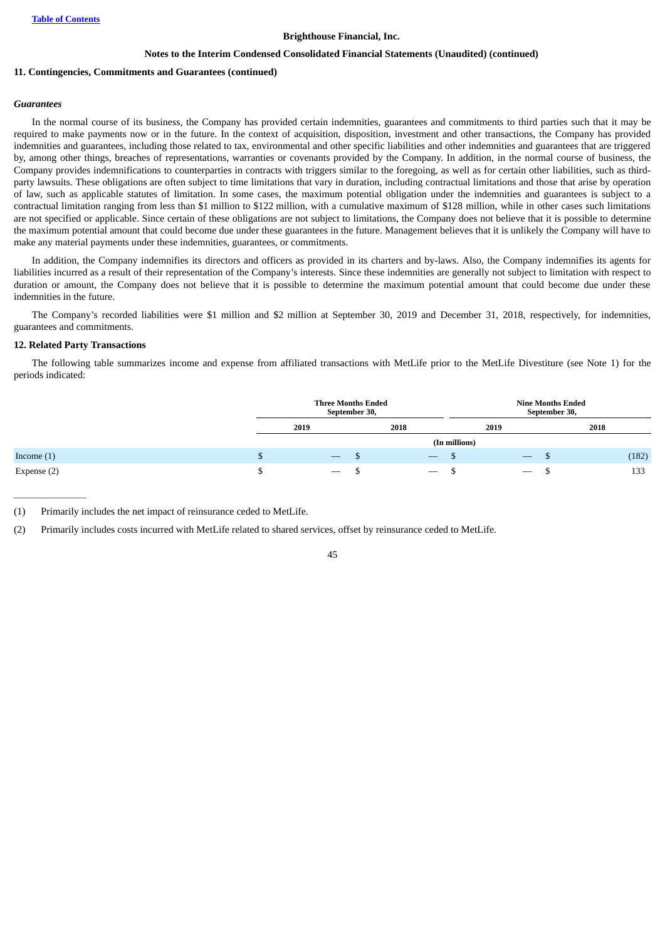### **Notes to the Interim Condensed Consolidated Financial Statements (Unaudited) (continued)**

### **11. Contingencies, Commitments and Guarantees (continued)**

#### *Guarantees*

In the normal course of its business, the Company has provided certain indemnities, guarantees and commitments to third parties such that it may be required to make payments now or in the future. In the context of acquisition, disposition, investment and other transactions, the Company has provided indemnities and guarantees, including those related to tax, environmental and other specific liabilities and other indemnities and guarantees that are triggered by, among other things, breaches of representations, warranties or covenants provided by the Company. In addition, in the normal course of business, the Company provides indemnifications to counterparties in contracts with triggers similar to the foregoing, as well as for certain other liabilities, such as thirdparty lawsuits. These obligations are often subject to time limitations that vary in duration, including contractual limitations and those that arise by operation of law, such as applicable statutes of limitation. In some cases, the maximum potential obligation under the indemnities and guarantees is subject to a contractual limitation ranging from less than \$1 million to \$122 million, with a cumulative maximum of \$128 million, while in other cases such limitations are not specified or applicable. Since certain of these obligations are not subject to limitations, the Company does not believe that it is possible to determine the maximum potential amount that could become due under these guarantees in the future. Management believes that it is unlikely the Company will have to make any material payments under these indemnities, guarantees, or commitments.

In addition, the Company indemnifies its directors and officers as provided in its charters and by-laws. Also, the Company indemnifies its agents for liabilities incurred as a result of their representation of the Company's interests. Since these indemnities are generally not subject to limitation with respect to duration or amount, the Company does not believe that it is possible to determine the maximum potential amount that could become due under these indemnities in the future.

The Company's recorded liabilities were \$1 million and \$2 million at September 30, 2019 and December 31, 2018, respectively, for indemnities, guarantees and commitments.

#### **12. Related Party Transactions**

 $\frac{1}{2}$  ,  $\frac{1}{2}$  ,  $\frac{1}{2}$  ,  $\frac{1}{2}$  ,  $\frac{1}{2}$  ,  $\frac{1}{2}$  ,  $\frac{1}{2}$  ,  $\frac{1}{2}$  ,  $\frac{1}{2}$ 

The following table summarizes income and expense from affiliated transactions with MetLife prior to the MetLife Divestiture (see Note 1) for the periods indicated:

|              |      | <b>Three Months Ended</b><br>September 30, |                                 | <b>Nine Months Ended</b><br>September 30, |       |
|--------------|------|--------------------------------------------|---------------------------------|-------------------------------------------|-------|
|              | 2019 | 2018                                       |                                 | 2019                                      | 2018  |
|              |      |                                            | (In millions)                   |                                           |       |
| Income $(1)$ |      |                                            | $\overline{\phantom{a}}$<br>۰D  | $\overline{\phantom{0}}$                  | (182) |
| Expense (2)  |      | $\hspace{0.1mm}-\hspace{0.1mm}$            | $\hspace{0.1mm}-\hspace{0.1mm}$ | $\hspace{0.1mm}-\hspace{0.1mm}$           | 133   |

(1) Primarily includes the net impact of reinsurance ceded to MetLife.

(2) Primarily includes costs incurred with MetLife related to shared services, offset by reinsurance ceded to MetLife.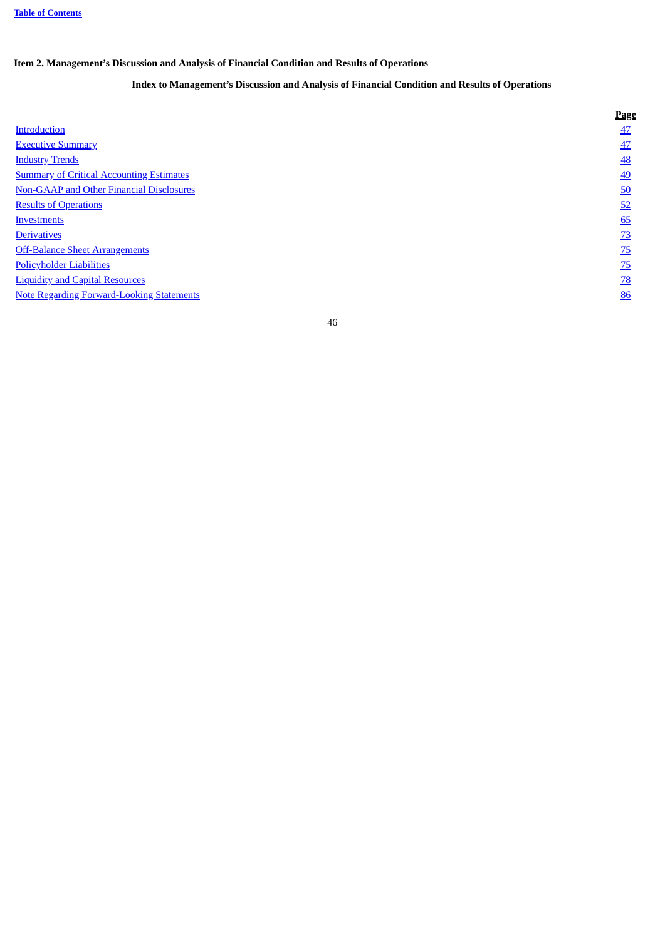# **Item 2. Management's Discussion and Analysis of Financial Condition and Results of Operations**

# **Index to Management's Discussion and Analysis of Financial Condition and Results of Operations**

|                                                  | Page            |
|--------------------------------------------------|-----------------|
| <b>Introduction</b>                              | 47              |
| <b>Executive Summary</b>                         | 47              |
| <b>Industry Trends</b>                           | 48              |
| <b>Summary of Critical Accounting Estimates</b>  | <u>49</u>       |
| Non-GAAP and Other Financial Disclosures         | 50              |
| <b>Results of Operations</b>                     | 52              |
| <b>Investments</b>                               | 65              |
| <b>Derivatives</b>                               | <u>73</u>       |
| <b>Off-Balance Sheet Arrangements</b>            | $\overline{25}$ |
| <b>Policyholder Liabilities</b>                  | $\overline{25}$ |
| <b>Liquidity and Capital Resources</b>           | $\overline{28}$ |
| <b>Note Regarding Forward-Looking Statements</b> | 86              |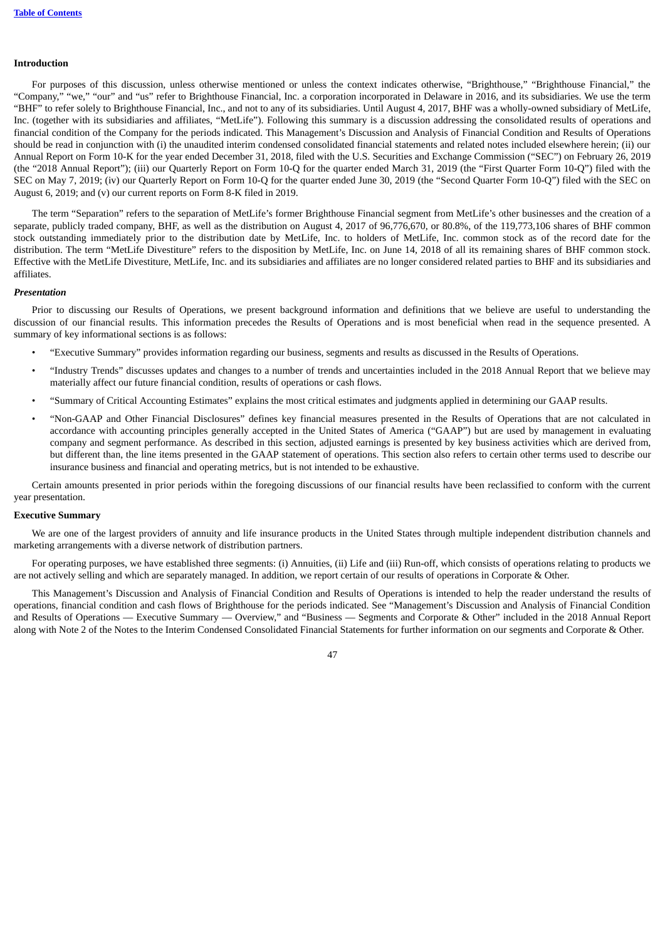### <span id="page-47-0"></span>**Introduction**

For purposes of this discussion, unless otherwise mentioned or unless the context indicates otherwise, "Brighthouse," "Brighthouse Financial," the "Company," "we," "our" and "us" refer to Brighthouse Financial, Inc. a corporation incorporated in Delaware in 2016, and its subsidiaries. We use the term "BHF" to refer solely to Brighthouse Financial, Inc., and not to any of its subsidiaries. Until August 4, 2017, BHF was a wholly-owned subsidiary of MetLife, Inc. (together with its subsidiaries and affiliates, "MetLife"). Following this summary is a discussion addressing the consolidated results of operations and financial condition of the Company for the periods indicated. This Management's Discussion and Analysis of Financial Condition and Results of Operations should be read in conjunction with (i) the unaudited interim condensed consolidated financial statements and related notes included elsewhere herein; (ii) our Annual Report on Form 10-K for the year ended December 31, 2018, filed with the U.S. Securities and Exchange Commission ("SEC") on February 26, 2019 (the "2018 Annual Report"); (iii) our Quarterly Report on Form 10-Q for the quarter ended March 31, 2019 (the "First Quarter Form 10-Q") filed with the SEC on May 7, 2019; (iv) our Quarterly Report on Form 10-Q for the quarter ended June 30, 2019 (the "Second Quarter Form 10-Q") filed with the SEC on August 6, 2019; and (v) our current reports on Form 8-K filed in 2019.

The term "Separation" refers to the separation of MetLife's former Brighthouse Financial segment from MetLife's other businesses and the creation of a separate, publicly traded company, BHF, as well as the distribution on August 4, 2017 of 96,776,670, or 80.8%, of the 119,773,106 shares of BHF common stock outstanding immediately prior to the distribution date by MetLife, Inc. to holders of MetLife, Inc. common stock as of the record date for the distribution. The term "MetLife Divestiture" refers to the disposition by MetLife, Inc. on June 14, 2018 of all its remaining shares of BHF common stock. Effective with the MetLife Divestiture, MetLife, Inc. and its subsidiaries and affiliates are no longer considered related parties to BHF and its subsidiaries and affiliates.

#### *Presentation*

Prior to discussing our Results of Operations, we present background information and definitions that we believe are useful to understanding the discussion of our financial results. This information precedes the Results of Operations and is most beneficial when read in the sequence presented. A summary of key informational sections is as follows:

- "Executive Summary" provides information regarding our business, segments and results as discussed in the Results of Operations.
- "Industry Trends" discusses updates and changes to a number of trends and uncertainties included in the 2018 Annual Report that we believe may materially affect our future financial condition, results of operations or cash flows.
- "Summary of Critical Accounting Estimates" explains the most critical estimates and judgments applied in determining our GAAP results.
- "Non-GAAP and Other Financial Disclosures" defines key financial measures presented in the Results of Operations that are not calculated in accordance with accounting principles generally accepted in the United States of America ("GAAP") but are used by management in evaluating company and segment performance. As described in this section, adjusted earnings is presented by key business activities which are derived from, but different than, the line items presented in the GAAP statement of operations. This section also refers to certain other terms used to describe our insurance business and financial and operating metrics, but is not intended to be exhaustive.

Certain amounts presented in prior periods within the foregoing discussions of our financial results have been reclassified to conform with the current year presentation.

#### <span id="page-47-1"></span>**Executive Summary**

We are one of the largest providers of annuity and life insurance products in the United States through multiple independent distribution channels and marketing arrangements with a diverse network of distribution partners.

For operating purposes, we have established three segments: (i) Annuities, (ii) Life and (iii) Run-off, which consists of operations relating to products we are not actively selling and which are separately managed. In addition, we report certain of our results of operations in Corporate & Other.

This Management's Discussion and Analysis of Financial Condition and Results of Operations is intended to help the reader understand the results of operations, financial condition and cash flows of Brighthouse for the periods indicated. See "Management's Discussion and Analysis of Financial Condition and Results of Operations — Executive Summary — Overview," and "Business — Segments and Corporate & Other" included in the 2018 Annual Report along with Note 2 of the Notes to the Interim Condensed Consolidated Financial Statements for further information on our segments and Corporate & Other.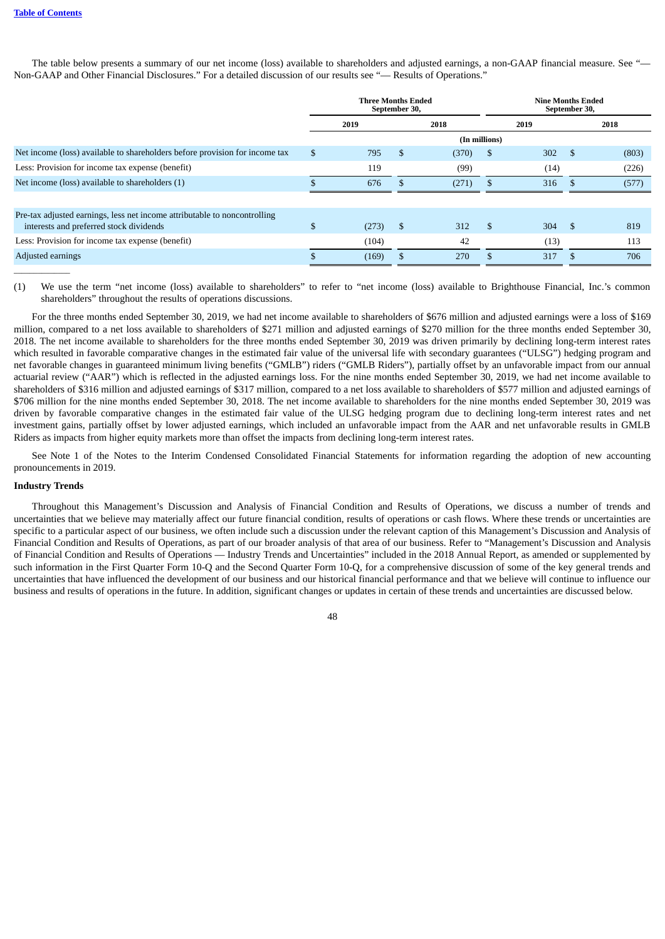The table below presents a summary of our net income (loss) available to shareholders and adjusted earnings, a non-GAAP financial measure. See "— Non-GAAP and Other Financial Disclosures." For a detailed discussion of our results see "— Results of Operations."

|                                                                             |    | <b>Three Months Ended</b> | September 30, |       |               | <b>Nine Months Ended</b><br>September 30, |                |       |  |
|-----------------------------------------------------------------------------|----|---------------------------|---------------|-------|---------------|-------------------------------------------|----------------|-------|--|
|                                                                             |    | 2019                      |               | 2018  |               | 2019                                      |                | 2018  |  |
|                                                                             |    |                           |               |       | (In millions) |                                           |                |       |  |
| Net income (loss) available to shareholders before provision for income tax | S  | 795                       | \$            | (370) | - \$          | 302                                       | $\mathfrak{L}$ | (803) |  |
| Less: Provision for income tax expense (benefit)                            |    | 119                       |               | (99)  |               | (14)                                      |                | (226) |  |
| Net income (loss) available to shareholders (1)                             |    | 676                       |               | (271) | \$            | 316                                       |                | (577) |  |
|                                                                             |    |                           |               |       |               |                                           |                |       |  |
| Pre-tax adjusted earnings, less net income attributable to noncontrolling   |    |                           |               |       |               |                                           |                |       |  |
| interests and preferred stock dividends                                     | J. | (273)                     | \$            | 312   | $\mathbf{\$}$ | 304                                       | $\mathbf{\$}$  | 819   |  |
| Less: Provision for income tax expense (benefit)                            |    | (104)                     |               | 42    |               | (13)                                      |                | 113   |  |
| Adjusted earnings                                                           |    | (169)                     | \$.           | 270   |               | 317                                       |                | 706   |  |
|                                                                             |    |                           |               |       |               |                                           |                |       |  |

(1) We use the term "net income (loss) available to shareholders" to refer to "net income (loss) available to Brighthouse Financial, Inc.'s common shareholders" throughout the results of operations discussions.

For the three months ended September 30, 2019, we had net income available to shareholders of \$676 million and adjusted earnings were a loss of \$169 million, compared to a net loss available to shareholders of \$271 million and adjusted earnings of \$270 million for the three months ended September 30, 2018. The net income available to shareholders for the three months ended September 30, 2019 was driven primarily by declining long-term interest rates which resulted in favorable comparative changes in the estimated fair value of the universal life with secondary guarantees ("ULSG") hedging program and net favorable changes in guaranteed minimum living benefits ("GMLB") riders ("GMLB Riders"), partially offset by an unfavorable impact from our annual actuarial review ("AAR") which is reflected in the adjusted earnings loss. For the nine months ended September 30, 2019, we had net income available to shareholders of \$316 million and adjusted earnings of \$317 million, compared to a net loss available to shareholders of \$577 million and adjusted earnings of \$706 million for the nine months ended September 30, 2018. The net income available to shareholders for the nine months ended September 30, 2019 was driven by favorable comparative changes in the estimated fair value of the ULSG hedging program due to declining long-term interest rates and net investment gains, partially offset by lower adjusted earnings, which included an unfavorable impact from the AAR and net unfavorable results in GMLB Riders as impacts from higher equity markets more than offset the impacts from declining long-term interest rates.

See Note 1 of the Notes to the Interim Condensed Consolidated Financial Statements for information regarding the adoption of new accounting pronouncements in 2019.

### <span id="page-48-0"></span>**Industry Trends**

Throughout this Management's Discussion and Analysis of Financial Condition and Results of Operations, we discuss a number of trends and uncertainties that we believe may materially affect our future financial condition, results of operations or cash flows. Where these trends or uncertainties are specific to a particular aspect of our business, we often include such a discussion under the relevant caption of this Management's Discussion and Analysis of Financial Condition and Results of Operations, as part of our broader analysis of that area of our business. Refer to "Management's Discussion and Analysis of Financial Condition and Results of Operations — Industry Trends and Uncertainties" included in the 2018 Annual Report, as amended or supplemented by such information in the First Quarter Form 10-Q and the Second Quarter Form 10-Q, for a comprehensive discussion of some of the key general trends and uncertainties that have influenced the development of our business and our historical financial performance and that we believe will continue to influence our business and results of operations in the future. In addition, significant changes or updates in certain of these trends and uncertainties are discussed below.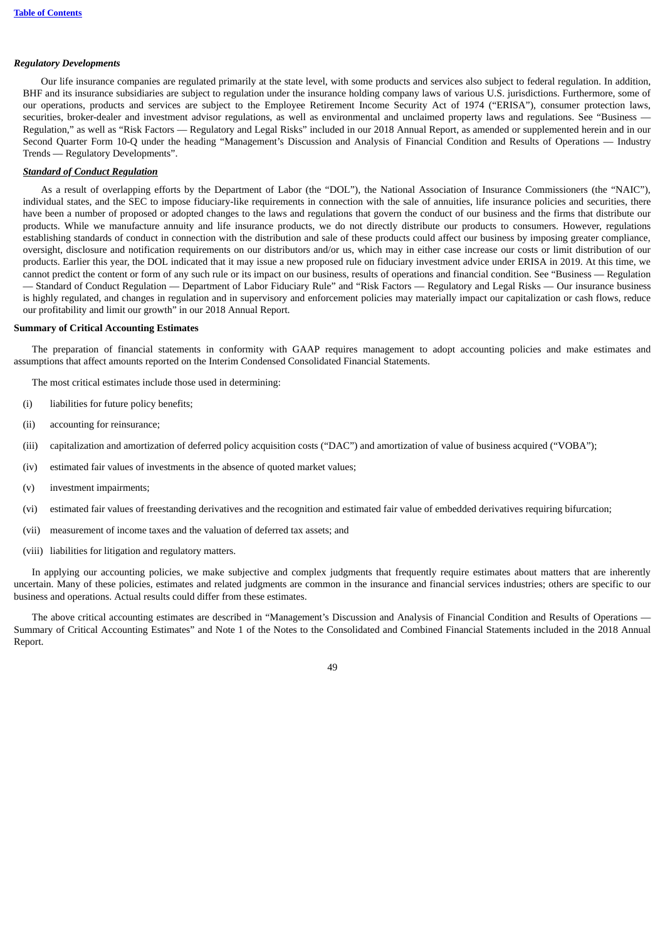#### *Regulatory Developments*

Our life insurance companies are regulated primarily at the state level, with some products and services also subject to federal regulation. In addition, BHF and its insurance subsidiaries are subject to regulation under the insurance holding company laws of various U.S. jurisdictions. Furthermore, some of our operations, products and services are subject to the Employee Retirement Income Security Act of 1974 ("ERISA"), consumer protection laws, securities, broker-dealer and investment advisor regulations, as well as environmental and unclaimed property laws and regulations. See "Business — Regulation," as well as "Risk Factors — Regulatory and Legal Risks" included in our 2018 Annual Report, as amended or supplemented herein and in our Second Quarter Form 10-Q under the heading "Management's Discussion and Analysis of Financial Condition and Results of Operations — Industry Trends — Regulatory Developments".

### *Standard of Conduct Regulation*

As a result of overlapping efforts by the Department of Labor (the "DOL"), the National Association of Insurance Commissioners (the "NAIC"), individual states, and the SEC to impose fiduciary-like requirements in connection with the sale of annuities, life insurance policies and securities, there have been a number of proposed or adopted changes to the laws and regulations that govern the conduct of our business and the firms that distribute our products. While we manufacture annuity and life insurance products, we do not directly distribute our products to consumers. However, regulations establishing standards of conduct in connection with the distribution and sale of these products could affect our business by imposing greater compliance, oversight, disclosure and notification requirements on our distributors and/or us, which may in either case increase our costs or limit distribution of our products. Earlier this year, the DOL indicated that it may issue a new proposed rule on fiduciary investment advice under ERISA in 2019. At this time, we cannot predict the content or form of any such rule or its impact on our business, results of operations and financial condition. See "Business — Regulation — Standard of Conduct Regulation — Department of Labor Fiduciary Rule" and "Risk Factors — Regulatory and Legal Risks — Our insurance business is highly regulated, and changes in regulation and in supervisory and enforcement policies may materially impact our capitalization or cash flows, reduce our profitability and limit our growth" in our 2018 Annual Report.

#### <span id="page-49-0"></span>**Summary of Critical Accounting Estimates**

The preparation of financial statements in conformity with GAAP requires management to adopt accounting policies and make estimates and assumptions that affect amounts reported on the Interim Condensed Consolidated Financial Statements.

The most critical estimates include those used in determining:

- (i) liabilities for future policy benefits;
- (ii) accounting for reinsurance;
- (iii) capitalization and amortization of deferred policy acquisition costs ("DAC") and amortization of value of business acquired ("VOBA");
- (iv) estimated fair values of investments in the absence of quoted market values;
- (v) investment impairments;
- (vi) estimated fair values of freestanding derivatives and the recognition and estimated fair value of embedded derivatives requiring bifurcation;
- (vii) measurement of income taxes and the valuation of deferred tax assets; and
- (viii) liabilities for litigation and regulatory matters.

In applying our accounting policies, we make subjective and complex judgments that frequently require estimates about matters that are inherently uncertain. Many of these policies, estimates and related judgments are common in the insurance and financial services industries; others are specific to our business and operations. Actual results could differ from these estimates.

The above critical accounting estimates are described in "Management's Discussion and Analysis of Financial Condition and Results of Operations — Summary of Critical Accounting Estimates" and Note 1 of the Notes to the Consolidated and Combined Financial Statements included in the 2018 Annual Report.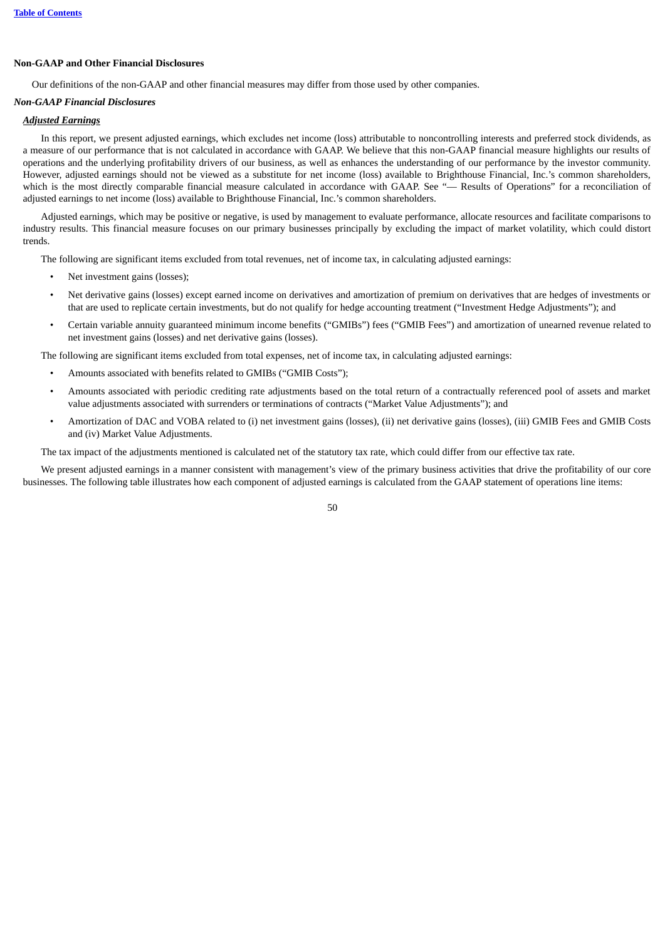# <span id="page-50-0"></span>**Non-GAAP and Other Financial Disclosures**

Our definitions of the non-GAAP and other financial measures may differ from those used by other companies.

# *Non-GAAP Financial Disclosures*

# *Adjusted Earnings*

In this report, we present adjusted earnings, which excludes net income (loss) attributable to noncontrolling interests and preferred stock dividends, as a measure of our performance that is not calculated in accordance with GAAP. We believe that this non-GAAP financial measure highlights our results of operations and the underlying profitability drivers of our business, as well as enhances the understanding of our performance by the investor community. However, adjusted earnings should not be viewed as a substitute for net income (loss) available to Brighthouse Financial, Inc.'s common shareholders, which is the most directly comparable financial measure calculated in accordance with GAAP. See "- Results of Operations" for a reconciliation of adjusted earnings to net income (loss) available to Brighthouse Financial, Inc.'s common shareholders.

Adjusted earnings, which may be positive or negative, is used by management to evaluate performance, allocate resources and facilitate comparisons to industry results. This financial measure focuses on our primary businesses principally by excluding the impact of market volatility, which could distort trends.

The following are significant items excluded from total revenues, net of income tax, in calculating adjusted earnings:

- Net investment gains (losses);
- Net derivative gains (losses) except earned income on derivatives and amortization of premium on derivatives that are hedges of investments or that are used to replicate certain investments, but do not qualify for hedge accounting treatment ("Investment Hedge Adjustments"); and
- Certain variable annuity guaranteed minimum income benefits ("GMIBs") fees ("GMIB Fees") and amortization of unearned revenue related to net investment gains (losses) and net derivative gains (losses).

The following are significant items excluded from total expenses, net of income tax, in calculating adjusted earnings:

- Amounts associated with benefits related to GMIBs ("GMIB Costs");
- Amounts associated with periodic crediting rate adjustments based on the total return of a contractually referenced pool of assets and market value adjustments associated with surrenders or terminations of contracts ("Market Value Adjustments"); and
- Amortization of DAC and VOBA related to (i) net investment gains (losses), (ii) net derivative gains (losses), (iii) GMIB Fees and GMIB Costs and (iv) Market Value Adjustments.

The tax impact of the adjustments mentioned is calculated net of the statutory tax rate, which could differ from our effective tax rate.

We present adjusted earnings in a manner consistent with management's view of the primary business activities that drive the profitability of our core businesses. The following table illustrates how each component of adjusted earnings is calculated from the GAAP statement of operations line items: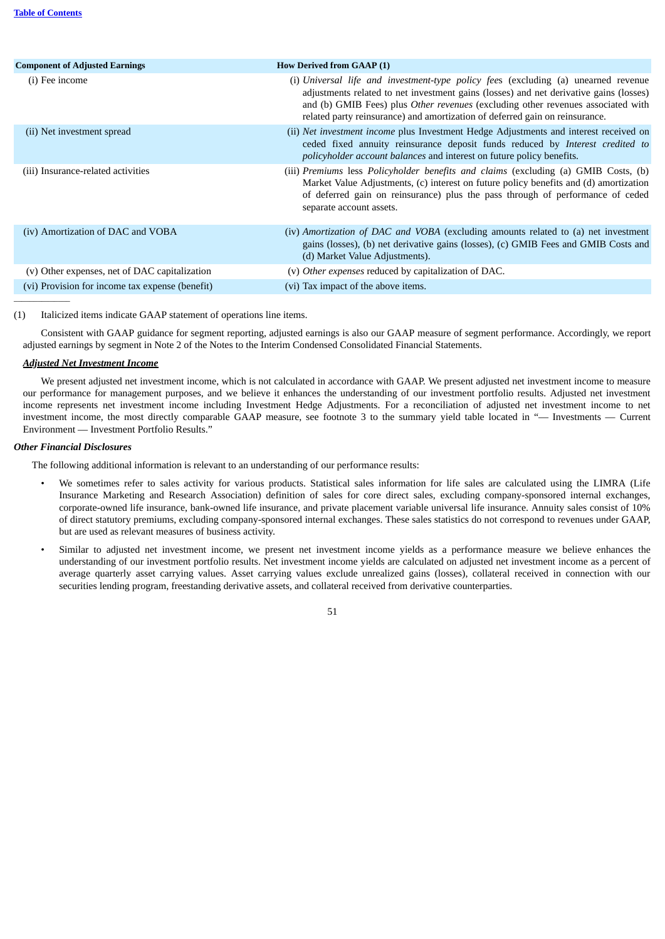| <b>Component of Adjusted Earnings</b>           | <b>How Derived from GAAP (1)</b>                                                                                                                                                                                                                                                                                                                 |
|-------------------------------------------------|--------------------------------------------------------------------------------------------------------------------------------------------------------------------------------------------------------------------------------------------------------------------------------------------------------------------------------------------------|
| (i) Fee income                                  | (i) Universal life and investment-type policy fees (excluding (a) unearned revenue<br>adjustments related to net investment gains (losses) and net derivative gains (losses)<br>and (b) GMIB Fees) plus Other revenues (excluding other revenues associated with<br>related party reinsurance) and amortization of deferred gain on reinsurance. |
| (ii) Net investment spread                      | (ii) Net investment income plus Investment Hedge Adjustments and interest received on<br>ceded fixed annuity reinsurance deposit funds reduced by Interest credited to<br>policyholder account balances and interest on future policy benefits.                                                                                                  |
| (iii) Insurance-related activities              | (iii) Premiums less Policyholder benefits and claims (excluding (a) GMIB Costs, (b)<br>Market Value Adjustments, (c) interest on future policy benefits and (d) amortization<br>of deferred gain on reinsurance) plus the pass through of performance of ceded<br>separate account assets.                                                       |
| (iv) Amortization of DAC and VOBA               | (iv) Amortization of DAC and VOBA (excluding amounts related to (a) net investment<br>gains (losses), (b) net derivative gains (losses), (c) GMIB Fees and GMIB Costs and<br>(d) Market Value Adjustments).                                                                                                                                      |
| (v) Other expenses, net of DAC capitalization   | (v) Other expenses reduced by capitalization of DAC.                                                                                                                                                                                                                                                                                             |
| (vi) Provision for income tax expense (benefit) | (vi) Tax impact of the above items.                                                                                                                                                                                                                                                                                                              |

### (1) Italicized items indicate GAAP statement of operations line items.

Consistent with GAAP guidance for segment reporting, adjusted earnings is also our GAAP measure of segment performance. Accordingly, we report adjusted earnings by segment in Note 2 of the Notes to the Interim Condensed Consolidated Financial Statements.

### *Adjusted Net Investment Income*

We present adjusted net investment income, which is not calculated in accordance with GAAP. We present adjusted net investment income to measure our performance for management purposes, and we believe it enhances the understanding of our investment portfolio results. Adjusted net investment income represents net investment income including Investment Hedge Adjustments. For a reconciliation of adjusted net investment income to net investment income, the most directly comparable GAAP measure, see footnote 3 to the summary yield table located in "— Investments — Current Environment — Investment Portfolio Results."

### *Other Financial Disclosures*

 $\overline{\phantom{a}}$ 

The following additional information is relevant to an understanding of our performance results:

- We sometimes refer to sales activity for various products. Statistical sales information for life sales are calculated using the LIMRA (Life Insurance Marketing and Research Association) definition of sales for core direct sales, excluding company-sponsored internal exchanges, corporate-owned life insurance, bank-owned life insurance, and private placement variable universal life insurance. Annuity sales consist of 10% of direct statutory premiums, excluding company-sponsored internal exchanges. These sales statistics do not correspond to revenues under GAAP, but are used as relevant measures of business activity.
- Similar to adjusted net investment income, we present net investment income yields as a performance measure we believe enhances the understanding of our investment portfolio results. Net investment income yields are calculated on adjusted net investment income as a percent of average quarterly asset carrying values. Asset carrying values exclude unrealized gains (losses), collateral received in connection with our securities lending program, freestanding derivative assets, and collateral received from derivative counterparties.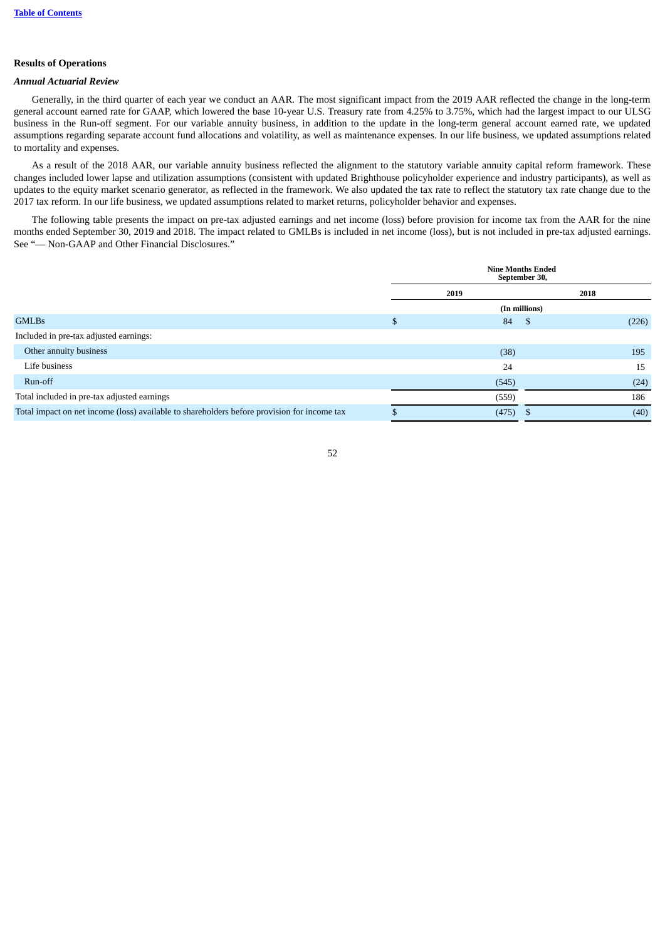# <span id="page-52-0"></span>**Results of Operations**

# *Annual Actuarial Review*

Generally, in the third quarter of each year we conduct an AAR. The most significant impact from the 2019 AAR reflected the change in the long-term general account earned rate for GAAP, which lowered the base 10-year U.S. Treasury rate from 4.25% to 3.75%, which had the largest impact to our ULSG business in the Run-off segment. For our variable annuity business, in addition to the update in the long-term general account earned rate, we updated assumptions regarding separate account fund allocations and volatility, as well as maintenance expenses. In our life business, we updated assumptions related to mortality and expenses.

As a result of the 2018 AAR, our variable annuity business reflected the alignment to the statutory variable annuity capital reform framework. These changes included lower lapse and utilization assumptions (consistent with updated Brighthouse policyholder experience and industry participants), as well as updates to the equity market scenario generator, as reflected in the framework. We also updated the tax rate to reflect the statutory tax rate change due to the 2017 tax reform. In our life business, we updated assumptions related to market returns, policyholder behavior and expenses.

The following table presents the impact on pre-tax adjusted earnings and net income (loss) before provision for income tax from the AAR for the nine months ended September 30, 2019 and 2018. The impact related to GMLBs is included in net income (loss), but is not included in pre-tax adjusted earnings. See "— Non-GAAP and Other Financial Disclosures."

|                                                                                             |          | <b>Nine Months Ended</b><br>September 30, |       |
|---------------------------------------------------------------------------------------------|----------|-------------------------------------------|-------|
|                                                                                             | 2019     |                                           | 2018  |
|                                                                                             |          | (In millions)                             |       |
| <b>GMLBs</b>                                                                                | \$<br>84 | -\$                                       | (226) |
| Included in pre-tax adjusted earnings:                                                      |          |                                           |       |
| Other annuity business                                                                      | (38)     |                                           | 195   |
| Life business                                                                               | 24       |                                           | 15    |
| Run-off                                                                                     | (545)    |                                           | (24)  |
| Total included in pre-tax adjusted earnings                                                 | (559)    |                                           | 186   |
| Total impact on net income (loss) available to shareholders before provision for income tax | (475)    | - 85                                      | (40)  |
|                                                                                             |          |                                           |       |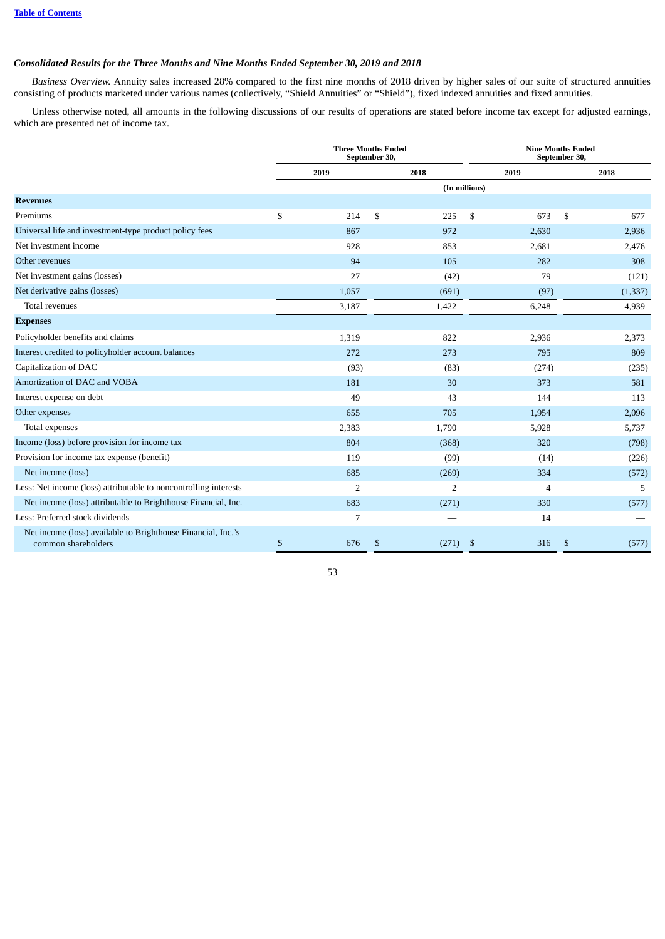# *Consolidated Results for the Three Months and Nine Months Ended September 30, 2019 and 2018*

*Business Overview.* Annuity sales increased 28% compared to the first nine months of 2018 driven by higher sales of our suite of structured annuities consisting of products marketed under various names (collectively, "Shield Annuities" or "Shield"), fixed indexed annuities and fixed annuities.

Unless otherwise noted, all amounts in the following discussions of our results of operations are stated before income tax except for adjusted earnings, which are presented net of income tax.

|                                                                                     | <b>Three Months Ended</b><br>September 30, |               | <b>Nine Months Ended</b><br>September 30, |    |          |  |
|-------------------------------------------------------------------------------------|--------------------------------------------|---------------|-------------------------------------------|----|----------|--|
|                                                                                     | 2019                                       | 2018          | 2019                                      |    | 2018     |  |
|                                                                                     |                                            | (In millions) |                                           |    |          |  |
| <b>Revenues</b>                                                                     |                                            |               |                                           |    |          |  |
| Premiums                                                                            | \$<br>214                                  | \$<br>225     | \$<br>673                                 | \$ | 677      |  |
| Universal life and investment-type product policy fees                              | 867                                        | 972           | 2,630                                     |    | 2,936    |  |
| Net investment income                                                               | 928                                        | 853           | 2,681                                     |    | 2,476    |  |
| Other revenues                                                                      | 94                                         | 105           | 282                                       |    | 308      |  |
| Net investment gains (losses)                                                       | 27                                         | (42)          | 79                                        |    | (121)    |  |
| Net derivative gains (losses)                                                       | 1,057                                      | (691)         | (97)                                      |    | (1, 337) |  |
| Total revenues                                                                      | 3,187                                      | 1,422         | 6,248                                     |    | 4,939    |  |
| <b>Expenses</b>                                                                     |                                            |               |                                           |    |          |  |
| Policyholder benefits and claims                                                    | 1,319                                      | 822           | 2,936                                     |    | 2,373    |  |
| Interest credited to policyholder account balances                                  | 272                                        | 273           | 795                                       |    | 809      |  |
| Capitalization of DAC                                                               | (93)                                       | (83)          | (274)                                     |    | (235)    |  |
| Amortization of DAC and VOBA                                                        | 181                                        | 30            | 373                                       |    | 581      |  |
| Interest expense on debt                                                            | 49                                         | 43            | 144                                       |    | 113      |  |
| Other expenses                                                                      | 655                                        | 705           | 1,954                                     |    | 2,096    |  |
| Total expenses                                                                      | 2,383                                      | 1,790         | 5,928                                     |    | 5,737    |  |
| Income (loss) before provision for income tax                                       | 804                                        | (368)         | 320                                       |    | (798)    |  |
| Provision for income tax expense (benefit)                                          | 119                                        | (99)          | (14)                                      |    | (226)    |  |
| Net income (loss)                                                                   | 685                                        | (269)         | 334                                       |    | (572)    |  |
| Less: Net income (loss) attributable to noncontrolling interests                    | $\overline{2}$                             | 2             | 4                                         |    | 5        |  |
| Net income (loss) attributable to Brighthouse Financial, Inc.                       | 683                                        | (271)         | 330                                       |    | (577)    |  |
| Less: Preferred stock dividends                                                     | 7                                          |               | 14                                        |    |          |  |
| Net income (loss) available to Brighthouse Financial, Inc.'s<br>common shareholders | \$<br>676                                  | \$<br>(271)   | \$<br>316                                 | \$ | (577)    |  |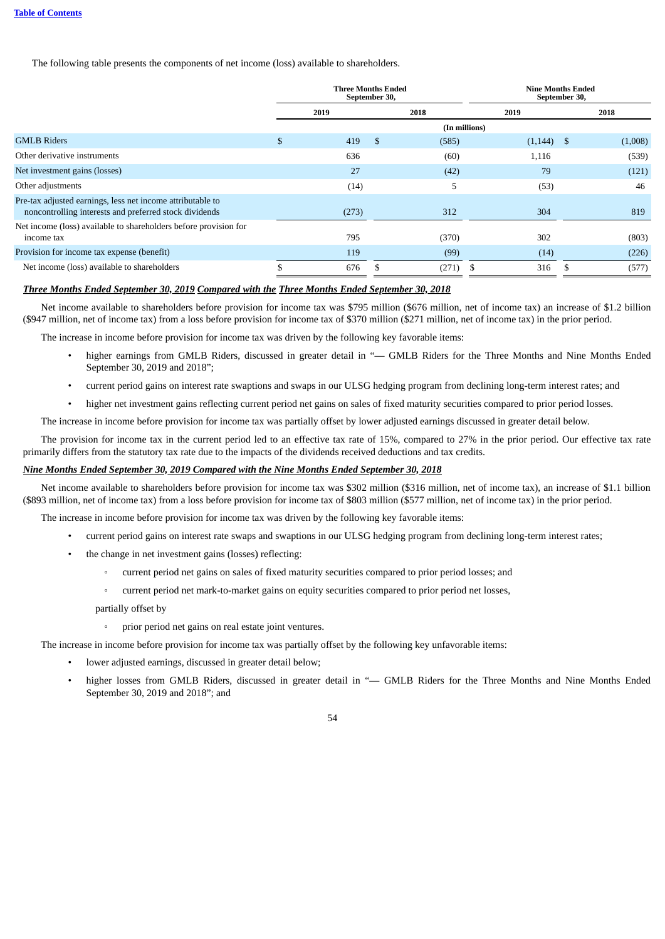The following table presents the components of net income (loss) available to shareholders.

|                                                                                                                      | <b>Three Months Ended</b> | September 30, |               | <b>Nine Months Ended</b><br>September 30, |  |         |  |
|----------------------------------------------------------------------------------------------------------------------|---------------------------|---------------|---------------|-------------------------------------------|--|---------|--|
|                                                                                                                      | 2019                      |               | 2018          | 2019                                      |  | 2018    |  |
|                                                                                                                      |                           |               | (In millions) |                                           |  |         |  |
| <b>GMLB Riders</b>                                                                                                   | \$<br>419                 | \$            | (585)         | $(1,144)$ \$                              |  | (1,008) |  |
| Other derivative instruments                                                                                         | 636                       |               | (60)          | 1,116                                     |  | (539)   |  |
| Net investment gains (losses)                                                                                        | 27                        |               | (42)          | 79                                        |  | (121)   |  |
| Other adjustments                                                                                                    | (14)                      |               | 5             | (53)                                      |  | 46      |  |
| Pre-tax adjusted earnings, less net income attributable to<br>noncontrolling interests and preferred stock dividends | (273)                     |               | 312           | 304                                       |  | 819     |  |
| Net income (loss) available to shareholders before provision for<br>income tax                                       | 795                       |               | (370)         | 302                                       |  | (803)   |  |
| Provision for income tax expense (benefit)                                                                           | 119                       |               | (99)          | (14)                                      |  | (226)   |  |
| Net income (loss) available to shareholders                                                                          | 676                       |               | (271)         | 316                                       |  | (577)   |  |

# *Three Months Ended September 30, 2019 Compared with the Three Months Ended September 30, 2018*

Net income available to shareholders before provision for income tax was \$795 million (\$676 million, net of income tax) an increase of \$1.2 billion (\$947 million, net of income tax) from a loss before provision for income tax of \$370 million (\$271 million, net of income tax) in the prior period.

The increase in income before provision for income tax was driven by the following key favorable items:

- higher earnings from GMLB Riders, discussed in greater detail in "— GMLB Riders for the Three Months and Nine Months Ended September 30, 2019 and 2018";
- current period gains on interest rate swaptions and swaps in our ULSG hedging program from declining long-term interest rates; and
- higher net investment gains reflecting current period net gains on sales of fixed maturity securities compared to prior period losses.

The increase in income before provision for income tax was partially offset by lower adjusted earnings discussed in greater detail below.

The provision for income tax in the current period led to an effective tax rate of 15%, compared to 27% in the prior period. Our effective tax rate primarily differs from the statutory tax rate due to the impacts of the dividends received deductions and tax credits.

# *Nine Months Ended September 30, 2019 Compared with the Nine Months Ended September 30, 2018*

Net income available to shareholders before provision for income tax was \$302 million (\$316 million, net of income tax), an increase of \$1.1 billion (\$893 million, net of income tax) from a loss before provision for income tax of \$803 million (\$577 million, net of income tax) in the prior period.

The increase in income before provision for income tax was driven by the following key favorable items:

- current period gains on interest rate swaps and swaptions in our ULSG hedging program from declining long-term interest rates;
- the change in net investment gains (losses) reflecting:
	- current period net gains on sales of fixed maturity securities compared to prior period losses; and
	- current period net mark-to-market gains on equity securities compared to prior period net losses,

partially offset by

prior period net gains on real estate joint ventures.

The increase in income before provision for income tax was partially offset by the following key unfavorable items:

- lower adjusted earnings, discussed in greater detail below;
- higher losses from GMLB Riders, discussed in greater detail in "— GMLB Riders for the Three Months and Nine Months Ended September 30, 2019 and 2018"; and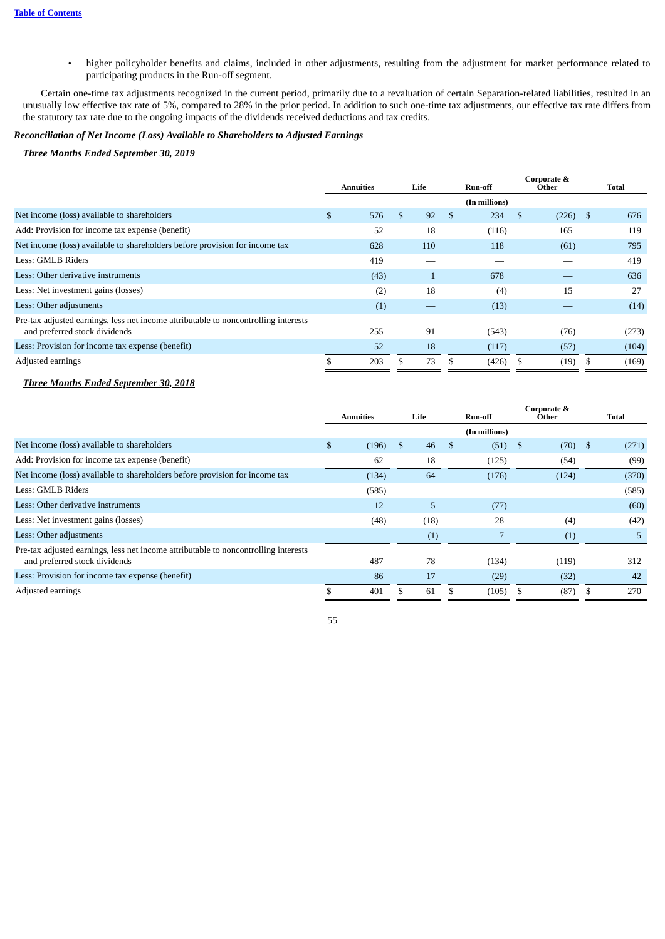• higher policyholder benefits and claims, included in other adjustments, resulting from the adjustment for market performance related to participating products in the Run-off segment.

Certain one-time tax adjustments recognized in the current period, primarily due to a revaluation of certain Separation-related liabilities, resulted in an unusually low effective tax rate of 5%, compared to 28% in the prior period. In addition to such one-time tax adjustments, our effective tax rate differs from the statutory tax rate due to the ongoing impacts of the dividends received deductions and tax credits.

# *Reconciliation of Net Income (Loss) Available to Shareholders to Adjusted Earnings*

# *Three Months Ended September 30, 2019*

|                                                                                                                      | Life<br><b>Annuities</b> |      |    |     | <b>Run-off</b> | Corporate &<br>Other | <b>Total</b>     |       |
|----------------------------------------------------------------------------------------------------------------------|--------------------------|------|----|-----|----------------|----------------------|------------------|-------|
|                                                                                                                      |                          |      |    |     |                | (In millions)        |                  |       |
| Net income (loss) available to shareholders                                                                          | \$                       | 576  | \$ | 92  | \$             | 234                  | $(226)$ \$<br>-S | 676   |
| Add: Provision for income tax expense (benefit)                                                                      |                          | 52   |    | 18  |                | (116)                | 165              | 119   |
| Net income (loss) available to shareholders before provision for income tax                                          |                          | 628  |    | 110 |                | 118                  | (61)             | 795   |
| Less: GMLB Riders                                                                                                    |                          | 419  |    |     |                |                      |                  | 419   |
| Less: Other derivative instruments                                                                                   |                          | (43) |    |     |                | 678                  |                  | 636   |
| Less: Net investment gains (losses)                                                                                  |                          | (2)  |    | 18  |                | (4)                  | 15               | 27    |
| Less: Other adjustments                                                                                              |                          | (1)  |    |     |                | (13)                 |                  | (14)  |
| Pre-tax adjusted earnings, less net income attributable to noncontrolling interests<br>and preferred stock dividends |                          | 255  |    | 91  |                | (543)                | (76)             | (273) |
| Less: Provision for income tax expense (benefit)                                                                     |                          | 52   |    | 18  |                | (117)                | (57)             | (104) |
| Adjusted earnings                                                                                                    |                          | 203  |    | 73  | S              | (426)                | (19)             | (169) |

# *Three Months Ended September 30, 2018*

|                                                                                                                      | Life<br><b>Annuities</b> |       |      |      | Run-off | Corporate &<br>Other |       | Total     |       |
|----------------------------------------------------------------------------------------------------------------------|--------------------------|-------|------|------|---------|----------------------|-------|-----------|-------|
|                                                                                                                      |                          |       |      |      |         | (In millions)        |       |           |       |
| Net income (loss) available to shareholders                                                                          | \$                       | (196) | - \$ | 46   | - \$    | $(51)$ \$            |       | $(70)$ \$ | (271) |
| Add: Provision for income tax expense (benefit)                                                                      |                          | 62    |      | 18   |         | (125)                | (54)  |           | (99)  |
| Net income (loss) available to shareholders before provision for income tax                                          |                          | (134) |      | 64   |         | (176)                | (124) |           | (370) |
| Less: GMLB Riders                                                                                                    |                          | (585) |      |      |         |                      |       |           | (585) |
| Less: Other derivative instruments                                                                                   |                          | 12    |      | 5    |         | (77)                 |       |           | (60)  |
| Less: Net investment gains (losses)                                                                                  |                          | (48)  |      | (18) |         | 28                   | (4)   |           | (42)  |
| Less: Other adjustments                                                                                              |                          |       |      | (1)  |         |                      | (1)   |           | 5.    |
| Pre-tax adjusted earnings, less net income attributable to noncontrolling interests<br>and preferred stock dividends |                          | 487   |      | 78   |         | (134)                | (119) |           | 312   |
| Less: Provision for income tax expense (benefit)                                                                     |                          | 86    |      | 17   |         | (29)                 | (32)  |           | 42    |
| Adjusted earnings                                                                                                    |                          | 401   |      | 61   |         | (105)                | (87)  |           | 270   |

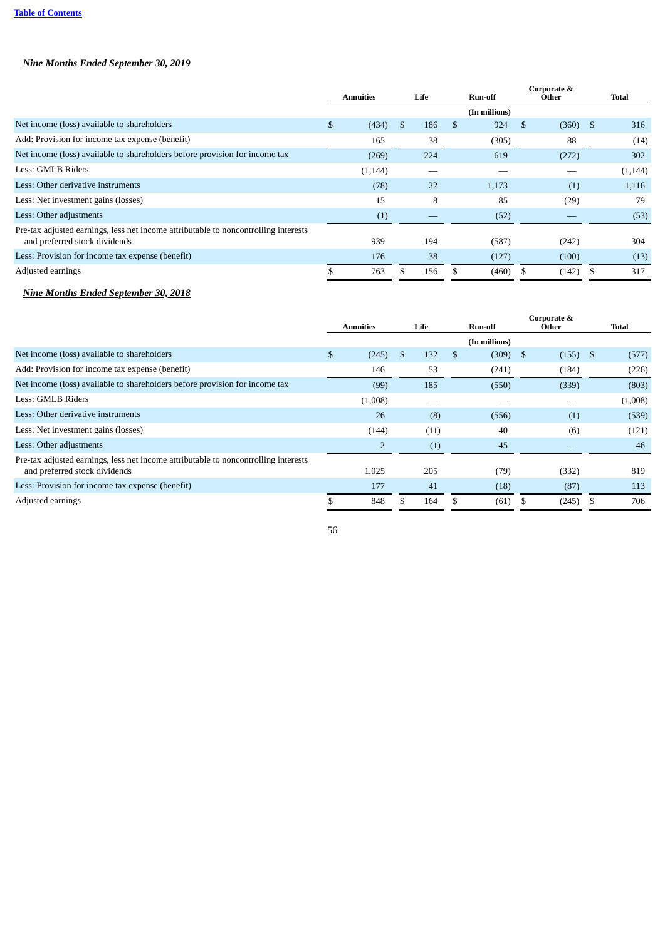# *Nine Months Ended September 30, 2019*

|                                                                                                                      | <b>Annuities</b> | Life |     |    | Run-off       | Corporate &<br>Other | <b>Total</b> |
|----------------------------------------------------------------------------------------------------------------------|------------------|------|-----|----|---------------|----------------------|--------------|
|                                                                                                                      |                  |      |     |    | (In millions) |                      |              |
| Net income (loss) available to shareholders                                                                          | \$<br>(434)      | \$   | 186 | \$ | 924           | $(360)$ \$<br>-S     | 316          |
| Add: Provision for income tax expense (benefit)                                                                      | 165              |      | 38  |    | (305)         | 88                   | (14)         |
| Net income (loss) available to shareholders before provision for income tax                                          | (269)            |      | 224 |    | 619           | (272)                | 302          |
| Less: GMLB Riders                                                                                                    | (1, 144)         |      |     |    |               |                      | (1, 144)     |
| Less: Other derivative instruments                                                                                   | (78)             |      | 22  |    | 1,173         | (1)                  | 1,116        |
| Less: Net investment gains (losses)                                                                                  | 15               |      | 8   |    | 85            | (29)                 | 79           |
| Less: Other adjustments                                                                                              | (1)              |      |     |    | (52)          |                      | (53)         |
| Pre-tax adjusted earnings, less net income attributable to noncontrolling interests<br>and preferred stock dividends | 939              |      | 194 |    | (587)         | (242)                | 304          |
| Less: Provision for income tax expense (benefit)                                                                     | 176              |      | 38  |    | (127)         | (100)                | (13)         |
| Adjusted earnings                                                                                                    | 763              |      | 156 |    | (460)         | (142)                | 317          |

# *Nine Months Ended September 30, 2018*

| (577)   |
|---------|
| (226)   |
| (803)   |
| (1,008) |
| (539)   |
| (121)   |
| 46      |
| 819     |
| 113     |
| 706     |
|         |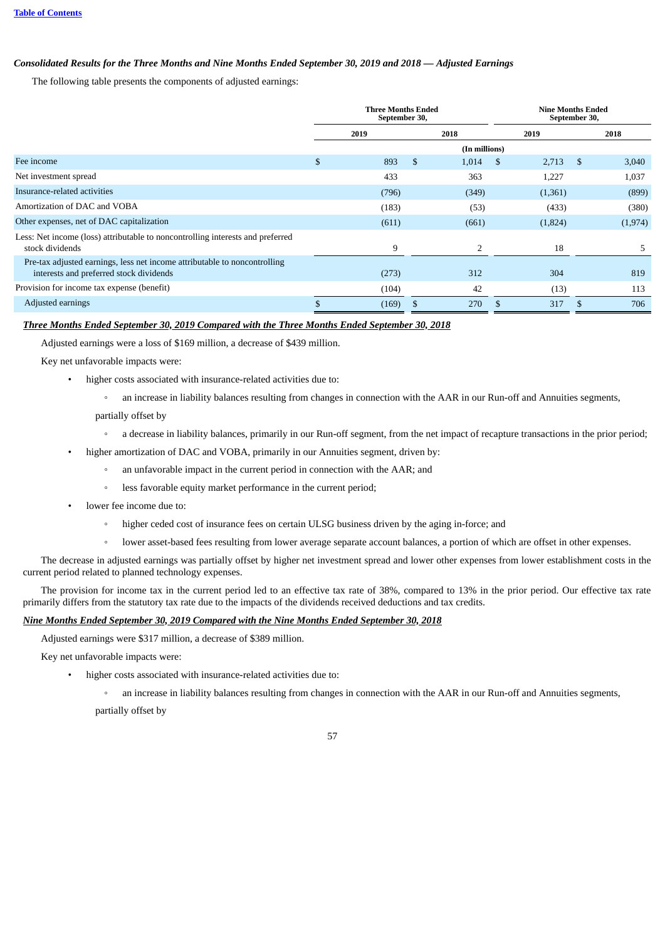# Consolidated Results for the Three Months and Nine Months Ended September 30, 2019 and 2018 - Adjusted Earnings

The following table presents the components of adjusted earnings:

|                                                                                                                      | <b>Three Months Ended</b><br>September 30, |               | <b>Nine Months Ended</b><br>September 30, |         |    |         |
|----------------------------------------------------------------------------------------------------------------------|--------------------------------------------|---------------|-------------------------------------------|---------|----|---------|
|                                                                                                                      | 2019                                       | 2018          |                                           | 2019    |    | 2018    |
|                                                                                                                      |                                            | (In millions) |                                           |         |    |         |
| Fee income                                                                                                           | \$<br>893                                  | \$<br>1,014   | S.                                        | 2,713   | \$ | 3,040   |
| Net investment spread                                                                                                | 433                                        | 363           |                                           | 1,227   |    | 1,037   |
| Insurance-related activities                                                                                         | (796)                                      | (349)         |                                           | (1,361) |    | (899)   |
| Amortization of DAC and VOBA                                                                                         | (183)                                      | (53)          |                                           | (433)   |    | (380)   |
| Other expenses, net of DAC capitalization                                                                            | (611)                                      | (661)         |                                           | (1,824) |    | (1,974) |
| Less: Net income (loss) attributable to noncontrolling interests and preferred<br>stock dividends                    | 9                                          | 2             |                                           | 18      |    | 5       |
| Pre-tax adjusted earnings, less net income attributable to noncontrolling<br>interests and preferred stock dividends | (273)                                      | 312           |                                           | 304     |    | 819     |
| Provision for income tax expense (benefit)                                                                           | (104)                                      | 42            |                                           | (13)    |    | 113     |
| Adjusted earnings                                                                                                    | (169)                                      | 270           |                                           | 317     |    | 706     |
|                                                                                                                      |                                            |               |                                           |         |    |         |

# *Three Months Ended September 30, 2019 Compared with the Three Months Ended September 30, 2018*

Adjusted earnings were a loss of \$169 million, a decrease of \$439 million.

Key net unfavorable impacts were:

- higher costs associated with insurance-related activities due to:
	- an increase in liability balances resulting from changes in connection with the AAR in our Run-off and Annuities segments,
	- partially offset by
		- a decrease in liability balances, primarily in our Run-off segment, from the net impact of recapture transactions in the prior period;
- higher amortization of DAC and VOBA, primarily in our Annuities segment, driven by:
	- an unfavorable impact in the current period in connection with the AAR; and
	- less favorable equity market performance in the current period;
- lower fee income due to:
	- higher ceded cost of insurance fees on certain ULSG business driven by the aging in-force; and
	- lower asset-based fees resulting from lower average separate account balances, a portion of which are offset in other expenses.

The decrease in adjusted earnings was partially offset by higher net investment spread and lower other expenses from lower establishment costs in the current period related to planned technology expenses.

The provision for income tax in the current period led to an effective tax rate of 38%, compared to 13% in the prior period. Our effective tax rate primarily differs from the statutory tax rate due to the impacts of the dividends received deductions and tax credits.

# *Nine Months Ended September 30, 2019 Compared with the Nine Months Ended September 30, 2018*

Adjusted earnings were \$317 million, a decrease of \$389 million.

Key net unfavorable impacts were:

- higher costs associated with insurance-related activities due to:
	- an increase in liability balances resulting from changes in connection with the AAR in our Run-off and Annuities segments, partially offset by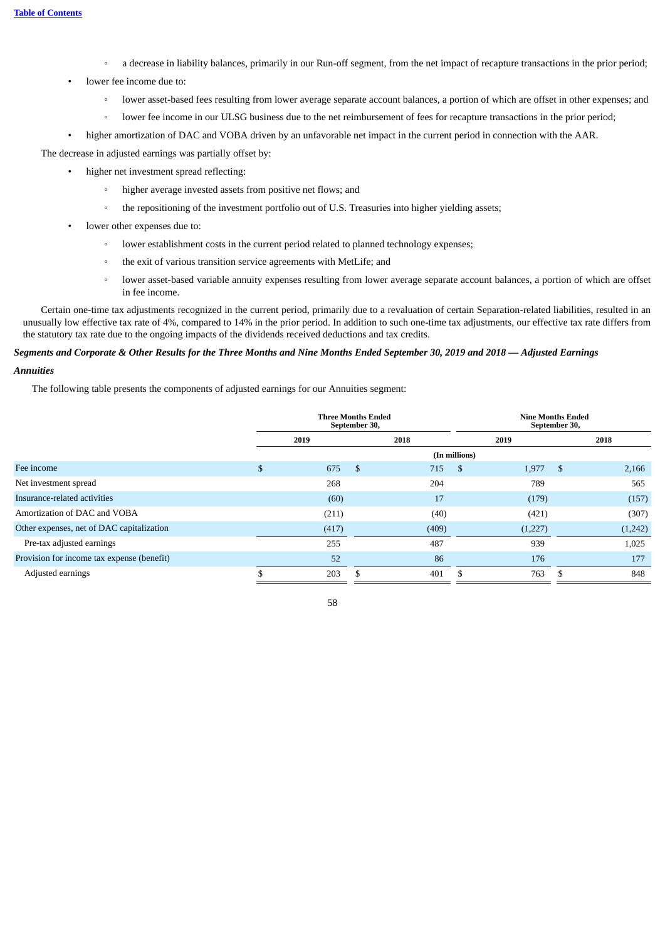- a decrease in liability balances, primarily in our Run-off segment, from the net impact of recapture transactions in the prior period;
- lower fee income due to:
	- lower asset-based fees resulting from lower average separate account balances, a portion of which are offset in other expenses; and
	- lower fee income in our ULSG business due to the net reimbursement of fees for recapture transactions in the prior period;
- higher amortization of DAC and VOBA driven by an unfavorable net impact in the current period in connection with the AAR.

The decrease in adjusted earnings was partially offset by:

- higher net investment spread reflecting:
	- higher average invested assets from positive net flows; and
	- the repositioning of the investment portfolio out of U.S. Treasuries into higher yielding assets;
- lower other expenses due to:
	- lower establishment costs in the current period related to planned technology expenses;
	- the exit of various transition service agreements with MetLife; and
	- lower asset-based variable annuity expenses resulting from lower average separate account balances, a portion of which are offset in fee income.

Certain one-time tax adjustments recognized in the current period, primarily due to a revaluation of certain Separation-related liabilities, resulted in an unusually low effective tax rate of 4%, compared to 14% in the prior period. In addition to such one-time tax adjustments, our effective tax rate differs from the statutory tax rate due to the ongoing impacts of the dividends received deductions and tax credits.

# Segments and Corporate & Other Results for the Three Months and Nine Months Ended September 30, 2019 and 2018 — Adjusted Earnings

# *Annuities*

The following table presents the components of adjusted earnings for our Annuities segment:

|                                            | <b>Three Months Ended</b><br>September 30, |                         |       | <b>Nine Months Ended</b><br>September 30, |         |    |         |  |
|--------------------------------------------|--------------------------------------------|-------------------------|-------|-------------------------------------------|---------|----|---------|--|
|                                            | 2019                                       |                         | 2018  | 2019                                      |         |    | 2018    |  |
|                                            |                                            |                         |       | (In millions)                             |         |    |         |  |
| Fee income                                 | \$<br>675                                  | $\mathbf{\mathfrak{S}}$ | 715   | -S                                        | 1,977   | \$ | 2,166   |  |
| Net investment spread                      | 268                                        |                         | 204   |                                           | 789     |    | 565     |  |
| Insurance-related activities               | (60)                                       |                         | 17    |                                           | (179)   |    | (157)   |  |
| Amortization of DAC and VOBA               | (211)                                      |                         | (40)  |                                           | (421)   |    | (307)   |  |
| Other expenses, net of DAC capitalization  | (417)                                      |                         | (409) |                                           | (1,227) |    | (1,242) |  |
| Pre-tax adjusted earnings                  | 255                                        |                         | 487   |                                           | 939     |    | 1,025   |  |
| Provision for income tax expense (benefit) | 52                                         |                         | 86    |                                           | 176     |    | 177     |  |
| Adjusted earnings                          | 203                                        |                         | 401   |                                           | 763     |    | 848     |  |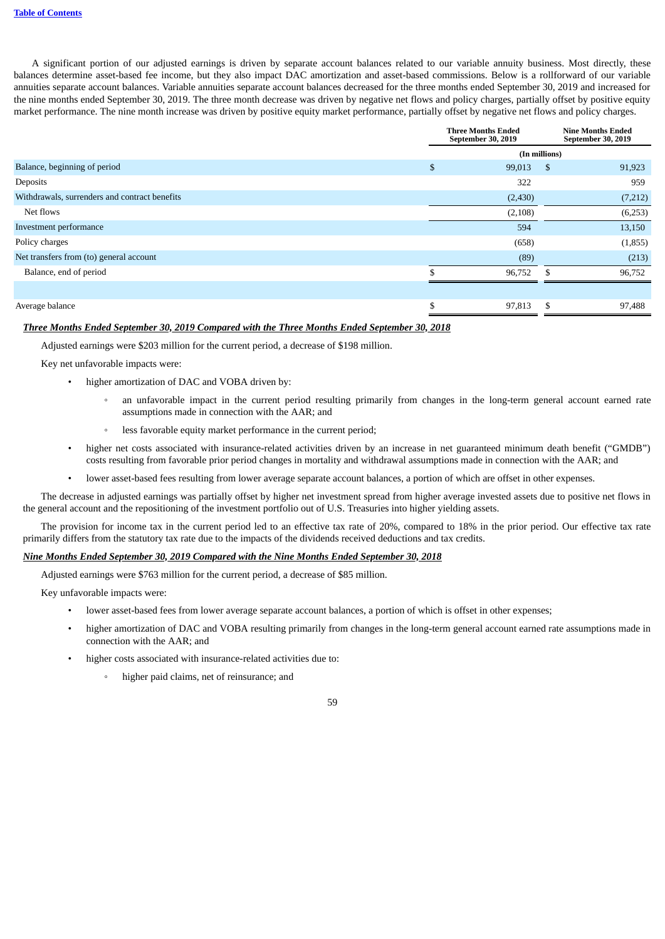A significant portion of our adjusted earnings is driven by separate account balances related to our variable annuity business. Most directly, these balances determine asset-based fee income, but they also impact DAC amortization and asset-based commissions. Below is a rollforward of our variable annuities separate account balances. Variable annuities separate account balances decreased for the three months ended September 30, 2019 and increased for the nine months ended September 30, 2019. The three month decrease was driven by negative net flows and policy charges, partially offset by positive equity market performance. The nine month increase was driven by positive equity market performance, partially offset by negative net flows and policy charges.

|                                               | <b>Three Months Ended</b><br><b>September 30, 2019</b> |               | <b>Nine Months Ended</b><br>September 30, 2019 |
|-----------------------------------------------|--------------------------------------------------------|---------------|------------------------------------------------|
|                                               |                                                        | (In millions) |                                                |
| Balance, beginning of period                  | \$<br>99,013                                           | - \$          | 91,923                                         |
| Deposits                                      | 322                                                    |               | 959                                            |
| Withdrawals, surrenders and contract benefits | (2,430)                                                |               | (7,212)                                        |
| Net flows                                     | (2,108)                                                |               | (6,253)                                        |
| Investment performance                        | 594                                                    |               | 13,150                                         |
| Policy charges                                | (658)                                                  |               | (1,855)                                        |
| Net transfers from (to) general account       | (89)                                                   |               | (213)                                          |
| Balance, end of period                        | 96,752                                                 |               | 96,752                                         |
|                                               |                                                        |               |                                                |
| Average balance                               | \$<br>97,813                                           | $\mathbf{s}$  | 97,488                                         |
|                                               |                                                        |               |                                                |

### *Three Months Ended September 30, 2019 Compared with the Three Months Ended September 30, 2018*

Adjusted earnings were \$203 million for the current period, a decrease of \$198 million.

### Key net unfavorable impacts were:

- higher amortization of DAC and VOBA driven by:
	- an unfavorable impact in the current period resulting primarily from changes in the long-term general account earned rate assumptions made in connection with the AAR; and
	- less favorable equity market performance in the current period;
- higher net costs associated with insurance-related activities driven by an increase in net guaranteed minimum death benefit ("GMDB") costs resulting from favorable prior period changes in mortality and withdrawal assumptions made in connection with the AAR; and
- lower asset-based fees resulting from lower average separate account balances, a portion of which are offset in other expenses.

The decrease in adjusted earnings was partially offset by higher net investment spread from higher average invested assets due to positive net flows in the general account and the repositioning of the investment portfolio out of U.S. Treasuries into higher yielding assets.

The provision for income tax in the current period led to an effective tax rate of 20%, compared to 18% in the prior period. Our effective tax rate primarily differs from the statutory tax rate due to the impacts of the dividends received deductions and tax credits.

### *Nine Months Ended September 30, 2019 Compared with the Nine Months Ended September 30, 2018*

Adjusted earnings were \$763 million for the current period, a decrease of \$85 million.

Key unfavorable impacts were:

- lower asset-based fees from lower average separate account balances, a portion of which is offset in other expenses;
- higher amortization of DAC and VOBA resulting primarily from changes in the long-term general account earned rate assumptions made in connection with the AAR; and
- higher costs associated with insurance-related activities due to:
	- higher paid claims, net of reinsurance; and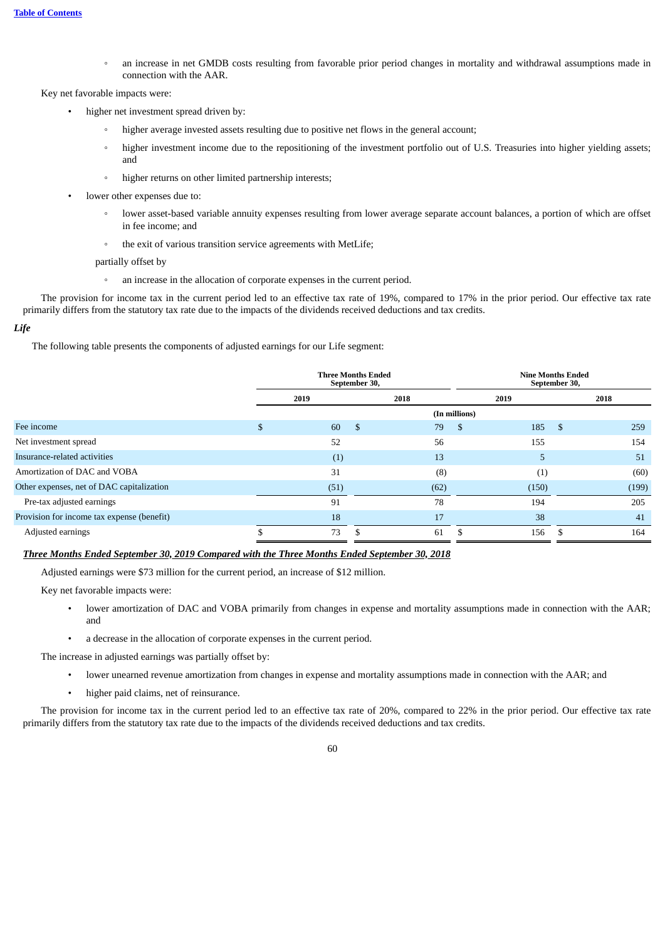◦ an increase in net GMDB costs resulting from favorable prior period changes in mortality and withdrawal assumptions made in connection with the AAR.

Key net favorable impacts were:

- higher net investment spread driven by:
	- higher average invested assets resulting due to positive net flows in the general account;
	- higher investment income due to the repositioning of the investment portfolio out of U.S. Treasuries into higher yielding assets; and
	- higher returns on other limited partnership interests;
- lower other expenses due to:
	- lower asset-based variable annuity expenses resulting from lower average separate account balances, a portion of which are offset in fee income; and
	- the exit of various transition service agreements with MetLife;

partially offset by

◦ an increase in the allocation of corporate expenses in the current period.

The provision for income tax in the current period led to an effective tax rate of 19%, compared to 17% in the prior period. Our effective tax rate primarily differs from the statutory tax rate due to the impacts of the dividends received deductions and tax credits.

### *Life*

The following table presents the components of adjusted earnings for our Life segment:

|                                            | <b>Three Months Ended</b> | September 30,           |      | <b>Nine Months Ended</b><br>September 30, |                |       |  |  |  |
|--------------------------------------------|---------------------------|-------------------------|------|-------------------------------------------|----------------|-------|--|--|--|
|                                            | 2019                      |                         | 2018 | 2019                                      |                | 2018  |  |  |  |
|                                            |                           |                         |      | (In millions)                             |                |       |  |  |  |
| Fee income                                 | 60                        | $\mathbf{\mathfrak{S}}$ | 79   | 185<br>\$                                 | $\mathfrak{s}$ | 259   |  |  |  |
| Net investment spread                      | 52                        |                         | 56   | 155                                       |                | 154   |  |  |  |
| Insurance-related activities               | (1)                       |                         | 13   | 5                                         |                | 51    |  |  |  |
| Amortization of DAC and VOBA               | 31                        |                         | (8)  | (1)                                       |                | (60)  |  |  |  |
| Other expenses, net of DAC capitalization  | (51)                      |                         | (62) | (150)                                     |                | (199) |  |  |  |
| Pre-tax adjusted earnings                  | 91                        |                         | 78   | 194                                       |                | 205   |  |  |  |
| Provision for income tax expense (benefit) | 18                        |                         | 17   | 38                                        |                | 41    |  |  |  |
| Adjusted earnings                          | 73                        |                         | 61   | 156                                       |                | 164   |  |  |  |

### *Three Months Ended September 30, 2019 Compared with the Three Months Ended September 30, 2018*

Adjusted earnings were \$73 million for the current period, an increase of \$12 million.

Key net favorable impacts were:

- lower amortization of DAC and VOBA primarily from changes in expense and mortality assumptions made in connection with the AAR; and
- a decrease in the allocation of corporate expenses in the current period.

The increase in adjusted earnings was partially offset by:

- lower unearned revenue amortization from changes in expense and mortality assumptions made in connection with the AAR; and
- higher paid claims, net of reinsurance.

The provision for income tax in the current period led to an effective tax rate of 20%, compared to 22% in the prior period. Our effective tax rate primarily differs from the statutory tax rate due to the impacts of the dividends received deductions and tax credits.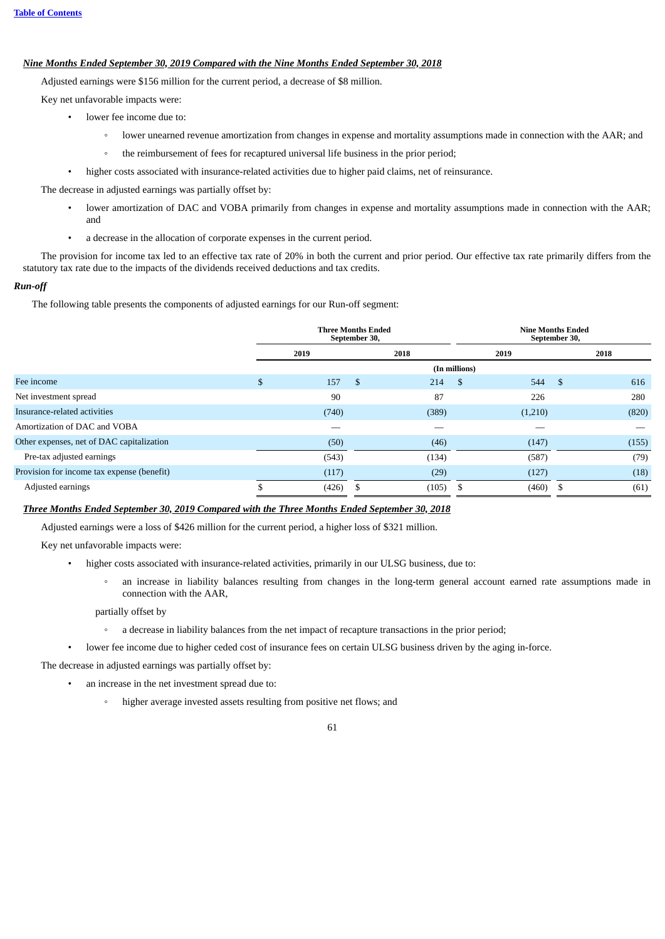# *Nine Months Ended September 30, 2019 Compared with the Nine Months Ended September 30, 2018*

Adjusted earnings were \$156 million for the current period, a decrease of \$8 million.

Key net unfavorable impacts were:

- lower fee income due to:
	- lower unearned revenue amortization from changes in expense and mortality assumptions made in connection with the AAR; and
	- the reimbursement of fees for recaptured universal life business in the prior period;
- higher costs associated with insurance-related activities due to higher paid claims, net of reinsurance.

The decrease in adjusted earnings was partially offset by:

- lower amortization of DAC and VOBA primarily from changes in expense and mortality assumptions made in connection with the AAR; and
- a decrease in the allocation of corporate expenses in the current period.

The provision for income tax led to an effective tax rate of 20% in both the current and prior period. Our effective tax rate primarily differs from the statutory tax rate due to the impacts of the dividends received deductions and tax credits.

### *Run-off*

The following table presents the components of adjusted earnings for our Run-off segment:

|                                            | <b>Three Months Ended</b><br>September 30, |                |       | <b>Nine Months Ended</b><br>September 30, |         |      |       |  |  |
|--------------------------------------------|--------------------------------------------|----------------|-------|-------------------------------------------|---------|------|-------|--|--|
|                                            | 2019                                       |                | 2018  |                                           | 2019    |      | 2018  |  |  |
|                                            |                                            |                |       | (In millions)                             |         |      |       |  |  |
| Fee income                                 | \$<br>157                                  | $\mathfrak{F}$ | 214   | -\$                                       | 544     | - \$ | 616   |  |  |
| Net investment spread                      | 90                                         |                | 87    |                                           | 226     |      | 280   |  |  |
| Insurance-related activities               | (740)                                      |                | (389) |                                           | (1,210) |      | (820) |  |  |
| Amortization of DAC and VOBA               |                                            |                |       |                                           |         |      |       |  |  |
| Other expenses, net of DAC capitalization  | (50)                                       |                | (46)  |                                           | (147)   |      | (155) |  |  |
| Pre-tax adjusted earnings                  | (543)                                      |                | (134) |                                           | (587)   |      | (79)  |  |  |
| Provision for income tax expense (benefit) | (117)                                      |                | (29)  |                                           | (127)   |      | (18)  |  |  |
| Adjusted earnings                          | (426)                                      | ъ.             | (105) | - 70                                      | (460)   |      | (61)  |  |  |
|                                            |                                            |                |       |                                           |         |      |       |  |  |

# *Three Months Ended September 30, 2019 Compared with the Three Months Ended September 30, 2018*

Adjusted earnings were a loss of \$426 million for the current period, a higher loss of \$321 million.

Key net unfavorable impacts were:

- higher costs associated with insurance-related activities, primarily in our ULSG business, due to:
	- an increase in liability balances resulting from changes in the long-term general account earned rate assumptions made in connection with the AAR,

partially offset by

- a decrease in liability balances from the net impact of recapture transactions in the prior period;
- lower fee income due to higher ceded cost of insurance fees on certain ULSG business driven by the aging in-force.

The decrease in adjusted earnings was partially offset by:

- an increase in the net investment spread due to:
	- higher average invested assets resulting from positive net flows; and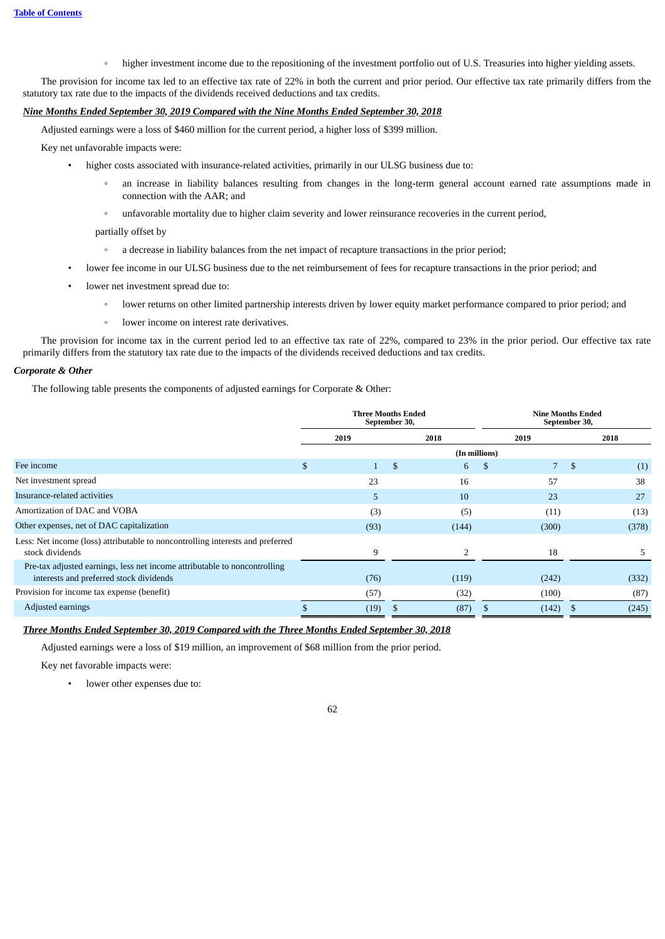◦ higher investment income due to the repositioning of the investment portfolio out of U.S. Treasuries into higher yielding assets.

The provision for income tax led to an effective tax rate of 22% in both the current and prior period. Our effective tax rate primarily differs from the statutory tax rate due to the impacts of the dividends received deductions and tax credits.

### *Nine Months Ended September 30, 2019 Compared with the Nine Months Ended September 30, 2018*

Adjusted earnings were a loss of \$460 million for the current period, a higher loss of \$399 million.

Key net unfavorable impacts were:

- higher costs associated with insurance-related activities, primarily in our ULSG business due to:
	- an increase in liability balances resulting from changes in the long-term general account earned rate assumptions made in connection with the AAR; and
	- unfavorable mortality due to higher claim severity and lower reinsurance recoveries in the current period,
	- partially offset by
	- a decrease in liability balances from the net impact of recapture transactions in the prior period;
- lower fee income in our ULSG business due to the net reimbursement of fees for recapture transactions in the prior period; and
- lower net investment spread due to:
	- lower returns on other limited partnership interests driven by lower equity market performance compared to prior period; and
	- lower income on interest rate derivatives.

The provision for income tax in the current period led to an effective tax rate of 22%, compared to 23% in the prior period. Our effective tax rate primarily differs from the statutory tax rate due to the impacts of the dividends received deductions and tax credits.

### *Corporate & Other*

The following table presents the components of adjusted earnings for Corporate & Other:

|                                                                                                                      | <b>Three Months Ended</b> | September 30, |                | <b>Nine Months Ended</b><br>September 30, |                |     |       |
|----------------------------------------------------------------------------------------------------------------------|---------------------------|---------------|----------------|-------------------------------------------|----------------|-----|-------|
|                                                                                                                      | 2019                      |               | 2018           |                                           | 2019           |     | 2018  |
|                                                                                                                      |                           |               | (In millions)  |                                           |                |     |       |
| Fee income                                                                                                           | \$<br>$\mathbf{1}$        | $\mathbf{s}$  | 6              | \$                                        | 7 <sup>7</sup> | -\$ | (1)   |
| Net investment spread                                                                                                | 23                        |               | 16             |                                           | 57             |     | 38    |
| Insurance-related activities                                                                                         | 5                         |               | 10             |                                           | 23             |     | 27    |
| Amortization of DAC and VOBA                                                                                         | (3)                       |               | (5)            |                                           | (11)           |     | (13)  |
| Other expenses, net of DAC capitalization                                                                            | (93)                      |               | (144)          |                                           | (300)          |     | (378) |
| Less: Net income (loss) attributable to noncontrolling interests and preferred<br>stock dividends                    | 9                         |               | $\overline{2}$ |                                           | 18             |     | 5.    |
| Pre-tax adjusted earnings, less net income attributable to noncontrolling<br>interests and preferred stock dividends | (76)                      |               | (119)          |                                           | (242)          |     | (332) |
| Provision for income tax expense (benefit)                                                                           | (57)                      |               | (32)           |                                           | (100)          |     | (87)  |
| Adjusted earnings                                                                                                    | (19)                      |               | (87)           |                                           | (142)          |     | (245) |

### *Three Months Ended September 30, 2019 Compared with the Three Months Ended September 30, 2018*

Adjusted earnings were a loss of \$19 million, an improvement of \$68 million from the prior period.

Key net favorable impacts were:

lower other expenses due to: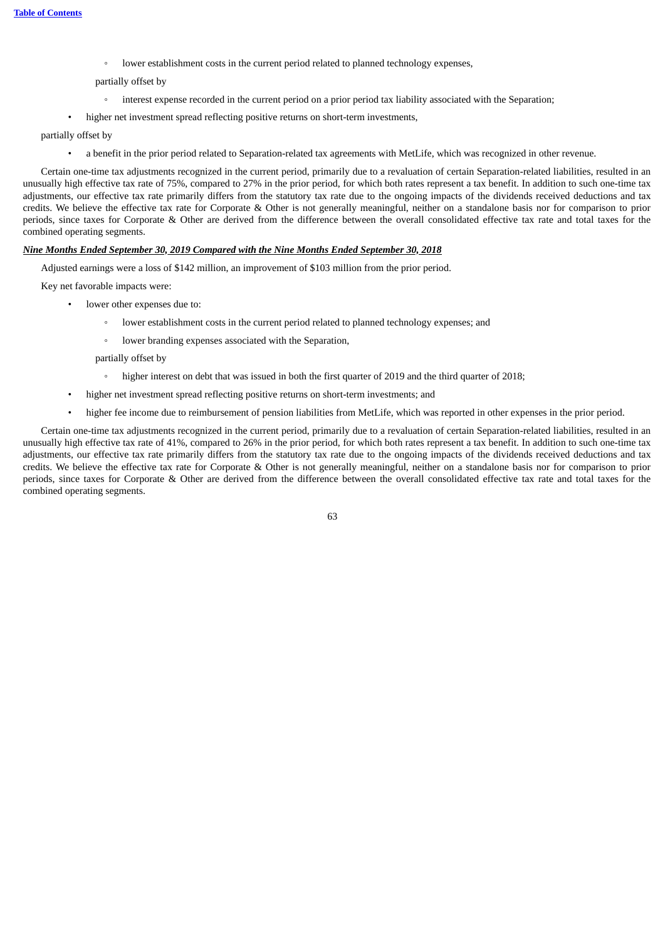◦ lower establishment costs in the current period related to planned technology expenses,

partially offset by

- interest expense recorded in the current period on a prior period tax liability associated with the Separation;
- higher net investment spread reflecting positive returns on short-term investments,

partially offset by

• a benefit in the prior period related to Separation-related tax agreements with MetLife, which was recognized in other revenue.

Certain one-time tax adjustments recognized in the current period, primarily due to a revaluation of certain Separation-related liabilities, resulted in an unusually high effective tax rate of 75%, compared to 27% in the prior period, for which both rates represent a tax benefit. In addition to such one-time tax adjustments, our effective tax rate primarily differs from the statutory tax rate due to the ongoing impacts of the dividends received deductions and tax credits. We believe the effective tax rate for Corporate & Other is not generally meaningful, neither on a standalone basis nor for comparison to prior periods, since taxes for Corporate & Other are derived from the difference between the overall consolidated effective tax rate and total taxes for the combined operating segments.

### *Nine Months Ended September 30, 2019 Compared with the Nine Months Ended September 30, 2018*

Adjusted earnings were a loss of \$142 million, an improvement of \$103 million from the prior period.

Key net favorable impacts were:

- lower other expenses due to:
	- lower establishment costs in the current period related to planned technology expenses; and
	- lower branding expenses associated with the Separation,

partially offset by

- higher interest on debt that was issued in both the first quarter of 2019 and the third quarter of 2018;
- higher net investment spread reflecting positive returns on short-term investments; and
- higher fee income due to reimbursement of pension liabilities from MetLife, which was reported in other expenses in the prior period.

Certain one-time tax adjustments recognized in the current period, primarily due to a revaluation of certain Separation-related liabilities, resulted in an unusually high effective tax rate of 41%, compared to 26% in the prior period, for which both rates represent a tax benefit. In addition to such one-time tax adjustments, our effective tax rate primarily differs from the statutory tax rate due to the ongoing impacts of the dividends received deductions and tax credits. We believe the effective tax rate for Corporate & Other is not generally meaningful, neither on a standalone basis nor for comparison to prior periods, since taxes for Corporate & Other are derived from the difference between the overall consolidated effective tax rate and total taxes for the combined operating segments.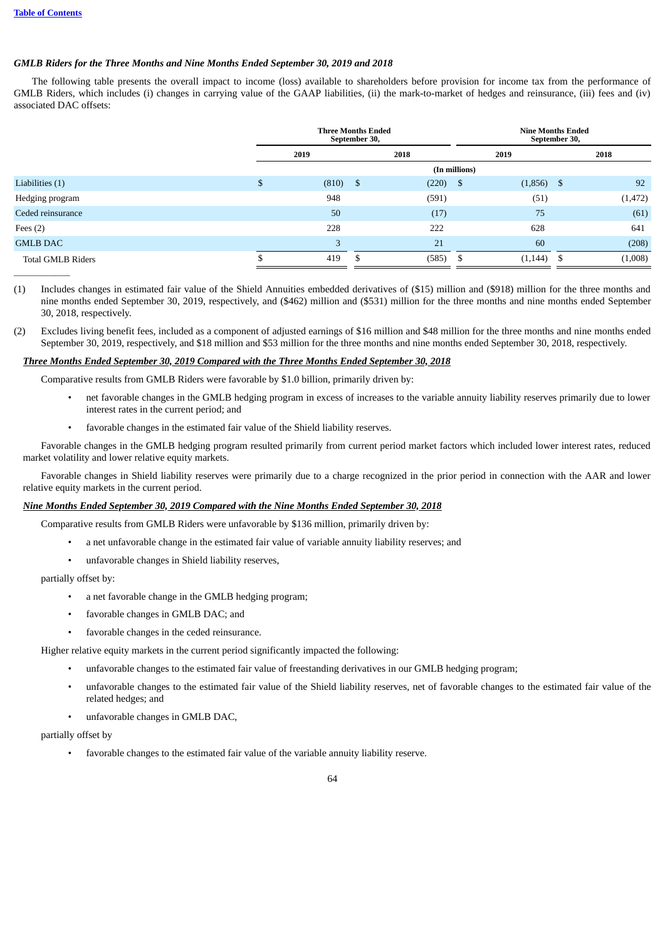$\overline{\phantom{a}}$ 

### *GMLB Riders for the Three Months and Nine Months Ended September 30, 2019 and 2018*

The following table presents the overall impact to income (loss) available to shareholders before provision for income tax from the performance of GMLB Riders, which includes (i) changes in carrying value of the GAAP liabilities, (ii) the mark-to-market of hedges and reinsurance, (iii) fees and (iv) associated DAC offsets:

|                          |      | <b>Three Months Ended</b> | September 30, |       | <b>Nine Months Ended</b><br>September 30, |              |    |          |  |  |
|--------------------------|------|---------------------------|---------------|-------|-------------------------------------------|--------------|----|----------|--|--|
|                          | 2019 |                           |               | 2018  |                                           | 2019         |    | 2018     |  |  |
|                          |      |                           |               |       | (In millions)                             |              |    |          |  |  |
| Liabilities $(1)$        | \$   | (810)                     | \$            | (220) | - \$                                      | $(1,856)$ \$ |    | 92       |  |  |
| Hedging program          |      | 948                       |               | (591) |                                           | (51)         |    | (1, 472) |  |  |
| Ceded reinsurance        |      | 50                        |               | (17)  |                                           | 75           |    | (61)     |  |  |
| Fees $(2)$               |      | 228                       |               | 222   |                                           | 628          |    | 641      |  |  |
| <b>GMLB DAC</b>          |      | 3                         |               | 21    |                                           | 60           |    | (208)    |  |  |
| <b>Total GMLB Riders</b> |      | 419                       |               | (585) |                                           | (1, 144)     | -S | (1,008)  |  |  |

<sup>(1)</sup> Includes changes in estimated fair value of the Shield Annuities embedded derivatives of (\$15) million and (\$918) million for the three months and nine months ended September 30, 2019, respectively, and (\$462) million and (\$531) million for the three months and nine months ended September 30, 2018, respectively.

(2) Excludes living benefit fees, included as a component of adjusted earnings of \$16 million and \$48 million for the three months and nine months ended September 30, 2019, respectively, and \$18 million and \$53 million for the three months and nine months ended September 30, 2018, respectively.

### *Three Months Ended September 30, 2019 Compared with the Three Months Ended September 30, 2018*

Comparative results from GMLB Riders were favorable by \$1.0 billion, primarily driven by:

- net favorable changes in the GMLB hedging program in excess of increases to the variable annuity liability reserves primarily due to lower interest rates in the current period; and
- favorable changes in the estimated fair value of the Shield liability reserves.

Favorable changes in the GMLB hedging program resulted primarily from current period market factors which included lower interest rates, reduced market volatility and lower relative equity markets.

Favorable changes in Shield liability reserves were primarily due to a charge recognized in the prior period in connection with the AAR and lower relative equity markets in the current period.

### *Nine Months Ended September 30, 2019 Compared with the Nine Months Ended September 30, 2018*

Comparative results from GMLB Riders were unfavorable by \$136 million, primarily driven by:

- a net unfavorable change in the estimated fair value of variable annuity liability reserves; and
- unfavorable changes in Shield liability reserves,

### partially offset by:

- a net favorable change in the GMLB hedging program;
- favorable changes in GMLB DAC; and
- favorable changes in the ceded reinsurance.

Higher relative equity markets in the current period significantly impacted the following:

- unfavorable changes to the estimated fair value of freestanding derivatives in our GMLB hedging program;
- unfavorable changes to the estimated fair value of the Shield liability reserves, net of favorable changes to the estimated fair value of the related hedges; and
- unfavorable changes in GMLB DAC,

### partially offset by

• favorable changes to the estimated fair value of the variable annuity liability reserve.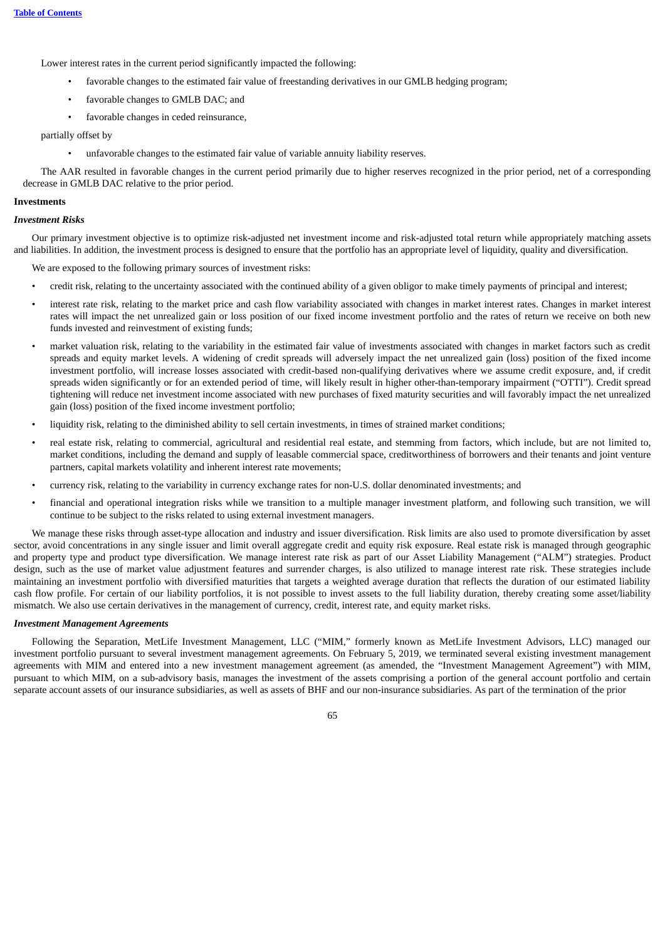Lower interest rates in the current period significantly impacted the following:

- favorable changes to the estimated fair value of freestanding derivatives in our GMLB hedging program;
- favorable changes to GMLB DAC; and
- favorable changes in ceded reinsurance,

partially offset by

• unfavorable changes to the estimated fair value of variable annuity liability reserves.

The AAR resulted in favorable changes in the current period primarily due to higher reserves recognized in the prior period, net of a corresponding decrease in GMLB DAC relative to the prior period.

#### <span id="page-65-0"></span>**Investments**

### *Investment Risks*

Our primary investment objective is to optimize risk-adjusted net investment income and risk-adjusted total return while appropriately matching assets and liabilities. In addition, the investment process is designed to ensure that the portfolio has an appropriate level of liquidity, quality and diversification.

We are exposed to the following primary sources of investment risks:

- credit risk, relating to the uncertainty associated with the continued ability of a given obligor to make timely payments of principal and interest;
- interest rate risk, relating to the market price and cash flow variability associated with changes in market interest rates. Changes in market interest rates will impact the net unrealized gain or loss position of our fixed income investment portfolio and the rates of return we receive on both new funds invested and reinvestment of existing funds;
- market valuation risk, relating to the variability in the estimated fair value of investments associated with changes in market factors such as credit spreads and equity market levels. A widening of credit spreads will adversely impact the net unrealized gain (loss) position of the fixed income investment portfolio, will increase losses associated with credit-based non-qualifying derivatives where we assume credit exposure, and, if credit spreads widen significantly or for an extended period of time, will likely result in higher other-than-temporary impairment ("OTTI"). Credit spread tightening will reduce net investment income associated with new purchases of fixed maturity securities and will favorably impact the net unrealized gain (loss) position of the fixed income investment portfolio;
- liquidity risk, relating to the diminished ability to sell certain investments, in times of strained market conditions;
- real estate risk, relating to commercial, agricultural and residential real estate, and stemming from factors, which include, but are not limited to, market conditions, including the demand and supply of leasable commercial space, creditworthiness of borrowers and their tenants and joint venture partners, capital markets volatility and inherent interest rate movements;
- currency risk, relating to the variability in currency exchange rates for non-U.S. dollar denominated investments; and
- financial and operational integration risks while we transition to a multiple manager investment platform, and following such transition, we will continue to be subject to the risks related to using external investment managers.

We manage these risks through asset-type allocation and industry and issuer diversification. Risk limits are also used to promote diversification by asset sector, avoid concentrations in any single issuer and limit overall aggregate credit and equity risk exposure. Real estate risk is managed through geographic and property type and product type diversification. We manage interest rate risk as part of our Asset Liability Management ("ALM") strategies. Product design, such as the use of market value adjustment features and surrender charges, is also utilized to manage interest rate risk. These strategies include maintaining an investment portfolio with diversified maturities that targets a weighted average duration that reflects the duration of our estimated liability cash flow profile. For certain of our liability portfolios, it is not possible to invest assets to the full liability duration, thereby creating some asset/liability mismatch. We also use certain derivatives in the management of currency, credit, interest rate, and equity market risks.

#### *Investment Management Agreements*

Following the Separation, MetLife Investment Management, LLC ("MIM," formerly known as MetLife Investment Advisors, LLC) managed our investment portfolio pursuant to several investment management agreements. On February 5, 2019, we terminated several existing investment management agreements with MIM and entered into a new investment management agreement (as amended, the "Investment Management Agreement") with MIM, pursuant to which MIM, on a sub-advisory basis, manages the investment of the assets comprising a portion of the general account portfolio and certain separate account assets of our insurance subsidiaries, as well as assets of BHF and our non-insurance subsidiaries. As part of the termination of the prior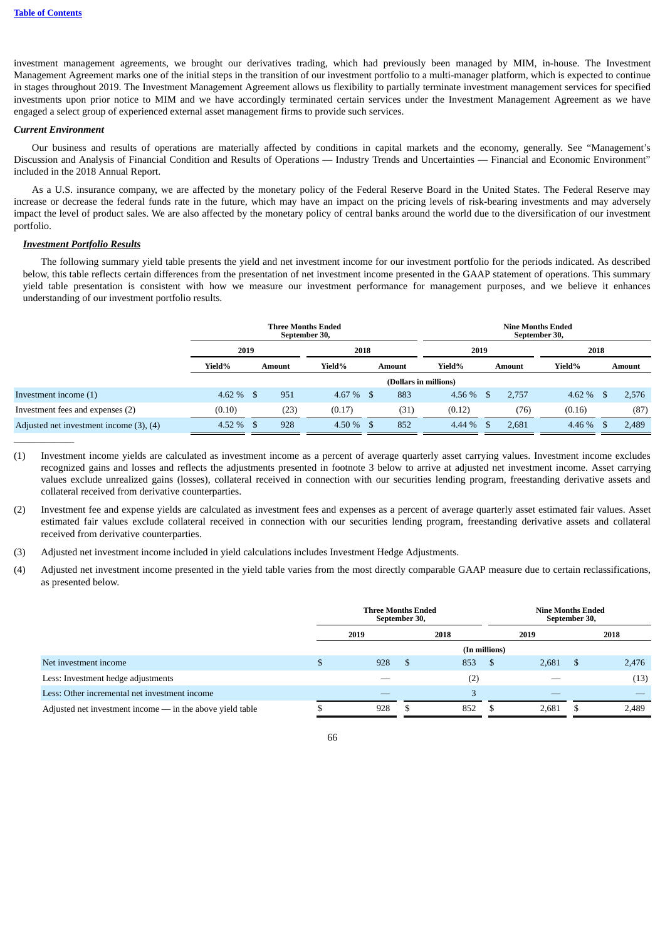investment management agreements, we brought our derivatives trading, which had previously been managed by MIM, in-house. The Investment Management Agreement marks one of the initial steps in the transition of our investment portfolio to a multi-manager platform, which is expected to continue in stages throughout 2019. The Investment Management Agreement allows us flexibility to partially terminate investment management services for specified investments upon prior notice to MIM and we have accordingly terminated certain services under the Investment Management Agreement as we have engaged a select group of experienced external asset management firms to provide such services.

#### *Current Environment*

Our business and results of operations are materially affected by conditions in capital markets and the economy, generally. See "Management's Discussion and Analysis of Financial Condition and Results of Operations — Industry Trends and Uncertainties — Financial and Economic Environment" included in the 2018 Annual Report.

As a U.S. insurance company, we are affected by the monetary policy of the Federal Reserve Board in the United States. The Federal Reserve may increase or decrease the federal funds rate in the future, which may have an impact on the pricing levels of risk-bearing investments and may adversely impact the level of product sales. We are also affected by the monetary policy of central banks around the world due to the diversification of our investment portfolio.

#### *Investment Portfolio Results*

 $\overline{\phantom{a}}$ 

The following summary yield table presents the yield and net investment income for our investment portfolio for the periods indicated. As described below, this table reflects certain differences from the presentation of net investment income presented in the GAAP statement of operations. This summary yield table presentation is consistent with how we measure our investment performance for management purposes, and we believe it enhances understanding of our investment portfolio results.

|                                         |          | <b>Three Months Ended</b><br>September 30, |        |             | <b>Nine Months Ended</b><br>September 30, |        |                       |      |        |        |  |        |  |
|-----------------------------------------|----------|--------------------------------------------|--------|-------------|-------------------------------------------|--------|-----------------------|------|--------|--------|--|--------|--|
|                                         | 2019     |                                            |        | 2018        |                                           | 2019   |                       | 2018 |        |        |  |        |  |
|                                         | Yield%   |                                            | Amount | Yield%      |                                           | Amount | Yield%                |      | Amount | Yield% |  | Amount |  |
|                                         |          |                                            |        |             |                                           |        | (Dollars in millions) |      |        |        |  |        |  |
| Investment income (1)                   | $4.62\%$ |                                            | 951    | $4.67\%$ \$ |                                           | 883    | 4.56 %                | - 85 | 2,757  | 4.62 % |  | 2,576  |  |
| Investment fees and expenses (2)        | (0.10)   |                                            | (23)   | (0.17)      |                                           | (31)   | (0.12)                |      | (76)   | (0.16) |  | (87)   |  |
| Adjusted net investment income (3), (4) | 4.52 %   |                                            | 928    | $4.50\%$ \$ |                                           | 852    | 4.44 %                |      | 2,681  | 4.46 % |  | 2,489  |  |

(1) Investment income yields are calculated as investment income as a percent of average quarterly asset carrying values. Investment income excludes recognized gains and losses and reflects the adjustments presented in footnote 3 below to arrive at adjusted net investment income. Asset carrying values exclude unrealized gains (losses), collateral received in connection with our securities lending program, freestanding derivative assets and collateral received from derivative counterparties.

- (2) Investment fee and expense yields are calculated as investment fees and expenses as a percent of average quarterly asset estimated fair values. Asset estimated fair values exclude collateral received in connection with our securities lending program, freestanding derivative assets and collateral received from derivative counterparties.
- (3) Adjusted net investment income included in yield calculations includes Investment Hedge Adjustments.
- (4) Adjusted net investment income presented in the yield table varies from the most directly comparable GAAP measure due to certain reclassifications, as presented below.

|                                                           | <b>Three Months Ended</b><br>September 30, |     |      | <b>Nine Months Ended</b><br>September 30, |       |      |       |  |
|-----------------------------------------------------------|--------------------------------------------|-----|------|-------------------------------------------|-------|------|-------|--|
|                                                           | 2019                                       |     | 2018 |                                           | 2019  |      | 2018  |  |
|                                                           |                                            |     |      | (In millions)                             |       |      |       |  |
| Net investment income                                     | 928                                        | -S  | 853  | -S                                        | 2,681 | - \$ | 2,476 |  |
| Less: Investment hedge adjustments                        | __                                         |     | (2)  |                                           |       |      | (13)  |  |
| Less: Other incremental net investment income             |                                            |     |      |                                           |       |      |       |  |
| Adjusted net investment income — in the above yield table | 928                                        | - 5 | 852  | -S                                        | 2.681 | S    | 2,489 |  |

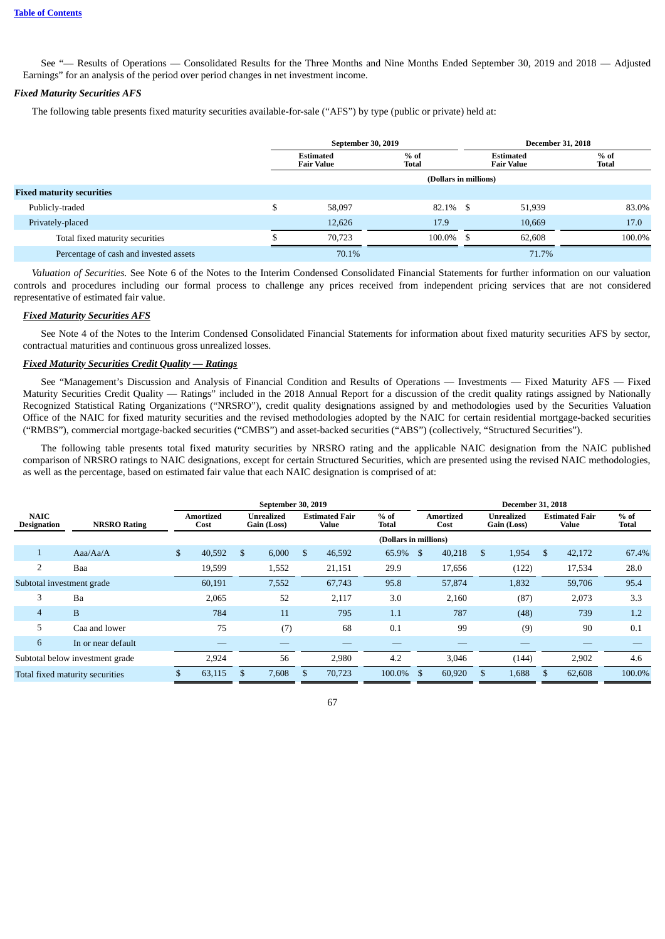See "— Results of Operations — Consolidated Results for the Three Months and Nine Months Ended September 30, 2019 and 2018 — Adjusted Earnings" for an analysis of the period over period changes in net investment income.

### *Fixed Maturity Securities AFS*

The following table presents fixed maturity securities available-for-sale ("AFS") by type (public or private) held at:

|                                        |   | September 30, 2019                    |                 |                                       | <b>December 31, 2018</b> |  |  |  |  |  |  |  |
|----------------------------------------|---|---------------------------------------|-----------------|---------------------------------------|--------------------------|--|--|--|--|--|--|--|
|                                        |   | <b>Estimated</b><br><b>Fair Value</b> | $%$ of<br>Total | <b>Estimated</b><br><b>Fair Value</b> | $%$ of<br>Total          |  |  |  |  |  |  |  |
|                                        |   | (Dollars in millions)                 |                 |                                       |                          |  |  |  |  |  |  |  |
| <b>Fixed maturity securities</b>       |   |                                       |                 |                                       |                          |  |  |  |  |  |  |  |
| Publicly-traded                        | υ | 58,097                                | 82.1% \$        | 51,939                                | 83.0%                    |  |  |  |  |  |  |  |
| Privately-placed                       |   | 12,626                                | 17.9            | 10,669                                | 17.0                     |  |  |  |  |  |  |  |
| Total fixed maturity securities        |   | 70,723                                | 100.0%          | 62,608<br>S                           | 100.0%                   |  |  |  |  |  |  |  |
| Percentage of cash and invested assets |   | 70.1%                                 |                 | 71.7%                                 |                          |  |  |  |  |  |  |  |

*Valuation of Securities.* See Note 6 of the Notes to the Interim Condensed Consolidated Financial Statements for further information on our valuation controls and procedures including our formal process to challenge any prices received from independent pricing services that are not considered representative of estimated fair value.

### *Fixed Maturity Securities AFS*

See Note 4 of the Notes to the Interim Condensed Consolidated Financial Statements for information about fixed maturity securities AFS by sector, contractual maturities and continuous gross unrealized losses.

# *Fixed Maturity Securities Credit Quality — Ratings*

See "Management's Discussion and Analysis of Financial Condition and Results of Operations — Investments — Fixed Maturity AFS — Fixed Maturity Securities Credit Quality — Ratings" included in the 2018 Annual Report for a discussion of the credit quality ratings assigned by Nationally Recognized Statistical Rating Organizations ("NRSRO"), credit quality designations assigned by and methodologies used by the Securities Valuation Office of the NAIC for fixed maturity securities and the revised methodologies adopted by the NAIC for certain residential mortgage-backed securities ("RMBS"), commercial mortgage-backed securities ("CMBS") and asset-backed securities ("ABS") (collectively, "Structured Securities").

The following table presents total fixed maturity securities by NRSRO rating and the applicable NAIC designation from the NAIC published comparison of NRSRO ratings to NAIC designations, except for certain Structured Securities, which are presented using the revised NAIC methodologies, as well as the percentage, based on estimated fair value that each NAIC designation is comprised of at:

|                                   |                                 |                   | <b>September 30, 2019</b> |              |                                       |                        | <b>December 31, 2018</b> |                   |     |                                  |              |                                |                        |  |
|-----------------------------------|---------------------------------|-------------------|---------------------------|--------------|---------------------------------------|------------------------|--------------------------|-------------------|-----|----------------------------------|--------------|--------------------------------|------------------------|--|
| <b>NAIC</b><br><b>Designation</b> | <b>NRSRO Rating</b>             | Amortized<br>Cost | Unrealized<br>Gain (Loss) |              | <b>Estimated Fair</b><br><b>Value</b> | $%$ of<br><b>Total</b> |                          | Amortized<br>Cost |     | <b>Unrealized</b><br>Gain (Loss) |              | <b>Estimated Fair</b><br>Value | $%$ of<br><b>Total</b> |  |
|                                   |                                 |                   |                           |              |                                       | (Dollars in millions)  |                          |                   |     |                                  |              |                                |                        |  |
| Ŧ.                                | $A$ aa/ $A$ a/ $A$              | \$<br>40,592      | \$<br>6,000               | $\mathbf{s}$ | 46,592                                | 65.9%                  | $\mathbf{s}$             | 40,218            | \$. | 1,954                            | $\mathbb{S}$ | 42,172                         | 67.4%                  |  |
| 2                                 | Baa                             | 19,599            | 1,552                     |              | 21,151                                | 29.9                   |                          | 17,656            |     | (122)                            |              | 17,534                         | 28.0                   |  |
| Subtotal investment grade         |                                 | 60,191            | 7,552                     |              | 67,743                                | 95.8                   |                          | 57,874            |     | 1,832                            |              | 59,706                         | 95.4                   |  |
| 3                                 | Ba                              | 2,065             | 52                        |              | 2,117                                 | 3.0                    |                          | 2,160             |     | (87)                             |              | 2,073                          | 3.3                    |  |
| $\overline{4}$                    | B                               | 784               | 11                        |              | 795                                   | 1.1                    |                          | 787               |     | (48)                             |              | 739                            | 1.2                    |  |
| 5                                 | Caa and lower                   | 75                | (7)                       |              | 68                                    | 0.1                    |                          | 99                |     | (9)                              |              | 90                             | 0.1                    |  |
| 6                                 | In or near default              |                   |                           |              |                                       |                        |                          |                   |     |                                  |              |                                |                        |  |
|                                   | Subtotal below investment grade | 2,924             | 56                        |              | 2,980                                 | 4.2                    |                          | 3,046             |     | (144)                            |              | 2,902                          | 4.6                    |  |
|                                   | Total fixed maturity securities | 63,115            | 7,608                     | \$           | 70.723                                | 100.0%                 | -\$                      | 60,920            |     | 1,688                            |              | 62,608                         | 100.0%                 |  |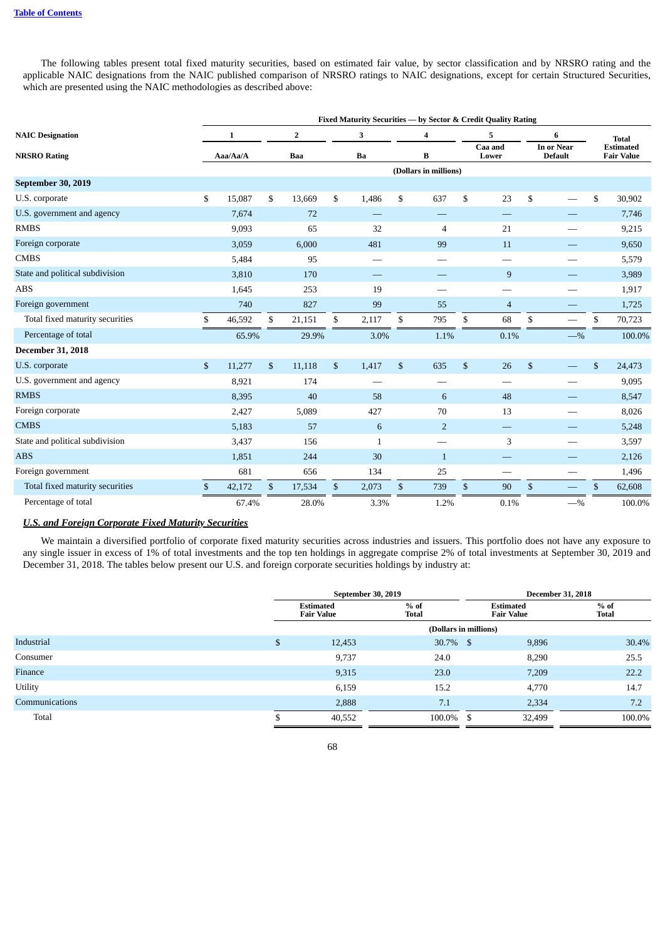The following tables present total fixed maturity securities, based on estimated fair value, by sector classification and by NRSRO rating and the applicable NAIC designations from the NAIC published comparison of NRSRO ratings to NAIC designations, except for certain Structured Securities, which are presented using the NAIC methodologies as described above:

|                                 |    |          |                |                               | Fixed Maturity Securities - by Sector & Credit Quality Rating |                  |                                     |                                       |
|---------------------------------|----|----------|----------------|-------------------------------|---------------------------------------------------------------|------------------|-------------------------------------|---------------------------------------|
| <b>NAIC Designation</b>         |    | 1        | $\overline{2}$ | 3                             | 4                                                             | 5                | 6                                   | <b>Total</b>                          |
| <b>NRSRO Rating</b>             |    | Aaa/Aa/A | Baa            | Ba                            | в                                                             | Caa and<br>Lower | <b>In or Near</b><br><b>Default</b> | <b>Estimated</b><br><b>Fair Value</b> |
|                                 |    |          |                |                               | (Dollars in millions)                                         |                  |                                     |                                       |
| September 30, 2019              |    |          |                |                               |                                                               |                  |                                     |                                       |
| U.S. corporate                  | \$ | 15,087   | \$<br>13,669   | \$<br>1,486                   | \$<br>637                                                     | \$<br>23         | \$                                  | \$<br>30,902                          |
| U.S. government and agency      |    | 7,674    | 72             |                               |                                                               |                  |                                     | 7,746                                 |
| <b>RMBS</b>                     |    | 9,093    | 65             | 32                            | 4                                                             | 21               |                                     | 9,215                                 |
| Foreign corporate               |    | 3,059    | 6,000          | 481                           | 99                                                            | 11               | —                                   | 9,650                                 |
| <b>CMBS</b>                     |    | 5,484    | 95             | $\overbrace{\phantom{aaaaa}}$ |                                                               |                  |                                     | 5,579                                 |
| State and political subdivision |    | 3,810    | 170            | $\overline{\phantom{0}}$      |                                                               | 9                | $\overline{\phantom{0}}$            | 3,989                                 |
| <b>ABS</b>                      |    | 1,645    | 253            | 19                            |                                                               |                  |                                     | 1,917                                 |
| Foreign government              |    | 740      | 827            | 99                            | 55                                                            | $\overline{4}$   |                                     | 1,725                                 |
| Total fixed maturity securities | \$ | 46,592   | \$<br>21,151   | \$<br>2,117                   | \$<br>795                                                     | \$<br>68         | \$<br>$\overline{\phantom{0}}$      | \$<br>70,723                          |
| Percentage of total             |    | 65.9%    | 29.9%          | 3.0%                          | 1.1%                                                          | 0.1%             | $ \!\%$                             | 100.0%                                |
| <b>December 31, 2018</b>        |    |          |                |                               |                                                               |                  |                                     |                                       |
| U.S. corporate                  | \$ | 11,277   | \$<br>11,118   | \$<br>1,417                   | \$<br>635                                                     | \$<br>26         | \$                                  | \$<br>24,473                          |
| U.S. government and agency      |    | 8,921    | 174            |                               |                                                               |                  |                                     | 9,095                                 |
| <b>RMBS</b>                     |    | 8,395    | 40             | 58                            | $6\phantom{1}6$                                               | 48               |                                     | 8,547                                 |
| Foreign corporate               |    | 2,427    | 5,089          | 427                           | 70                                                            | 13               | $\overline{\phantom{0}}$            | 8,026                                 |
| <b>CMBS</b>                     |    | 5,183    | 57             | 6                             | $\overline{2}$                                                |                  | $\overline{\phantom{0}}$            | 5,248                                 |
| State and political subdivision |    | 3,437    | 156            | $\mathbf{1}$                  |                                                               | 3                |                                     | 3,597                                 |
| <b>ABS</b>                      |    | 1,851    | 244            | 30                            | $\mathbf{1}$                                                  |                  |                                     | 2,126                                 |
| Foreign government              |    | 681      | 656            | 134                           | 25                                                            | $\qquad \qquad$  |                                     | 1,496                                 |
| Total fixed maturity securities | \$ | 42,172   | \$<br>17,534   | \$<br>2,073                   | \$<br>739                                                     | \$<br>90         | \$<br>—                             | \$<br>62,608                          |
| Percentage of total             |    | 67.4%    | 28.0%          | 3.3%                          | 1.2%                                                          | 0.1%             | $-$ %                               | 100.0%                                |

# *U.S. and Foreign Corporate Fixed Maturity Securities*

We maintain a diversified portfolio of corporate fixed maturity securities across industries and issuers. This portfolio does not have any exposure to any single issuer in excess of 1% of total investments and the top ten holdings in aggregate comprise 2% of total investments at September 30, 2019 and December 31, 2018. The tables below present our U.S. and foreign corporate securities holdings by industry at:

|                | <b>September 30, 2019</b>             |                       | <b>December 31, 2018</b>              |                        |  |  |  |  |
|----------------|---------------------------------------|-----------------------|---------------------------------------|------------------------|--|--|--|--|
|                | <b>Estimated</b><br><b>Fair Value</b> | $%$ of<br>Total       | <b>Estimated</b><br><b>Fair Value</b> | $%$ of<br><b>Total</b> |  |  |  |  |
|                |                                       | (Dollars in millions) |                                       |                        |  |  |  |  |
| Industrial     | \$<br>12,453                          | $30.7\%$ \$           | 9,896                                 | 30.4%                  |  |  |  |  |
| Consumer       | 9,737                                 | 24.0                  | 8,290                                 | 25.5                   |  |  |  |  |
| Finance        | 9,315                                 | 23.0                  | 7,209                                 | 22.2                   |  |  |  |  |
| Utility        | 6,159                                 | 15.2                  | 4,770                                 | 14.7                   |  |  |  |  |
| Communications | 2,888                                 | 7.1                   | 2,334                                 | 7.2                    |  |  |  |  |
| Total          | 40,552                                | 100.0%                | - \$<br>32,499                        | 100.0%                 |  |  |  |  |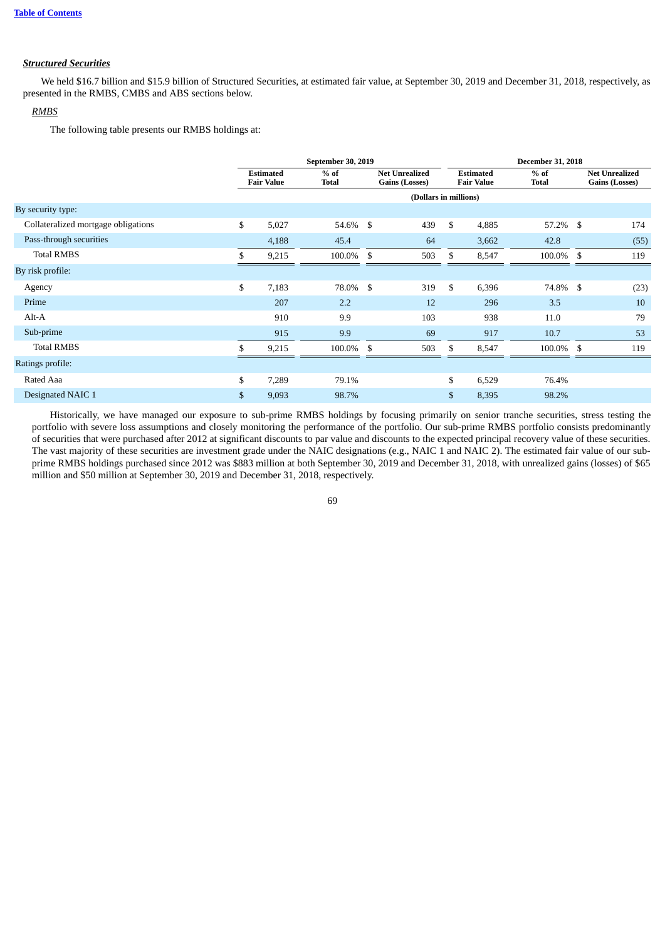# *Structured Securities*

We held \$16.7 billion and \$15.9 billion of Structured Securities, at estimated fair value, at September 30, 2019 and December 31, 2018, respectively, as presented in the RMBS, CMBS and ABS sections below.

# *RMBS*

The following table presents our RMBS holdings at:

|                                     |                                       | <b>September 30, 2019</b> |                                         | <b>December 31, 2018</b>              |                        |               |                                         |  |  |
|-------------------------------------|---------------------------------------|---------------------------|-----------------------------------------|---------------------------------------|------------------------|---------------|-----------------------------------------|--|--|
|                                     | <b>Estimated</b><br><b>Fair Value</b> | $%$ of<br><b>Total</b>    | <b>Net Unrealized</b><br>Gains (Losses) | <b>Estimated</b><br><b>Fair Value</b> | $%$ of<br><b>Total</b> |               | <b>Net Unrealized</b><br>Gains (Losses) |  |  |
|                                     |                                       |                           | (Dollars in millions)                   |                                       |                        |               |                                         |  |  |
| By security type:                   |                                       |                           |                                         |                                       |                        |               |                                         |  |  |
| Collateralized mortgage obligations | \$<br>5,027                           | 54.6% \$                  | 439                                     | \$<br>4,885                           | 57.2% \$               |               | 174                                     |  |  |
| Pass-through securities             | 4,188                                 | 45.4                      | 64                                      | 3,662                                 | 42.8                   |               | (55)                                    |  |  |
| <b>Total RMBS</b>                   | \$<br>9,215                           | 100.0% \$                 | 503                                     | \$<br>8,547                           | 100.0%                 | -\$           | 119                                     |  |  |
| By risk profile:                    |                                       |                           |                                         |                                       |                        |               |                                         |  |  |
| Agency                              | \$<br>7,183                           | 78.0% \$                  | 319                                     | \$<br>6,396                           | 74.8% \$               |               | (23)                                    |  |  |
| Prime                               | 207                                   | 2.2                       | 12                                      | 296                                   | 3.5                    |               | 10                                      |  |  |
| Alt-A                               | 910                                   | 9.9                       | 103                                     | 938                                   | 11.0                   |               | 79                                      |  |  |
| Sub-prime                           | 915                                   | 9.9                       | 69                                      | 917                                   | 10.7                   |               | 53                                      |  |  |
| <b>Total RMBS</b>                   | 9,215                                 | 100.0% \$                 | 503                                     | 8,547                                 | 100.0%                 | <sup>\$</sup> | 119                                     |  |  |
| Ratings profile:                    |                                       |                           |                                         |                                       |                        |               |                                         |  |  |
| Rated Aaa                           | \$<br>7,289                           | 79.1%                     |                                         | \$<br>6,529                           | 76.4%                  |               |                                         |  |  |
| Designated NAIC 1                   | \$<br>9,093                           | 98.7%                     |                                         | \$<br>8,395                           | 98.2%                  |               |                                         |  |  |

Historically, we have managed our exposure to sub-prime RMBS holdings by focusing primarily on senior tranche securities, stress testing the portfolio with severe loss assumptions and closely monitoring the performance of the portfolio. Our sub-prime RMBS portfolio consists predominantly of securities that were purchased after 2012 at significant discounts to par value and discounts to the expected principal recovery value of these securities. The vast majority of these securities are investment grade under the NAIC designations (e.g., NAIC 1 and NAIC 2). The estimated fair value of our subprime RMBS holdings purchased since 2012 was \$883 million at both September 30, 2019 and December 31, 2018, with unrealized gains (losses) of \$65 million and \$50 million at September 30, 2019 and December 31, 2018, respectively.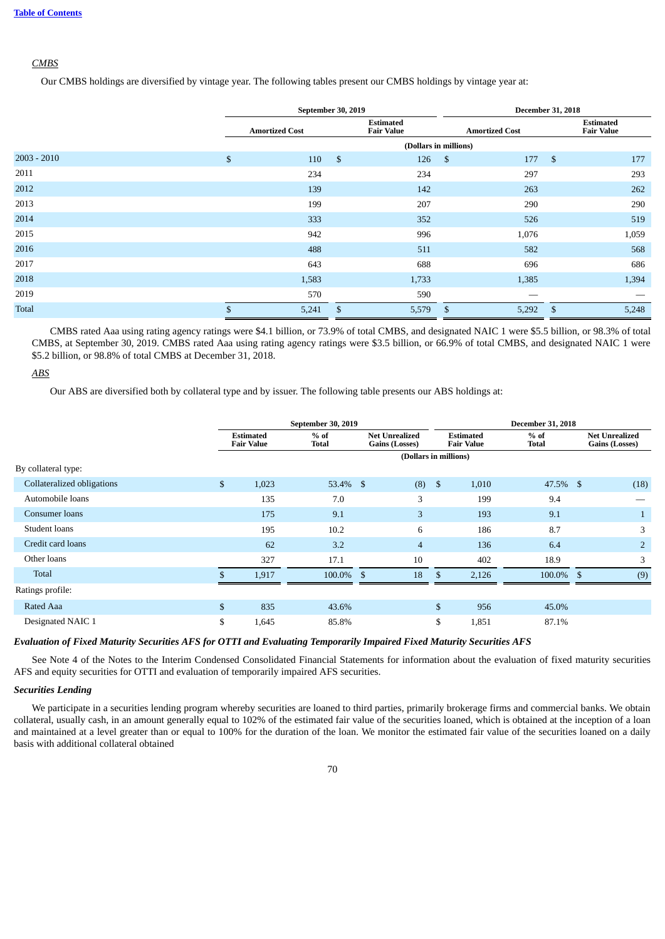# *CMBS*

Our CMBS holdings are diversified by vintage year. The following tables present our CMBS holdings by vintage year at:

|               | <b>September 30, 2019</b> |       |                                       |       | <b>December 31, 2018</b> |                       |                                       |       |  |  |
|---------------|---------------------------|-------|---------------------------------------|-------|--------------------------|-----------------------|---------------------------------------|-------|--|--|
|               | <b>Amortized Cost</b>     |       | <b>Estimated</b><br><b>Fair Value</b> |       |                          | <b>Amortized Cost</b> | <b>Estimated</b><br><b>Fair Value</b> |       |  |  |
|               | (Dollars in millions)     |       |                                       |       |                          |                       |                                       |       |  |  |
| $2003 - 2010$ | \$                        | 110   | $\mathfrak{S}$                        | 126   | - \$                     | 177                   | $\mathfrak{S}$                        | 177   |  |  |
| 2011          |                           | 234   |                                       | 234   |                          | 297                   |                                       | 293   |  |  |
| 2012          |                           | 139   |                                       | 142   |                          | 263                   |                                       | 262   |  |  |
| 2013          |                           | 199   |                                       | 207   |                          | 290                   |                                       | 290   |  |  |
| 2014          |                           | 333   |                                       | 352   |                          | 526                   |                                       | 519   |  |  |
| 2015          |                           | 942   |                                       | 996   |                          | 1,076                 |                                       | 1,059 |  |  |
| 2016          |                           | 488   |                                       | 511   |                          | 582                   |                                       | 568   |  |  |
| 2017          |                           | 643   |                                       | 688   |                          | 696                   |                                       | 686   |  |  |
| 2018          |                           | 1,583 |                                       | 1,733 |                          | 1,385                 |                                       | 1,394 |  |  |
| 2019          |                           | 570   |                                       | 590   |                          |                       |                                       |       |  |  |
| <b>Total</b>  | $\mathfrak{L}$            | 5,241 | \$                                    | 5,579 | \$                       | 5,292                 | \$                                    | 5,248 |  |  |

CMBS rated Aaa using rating agency ratings were \$4.1 billion, or 73.9% of total CMBS, and designated NAIC 1 were \$5.5 billion, or 98.3% of total CMBS, at September 30, 2019. CMBS rated Aaa using rating agency ratings were \$3.5 billion, or 66.9% of total CMBS, and designated NAIC 1 were \$5.2 billion, or 98.8% of total CMBS at December 31, 2018.

# *ABS*

Our ABS are diversified both by collateral type and by issuer. The following table presents our ABS holdings at:

|                            | <b>September 30, 2019</b> |                                       |                        |                                         |                |                                       | <b>December 31, 2018</b> |                 |                                         |              |  |
|----------------------------|---------------------------|---------------------------------------|------------------------|-----------------------------------------|----------------|---------------------------------------|--------------------------|-----------------|-----------------------------------------|--------------|--|
|                            |                           | <b>Estimated</b><br><b>Fair Value</b> | $%$ of<br><b>Total</b> | <b>Net Unrealized</b><br>Gains (Losses) |                | <b>Estimated</b><br><b>Fair Value</b> |                          | $%$ of<br>Total | <b>Net Unrealized</b><br>Gains (Losses) |              |  |
|                            |                           | (Dollars in millions)                 |                        |                                         |                |                                       |                          |                 |                                         |              |  |
| By collateral type:        |                           |                                       |                        |                                         |                |                                       |                          |                 |                                         |              |  |
| Collateralized obligations | \$                        | 1,023                                 | 53.4% \$               |                                         | (8)            | - \$                                  | 1,010                    | 47.5% \$        |                                         | (18)         |  |
| Automobile loans           |                           | 135                                   | 7.0                    |                                         | 3              |                                       | 199                      | 9.4             |                                         |              |  |
| Consumer loans             |                           | 175                                   | 9.1                    |                                         | 3              |                                       | 193                      | 9.1             |                                         | $\mathbf{1}$ |  |
| Student loans              |                           | 195                                   | 10.2                   |                                         | 6              |                                       | 186                      | 8.7             |                                         | 3            |  |
| Credit card loans          |                           | 62                                    | 3.2                    |                                         | $\overline{4}$ |                                       | 136                      | 6.4             |                                         | $2^{1}$      |  |
| Other loans                |                           | 327                                   | 17.1                   |                                         | 10             |                                       | 402                      | 18.9            |                                         | 3            |  |
| Total                      | \$                        | 1,917                                 | 100.0% \$              |                                         | 18             | $\mathbb{S}$                          | 2,126                    | 100.0% \$       |                                         | (9)          |  |
| Ratings profile:           |                           |                                       |                        |                                         |                |                                       |                          |                 |                                         |              |  |
| Rated Aaa                  | \$                        | 835                                   | 43.6%                  |                                         |                | $\mathbf{s}$                          | 956                      | 45.0%           |                                         |              |  |
| Designated NAIC 1          | \$                        | 1,645                                 | 85.8%                  |                                         |                | \$                                    | 1,851                    | 87.1%           |                                         |              |  |

### Evaluation of Fixed Maturity Securities AFS for OTTI and Evaluating Temporarily Impaired Fixed Maturity Securities AFS

See Note 4 of the Notes to the Interim Condensed Consolidated Financial Statements for information about the evaluation of fixed maturity securities AFS and equity securities for OTTI and evaluation of temporarily impaired AFS securities.

### *Securities Lending*

We participate in a securities lending program whereby securities are loaned to third parties, primarily brokerage firms and commercial banks. We obtain collateral, usually cash, in an amount generally equal to 102% of the estimated fair value of the securities loaned, which is obtained at the inception of a loan and maintained at a level greater than or equal to 100% for the duration of the loan. We monitor the estimated fair value of the securities loaned on a daily basis with additional collateral obtained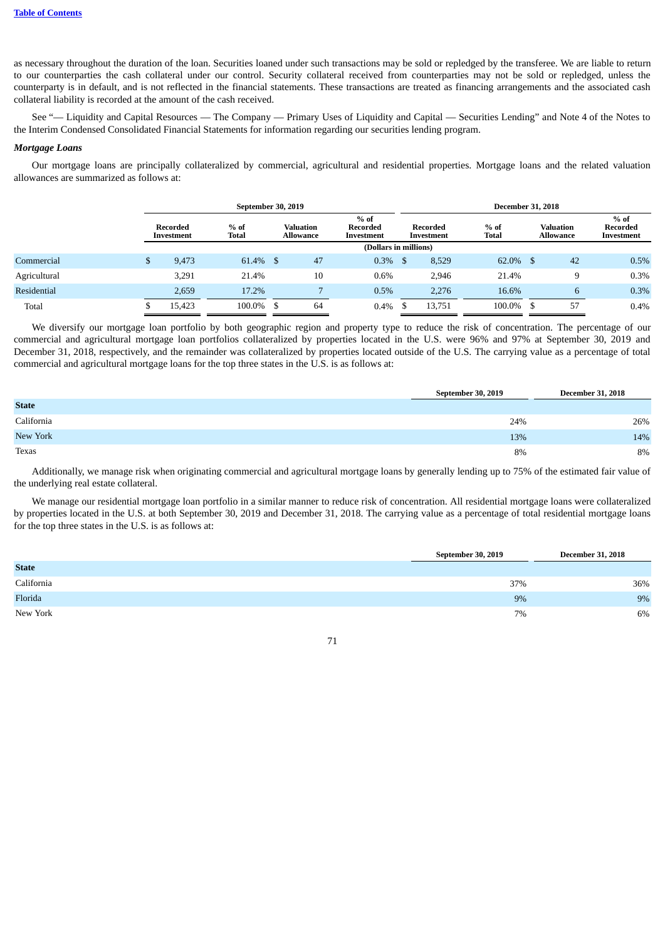as necessary throughout the duration of the loan. Securities loaned under such transactions may be sold or repledged by the transferee. We are liable to return to our counterparties the cash collateral under our control. Security collateral received from counterparties may not be sold or repledged, unless the counterparty is in default, and is not reflected in the financial statements. These transactions are treated as financing arrangements and the associated cash collateral liability is recorded at the amount of the cash received.

See "— Liquidity and Capital Resources — The Company — Primary Uses of Liquidity and Capital — Securities Lending" and Note 4 of the Notes to the Interim Condensed Consolidated Financial Statements for information regarding our securities lending program.

### *Mortgage Loans*

Our mortgage loans are principally collateralized by commercial, agricultural and residential properties. Mortgage loans and the related valuation allowances are summarized as follows at:

|                   |                        | September 30, 2019 |                 |                               |    |                                  |                        |        | <b>December 31, 2018</b> |  |                               |                                  |  |  |
|-------------------|------------------------|--------------------|-----------------|-------------------------------|----|----------------------------------|------------------------|--------|--------------------------|--|-------------------------------|----------------------------------|--|--|
|                   | Recorded<br>Investment |                    | $%$ of<br>Total | <b>Valuation</b><br>Allowance |    | $%$ of<br>Recorded<br>Investment | Recorded<br>Investment |        | $%$ of<br>Total          |  | <b>Valuation</b><br>Allowance | $%$ of<br>Recorded<br>Investment |  |  |
|                   |                        |                    |                 |                               |    | (Dollars in millions)            |                        |        |                          |  |                               |                                  |  |  |
| <b>Commercial</b> | S.                     | 9,473              | $61.4\%$ \$     |                               | 47 | $0.3\%$ \$                       |                        | 8,529  | $62.0\%$ \$              |  | 42                            | 0.5%                             |  |  |
| Agricultural      |                        | 3,291              | 21.4%           |                               | 10 | 0.6%                             |                        | 2,946  | 21.4%                    |  | 9                             | 0.3%                             |  |  |
| Residential       |                        | 2,659              | 17.2%           |                               |    | 0.5%                             |                        | 2.276  | 16.6%                    |  | 6                             | 0.3%                             |  |  |
| Total             |                        | 15,423             | 100.0% \$       |                               | 64 | $0.4\%$                          |                        | 13.751 | 100.0%                   |  | 57                            | 0.4%                             |  |  |

We diversify our mortgage loan portfolio by both geographic region and property type to reduce the risk of concentration. The percentage of our commercial and agricultural mortgage loan portfolios collateralized by properties located in the U.S. were 96% and 97% at September 30, 2019 and December 31, 2018, respectively, and the remainder was collateralized by properties located outside of the U.S. The carrying value as a percentage of total commercial and agricultural mortgage loans for the top three states in the U.S. is as follows at:

|              | <b>September 30, 2019</b> | <b>December 31, 2018</b> |  |
|--------------|---------------------------|--------------------------|--|
| <b>State</b> |                           |                          |  |
| California   | 24%                       | 26%                      |  |
| New York     | 13%                       | 14%                      |  |
| Texas        | 8%                        | 8%                       |  |

Additionally, we manage risk when originating commercial and agricultural mortgage loans by generally lending up to 75% of the estimated fair value of the underlying real estate collateral.

We manage our residential mortgage loan portfolio in a similar manner to reduce risk of concentration. All residential mortgage loans were collateralized by properties located in the U.S. at both September 30, 2019 and December 31, 2018. The carrying value as a percentage of total residential mortgage loans for the top three states in the U.S. is as follows at:

|              | <b>September 30, 2019</b> | <b>December 31, 2018</b> |
|--------------|---------------------------|--------------------------|
| <b>State</b> |                           |                          |
| California   | 37%                       | 36%                      |
| Florida      | 9%                        | 9%                       |
| New York     | 7%                        | 6%                       |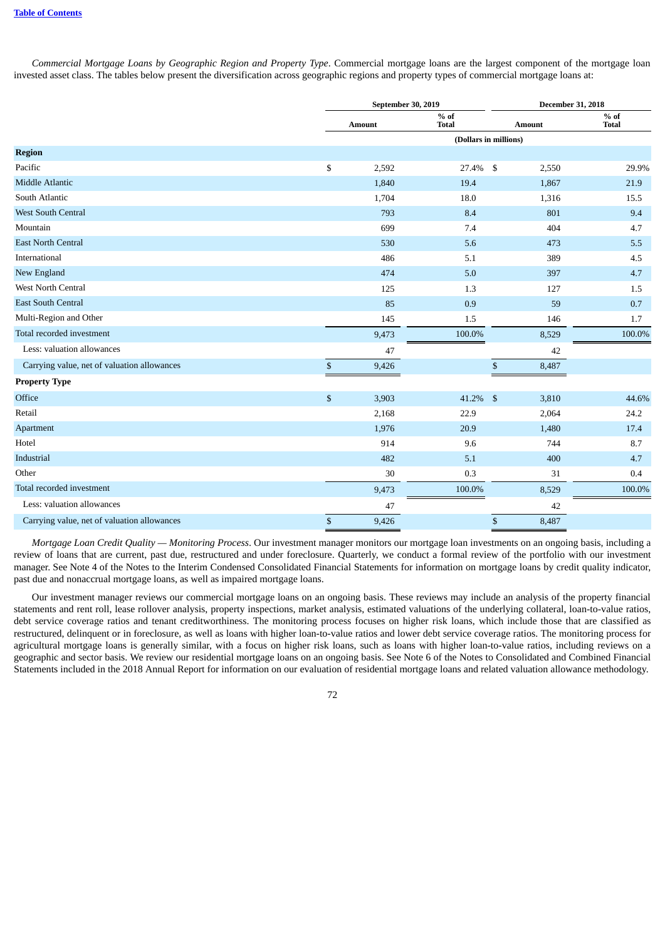*Commercial Mortgage Loans by Geographic Region and Property Type*. Commercial mortgage loans are the largest component of the mortgage loan invested asset class. The tables below present the diversification across geographic regions and property types of commercial mortgage loans at:

|                                             |                | September 30, 2019 |                        | <b>December 31, 2018</b> |                        |  |  |  |
|---------------------------------------------|----------------|--------------------|------------------------|--------------------------|------------------------|--|--|--|
|                                             |                | <b>Amount</b>      | $%$ of<br><b>Total</b> | <b>Amount</b>            | $%$ of<br><b>Total</b> |  |  |  |
|                                             |                |                    | (Dollars in millions)  |                          |                        |  |  |  |
| <b>Region</b>                               |                |                    |                        |                          |                        |  |  |  |
| Pacific                                     | \$             | 2,592              | 27.4% \$               | 2,550                    | 29.9%                  |  |  |  |
| Middle Atlantic                             |                | 1,840              | 19.4                   | 1,867                    | 21.9                   |  |  |  |
| South Atlantic                              |                | 1,704              | 18.0                   | 1,316                    | 15.5                   |  |  |  |
| <b>West South Central</b>                   |                | 793                | 8.4                    | 801                      | 9.4                    |  |  |  |
| Mountain                                    |                | 699                | 7.4                    | 404                      | 4.7                    |  |  |  |
| <b>East North Central</b>                   |                | 530                | 5.6                    | 473                      | 5.5                    |  |  |  |
| International                               |                | 486                | 5.1                    | 389                      | 4.5                    |  |  |  |
| New England                                 |                | 474                | 5.0                    | 397                      | 4.7                    |  |  |  |
| <b>West North Central</b>                   |                | 125                | 1.3                    | 127                      | 1.5                    |  |  |  |
| <b>East South Central</b>                   |                | 85                 | 0.9                    | 59                       | 0.7                    |  |  |  |
| Multi-Region and Other                      |                | 145                | 1.5                    | 146                      | 1.7                    |  |  |  |
| Total recorded investment                   |                | 9,473              | 100.0%                 | 8,529                    | 100.0%                 |  |  |  |
| Less: valuation allowances                  |                | 47                 |                        | 42                       |                        |  |  |  |
| Carrying value, net of valuation allowances | $$\mathbb{S}$$ | 9,426              |                        | $\mathfrak{S}$<br>8,487  |                        |  |  |  |
| <b>Property Type</b>                        |                |                    |                        |                          |                        |  |  |  |
| Office                                      | \$             | 3,903              | 41.2% \$               | 3,810                    | 44.6%                  |  |  |  |
| Retail                                      |                | 2,168              | 22.9                   | 2,064                    | 24.2                   |  |  |  |
| Apartment                                   |                | 1,976              | 20.9                   | 1,480                    | 17.4                   |  |  |  |
| Hotel                                       |                | 914                | 9.6                    | 744                      | 8.7                    |  |  |  |
| Industrial                                  |                | 482                | 5.1                    | 400                      | 4.7                    |  |  |  |
| Other                                       |                | 30                 | 0.3                    | 31                       | 0.4                    |  |  |  |
| Total recorded investment                   |                | 9,473              | 100.0%                 | 8,529                    | 100.0%                 |  |  |  |
| Less: valuation allowances                  |                | 47                 |                        | 42                       |                        |  |  |  |
| Carrying value, net of valuation allowances | \$             | 9,426              |                        | \$<br>8,487              |                        |  |  |  |

*Mortgage Loan Credit Quality — Monitoring Process*. Our investment manager monitors our mortgage loan investments on an ongoing basis, including a review of loans that are current, past due, restructured and under foreclosure. Quarterly, we conduct a formal review of the portfolio with our investment manager. See Note 4 of the Notes to the Interim Condensed Consolidated Financial Statements for information on mortgage loans by credit quality indicator, past due and nonaccrual mortgage loans, as well as impaired mortgage loans.

Our investment manager reviews our commercial mortgage loans on an ongoing basis. These reviews may include an analysis of the property financial statements and rent roll, lease rollover analysis, property inspections, market analysis, estimated valuations of the underlying collateral, loan-to-value ratios, debt service coverage ratios and tenant creditworthiness. The monitoring process focuses on higher risk loans, which include those that are classified as restructured, delinquent or in foreclosure, as well as loans with higher loan-to-value ratios and lower debt service coverage ratios. The monitoring process for agricultural mortgage loans is generally similar, with a focus on higher risk loans, such as loans with higher loan-to-value ratios, including reviews on a geographic and sector basis. We review our residential mortgage loans on an ongoing basis. See Note 6 of the Notes to Consolidated and Combined Financial Statements included in the 2018 Annual Report for information on our evaluation of residential mortgage loans and related valuation allowance methodology.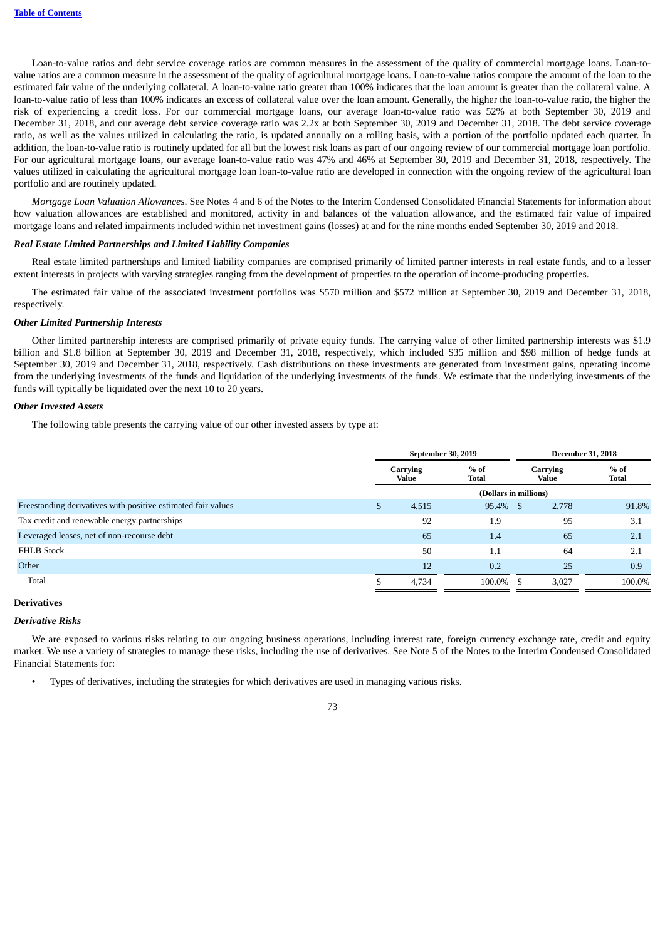Loan-to-value ratios and debt service coverage ratios are common measures in the assessment of the quality of commercial mortgage loans. Loan-tovalue ratios are a common measure in the assessment of the quality of agricultural mortgage loans. Loan-to-value ratios compare the amount of the loan to the estimated fair value of the underlying collateral. A loan-to-value ratio greater than 100% indicates that the loan amount is greater than the collateral value. A loan-to-value ratio of less than 100% indicates an excess of collateral value over the loan amount. Generally, the higher the loan-to-value ratio, the higher the risk of experiencing a credit loss. For our commercial mortgage loans, our average loan-to-value ratio was 52% at both September 30, 2019 and December 31, 2018, and our average debt service coverage ratio was 2.2x at both September 30, 2019 and December 31, 2018. The debt service coverage ratio, as well as the values utilized in calculating the ratio, is updated annually on a rolling basis, with a portion of the portfolio updated each quarter. In addition, the loan-to-value ratio is routinely updated for all but the lowest risk loans as part of our ongoing review of our commercial mortgage loan portfolio. For our agricultural mortgage loans, our average loan-to-value ratio was 47% and 46% at September 30, 2019 and December 31, 2018, respectively. The values utilized in calculating the agricultural mortgage loan loan-to-value ratio are developed in connection with the ongoing review of the agricultural loan portfolio and are routinely updated.

*Mortgage Loan Valuation Allowances*. See Notes 4 and 6 of the Notes to the Interim Condensed Consolidated Financial Statements for information about how valuation allowances are established and monitored, activity in and balances of the valuation allowance, and the estimated fair value of impaired mortgage loans and related impairments included within net investment gains (losses) at and for the nine months ended September 30, 2019 and 2018.

#### *Real Estate Limited Partnerships and Limited Liability Companies*

Real estate limited partnerships and limited liability companies are comprised primarily of limited partner interests in real estate funds, and to a lesser extent interests in projects with varying strategies ranging from the development of properties to the operation of income-producing properties.

The estimated fair value of the associated investment portfolios was \$570 million and \$572 million at September 30, 2019 and December 31, 2018, respectively.

### *Other Limited Partnership Interests*

Other limited partnership interests are comprised primarily of private equity funds. The carrying value of other limited partnership interests was \$1.9 billion and \$1.8 billion at September 30, 2019 and December 31, 2018, respectively, which included \$35 million and \$98 million of hedge funds at September 30, 2019 and December 31, 2018, respectively. Cash distributions on these investments are generated from investment gains, operating income from the underlying investments of the funds and liquidation of the underlying investments of the funds. We estimate that the underlying investments of the funds will typically be liquidated over the next 10 to 20 years.

#### *Other Invested Assets*

The following table presents the carrying value of our other invested assets by type at:

|                                                              | September 30, 2019 |                                      |                       |    | <b>December 31, 2018</b> |                 |
|--------------------------------------------------------------|--------------------|--------------------------------------|-----------------------|----|--------------------------|-----------------|
|                                                              |                    | $%$ of<br>Carrying<br>Value<br>Total |                       |    | Carrying<br>Value        | $%$ of<br>Total |
|                                                              |                    |                                      | (Dollars in millions) |    |                          |                 |
| Freestanding derivatives with positive estimated fair values | \$                 | 4,515                                | 95.4% \$              |    | 2,778                    | 91.8%           |
| Tax credit and renewable energy partnerships                 |                    | 92                                   | 1.9                   |    | 95                       | 3.1             |
| Leveraged leases, net of non-recourse debt                   |                    | 65                                   | 1.4                   |    | 65                       | 2.1             |
| <b>FHLB Stock</b>                                            |                    | 50                                   | 1.1                   |    | 64                       | 2.1             |
| Other                                                        |                    | 12                                   | 0.2                   |    | 25                       | 0.9             |
| Total                                                        |                    | 4,734                                | 100.0%                | -S | 3,027                    | 100.0%          |

## **Derivatives**

#### *Derivative Risks*

We are exposed to various risks relating to our ongoing business operations, including interest rate, foreign currency exchange rate, credit and equity market. We use a variety of strategies to manage these risks, including the use of derivatives. See Note 5 of the Notes to the Interim Condensed Consolidated Financial Statements for:

• Types of derivatives, including the strategies for which derivatives are used in managing various risks.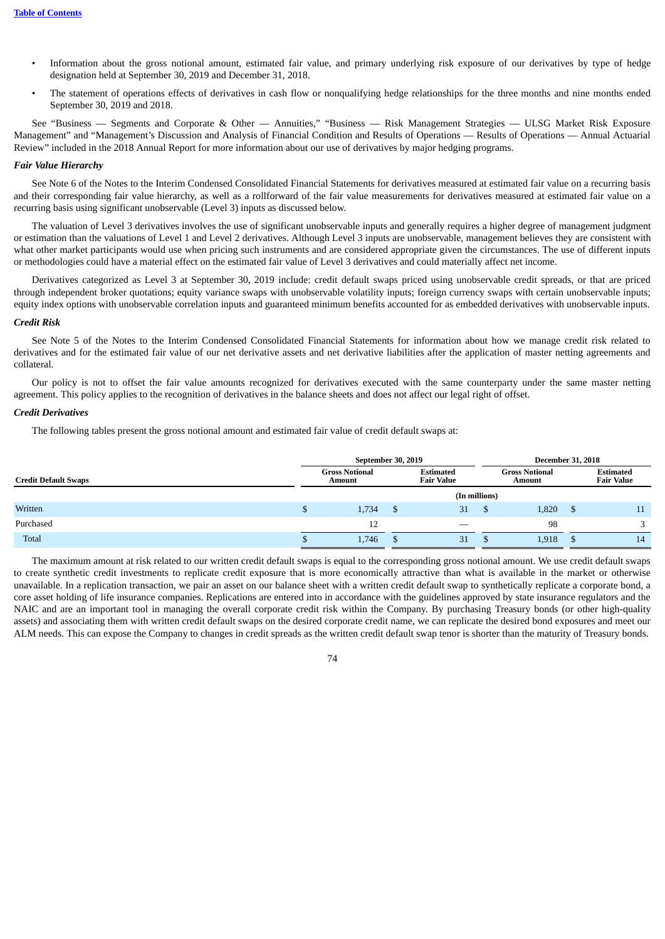- Information about the gross notional amount, estimated fair value, and primary underlying risk exposure of our derivatives by type of hedge designation held at September 30, 2019 and December 31, 2018.
- The statement of operations effects of derivatives in cash flow or nonqualifying hedge relationships for the three months and nine months ended September 30, 2019 and 2018.

See "Business — Segments and Corporate & Other — Annuities," "Business — Risk Management Strategies — ULSG Market Risk Exposure Management" and "Management's Discussion and Analysis of Financial Condition and Results of Operations — Results of Operations — Annual Actuarial Review" included in the 2018 Annual Report for more information about our use of derivatives by major hedging programs.

## *Fair Value Hierarchy*

See Note 6 of the Notes to the Interim Condensed Consolidated Financial Statements for derivatives measured at estimated fair value on a recurring basis and their corresponding fair value hierarchy, as well as a rollforward of the fair value measurements for derivatives measured at estimated fair value on a recurring basis using significant unobservable (Level 3) inputs as discussed below.

The valuation of Level 3 derivatives involves the use of significant unobservable inputs and generally requires a higher degree of management judgment or estimation than the valuations of Level 1 and Level 2 derivatives. Although Level 3 inputs are unobservable, management believes they are consistent with what other market participants would use when pricing such instruments and are considered appropriate given the circumstances. The use of different inputs or methodologies could have a material effect on the estimated fair value of Level 3 derivatives and could materially affect net income.

Derivatives categorized as Level 3 at September 30, 2019 include: credit default swaps priced using unobservable credit spreads, or that are priced through independent broker quotations; equity variance swaps with unobservable volatility inputs; foreign currency swaps with certain unobservable inputs; equity index options with unobservable correlation inputs and guaranteed minimum benefits accounted for as embedded derivatives with unobservable inputs.

## *Credit Risk*

See Note 5 of the Notes to the Interim Condensed Consolidated Financial Statements for information about how we manage credit risk related to derivatives and for the estimated fair value of our net derivative assets and net derivative liabilities after the application of master netting agreements and collateral.

Our policy is not to offset the fair value amounts recognized for derivatives executed with the same counterparty under the same master netting agreement. This policy applies to the recognition of derivatives in the balance sheets and does not affect our legal right of offset.

# *Credit Derivatives*

The following tables present the gross notional amount and estimated fair value of credit default swaps at:

|                             |   | <b>September 30, 2019</b>              |                                       |               | <b>December 31, 2018</b> |                                 |   |                                       |  |  |  |
|-----------------------------|---|----------------------------------------|---------------------------------------|---------------|--------------------------|---------------------------------|---|---------------------------------------|--|--|--|
| <b>Credit Default Swaps</b> |   | <b>Gross Notional</b><br><b>Amount</b> | <b>Estimated</b><br><b>Fair Value</b> |               |                          | <b>Gross Notional</b><br>Amount |   | <b>Estimated</b><br><b>Fair Value</b> |  |  |  |
|                             |   |                                        |                                       | (In millions) |                          |                                 |   |                                       |  |  |  |
| Written                     | Ъ | 1,734                                  | - \$                                  | 31            | S                        | 1,820                           | S | 11                                    |  |  |  |
| Purchased                   |   | 12                                     |                                       |               |                          | 98                              |   | כ<br>J                                |  |  |  |
| Total                       |   | 1,746                                  |                                       | 31            | Ъ                        | 1,918                           | S | 14                                    |  |  |  |

The maximum amount at risk related to our written credit default swaps is equal to the corresponding gross notional amount. We use credit default swaps to create synthetic credit investments to replicate credit exposure that is more economically attractive than what is available in the market or otherwise unavailable. In a replication transaction, we pair an asset on our balance sheet with a written credit default swap to synthetically replicate a corporate bond, a core asset holding of life insurance companies. Replications are entered into in accordance with the guidelines approved by state insurance regulators and the NAIC and are an important tool in managing the overall corporate credit risk within the Company. By purchasing Treasury bonds (or other high-quality assets) and associating them with written credit default swaps on the desired corporate credit name, we can replicate the desired bond exposures and meet our ALM needs. This can expose the Company to changes in credit spreads as the written credit default swap tenor is shorter than the maturity of Treasury bonds.

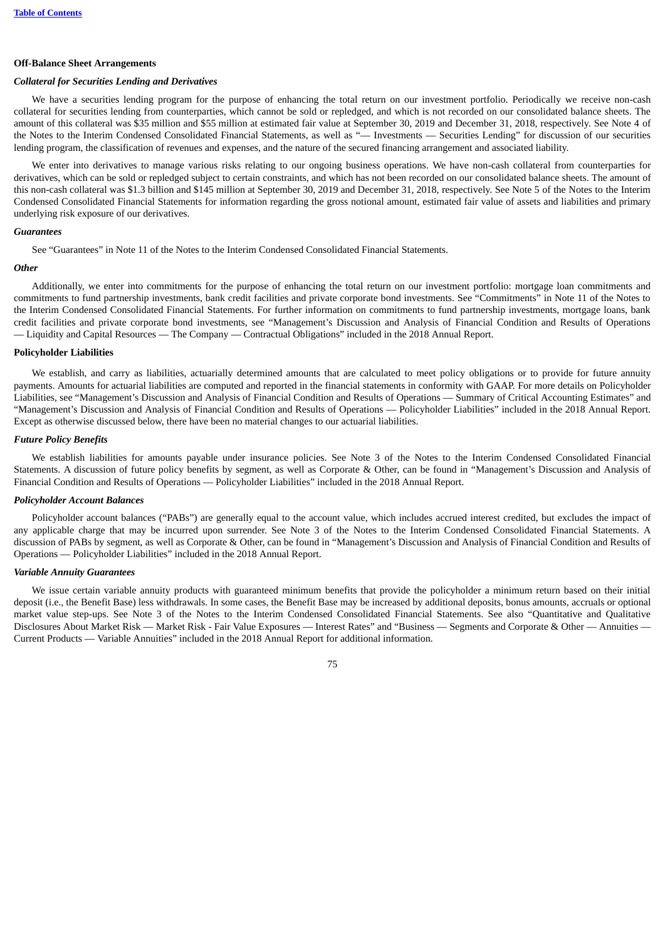#### **Off-Balance Sheet Arrangements**

## *Collateral for Securities Lending and Derivatives*

We have a securities lending program for the purpose of enhancing the total return on our investment portfolio. Periodically we receive non-cash collateral for securities lending from counterparties, which cannot be sold or repledged, and which is not recorded on our consolidated balance sheets. The amount of this collateral was \$35 million and \$55 million at estimated fair value at September 30, 2019 and December 31, 2018, respectively. See Note 4 of the Notes to the Interim Condensed Consolidated Financial Statements, as well as "— Investments — Securities Lending" for discussion of our securities lending program, the classification of revenues and expenses, and the nature of the secured financing arrangement and associated liability.

We enter into derivatives to manage various risks relating to our ongoing business operations. We have non-cash collateral from counterparties for derivatives, which can be sold or repledged subject to certain constraints, and which has not been recorded on our consolidated balance sheets. The amount of this non-cash collateral was \$1.3 billion and \$145 million at September 30, 2019 and December 31, 2018, respectively. See Note 5 of the Notes to the Interim Condensed Consolidated Financial Statements for information regarding the gross notional amount, estimated fair value of assets and liabilities and primary underlying risk exposure of our derivatives.

#### *Guarantees*

See "Guarantees" in Note 11 of the Notes to the Interim Condensed Consolidated Financial Statements.

## *Other*

Additionally, we enter into commitments for the purpose of enhancing the total return on our investment portfolio: mortgage loan commitments and commitments to fund partnership investments, bank credit facilities and private corporate bond investments. See "Commitments" in Note 11 of the Notes to the Interim Condensed Consolidated Financial Statements. For further information on commitments to fund partnership investments, mortgage loans, bank credit facilities and private corporate bond investments, see "Management's Discussion and Analysis of Financial Condition and Results of Operations — Liquidity and Capital Resources — The Company — Contractual Obligations" included in the 2018 Annual Report.

#### **Policyholder Liabilities**

We establish, and carry as liabilities, actuarially determined amounts that are calculated to meet policy obligations or to provide for future annuity payments. Amounts for actuarial liabilities are computed and reported in the financial statements in conformity with GAAP. For more details on Policyholder Liabilities, see "Management's Discussion and Analysis of Financial Condition and Results of Operations — Summary of Critical Accounting Estimates" and "Management's Discussion and Analysis of Financial Condition and Results of Operations — Policyholder Liabilities" included in the 2018 Annual Report. Except as otherwise discussed below, there have been no material changes to our actuarial liabilities.

#### *Future Policy Benefits*

We establish liabilities for amounts payable under insurance policies. See Note 3 of the Notes to the Interim Condensed Consolidated Financial Statements. A discussion of future policy benefits by segment, as well as Corporate & Other, can be found in "Management's Discussion and Analysis of Financial Condition and Results of Operations — Policyholder Liabilities" included in the 2018 Annual Report.

## *Policyholder Account Balances*

Policyholder account balances ("PABs") are generally equal to the account value, which includes accrued interest credited, but excludes the impact of any applicable charge that may be incurred upon surrender. See Note 3 of the Notes to the Interim Condensed Consolidated Financial Statements. A discussion of PABs by segment, as well as Corporate & Other, can be found in "Management's Discussion and Analysis of Financial Condition and Results of Operations — Policyholder Liabilities" included in the 2018 Annual Report.

#### *Variable Annuity Guarantees*

We issue certain variable annuity products with guaranteed minimum benefits that provide the policyholder a minimum return based on their initial deposit (i.e., the Benefit Base) less withdrawals. In some cases, the Benefit Base may be increased by additional deposits, bonus amounts, accruals or optional market value step-ups. See Note 3 of the Notes to the Interim Condensed Consolidated Financial Statements. See also "Quantitative and Qualitative Disclosures About Market Risk — Market Risk - Fair Value Exposures — Interest Rates" and "Business — Segments and Corporate & Other — Annuities — Current Products — Variable Annuities" included in the 2018 Annual Report for additional information.

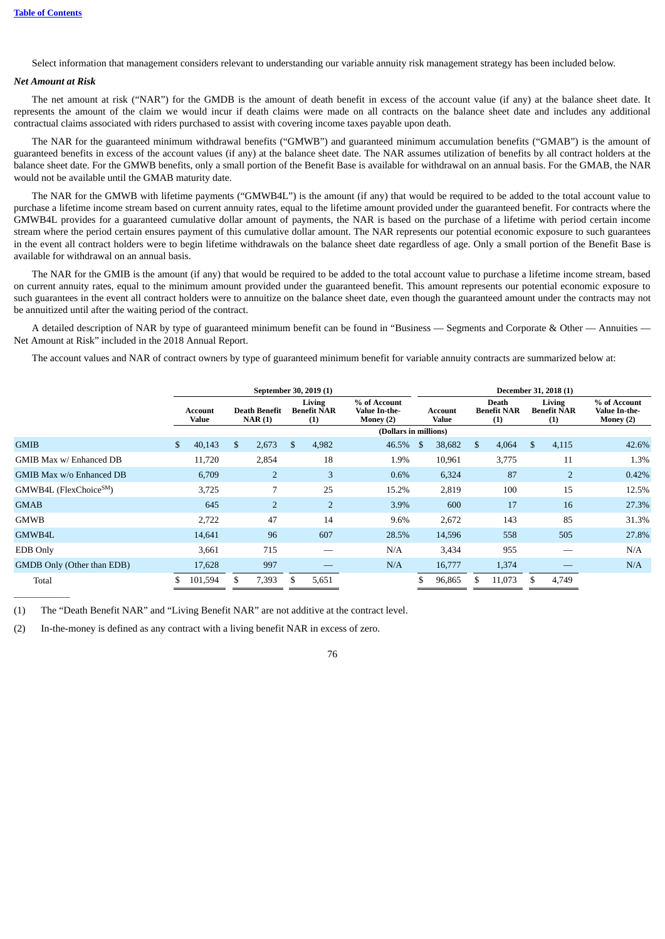Select information that management considers relevant to understanding our variable annuity risk management strategy has been included below.

# *Net Amount at Risk*

 $\overline{\phantom{a}}$ 

The net amount at risk ("NAR") for the GMDB is the amount of death benefit in excess of the account value (if any) at the balance sheet date. It represents the amount of the claim we would incur if death claims were made on all contracts on the balance sheet date and includes any additional contractual claims associated with riders purchased to assist with covering income taxes payable upon death.

The NAR for the guaranteed minimum withdrawal benefits ("GMWB") and guaranteed minimum accumulation benefits ("GMAB") is the amount of guaranteed benefits in excess of the account values (if any) at the balance sheet date. The NAR assumes utilization of benefits by all contract holders at the balance sheet date. For the GMWB benefits, only a small portion of the Benefit Base is available for withdrawal on an annual basis. For the GMAB, the NAR would not be available until the GMAB maturity date.

The NAR for the GMWB with lifetime payments ("GMWB4L") is the amount (if any) that would be required to be added to the total account value to purchase a lifetime income stream based on current annuity rates, equal to the lifetime amount provided under the guaranteed benefit. For contracts where the GMWB4L provides for a guaranteed cumulative dollar amount of payments, the NAR is based on the purchase of a lifetime with period certain income stream where the period certain ensures payment of this cumulative dollar amount. The NAR represents our potential economic exposure to such guarantees in the event all contract holders were to begin lifetime withdrawals on the balance sheet date regardless of age. Only a small portion of the Benefit Base is available for withdrawal on an annual basis.

The NAR for the GMIB is the amount (if any) that would be required to be added to the total account value to purchase a lifetime income stream, based on current annuity rates, equal to the minimum amount provided under the guaranteed benefit. This amount represents our potential economic exposure to such guarantees in the event all contract holders were to annuitize on the balance sheet date, even though the guaranteed amount under the contracts may not be annuitized until after the waiting period of the contract.

A detailed description of NAR by type of guaranteed minimum benefit can be found in "Business — Segments and Corporate & Other — Annuities — Net Amount at Risk" included in the 2018 Annual Report.

The account values and NAR of contract owners by type of guaranteed minimum benefit for variable annuity contracts are summarized below at:

|                                    | September 30, 2019 (1)         |    |                                |     |                                     |                                              |       |      |                  | December 31, 2018 (1)              |     |                                     |                                              |
|------------------------------------|--------------------------------|----|--------------------------------|-----|-------------------------------------|----------------------------------------------|-------|------|------------------|------------------------------------|-----|-------------------------------------|----------------------------------------------|
|                                    | <b>Account</b><br><b>Value</b> |    | <b>Death Benefit</b><br>NAR(1) |     | Living<br><b>Benefit NAR</b><br>(1) | % of Account<br>Value In-the-<br>Money $(2)$ |       |      | Account<br>Value | Death<br><b>Benefit NAR</b><br>(1) |     | Living<br><b>Benefit NAR</b><br>(1) | % of Account<br>Value In-the-<br>Money $(2)$ |
|                                    |                                |    |                                |     |                                     | (Dollars in millions)                        |       |      |                  |                                    |     |                                     |                                              |
| <b>GMIB</b>                        | \$<br>40,143                   | \$ | 2,673                          | \$. | 4,982                               |                                              | 46.5% | - \$ | 38,682           | \$<br>4,064                        | \$. | 4,115                               | 42.6%                                        |
| GMIB Max w/ Enhanced DB            | 11,720                         |    | 2,854                          |     | 18                                  |                                              | 1.9%  |      | 10,961           | 3,775                              |     | 11                                  | 1.3%                                         |
| GMIB Max w/o Enhanced DB           | 6,709                          |    | $\overline{2}$                 |     | 3                                   |                                              | 0.6%  |      | 6,324            | 87                                 |     | $\overline{2}$                      | 0.42%                                        |
| GMWB4L (FlexChoice <sup>SM</sup> ) | 3,725                          |    | 7                              |     | 25                                  | 15.2%                                        |       |      | 2,819            | 100                                |     | 15                                  | 12.5%                                        |
| <b>GMAB</b>                        | 645                            |    | $\overline{2}$                 |     | $\overline{2}$                      |                                              | 3.9%  |      | 600              | 17                                 |     | 16                                  | 27.3%                                        |
| GMWB                               | 2,722                          |    | 47                             |     | 14                                  |                                              | 9.6%  |      | 2,672            | 143                                |     | 85                                  | 31.3%                                        |
| GMWB4L                             | 14,641                         |    | 96                             |     | 607                                 | 28.5%                                        |       |      | 14,596           | 558                                |     | 505                                 | 27.8%                                        |
| EDB Only                           | 3,661                          |    | 715                            |     |                                     | N/A                                          |       |      | 3,434            | 955                                |     |                                     | N/A                                          |
| GMDB Only (Other than EDB)         | 17,628                         |    | 997                            |     |                                     | N/A                                          |       |      | 16,777           | 1,374                              |     |                                     | N/A                                          |
| Total                              | 101,594                        | \$ | 7,393                          |     | 5,651                               |                                              |       |      | 96,865           | 11,073                             |     | 4,749                               |                                              |

(1) The "Death Benefit NAR" and "Living Benefit NAR" are not additive at the contract level.

(2) In-the-money is defined as any contract with a living benefit NAR in excess of zero.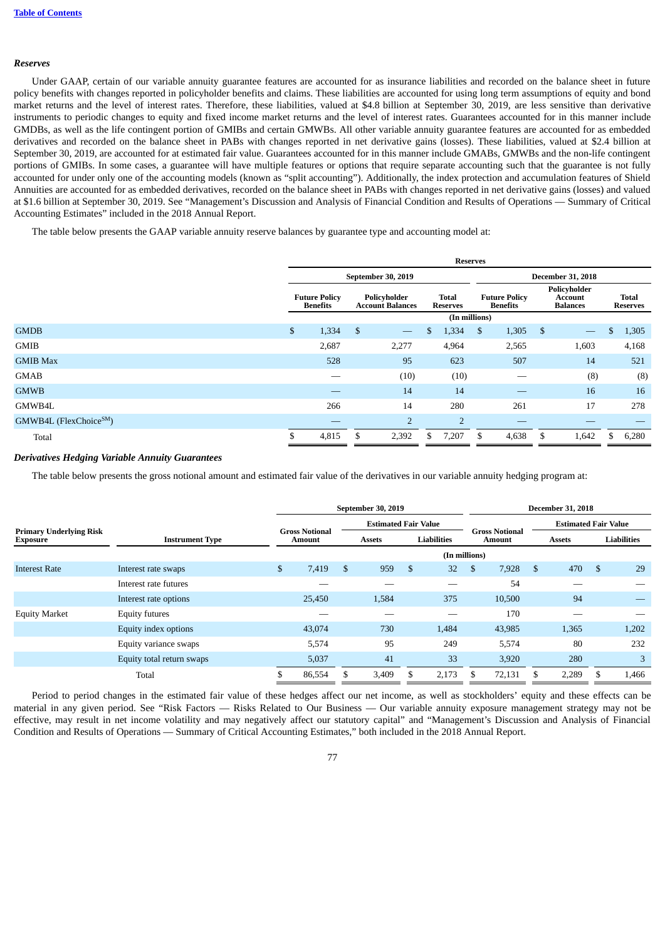### *Reserves*

Under GAAP, certain of our variable annuity guarantee features are accounted for as insurance liabilities and recorded on the balance sheet in future policy benefits with changes reported in policyholder benefits and claims. These liabilities are accounted for using long term assumptions of equity and bond market returns and the level of interest rates. Therefore, these liabilities, valued at \$4.8 billion at September 30, 2019, are less sensitive than derivative instruments to periodic changes to equity and fixed income market returns and the level of interest rates. Guarantees accounted for in this manner include GMDBs, as well as the life contingent portion of GMIBs and certain GMWBs. All other variable annuity guarantee features are accounted for as embedded derivatives and recorded on the balance sheet in PABs with changes reported in net derivative gains (losses). These liabilities, valued at \$2.4 billion at September 30, 2019, are accounted for at estimated fair value. Guarantees accounted for in this manner include GMABs, GMWBs and the non-life contingent portions of GMIBs. In some cases, a guarantee will have multiple features or options that require separate accounting such that the guarantee is not fully accounted for under only one of the accounting models (known as "split accounting"). Additionally, the index protection and accumulation features of Shield Annuities are accounted for as embedded derivatives, recorded on the balance sheet in PABs with changes reported in net derivative gains (losses) and valued at \$1.6 billion at September 30, 2019. See "Management's Discussion and Analysis of Financial Condition and Results of Operations — Summary of Critical Accounting Estimates" included in the 2018 Annual Report.

The table below presents the GAAP variable annuity reserve balances by guarantee type and accounting model at:

|                                    |              | <b>Reserves</b>                         |                |                                         |    |                                 |    |                                         |                                            |                          |                                 |       |
|------------------------------------|--------------|-----------------------------------------|----------------|-----------------------------------------|----|---------------------------------|----|-----------------------------------------|--------------------------------------------|--------------------------|---------------------------------|-------|
|                                    |              |                                         |                | <b>September 30, 2019</b>               |    |                                 |    |                                         |                                            | <b>December 31, 2018</b> |                                 |       |
|                                    |              | <b>Future Policy</b><br><b>Benefits</b> |                | Policyholder<br><b>Account Balances</b> |    | <b>Total</b><br><b>Reserves</b> |    | <b>Future Policy</b><br><b>Benefits</b> | Policyholder<br>Account<br><b>Balances</b> |                          | <b>Total</b><br><b>Reserves</b> |       |
|                                    |              |                                         |                |                                         |    | (In millions)                   |    |                                         |                                            |                          |                                 |       |
| <b>GMDB</b>                        | $\mathbb{S}$ | 1,334                                   | $\mathfrak{F}$ | $\overline{\phantom{m}}$                | \$ | 1,334                           | \$ | 1,305                                   | - \$                                       | $\hspace{0.05cm}$        | \$                              | 1,305 |
| <b>GMIB</b>                        |              | 2,687                                   |                | 2,277                                   |    | 4,964                           |    | 2,565                                   |                                            | 1,603                    |                                 | 4,168 |
| <b>GMIB Max</b>                    |              | 528                                     |                | 95                                      |    | 623                             |    | 507                                     |                                            | 14                       |                                 | 521   |
| <b>GMAB</b>                        |              |                                         |                | (10)                                    |    | (10)                            |    |                                         |                                            | (8)                      |                                 | (8)   |
| <b>GMWB</b>                        |              |                                         |                | 14                                      |    | 14                              |    |                                         |                                            | 16                       |                                 | 16    |
| GMWB4L                             |              | 266                                     |                | 14                                      |    | 280                             |    | 261                                     |                                            | 17                       |                                 | 278   |
| GMWB4L (FlexChoice <sup>SM</sup> ) |              |                                         |                | $\overline{2}$                          |    | 2                               |    |                                         |                                            |                          |                                 |       |
| Total                              | \$           | 4,815                                   | \$             | 2,392                                   | S. | 7,207                           | S  | 4,638                                   | \$                                         | 1,642                    | \$                              | 6,280 |

### *Derivatives Hedging Variable Annuity Guarantees*

The table below presents the gross notional amount and estimated fair value of the derivatives in our variable annuity hedging program at:

|                                                   |                           |                             | <b>September 30, 2019</b>       |    |               |     |                    |    |                                        | <b>December 31, 2018</b> |               |    |                    |  |  |  |
|---------------------------------------------------|---------------------------|-----------------------------|---------------------------------|----|---------------|-----|--------------------|----|----------------------------------------|--------------------------|---------------|----|--------------------|--|--|--|
|                                                   |                           | <b>Estimated Fair Value</b> |                                 |    |               |     |                    |    | <b>Estimated Fair Value</b>            |                          |               |    |                    |  |  |  |
| <b>Primary Underlying Risk</b><br><b>Exposure</b> | <b>Instrument Type</b>    |                             | <b>Gross Notional</b><br>Amount |    | <b>Assets</b> |     | <b>Liabilities</b> |    | <b>Gross Notional</b><br><b>Amount</b> |                          | <b>Assets</b> |    | <b>Liabilities</b> |  |  |  |
|                                                   |                           |                             |                                 |    |               |     | (In millions)      |    |                                        |                          |               |    |                    |  |  |  |
| <b>Interest Rate</b>                              | Interest rate swaps       | \$                          | 7,419                           | \$ | 959           | \$  | 32                 | \$ | 7,928                                  | $\mathbb{S}$             | 470           | \$ | 29                 |  |  |  |
|                                                   | Interest rate futures     |                             |                                 |    |               |     |                    |    | 54                                     |                          |               |    |                    |  |  |  |
|                                                   | Interest rate options     |                             | 25,450                          |    | 1,584         |     | 375                |    | 10,500                                 |                          | 94            |    |                    |  |  |  |
| <b>Equity Market</b>                              | <b>Equity futures</b>     |                             |                                 |    |               |     |                    |    | 170                                    |                          |               |    |                    |  |  |  |
|                                                   | Equity index options      |                             | 43,074                          |    | 730           |     | 1,484              |    | 43,985                                 |                          | 1,365         |    | 1,202              |  |  |  |
|                                                   | Equity variance swaps     |                             | 5,574                           |    | 95            |     | 249                |    | 5,574                                  |                          | 80            |    | 232                |  |  |  |
|                                                   | Equity total return swaps |                             | 5,037                           |    | 41            |     | 33                 |    | 3,920                                  |                          | 280           |    | 3                  |  |  |  |
|                                                   | Total                     | ъ                           | 86,554                          |    | 3,409         | \$. | 2,173              |    | 72,131                                 |                          | 2,289         |    | 1,466              |  |  |  |

Period to period changes in the estimated fair value of these hedges affect our net income, as well as stockholders' equity and these effects can be material in any given period. See "Risk Factors — Risks Related to Our Business — Our variable annuity exposure management strategy may not be effective, may result in net income volatility and may negatively affect our statutory capital" and "Management's Discussion and Analysis of Financial Condition and Results of Operations — Summary of Critical Accounting Estimates," both included in the 2018 Annual Report.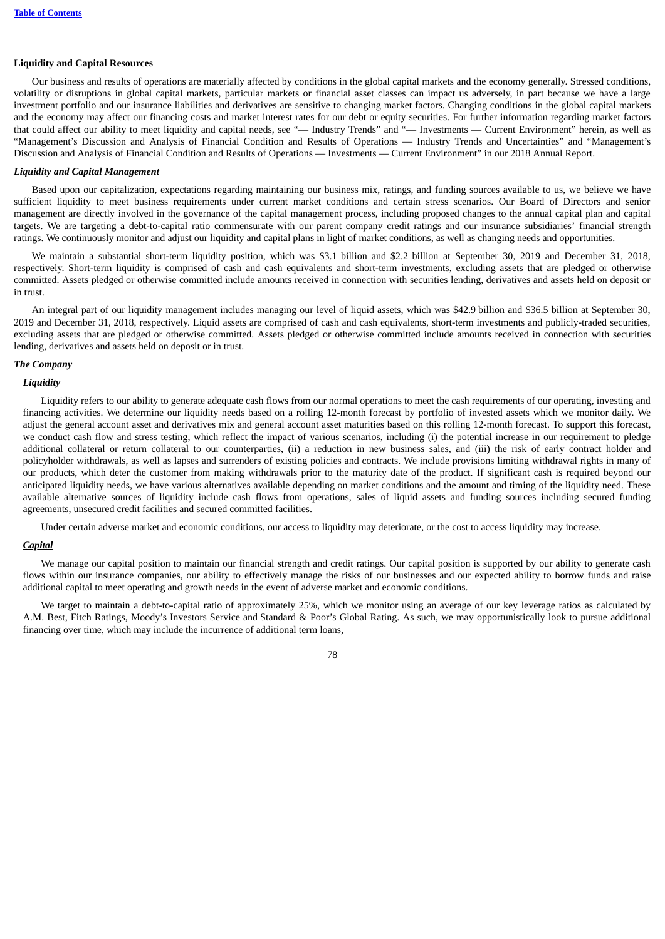#### **Liquidity and Capital Resources**

Our business and results of operations are materially affected by conditions in the global capital markets and the economy generally. Stressed conditions, volatility or disruptions in global capital markets, particular markets or financial asset classes can impact us adversely, in part because we have a large investment portfolio and our insurance liabilities and derivatives are sensitive to changing market factors. Changing conditions in the global capital markets and the economy may affect our financing costs and market interest rates for our debt or equity securities. For further information regarding market factors that could affect our ability to meet liquidity and capital needs, see "— Industry Trends" and "— Investments — Current Environment" herein, as well as "Management's Discussion and Analysis of Financial Condition and Results of Operations — Industry Trends and Uncertainties" and "Management's Discussion and Analysis of Financial Condition and Results of Operations — Investments — Current Environment" in our 2018 Annual Report.

#### *Liquidity and Capital Management*

Based upon our capitalization, expectations regarding maintaining our business mix, ratings, and funding sources available to us, we believe we have sufficient liquidity to meet business requirements under current market conditions and certain stress scenarios. Our Board of Directors and senior management are directly involved in the governance of the capital management process, including proposed changes to the annual capital plan and capital targets. We are targeting a debt-to-capital ratio commensurate with our parent company credit ratings and our insurance subsidiaries' financial strength ratings. We continuously monitor and adjust our liquidity and capital plans in light of market conditions, as well as changing needs and opportunities.

We maintain a substantial short-term liquidity position, which was \$3.1 billion and \$2.2 billion at September 30, 2019 and December 31, 2018, respectively. Short-term liquidity is comprised of cash and cash equivalents and short-term investments, excluding assets that are pledged or otherwise committed. Assets pledged or otherwise committed include amounts received in connection with securities lending, derivatives and assets held on deposit or in trust.

An integral part of our liquidity management includes managing our level of liquid assets, which was \$42.9 billion and \$36.5 billion at September 30, 2019 and December 31, 2018, respectively. Liquid assets are comprised of cash and cash equivalents, short-term investments and publicly-traded securities, excluding assets that are pledged or otherwise committed. Assets pledged or otherwise committed include amounts received in connection with securities lending, derivatives and assets held on deposit or in trust.

# *The Company*

# *Liquidity*

Liquidity refers to our ability to generate adequate cash flows from our normal operations to meet the cash requirements of our operating, investing and financing activities. We determine our liquidity needs based on a rolling 12-month forecast by portfolio of invested assets which we monitor daily. We adjust the general account asset and derivatives mix and general account asset maturities based on this rolling 12-month forecast. To support this forecast, we conduct cash flow and stress testing, which reflect the impact of various scenarios, including (i) the potential increase in our requirement to pledge additional collateral or return collateral to our counterparties, (ii) a reduction in new business sales, and (iii) the risk of early contract holder and policyholder withdrawals, as well as lapses and surrenders of existing policies and contracts. We include provisions limiting withdrawal rights in many of our products, which deter the customer from making withdrawals prior to the maturity date of the product. If significant cash is required beyond our anticipated liquidity needs, we have various alternatives available depending on market conditions and the amount and timing of the liquidity need. These available alternative sources of liquidity include cash flows from operations, sales of liquid assets and funding sources including secured funding agreements, unsecured credit facilities and secured committed facilities.

Under certain adverse market and economic conditions, our access to liquidity may deteriorate, or the cost to access liquidity may increase.

# *Capital*

We manage our capital position to maintain our financial strength and credit ratings. Our capital position is supported by our ability to generate cash flows within our insurance companies, our ability to effectively manage the risks of our businesses and our expected ability to borrow funds and raise additional capital to meet operating and growth needs in the event of adverse market and economic conditions.

We target to maintain a debt-to-capital ratio of approximately 25%, which we monitor using an average of our key leverage ratios as calculated by A.M. Best, Fitch Ratings, Moody's Investors Service and Standard & Poor's Global Rating. As such, we may opportunistically look to pursue additional financing over time, which may include the incurrence of additional term loans,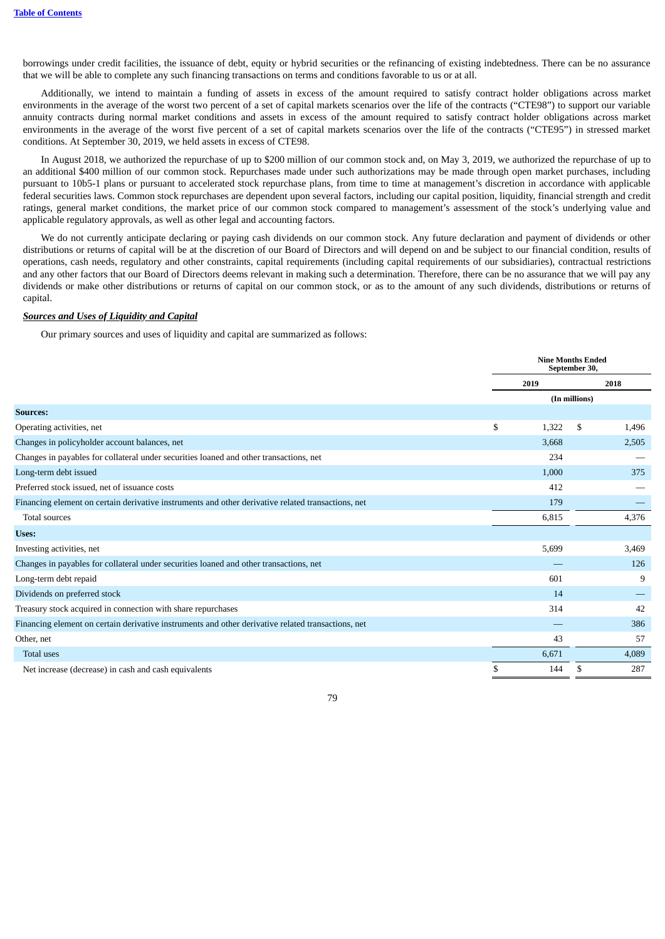borrowings under credit facilities, the issuance of debt, equity or hybrid securities or the refinancing of existing indebtedness. There can be no assurance that we will be able to complete any such financing transactions on terms and conditions favorable to us or at all.

Additionally, we intend to maintain a funding of assets in excess of the amount required to satisfy contract holder obligations across market environments in the average of the worst two percent of a set of capital markets scenarios over the life of the contracts ("CTE98") to support our variable annuity contracts during normal market conditions and assets in excess of the amount required to satisfy contract holder obligations across market environments in the average of the worst five percent of a set of capital markets scenarios over the life of the contracts ("CTE95") in stressed market conditions. At September 30, 2019, we held assets in excess of CTE98.

In August 2018, we authorized the repurchase of up to \$200 million of our common stock and, on May 3, 2019, we authorized the repurchase of up to an additional \$400 million of our common stock. Repurchases made under such authorizations may be made through open market purchases, including pursuant to 10b5-1 plans or pursuant to accelerated stock repurchase plans, from time to time at management's discretion in accordance with applicable federal securities laws. Common stock repurchases are dependent upon several factors, including our capital position, liquidity, financial strength and credit ratings, general market conditions, the market price of our common stock compared to management's assessment of the stock's underlying value and applicable regulatory approvals, as well as other legal and accounting factors.

We do not currently anticipate declaring or paying cash dividends on our common stock. Any future declaration and payment of dividends or other distributions or returns of capital will be at the discretion of our Board of Directors and will depend on and be subject to our financial condition, results of operations, cash needs, regulatory and other constraints, capital requirements (including capital requirements of our subsidiaries), contractual restrictions and any other factors that our Board of Directors deems relevant in making such a determination. Therefore, there can be no assurance that we will pay any dividends or make other distributions or returns of capital on our common stock, or as to the amount of any such dividends, distributions or returns of capital.

## *Sources and Uses of Liquidity and Capital*

Our primary sources and uses of liquidity and capital are summarized as follows:

|                                                                                                    | <b>Nine Months Ended</b><br>September 30, |               |  |  |  |
|----------------------------------------------------------------------------------------------------|-------------------------------------------|---------------|--|--|--|
|                                                                                                    | 2019                                      | 2018          |  |  |  |
|                                                                                                    |                                           | (In millions) |  |  |  |
| <b>Sources:</b>                                                                                    |                                           |               |  |  |  |
| Operating activities, net                                                                          | \$<br>1,322                               | \$<br>1,496   |  |  |  |
| Changes in policyholder account balances, net                                                      | 3,668                                     | 2,505         |  |  |  |
| Changes in payables for collateral under securities loaned and other transactions, net             | 234                                       |               |  |  |  |
| Long-term debt issued                                                                              | 1,000                                     | 375           |  |  |  |
| Preferred stock issued, net of issuance costs                                                      | 412                                       |               |  |  |  |
| Financing element on certain derivative instruments and other derivative related transactions, net | 179                                       |               |  |  |  |
| <b>Total sources</b>                                                                               | 6,815                                     | 4,376         |  |  |  |
| Uses:                                                                                              |                                           |               |  |  |  |
| Investing activities, net                                                                          | 5,699                                     | 3,469         |  |  |  |
| Changes in payables for collateral under securities loaned and other transactions, net             |                                           | 126           |  |  |  |
| Long-term debt repaid                                                                              | 601                                       | 9             |  |  |  |
| Dividends on preferred stock                                                                       | 14                                        |               |  |  |  |
| Treasury stock acquired in connection with share repurchases                                       | 314                                       | 42            |  |  |  |
| Financing element on certain derivative instruments and other derivative related transactions, net |                                           | 386           |  |  |  |
| Other, net                                                                                         | 43                                        | 57            |  |  |  |
| Total uses                                                                                         | 6,671                                     | 4,089         |  |  |  |
| Net increase (decrease) in cash and cash equivalents                                               | 144                                       | 287<br>S      |  |  |  |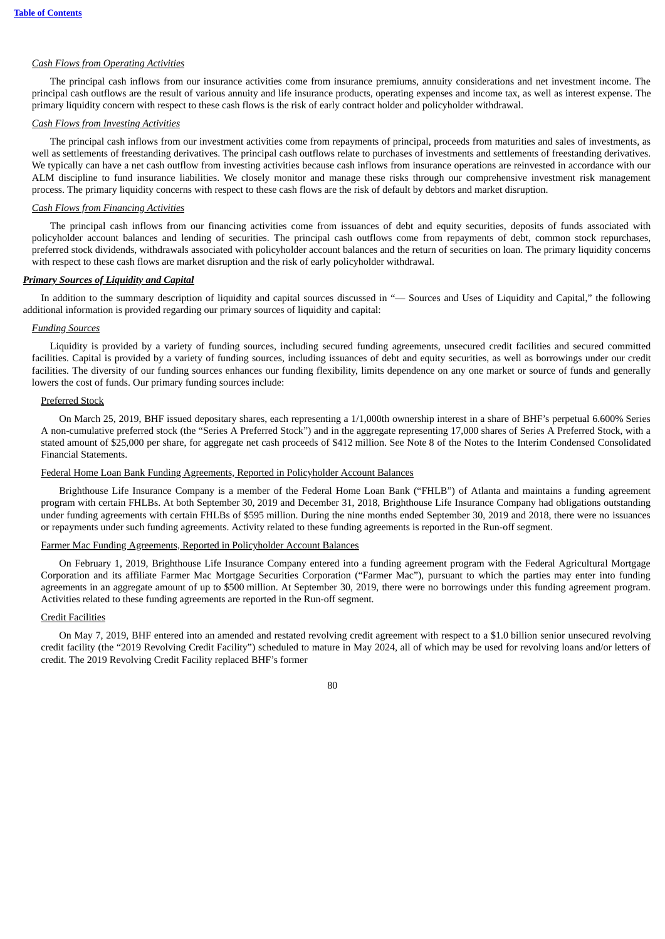# *Cash Flows from Operating Activities*

The principal cash inflows from our insurance activities come from insurance premiums, annuity considerations and net investment income. The principal cash outflows are the result of various annuity and life insurance products, operating expenses and income tax, as well as interest expense. The primary liquidity concern with respect to these cash flows is the risk of early contract holder and policyholder withdrawal.

#### *Cash Flows from Investing Activities*

The principal cash inflows from our investment activities come from repayments of principal, proceeds from maturities and sales of investments, as well as settlements of freestanding derivatives. The principal cash outflows relate to purchases of investments and settlements of freestanding derivatives. We typically can have a net cash outflow from investing activities because cash inflows from insurance operations are reinvested in accordance with our ALM discipline to fund insurance liabilities. We closely monitor and manage these risks through our comprehensive investment risk management process. The primary liquidity concerns with respect to these cash flows are the risk of default by debtors and market disruption.

#### *Cash Flows from Financing Activities*

The principal cash inflows from our financing activities come from issuances of debt and equity securities, deposits of funds associated with policyholder account balances and lending of securities. The principal cash outflows come from repayments of debt, common stock repurchases, preferred stock dividends, withdrawals associated with policyholder account balances and the return of securities on loan. The primary liquidity concerns with respect to these cash flows are market disruption and the risk of early policyholder withdrawal.

#### *Primary Sources of Liquidity and Capital*

In addition to the summary description of liquidity and capital sources discussed in "— Sources and Uses of Liquidity and Capital," the following additional information is provided regarding our primary sources of liquidity and capital:

#### *Funding Sources*

Liquidity is provided by a variety of funding sources, including secured funding agreements, unsecured credit facilities and secured committed facilities. Capital is provided by a variety of funding sources, including issuances of debt and equity securities, as well as borrowings under our credit facilities. The diversity of our funding sources enhances our funding flexibility, limits dependence on any one market or source of funds and generally lowers the cost of funds. Our primary funding sources include:

#### Preferred Stock

On March 25, 2019, BHF issued depositary shares, each representing a 1/1,000th ownership interest in a share of BHF's perpetual 6.600% Series A non-cumulative preferred stock (the "Series A Preferred Stock") and in the aggregate representing 17,000 shares of Series A Preferred Stock, with a stated amount of \$25,000 per share, for aggregate net cash proceeds of \$412 million. See Note 8 of the Notes to the Interim Condensed Consolidated Financial Statements.

### Federal Home Loan Bank Funding Agreements, Reported in Policyholder Account Balances

Brighthouse Life Insurance Company is a member of the Federal Home Loan Bank ("FHLB") of Atlanta and maintains a funding agreement program with certain FHLBs. At both September 30, 2019 and December 31, 2018, Brighthouse Life Insurance Company had obligations outstanding under funding agreements with certain FHLBs of \$595 million. During the nine months ended September 30, 2019 and 2018, there were no issuances or repayments under such funding agreements. Activity related to these funding agreements is reported in the Run-off segment.

# Farmer Mac Funding Agreements, Reported in Policyholder Account Balances

On February 1, 2019, Brighthouse Life Insurance Company entered into a funding agreement program with the Federal Agricultural Mortgage Corporation and its affiliate Farmer Mac Mortgage Securities Corporation ("Farmer Mac"), pursuant to which the parties may enter into funding agreements in an aggregate amount of up to \$500 million. At September 30, 2019, there were no borrowings under this funding agreement program. Activities related to these funding agreements are reported in the Run-off segment.

### Credit Facilities

On May 7, 2019, BHF entered into an amended and restated revolving credit agreement with respect to a \$1.0 billion senior unsecured revolving credit facility (the "2019 Revolving Credit Facility") scheduled to mature in May 2024, all of which may be used for revolving loans and/or letters of credit. The 2019 Revolving Credit Facility replaced BHF's former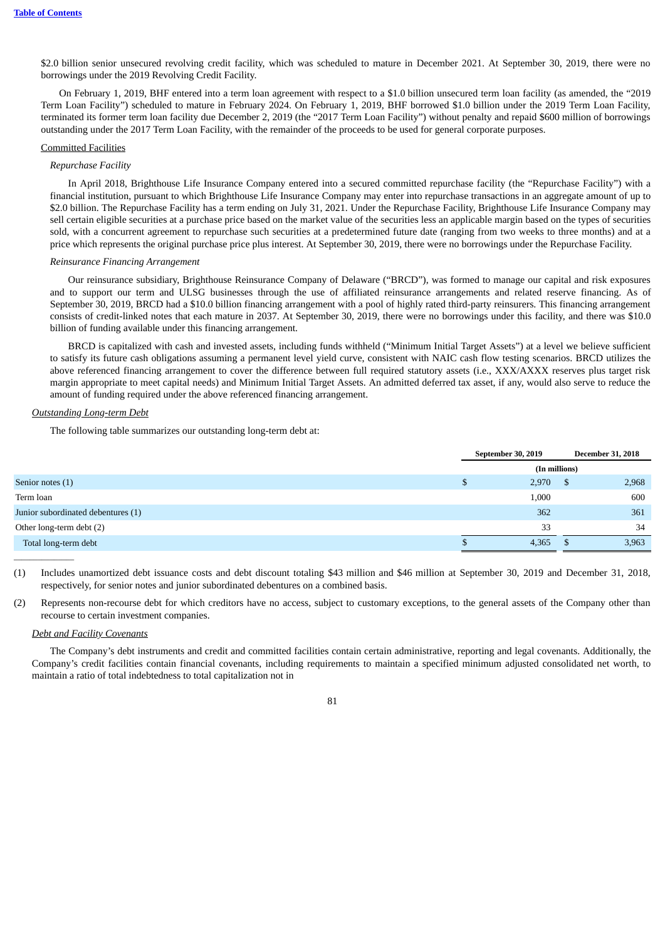\$2.0 billion senior unsecured revolving credit facility, which was scheduled to mature in December 2021. At September 30, 2019, there were no borrowings under the 2019 Revolving Credit Facility.

On February 1, 2019, BHF entered into a term loan agreement with respect to a \$1.0 billion unsecured term loan facility (as amended, the "2019 Term Loan Facility") scheduled to mature in February 2024. On February 1, 2019, BHF borrowed \$1.0 billion under the 2019 Term Loan Facility, terminated its former term loan facility due December 2, 2019 (the "2017 Term Loan Facility") without penalty and repaid \$600 million of borrowings outstanding under the 2017 Term Loan Facility, with the remainder of the proceeds to be used for general corporate purposes.

#### Committed Facilities

# *Repurchase Facility*

In April 2018, Brighthouse Life Insurance Company entered into a secured committed repurchase facility (the "Repurchase Facility") with a financial institution, pursuant to which Brighthouse Life Insurance Company may enter into repurchase transactions in an aggregate amount of up to \$2.0 billion. The Repurchase Facility has a term ending on July 31, 2021. Under the Repurchase Facility, Brighthouse Life Insurance Company may sell certain eligible securities at a purchase price based on the market value of the securities less an applicable margin based on the types of securities sold, with a concurrent agreement to repurchase such securities at a predetermined future date (ranging from two weeks to three months) and at a price which represents the original purchase price plus interest. At September 30, 2019, there were no borrowings under the Repurchase Facility.

### *Reinsurance Financing Arrangement*

Our reinsurance subsidiary, Brighthouse Reinsurance Company of Delaware ("BRCD"), was formed to manage our capital and risk exposures and to support our term and ULSG businesses through the use of affiliated reinsurance arrangements and related reserve financing. As of September 30, 2019, BRCD had a \$10.0 billion financing arrangement with a pool of highly rated third-party reinsurers. This financing arrangement consists of credit-linked notes that each mature in 2037. At September 30, 2019, there were no borrowings under this facility, and there was \$10.0 billion of funding available under this financing arrangement.

BRCD is capitalized with cash and invested assets, including funds withheld ("Minimum Initial Target Assets") at a level we believe sufficient to satisfy its future cash obligations assuming a permanent level yield curve, consistent with NAIC cash flow testing scenarios. BRCD utilizes the above referenced financing arrangement to cover the difference between full required statutory assets (i.e., XXX/AXXX reserves plus target risk margin appropriate to meet capital needs) and Minimum Initial Target Assets. An admitted deferred tax asset, if any, would also serve to reduce the amount of funding required under the above referenced financing arrangement.

### *Outstanding Long-term Debt*

The following table summarizes our outstanding long-term debt at:

|                                    | <b>September 30, 2019</b> | <b>December 31, 2018</b> |       |  |
|------------------------------------|---------------------------|--------------------------|-------|--|
|                                    | (In millions)             |                          |       |  |
| Senior notes (1)                   | 2,970                     |                          | 2,968 |  |
| Term loan                          | 1,000                     |                          | 600   |  |
| Junior subordinated debentures (1) | 362                       |                          | 361   |  |
| Other long-term debt (2)           | 33                        |                          | 34    |  |
| Total long-term debt               | 4,365                     |                          | 3,963 |  |

(1) Includes unamortized debt issuance costs and debt discount totaling \$43 million and \$46 million at September 30, 2019 and December 31, 2018, respectively, for senior notes and junior subordinated debentures on a combined basis.

(2) Represents non-recourse debt for which creditors have no access, subject to customary exceptions, to the general assets of the Company other than recourse to certain investment companies.

# *Debt and Facility Covenants*

 $\overline{\phantom{a}}$ 

The Company's debt instruments and credit and committed facilities contain certain administrative, reporting and legal covenants. Additionally, the Company's credit facilities contain financial covenants, including requirements to maintain a specified minimum adjusted consolidated net worth, to maintain a ratio of total indebtedness to total capitalization not in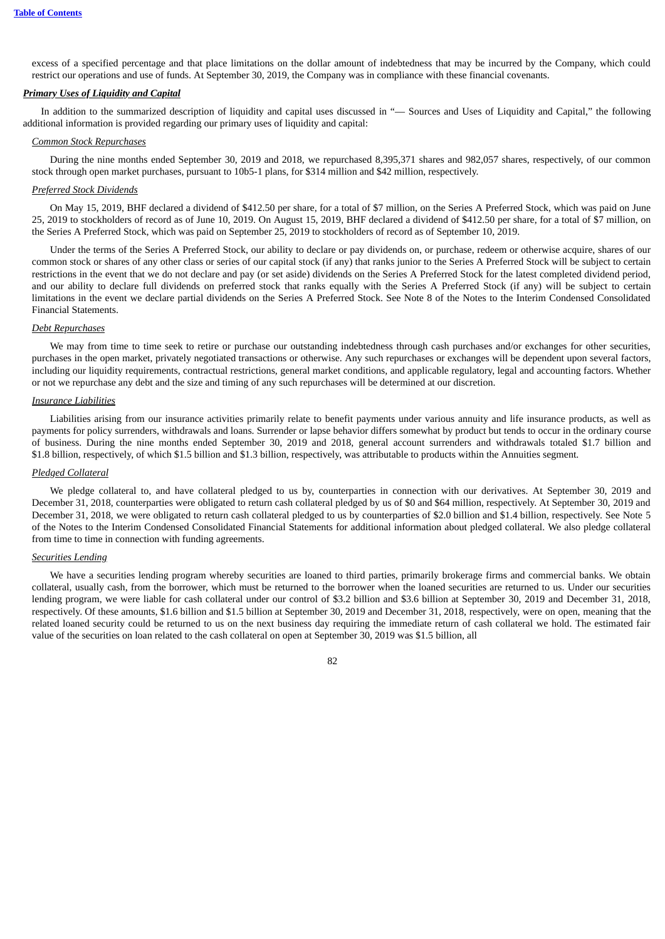excess of a specified percentage and that place limitations on the dollar amount of indebtedness that may be incurred by the Company, which could restrict our operations and use of funds. At September 30, 2019, the Company was in compliance with these financial covenants.

#### *Primary Uses of Liquidity and Capital*

In addition to the summarized description of liquidity and capital uses discussed in "— Sources and Uses of Liquidity and Capital," the following additional information is provided regarding our primary uses of liquidity and capital:

## *Common Stock Repurchases*

During the nine months ended September 30, 2019 and 2018, we repurchased 8,395,371 shares and 982,057 shares, respectively, of our common stock through open market purchases, pursuant to 10b5-1 plans, for \$314 million and \$42 million, respectively.

### *Preferred Stock Dividends*

On May 15, 2019, BHF declared a dividend of \$412.50 per share, for a total of \$7 million, on the Series A Preferred Stock, which was paid on June 25, 2019 to stockholders of record as of June 10, 2019. On August 15, 2019, BHF declared a dividend of \$412.50 per share, for a total of \$7 million, on the Series A Preferred Stock, which was paid on September 25, 2019 to stockholders of record as of September 10, 2019.

Under the terms of the Series A Preferred Stock, our ability to declare or pay dividends on, or purchase, redeem or otherwise acquire, shares of our common stock or shares of any other class or series of our capital stock (if any) that ranks junior to the Series A Preferred Stock will be subject to certain restrictions in the event that we do not declare and pay (or set aside) dividends on the Series A Preferred Stock for the latest completed dividend period, and our ability to declare full dividends on preferred stock that ranks equally with the Series A Preferred Stock (if any) will be subject to certain limitations in the event we declare partial dividends on the Series A Preferred Stock. See Note 8 of the Notes to the Interim Condensed Consolidated Financial Statements.

#### *Debt Repurchases*

We may from time to time seek to retire or purchase our outstanding indebtedness through cash purchases and/or exchanges for other securities, purchases in the open market, privately negotiated transactions or otherwise. Any such repurchases or exchanges will be dependent upon several factors, including our liquidity requirements, contractual restrictions, general market conditions, and applicable regulatory, legal and accounting factors. Whether or not we repurchase any debt and the size and timing of any such repurchases will be determined at our discretion.

#### *Insurance Liabilities*

Liabilities arising from our insurance activities primarily relate to benefit payments under various annuity and life insurance products, as well as payments for policy surrenders, withdrawals and loans. Surrender or lapse behavior differs somewhat by product but tends to occur in the ordinary course of business. During the nine months ended September 30, 2019 and 2018, general account surrenders and withdrawals totaled \$1.7 billion and \$1.8 billion, respectively, of which \$1.5 billion and \$1.3 billion, respectively, was attributable to products within the Annuities segment.

### *Pledged Collateral*

We pledge collateral to, and have collateral pledged to us by, counterparties in connection with our derivatives. At September 30, 2019 and December 31, 2018, counterparties were obligated to return cash collateral pledged by us of \$0 and \$64 million, respectively. At September 30, 2019 and December 31, 2018, we were obligated to return cash collateral pledged to us by counterparties of \$2.0 billion and \$1.4 billion, respectively. See Note 5 of the Notes to the Interim Condensed Consolidated Financial Statements for additional information about pledged collateral. We also pledge collateral from time to time in connection with funding agreements.

## *Securities Lending*

We have a securities lending program whereby securities are loaned to third parties, primarily brokerage firms and commercial banks. We obtain collateral, usually cash, from the borrower, which must be returned to the borrower when the loaned securities are returned to us. Under our securities lending program, we were liable for cash collateral under our control of \$3.2 billion and \$3.6 billion at September 30, 2019 and December 31, 2018, respectively. Of these amounts, \$1.6 billion and \$1.5 billion at September 30, 2019 and December 31, 2018, respectively, were on open, meaning that the related loaned security could be returned to us on the next business day requiring the immediate return of cash collateral we hold. The estimated fair value of the securities on loan related to the cash collateral on open at September 30, 2019 was \$1.5 billion, all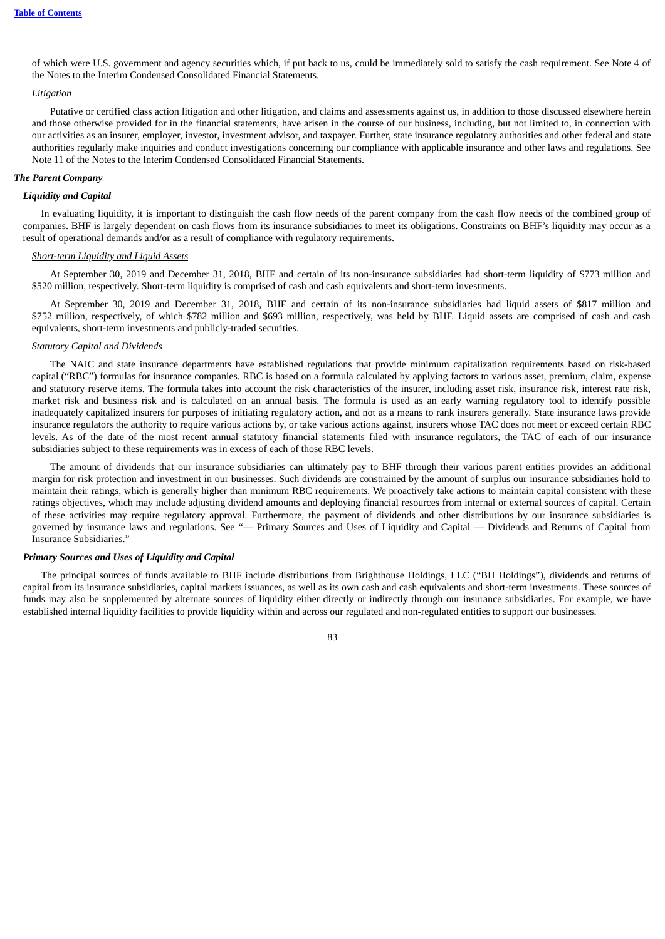of which were U.S. government and agency securities which, if put back to us, could be immediately sold to satisfy the cash requirement. See Note 4 of the Notes to the Interim Condensed Consolidated Financial Statements.

## *Litigation*

Putative or certified class action litigation and other litigation, and claims and assessments against us, in addition to those discussed elsewhere herein and those otherwise provided for in the financial statements, have arisen in the course of our business, including, but not limited to, in connection with our activities as an insurer, employer, investor, investment advisor, and taxpayer. Further, state insurance regulatory authorities and other federal and state authorities regularly make inquiries and conduct investigations concerning our compliance with applicable insurance and other laws and regulations. See Note 11 of the Notes to the Interim Condensed Consolidated Financial Statements.

# *The Parent Company*

### *Liquidity and Capital*

In evaluating liquidity, it is important to distinguish the cash flow needs of the parent company from the cash flow needs of the combined group of companies. BHF is largely dependent on cash flows from its insurance subsidiaries to meet its obligations. Constraints on BHF's liquidity may occur as a result of operational demands and/or as a result of compliance with regulatory requirements.

#### *Short-term Liquidity and Liquid Assets*

At September 30, 2019 and December 31, 2018, BHF and certain of its non-insurance subsidiaries had short-term liquidity of \$773 million and \$520 million, respectively. Short-term liquidity is comprised of cash and cash equivalents and short-term investments.

At September 30, 2019 and December 31, 2018, BHF and certain of its non-insurance subsidiaries had liquid assets of \$817 million and \$752 million, respectively, of which \$782 million and \$693 million, respectively, was held by BHF. Liquid assets are comprised of cash and cash equivalents, short-term investments and publicly-traded securities.

## *Statutory Capital and Dividends*

The NAIC and state insurance departments have established regulations that provide minimum capitalization requirements based on risk-based capital ("RBC") formulas for insurance companies. RBC is based on a formula calculated by applying factors to various asset, premium, claim, expense and statutory reserve items. The formula takes into account the risk characteristics of the insurer, including asset risk, insurance risk, interest rate risk, market risk and business risk and is calculated on an annual basis. The formula is used as an early warning regulatory tool to identify possible inadequately capitalized insurers for purposes of initiating regulatory action, and not as a means to rank insurers generally. State insurance laws provide insurance regulators the authority to require various actions by, or take various actions against, insurers whose TAC does not meet or exceed certain RBC levels. As of the date of the most recent annual statutory financial statements filed with insurance regulators, the TAC of each of our insurance subsidiaries subject to these requirements was in excess of each of those RBC levels.

The amount of dividends that our insurance subsidiaries can ultimately pay to BHF through their various parent entities provides an additional margin for risk protection and investment in our businesses. Such dividends are constrained by the amount of surplus our insurance subsidiaries hold to maintain their ratings, which is generally higher than minimum RBC requirements. We proactively take actions to maintain capital consistent with these ratings objectives, which may include adjusting dividend amounts and deploying financial resources from internal or external sources of capital. Certain of these activities may require regulatory approval. Furthermore, the payment of dividends and other distributions by our insurance subsidiaries is governed by insurance laws and regulations. See "— Primary Sources and Uses of Liquidity and Capital — Dividends and Returns of Capital from Insurance Subsidiaries."

# *Primary Sources and Uses of Liquidity and Capital*

The principal sources of funds available to BHF include distributions from Brighthouse Holdings, LLC ("BH Holdings"), dividends and returns of capital from its insurance subsidiaries, capital markets issuances, as well as its own cash and cash equivalents and short-term investments. These sources of funds may also be supplemented by alternate sources of liquidity either directly or indirectly through our insurance subsidiaries. For example, we have established internal liquidity facilities to provide liquidity within and across our regulated and non-regulated entities to support our businesses.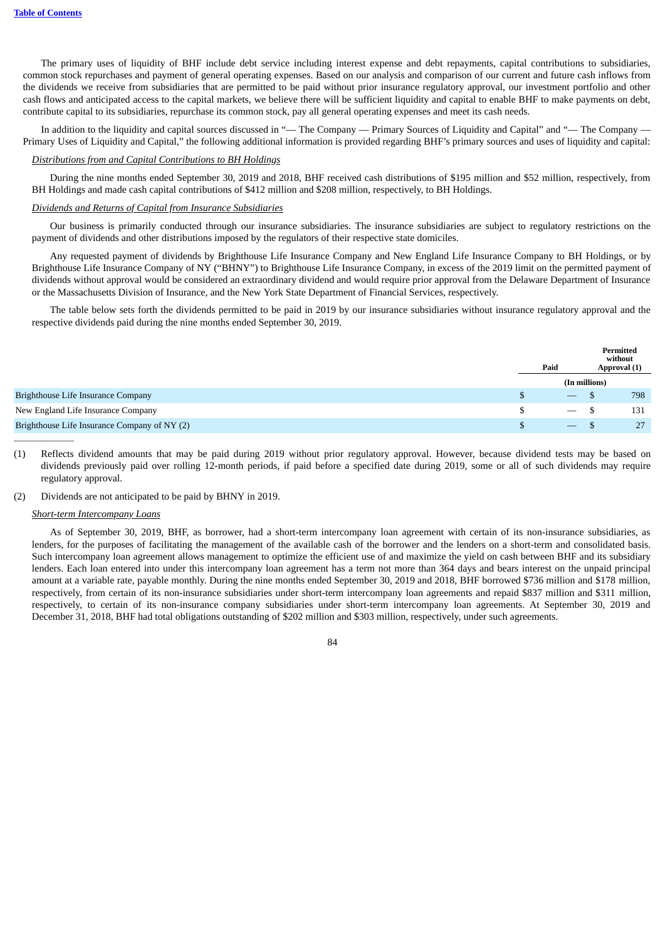The primary uses of liquidity of BHF include debt service including interest expense and debt repayments, capital contributions to subsidiaries, common stock repurchases and payment of general operating expenses. Based on our analysis and comparison of our current and future cash inflows from the dividends we receive from subsidiaries that are permitted to be paid without prior insurance regulatory approval, our investment portfolio and other cash flows and anticipated access to the capital markets, we believe there will be sufficient liquidity and capital to enable BHF to make payments on debt, contribute capital to its subsidiaries, repurchase its common stock, pay all general operating expenses and meet its cash needs.

In addition to the liquidity and capital sources discussed in "— The Company — Primary Sources of Liquidity and Capital" and "— The Company — Primary Uses of Liquidity and Capital," the following additional information is provided regarding BHF's primary sources and uses of liquidity and capital:

## *Distributions from and Capital Contributions to BH Holdings*

During the nine months ended September 30, 2019 and 2018, BHF received cash distributions of \$195 million and \$52 million, respectively, from BH Holdings and made cash capital contributions of \$412 million and \$208 million, respectively, to BH Holdings.

#### *Dividends and Returns of Capital from Insurance Subsidiaries*

Our business is primarily conducted through our insurance subsidiaries. The insurance subsidiaries are subject to regulatory restrictions on the payment of dividends and other distributions imposed by the regulators of their respective state domiciles.

Any requested payment of dividends by Brighthouse Life Insurance Company and New England Life Insurance Company to BH Holdings, or by Brighthouse Life Insurance Company of NY ("BHNY") to Brighthouse Life Insurance Company, in excess of the 2019 limit on the permitted payment of dividends without approval would be considered an extraordinary dividend and would require prior approval from the Delaware Department of Insurance or the Massachusetts Division of Insurance, and the New York State Department of Financial Services, respectively.

The table below sets forth the dividends permitted to be paid in 2019 by our insurance subsidiaries without insurance regulatory approval and the respective dividends paid during the nine months ended September 30, 2019.

|                                              | Paid                             | Permitted<br>without<br>Approval (1) |  |
|----------------------------------------------|----------------------------------|--------------------------------------|--|
|                                              | (In millions)                    |                                      |  |
| Brighthouse Life Insurance Company           | - \$<br>$\overline{\phantom{a}}$ | 798                                  |  |
| New England Life Insurance Company           | $-$ \$                           | 131                                  |  |
| Brighthouse Life Insurance Company of NY (2) | $\overline{\phantom{a}}$         | 27                                   |  |

(1) Reflects dividend amounts that may be paid during 2019 without prior regulatory approval. However, because dividend tests may be based on dividends previously paid over rolling 12-month periods, if paid before a specified date during 2019, some or all of such dividends may require regulatory approval.

## (2) Dividends are not anticipated to be paid by BHNY in 2019.

#### *Short-term Intercompany Loans*

 $\overline{\phantom{a}}$ 

As of September 30, 2019, BHF, as borrower, had a short-term intercompany loan agreement with certain of its non-insurance subsidiaries, as lenders, for the purposes of facilitating the management of the available cash of the borrower and the lenders on a short-term and consolidated basis. Such intercompany loan agreement allows management to optimize the efficient use of and maximize the yield on cash between BHF and its subsidiary lenders. Each loan entered into under this intercompany loan agreement has a term not more than 364 days and bears interest on the unpaid principal amount at a variable rate, payable monthly. During the nine months ended September 30, 2019 and 2018, BHF borrowed \$736 million and \$178 million, respectively, from certain of its non-insurance subsidiaries under short-term intercompany loan agreements and repaid \$837 million and \$311 million, respectively, to certain of its non-insurance company subsidiaries under short-term intercompany loan agreements. At September 30, 2019 and December 31, 2018, BHF had total obligations outstanding of \$202 million and \$303 million, respectively, under such agreements.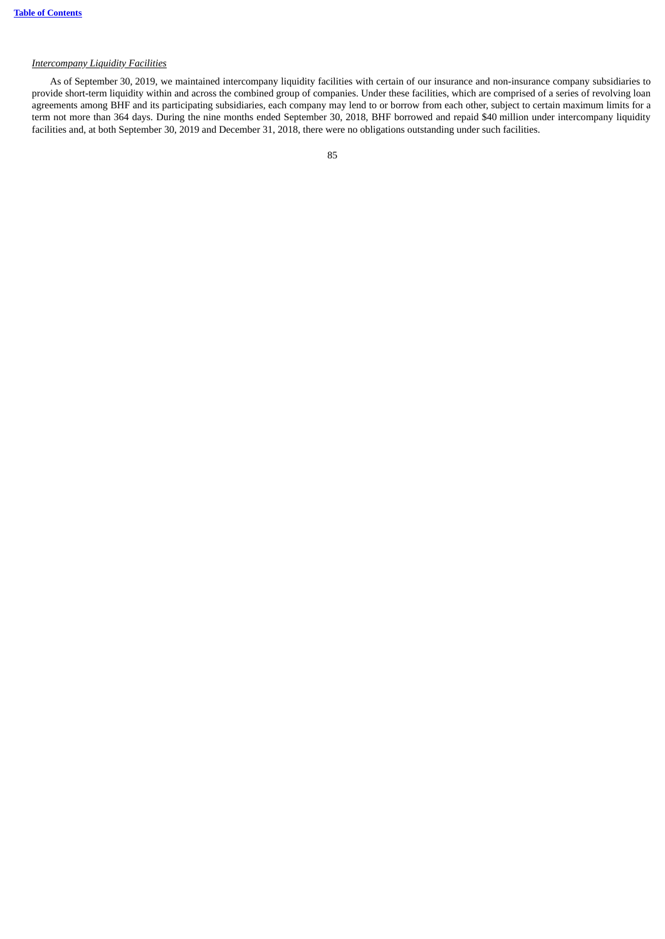# *Intercompany Liquidity Facilities*

As of September 30, 2019, we maintained intercompany liquidity facilities with certain of our insurance and non-insurance company subsidiaries to provide short-term liquidity within and across the combined group of companies. Under these facilities, which are comprised of a series of revolving loan agreements among BHF and its participating subsidiaries, each company may lend to or borrow from each other, subject to certain maximum limits for a term not more than 364 days. During the nine months ended September 30, 2018, BHF borrowed and repaid \$40 million under intercompany liquidity facilities and, at both September 30, 2019 and December 31, 2018, there were no obligations outstanding under such facilities.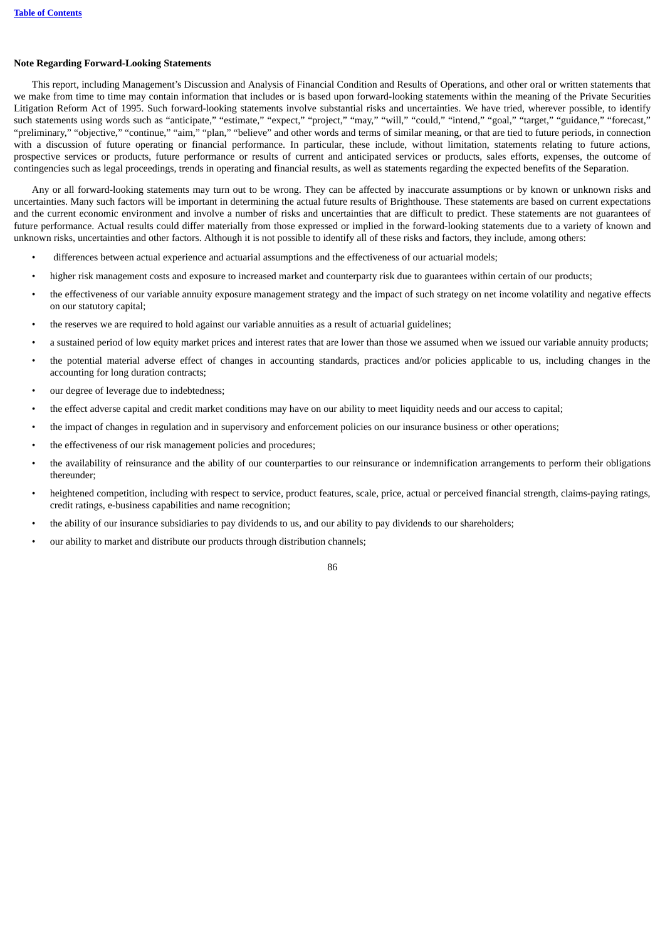# **Note Regarding Forward-Looking Statements**

This report, including Management's Discussion and Analysis of Financial Condition and Results of Operations, and other oral or written statements that we make from time to time may contain information that includes or is based upon forward-looking statements within the meaning of the Private Securities Litigation Reform Act of 1995. Such forward-looking statements involve substantial risks and uncertainties. We have tried, wherever possible, to identify such statements using words such as "anticipate," "estimate," "expect," "project," "may," "will," "could," "intend," "goal," "target," "guidance," "forecast," "preliminary," "objective," "continue," "aim," "plan," "believe" and other words and terms of similar meaning, or that are tied to future periods, in connection with a discussion of future operating or financial performance. In particular, these include, without limitation, statements relating to future actions, prospective services or products, future performance or results of current and anticipated services or products, sales efforts, expenses, the outcome of contingencies such as legal proceedings, trends in operating and financial results, as well as statements regarding the expected benefits of the Separation.

Any or all forward-looking statements may turn out to be wrong. They can be affected by inaccurate assumptions or by known or unknown risks and uncertainties. Many such factors will be important in determining the actual future results of Brighthouse. These statements are based on current expectations and the current economic environment and involve a number of risks and uncertainties that are difficult to predict. These statements are not guarantees of future performance. Actual results could differ materially from those expressed or implied in the forward-looking statements due to a variety of known and unknown risks, uncertainties and other factors. Although it is not possible to identify all of these risks and factors, they include, among others:

- differences between actual experience and actuarial assumptions and the effectiveness of our actuarial models;
- higher risk management costs and exposure to increased market and counterparty risk due to guarantees within certain of our products;
- the effectiveness of our variable annuity exposure management strategy and the impact of such strategy on net income volatility and negative effects on our statutory capital;
- the reserves we are required to hold against our variable annuities as a result of actuarial guidelines;
- a sustained period of low equity market prices and interest rates that are lower than those we assumed when we issued our variable annuity products;
- the potential material adverse effect of changes in accounting standards, practices and/or policies applicable to us, including changes in the accounting for long duration contracts;
- our degree of leverage due to indebtedness;
- the effect adverse capital and credit market conditions may have on our ability to meet liquidity needs and our access to capital;
- the impact of changes in regulation and in supervisory and enforcement policies on our insurance business or other operations;
- the effectiveness of our risk management policies and procedures;
- the availability of reinsurance and the ability of our counterparties to our reinsurance or indemnification arrangements to perform their obligations thereunder;
- heightened competition, including with respect to service, product features, scale, price, actual or perceived financial strength, claims-paying ratings, credit ratings, e-business capabilities and name recognition;
- the ability of our insurance subsidiaries to pay dividends to us, and our ability to pay dividends to our shareholders;
- our ability to market and distribute our products through distribution channels;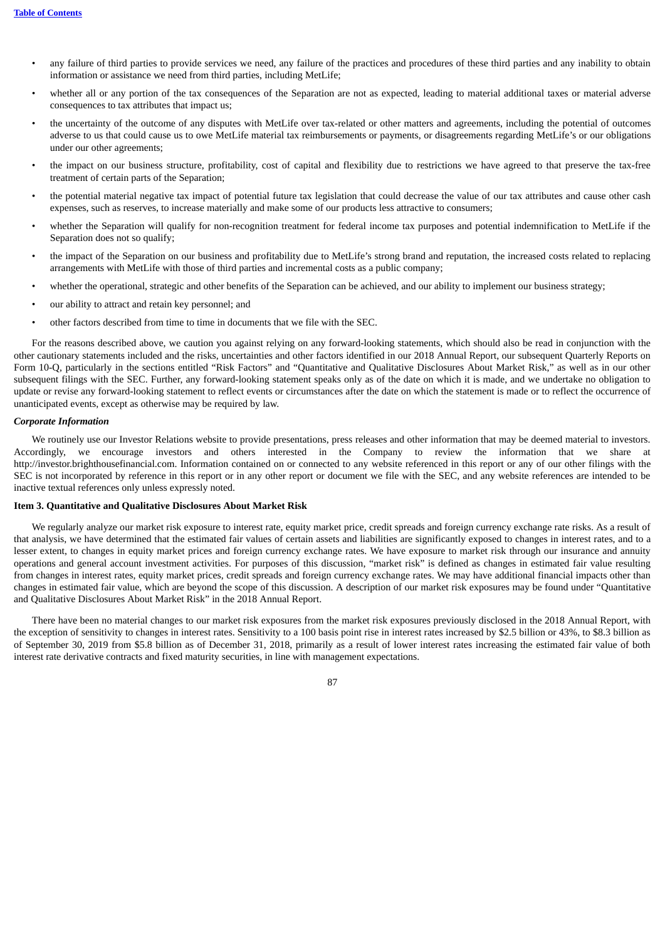- any failure of third parties to provide services we need, any failure of the practices and procedures of these third parties and any inability to obtain information or assistance we need from third parties, including MetLife;
- whether all or any portion of the tax consequences of the Separation are not as expected, leading to material additional taxes or material adverse consequences to tax attributes that impact us;
- the uncertainty of the outcome of any disputes with MetLife over tax-related or other matters and agreements, including the potential of outcomes adverse to us that could cause us to owe MetLife material tax reimbursements or payments, or disagreements regarding MetLife's or our obligations under our other agreements;
- the impact on our business structure, profitability, cost of capital and flexibility due to restrictions we have agreed to that preserve the tax-free treatment of certain parts of the Separation;
- the potential material negative tax impact of potential future tax legislation that could decrease the value of our tax attributes and cause other cash expenses, such as reserves, to increase materially and make some of our products less attractive to consumers;
- whether the Separation will qualify for non-recognition treatment for federal income tax purposes and potential indemnification to MetLife if the Separation does not so qualify;
- the impact of the Separation on our business and profitability due to MetLife's strong brand and reputation, the increased costs related to replacing arrangements with MetLife with those of third parties and incremental costs as a public company;
- whether the operational, strategic and other benefits of the Separation can be achieved, and our ability to implement our business strategy;
- our ability to attract and retain key personnel; and
- other factors described from time to time in documents that we file with the SEC.

For the reasons described above, we caution you against relying on any forward-looking statements, which should also be read in conjunction with the other cautionary statements included and the risks, uncertainties and other factors identified in our 2018 Annual Report, our subsequent Quarterly Reports on Form 10-Q, particularly in the sections entitled "Risk Factors" and "Quantitative and Qualitative Disclosures About Market Risk," as well as in our other subsequent filings with the SEC. Further, any forward-looking statement speaks only as of the date on which it is made, and we undertake no obligation to update or revise any forward-looking statement to reflect events or circumstances after the date on which the statement is made or to reflect the occurrence of unanticipated events, except as otherwise may be required by law.

#### *Corporate Information*

We routinely use our Investor Relations website to provide presentations, press releases and other information that may be deemed material to investors. Accordingly, we encourage investors and others interested in the Company to review the information that we share at http://investor.brighthousefinancial.com. Information contained on or connected to any website referenced in this report or any of our other filings with the SEC is not incorporated by reference in this report or in any other report or document we file with the SEC, and any website references are intended to be inactive textual references only unless expressly noted.

## **Item 3. Quantitative and Qualitative Disclosures About Market Risk**

We regularly analyze our market risk exposure to interest rate, equity market price, credit spreads and foreign currency exchange rate risks. As a result of that analysis, we have determined that the estimated fair values of certain assets and liabilities are significantly exposed to changes in interest rates, and to a lesser extent, to changes in equity market prices and foreign currency exchange rates. We have exposure to market risk through our insurance and annuity operations and general account investment activities. For purposes of this discussion, "market risk" is defined as changes in estimated fair value resulting from changes in interest rates, equity market prices, credit spreads and foreign currency exchange rates. We may have additional financial impacts other than changes in estimated fair value, which are beyond the scope of this discussion. A description of our market risk exposures may be found under "Quantitative and Qualitative Disclosures About Market Risk" in the 2018 Annual Report.

There have been no material changes to our market risk exposures from the market risk exposures previously disclosed in the 2018 Annual Report, with the exception of sensitivity to changes in interest rates. Sensitivity to a 100 basis point rise in interest rates increased by \$2.5 billion or 43%, to \$8.3 billion as of September 30, 2019 from \$5.8 billion as of December 31, 2018, primarily as a result of lower interest rates increasing the estimated fair value of both interest rate derivative contracts and fixed maturity securities, in line with management expectations.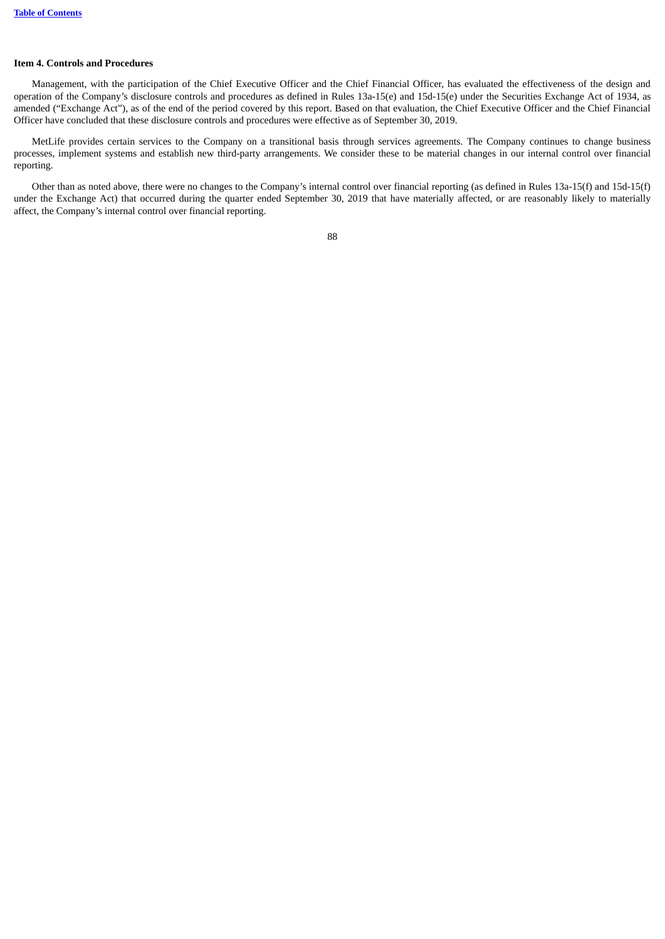## **Item 4. Controls and Procedures**

Management, with the participation of the Chief Executive Officer and the Chief Financial Officer, has evaluated the effectiveness of the design and operation of the Company's disclosure controls and procedures as defined in Rules 13a-15(e) and 15d-15(e) under the Securities Exchange Act of 1934, as amended ("Exchange Act"), as of the end of the period covered by this report. Based on that evaluation, the Chief Executive Officer and the Chief Financial Officer have concluded that these disclosure controls and procedures were effective as of September 30, 2019.

MetLife provides certain services to the Company on a transitional basis through services agreements. The Company continues to change business processes, implement systems and establish new third-party arrangements. We consider these to be material changes in our internal control over financial reporting.

Other than as noted above, there were no changes to the Company's internal control over financial reporting (as defined in Rules 13a-15(f) and 15d-15(f) under the Exchange Act) that occurred during the quarter ended September 30, 2019 that have materially affected, or are reasonably likely to materially affect, the Company's internal control over financial reporting.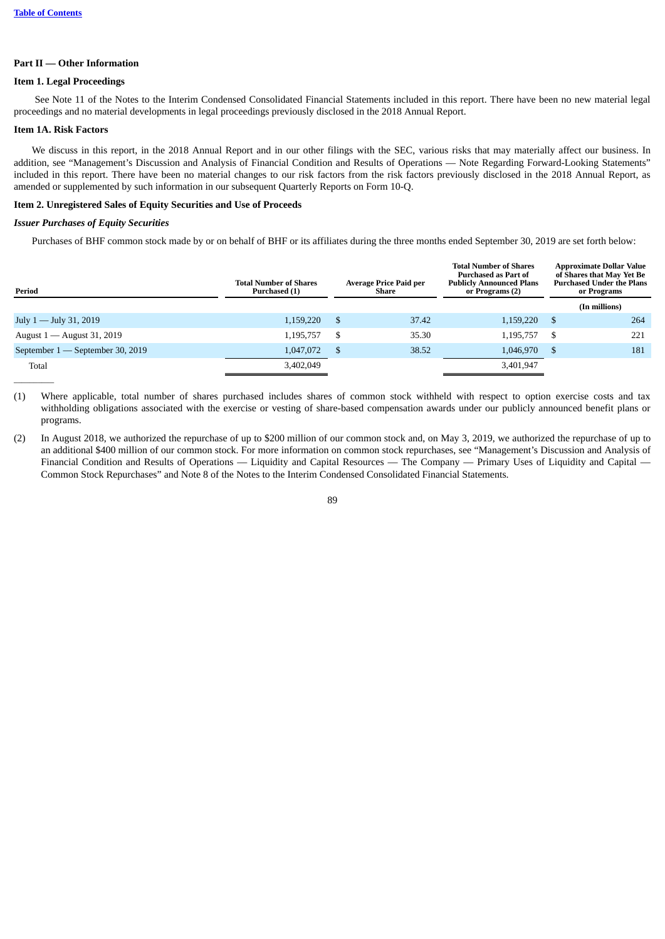# **Part II — Other Information**

# **Item 1. Legal Proceedings**

See Note 11 of the Notes to the Interim Condensed Consolidated Financial Statements included in this report. There have been no new material legal proceedings and no material developments in legal proceedings previously disclosed in the 2018 Annual Report.

# **Item 1A. Risk Factors**

We discuss in this report, in the 2018 Annual Report and in our other filings with the SEC, various risks that may materially affect our business. In addition, see "Management's Discussion and Analysis of Financial Condition and Results of Operations — Note Regarding Forward-Looking Statements" included in this report. There have been no material changes to our risk factors from the risk factors previously disclosed in the 2018 Annual Report, as amended or supplemented by such information in our subsequent Quarterly Reports on Form 10-Q.

# **Item 2. Unregistered Sales of Equity Securities and Use of Proceeds**

# *Issuer Purchases of Equity Securities*

Purchases of BHF common stock made by or on behalf of BHF or its affiliates during the three months ended September 30, 2019 are set forth below:

| Period                           | <b>Total Number of Shares</b><br>Purchased (1) |     | <b>Average Price Paid per</b><br>Share | <b>Total Number of Shares</b><br>Purchased as Part of<br><b>Publicly Announced Plans</b><br>or Programs (2) |               | <b>Approximate Dollar Value</b><br>of Shares that May Yet Be<br><b>Purchased Under the Plans</b><br>or Programs |
|----------------------------------|------------------------------------------------|-----|----------------------------------------|-------------------------------------------------------------------------------------------------------------|---------------|-----------------------------------------------------------------------------------------------------------------|
|                                  |                                                |     |                                        |                                                                                                             |               | (In millions)                                                                                                   |
| July $1 -$ July 31, 2019         | 1,159,220                                      | \$. | 37.42                                  | 1,159,220                                                                                                   | <sup>\$</sup> | 264                                                                                                             |
| August 1 — August 31, 2019       | 1,195,757                                      | S   | 35.30                                  | 1,195,757                                                                                                   | \$            | 221                                                                                                             |
| September 1 — September 30, 2019 | 1,047,072                                      | \$  | 38.52                                  | 1,046,970                                                                                                   | \$            | 181                                                                                                             |
| Total                            | 3,402,049                                      |     |                                        | 3,401,947                                                                                                   |               |                                                                                                                 |
|                                  |                                                |     |                                        |                                                                                                             |               |                                                                                                                 |

(1) Where applicable, total number of shares purchased includes shares of common stock withheld with respect to option exercise costs and tax withholding obligations associated with the exercise or vesting of share-based compensation awards under our publicly announced benefit plans or programs.

(2) In August 2018, we authorized the repurchase of up to \$200 million of our common stock and, on May 3, 2019, we authorized the repurchase of up to an additional \$400 million of our common stock. For more information on common stock repurchases, see "Management's Discussion and Analysis of Financial Condition and Results of Operations — Liquidity and Capital Resources — The Company — Primary Uses of Liquidity and Capital — Common Stock Repurchases" and Note 8 of the Notes to the Interim Condensed Consolidated Financial Statements.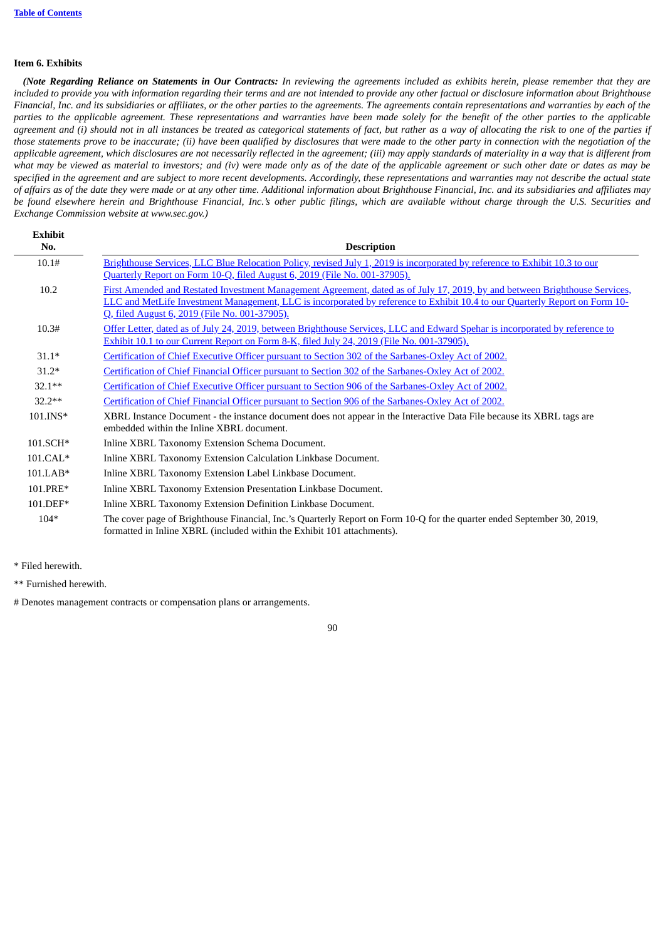# **Item 6. Exhibits**

(Note Regarding Reliance on Statements in Our Contracts: In reviewing the agreements included as exhibits herein, please remember that they are included to provide you with information regarding their terms and are not intended to provide any other factual or disclosure information about Brighthouse Financial, Inc. and its subsidiaries or affiliates, or the other parties to the agreements. The agreements contain representations and warranties by each of the parties to the applicable agreement. These representations and warranties have been made solely for the benefit of the other parties to the applicable agreement and (i) should not in all instances be treated as categorical statements of fact, but rather as a way of allocating the risk to one of the parties if those statements prove to be inaccurate; (ii) have been qualified by disclosures that were made to the other party in connection with the negotiation of the applicable agreement, which disclosures are not necessarily reflected in the agreement; (iii) may apply standards of materiality in a way that is different from what may be viewed as material to investors; and (iv) were made only as of the date of the applicable agreement or such other date or dates as may be specified in the agreement and are subject to more recent developments. Accordingly, these representations and warranties may not describe the actual state of affairs as of the date they were made or at any other time. Additional information about Brighthouse Financial, Inc. and its subsidiaries and affiliates may be found elsewhere herein and Brighthouse Financial, Inc.'s other public filings, which are available without charge through the U.S. Securities and *Exchange Commission website at www.sec.gov.)*

| <b>Exhibit</b><br>No. | <b>Description</b>                                                                                                                                                                                                                                                                                          |
|-----------------------|-------------------------------------------------------------------------------------------------------------------------------------------------------------------------------------------------------------------------------------------------------------------------------------------------------------|
| 10.1#                 | Brighthouse Services, LLC Blue Relocation Policy, revised July 1, 2019 is incorporated by reference to Exhibit 10.3 to our<br>Quarterly Report on Form 10-Q, filed August 6, 2019 (File No. 001-37905).                                                                                                     |
| 10.2                  | First Amended and Restated Investment Management Agreement, dated as of July 17, 2019, by and between Brighthouse Services,<br>LLC and MetLife Investment Management, LLC is incorporated by reference to Exhibit 10.4 to our Quarterly Report on Form 10-<br>Q, filed August 6, 2019 (File No. 001-37905). |
| 10.3#                 | Offer Letter, dated as of July 24, 2019, between Brighthouse Services, LLC and Edward Spehar is incorporated by reference to<br><b>Exhibit 10.1 to our Current Report on Form 8-K, filed July 24, 2019 (File No. 001-37905).</b>                                                                            |
| $31.1*$               | Certification of Chief Executive Officer pursuant to Section 302 of the Sarbanes-Oxley Act of 2002.                                                                                                                                                                                                         |
| $31.2*$               | Certification of Chief Financial Officer pursuant to Section 302 of the Sarbanes-Oxley Act of 2002.                                                                                                                                                                                                         |
| $32.1***$             | Certification of Chief Executive Officer pursuant to Section 906 of the Sarbanes-Oxley Act of 2002.                                                                                                                                                                                                         |
| $32.2**$              | Certification of Chief Financial Officer pursuant to Section 906 of the Sarbanes-Oxley Act of 2002.                                                                                                                                                                                                         |
| 101.INS*              | XBRL Instance Document - the instance document does not appear in the Interactive Data File because its XBRL tags are<br>embedded within the Inline XBRL document.                                                                                                                                          |
| 101.SCH*              | Inline XBRL Taxonomy Extension Schema Document.                                                                                                                                                                                                                                                             |
| $101.CAL*$            | Inline XBRL Taxonomy Extension Calculation Linkbase Document.                                                                                                                                                                                                                                               |
| $101.LAB*$            | Inline XBRL Taxonomy Extension Label Linkbase Document.                                                                                                                                                                                                                                                     |
| 101.PRE*              | Inline XBRL Taxonomy Extension Presentation Linkbase Document.                                                                                                                                                                                                                                              |
| 101.DEF*              | Inline XBRL Taxonomy Extension Definition Linkbase Document.                                                                                                                                                                                                                                                |
| $104*$                | The cover page of Brighthouse Financial, Inc.'s Quarterly Report on Form 10-Q for the quarter ended September 30, 2019,<br>formatted in Inline XBRL (included within the Exhibit 101 attachments).                                                                                                          |

\* Filed herewith.

\*\* Furnished herewith.

# Denotes management contracts or compensation plans or arrangements.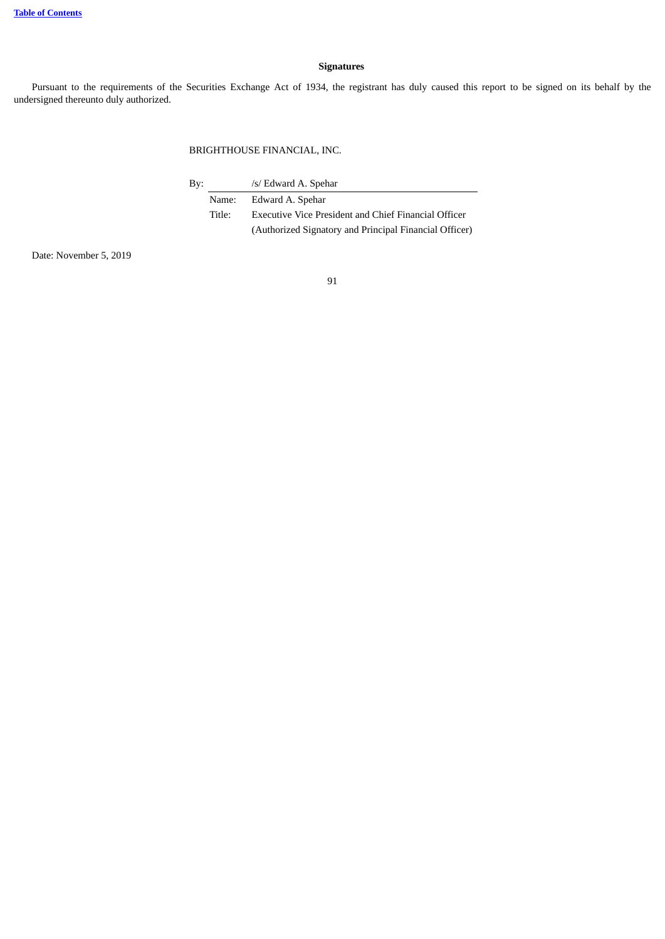# **Signatures**

Pursuant to the requirements of the Securities Exchange Act of 1934, the registrant has duly caused this report to be signed on its behalf by the undersigned thereunto duly authorized.

# BRIGHTHOUSE FINANCIAL, INC.

By: /s/ Edward A. Spehar

Name: Edward A. Spehar

Title: Executive Vice President and Chief Financial Officer (Authorized Signatory and Principal Financial Officer)

Date: November 5, 2019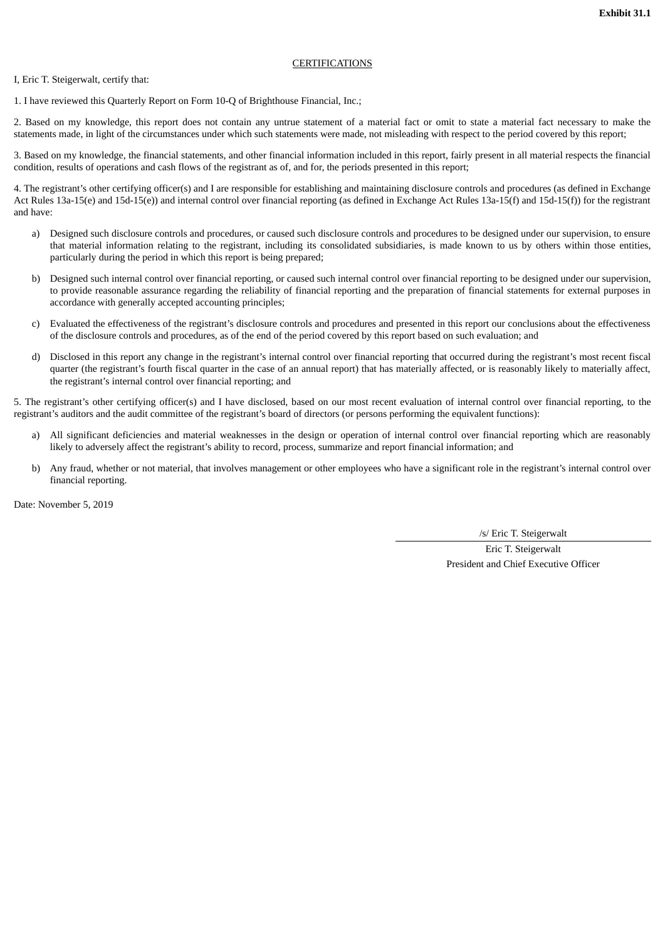# **CERTIFICATIONS**

# <span id="page-92-0"></span>I, Eric T. Steigerwalt, certify that:

1. I have reviewed this Quarterly Report on Form 10-Q of Brighthouse Financial, Inc.;

2. Based on my knowledge, this report does not contain any untrue statement of a material fact or omit to state a material fact necessary to make the statements made, in light of the circumstances under which such statements were made, not misleading with respect to the period covered by this report;

3. Based on my knowledge, the financial statements, and other financial information included in this report, fairly present in all material respects the financial condition, results of operations and cash flows of the registrant as of, and for, the periods presented in this report;

4. The registrant's other certifying officer(s) and I are responsible for establishing and maintaining disclosure controls and procedures (as defined in Exchange Act Rules 13a-15(e) and 15d-15(e)) and internal control over financial reporting (as defined in Exchange Act Rules 13a-15(f) and 15d-15(f)) for the registrant and have:

- a) Designed such disclosure controls and procedures, or caused such disclosure controls and procedures to be designed under our supervision, to ensure that material information relating to the registrant, including its consolidated subsidiaries, is made known to us by others within those entities, particularly during the period in which this report is being prepared;
- b) Designed such internal control over financial reporting, or caused such internal control over financial reporting to be designed under our supervision, to provide reasonable assurance regarding the reliability of financial reporting and the preparation of financial statements for external purposes in accordance with generally accepted accounting principles;
- c) Evaluated the effectiveness of the registrant's disclosure controls and procedures and presented in this report our conclusions about the effectiveness of the disclosure controls and procedures, as of the end of the period covered by this report based on such evaluation; and
- d) Disclosed in this report any change in the registrant's internal control over financial reporting that occurred during the registrant's most recent fiscal quarter (the registrant's fourth fiscal quarter in the case of an annual report) that has materially affected, or is reasonably likely to materially affect, the registrant's internal control over financial reporting; and

5. The registrant's other certifying officer(s) and I have disclosed, based on our most recent evaluation of internal control over financial reporting, to the registrant's auditors and the audit committee of the registrant's board of directors (or persons performing the equivalent functions):

- a) All significant deficiencies and material weaknesses in the design or operation of internal control over financial reporting which are reasonably likely to adversely affect the registrant's ability to record, process, summarize and report financial information; and
- b) Any fraud, whether or not material, that involves management or other employees who have a significant role in the registrant's internal control over financial reporting.

Date: November 5, 2019

/s/ Eric T. Steigerwalt

Eric T. Steigerwalt President and Chief Executive Officer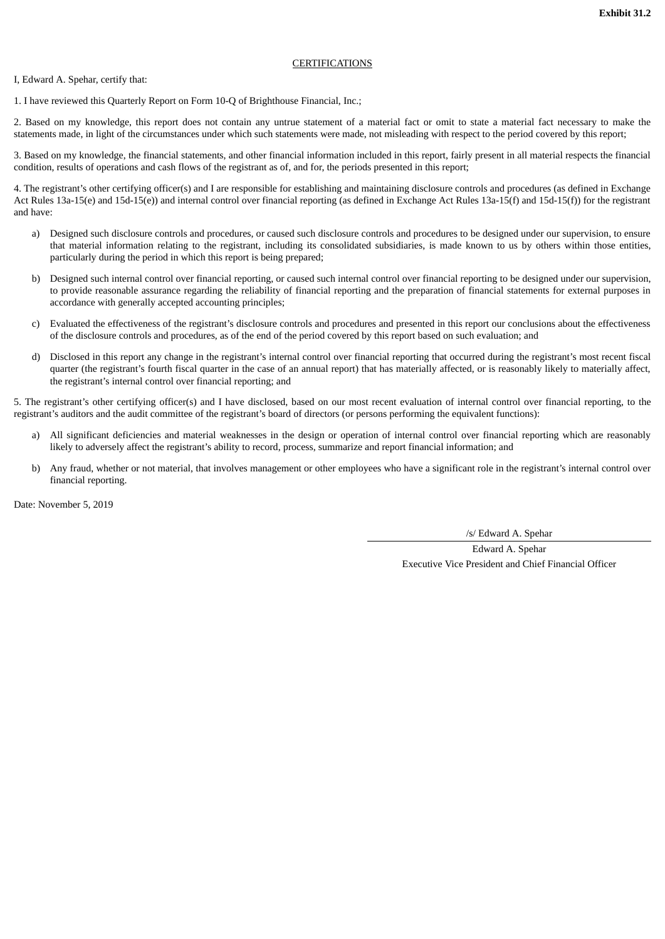# **CERTIFICATIONS**

# <span id="page-93-0"></span>I, Edward A. Spehar, certify that:

1. I have reviewed this Quarterly Report on Form 10-Q of Brighthouse Financial, Inc.;

2. Based on my knowledge, this report does not contain any untrue statement of a material fact or omit to state a material fact necessary to make the statements made, in light of the circumstances under which such statements were made, not misleading with respect to the period covered by this report;

3. Based on my knowledge, the financial statements, and other financial information included in this report, fairly present in all material respects the financial condition, results of operations and cash flows of the registrant as of, and for, the periods presented in this report;

4. The registrant's other certifying officer(s) and I are responsible for establishing and maintaining disclosure controls and procedures (as defined in Exchange Act Rules 13a-15(e) and 15d-15(e)) and internal control over financial reporting (as defined in Exchange Act Rules 13a-15(f) and 15d-15(f)) for the registrant and have:

- a) Designed such disclosure controls and procedures, or caused such disclosure controls and procedures to be designed under our supervision, to ensure that material information relating to the registrant, including its consolidated subsidiaries, is made known to us by others within those entities, particularly during the period in which this report is being prepared;
- b) Designed such internal control over financial reporting, or caused such internal control over financial reporting to be designed under our supervision, to provide reasonable assurance regarding the reliability of financial reporting and the preparation of financial statements for external purposes in accordance with generally accepted accounting principles;
- c) Evaluated the effectiveness of the registrant's disclosure controls and procedures and presented in this report our conclusions about the effectiveness of the disclosure controls and procedures, as of the end of the period covered by this report based on such evaluation; and
- d) Disclosed in this report any change in the registrant's internal control over financial reporting that occurred during the registrant's most recent fiscal quarter (the registrant's fourth fiscal quarter in the case of an annual report) that has materially affected, or is reasonably likely to materially affect, the registrant's internal control over financial reporting; and

5. The registrant's other certifying officer(s) and I have disclosed, based on our most recent evaluation of internal control over financial reporting, to the registrant's auditors and the audit committee of the registrant's board of directors (or persons performing the equivalent functions):

- a) All significant deficiencies and material weaknesses in the design or operation of internal control over financial reporting which are reasonably likely to adversely affect the registrant's ability to record, process, summarize and report financial information; and
- b) Any fraud, whether or not material, that involves management or other employees who have a significant role in the registrant's internal control over financial reporting.

Date: November 5, 2019

/s/ Edward A. Spehar

Edward A. Spehar Executive Vice President and Chief Financial Officer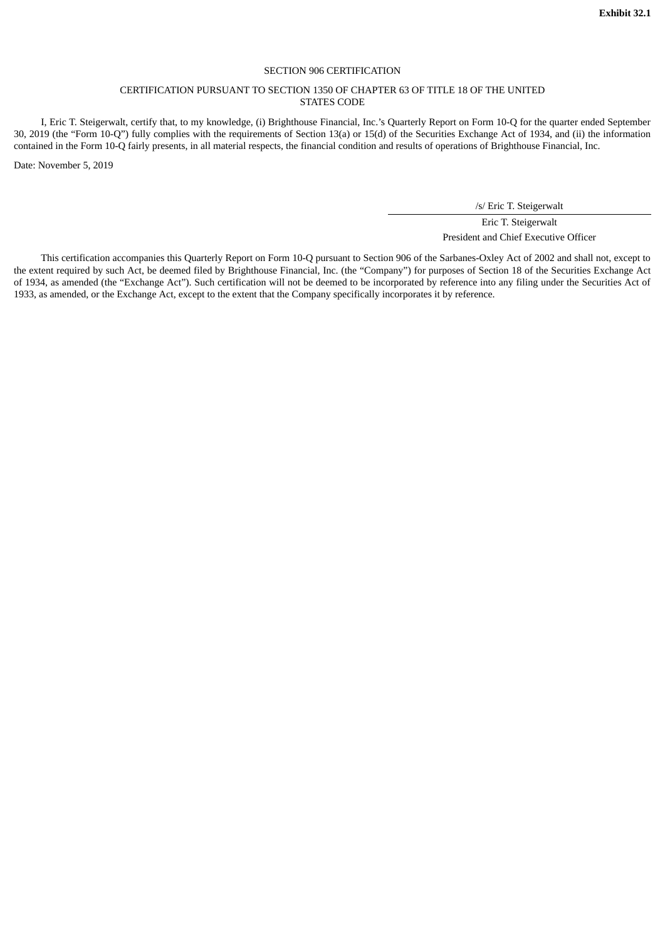# SECTION 906 CERTIFICATION

# CERTIFICATION PURSUANT TO SECTION 1350 OF CHAPTER 63 OF TITLE 18 OF THE UNITED STATES CODE

<span id="page-94-0"></span>I, Eric T. Steigerwalt, certify that, to my knowledge, (i) Brighthouse Financial, Inc.'s Quarterly Report on Form 10-Q for the quarter ended September 30, 2019 (the "Form 10-Q") fully complies with the requirements of Section 13(a) or 15(d) of the Securities Exchange Act of 1934, and (ii) the information contained in the Form 10-Q fairly presents, in all material respects, the financial condition and results of operations of Brighthouse Financial, Inc.

Date: November 5, 2019

/s/ Eric T. Steigerwalt

Eric T. Steigerwalt President and Chief Executive Officer

This certification accompanies this Quarterly Report on Form 10-Q pursuant to Section 906 of the Sarbanes-Oxley Act of 2002 and shall not, except to the extent required by such Act, be deemed filed by Brighthouse Financial, Inc. (the "Company") for purposes of Section 18 of the Securities Exchange Act of 1934, as amended (the "Exchange Act"). Such certification will not be deemed to be incorporated by reference into any filing under the Securities Act of 1933, as amended, or the Exchange Act, except to the extent that the Company specifically incorporates it by reference.